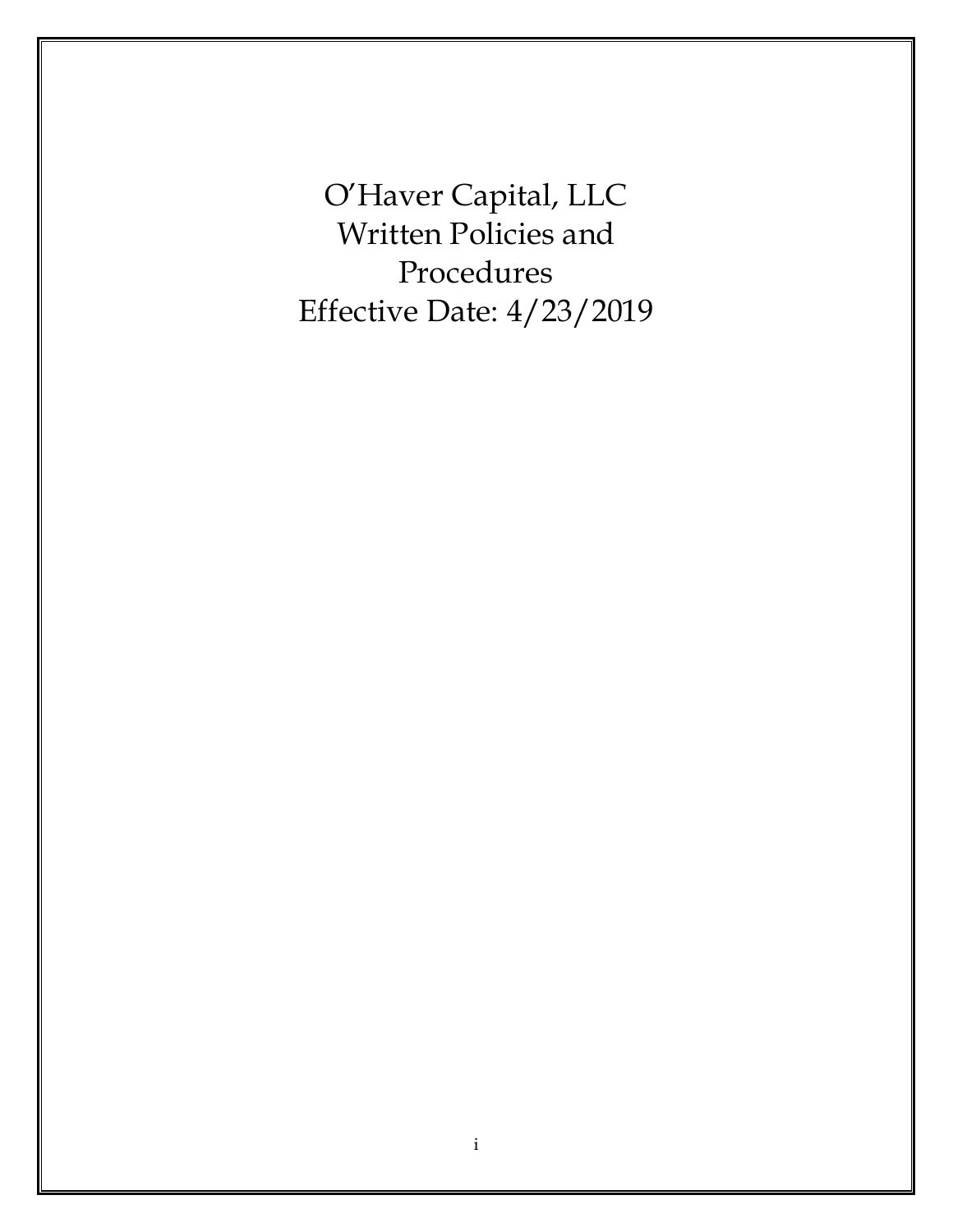O'Haver Capital, LLC Written Policies and Procedures Effective Date: 4/23/2019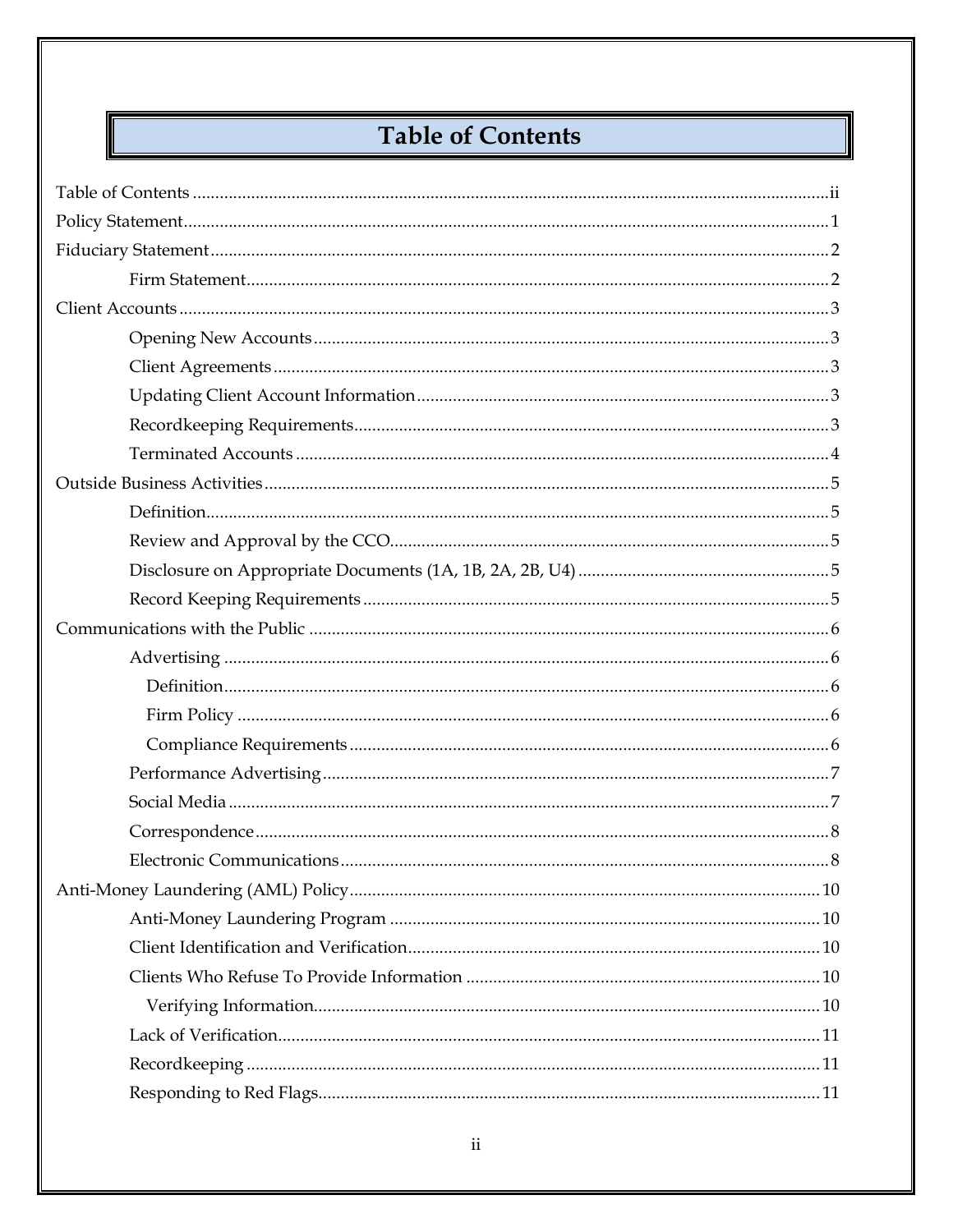# **Table of Contents**

<span id="page-1-0"></span>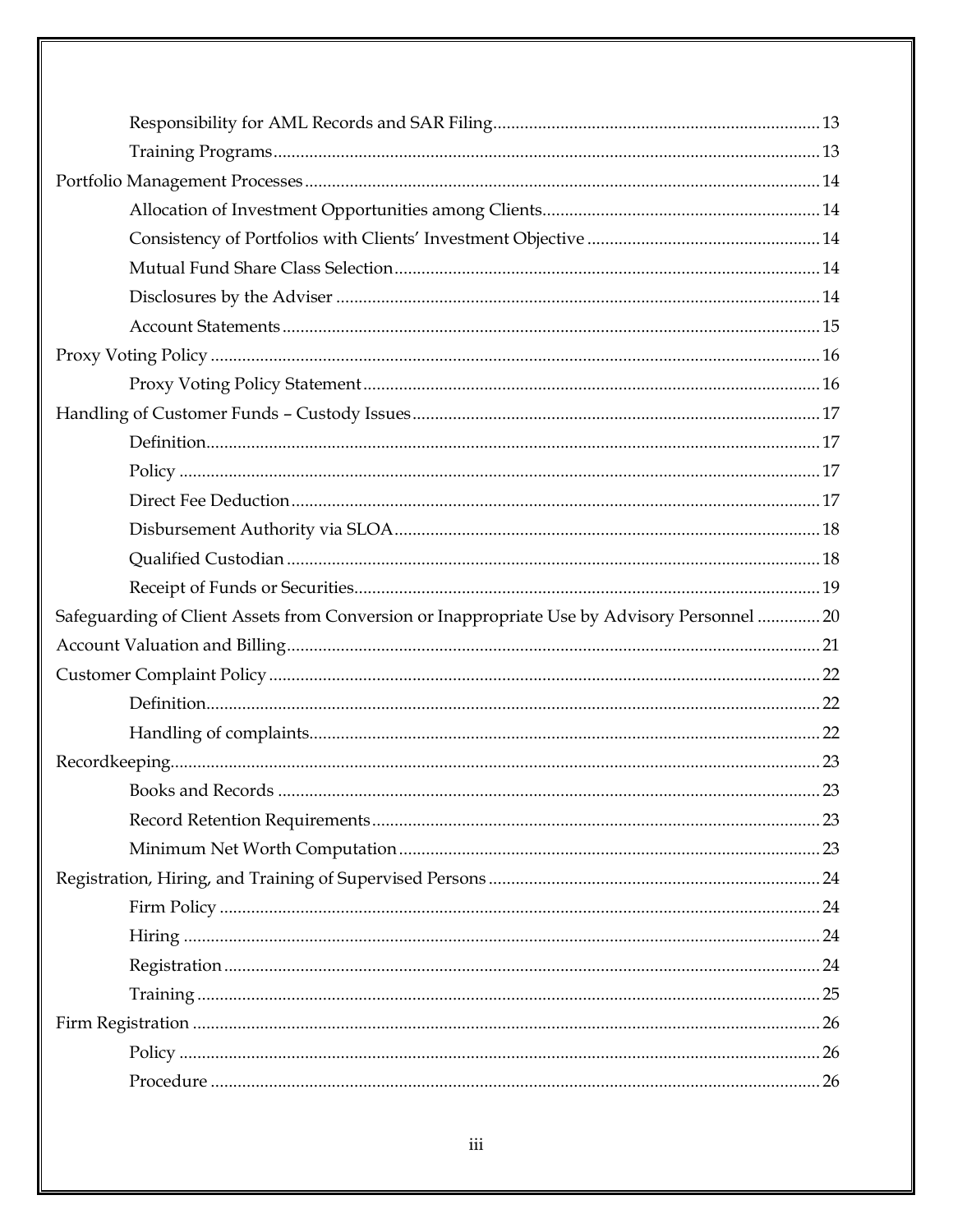| Safeguarding of Client Assets from Conversion or Inappropriate Use by Advisory Personnel  20 |    |
|----------------------------------------------------------------------------------------------|----|
|                                                                                              |    |
|                                                                                              |    |
|                                                                                              |    |
|                                                                                              |    |
|                                                                                              |    |
|                                                                                              |    |
|                                                                                              |    |
|                                                                                              | 23 |
|                                                                                              |    |
|                                                                                              |    |
|                                                                                              |    |
|                                                                                              |    |
|                                                                                              |    |
|                                                                                              |    |
|                                                                                              | 26 |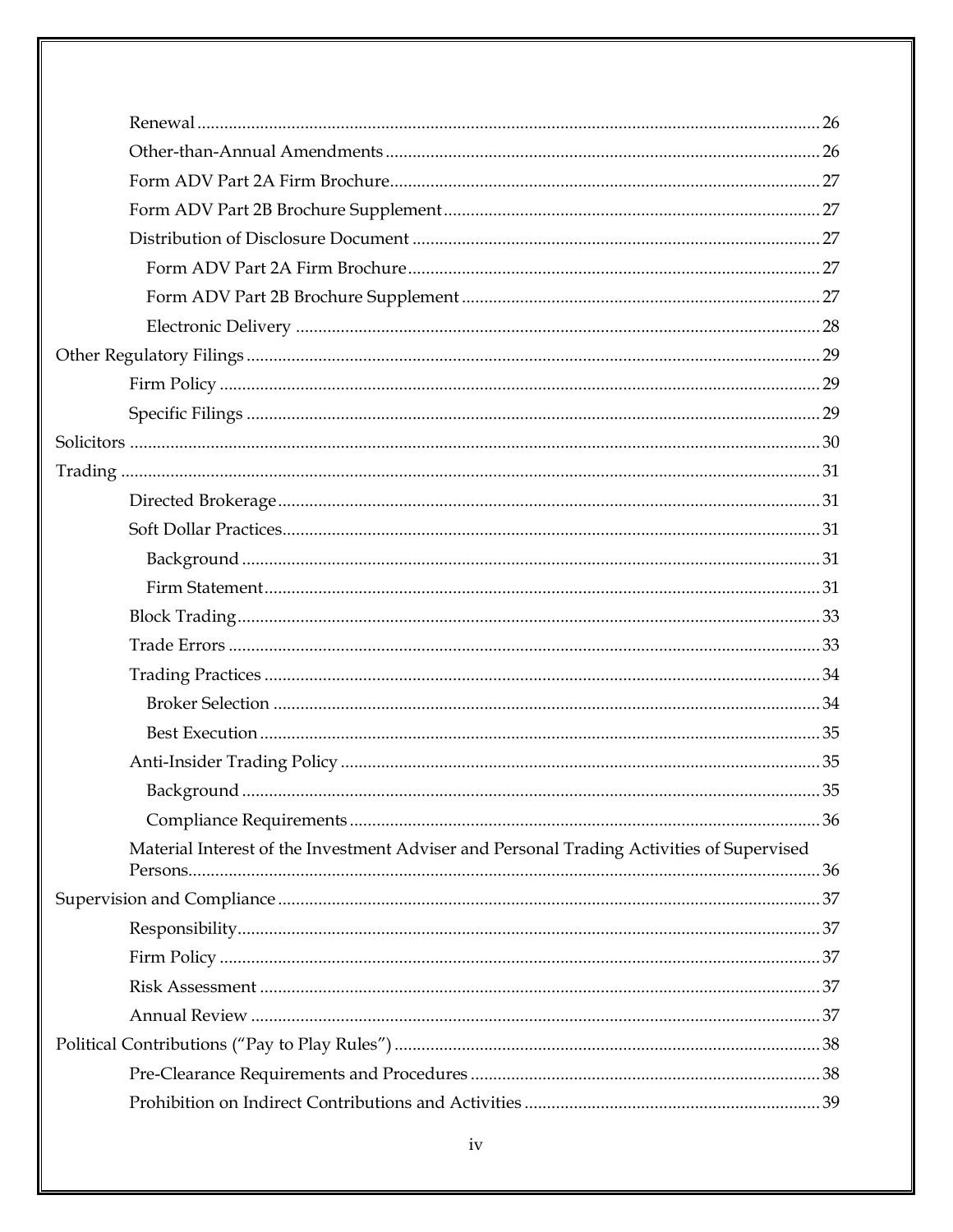| Material Interest of the Investment Adviser and Personal Trading Activities of Supervised |  |
|-------------------------------------------------------------------------------------------|--|
|                                                                                           |  |
|                                                                                           |  |
|                                                                                           |  |
|                                                                                           |  |
|                                                                                           |  |
|                                                                                           |  |
|                                                                                           |  |
|                                                                                           |  |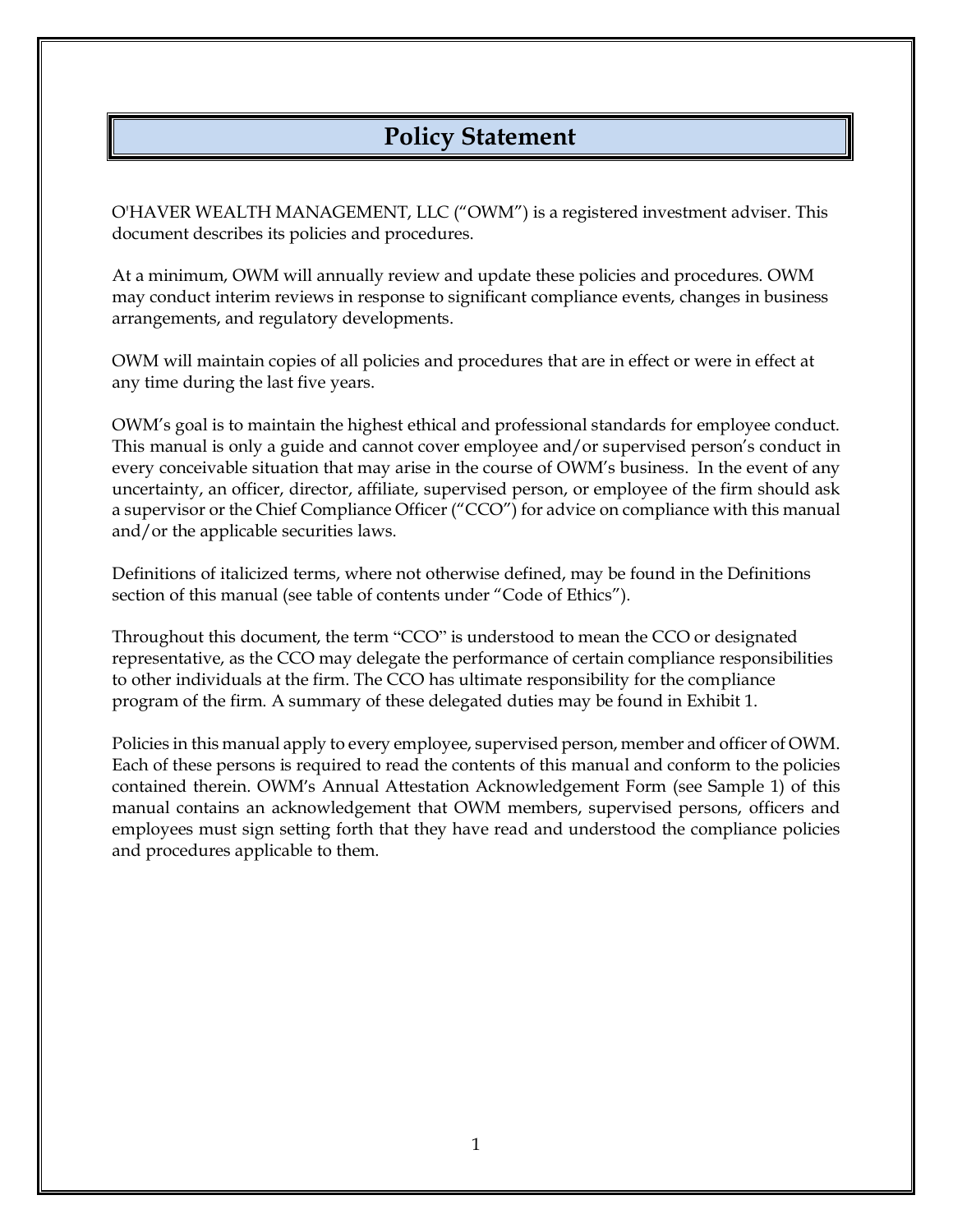# **Policy Statement**

<span id="page-7-0"></span>O'HAVER WEALTH MANAGEMENT, LLC ("OWM") is a registered investment adviser. This document describes its policies and procedures.

At a minimum, OWM will annually review and update these policies and procedures. OWM may conduct interim reviews in response to significant compliance events, changes in business arrangements, and regulatory developments.

OWM will maintain copies of all policies and procedures that are in effect or were in effect at any time during the last five years.

OWM's goal is to maintain the highest ethical and professional standards for employee conduct. This manual is only a guide and cannot cover employee and/or supervised person's conduct in every conceivable situation that may arise in the course of OWM's business. In the event of any uncertainty, an officer, director, affiliate, supervised person, or employee of the firm should ask a supervisor or the Chief Compliance Officer ("CCO") for advice on compliance with this manual and/or the applicable securities laws.

Definitions of italicized terms, where not otherwise defined, may be found in the Definitions section of this manual (see table of contents under "Code of Ethics").

Throughout this document, the term "CCO" is understood to mean the CCO or designated representative, as the CCO may delegate the performance of certain compliance responsibilities to other individuals at the firm. The CCO has ultimate responsibility for the compliance program of the firm. A summary of these delegated duties may be found in Exhibit 1.

Policies in this manual apply to every employee, supervised person, member and officer of OWM. Each of these persons is required to read the contents of this manual and conform to the policies contained therein. OWM's Annual Attestation Acknowledgement Form (see Sample 1) of this manual contains an acknowledgement that OWM members, supervised persons, officers and employees must sign setting forth that they have read and understood the compliance policies and procedures applicable to them.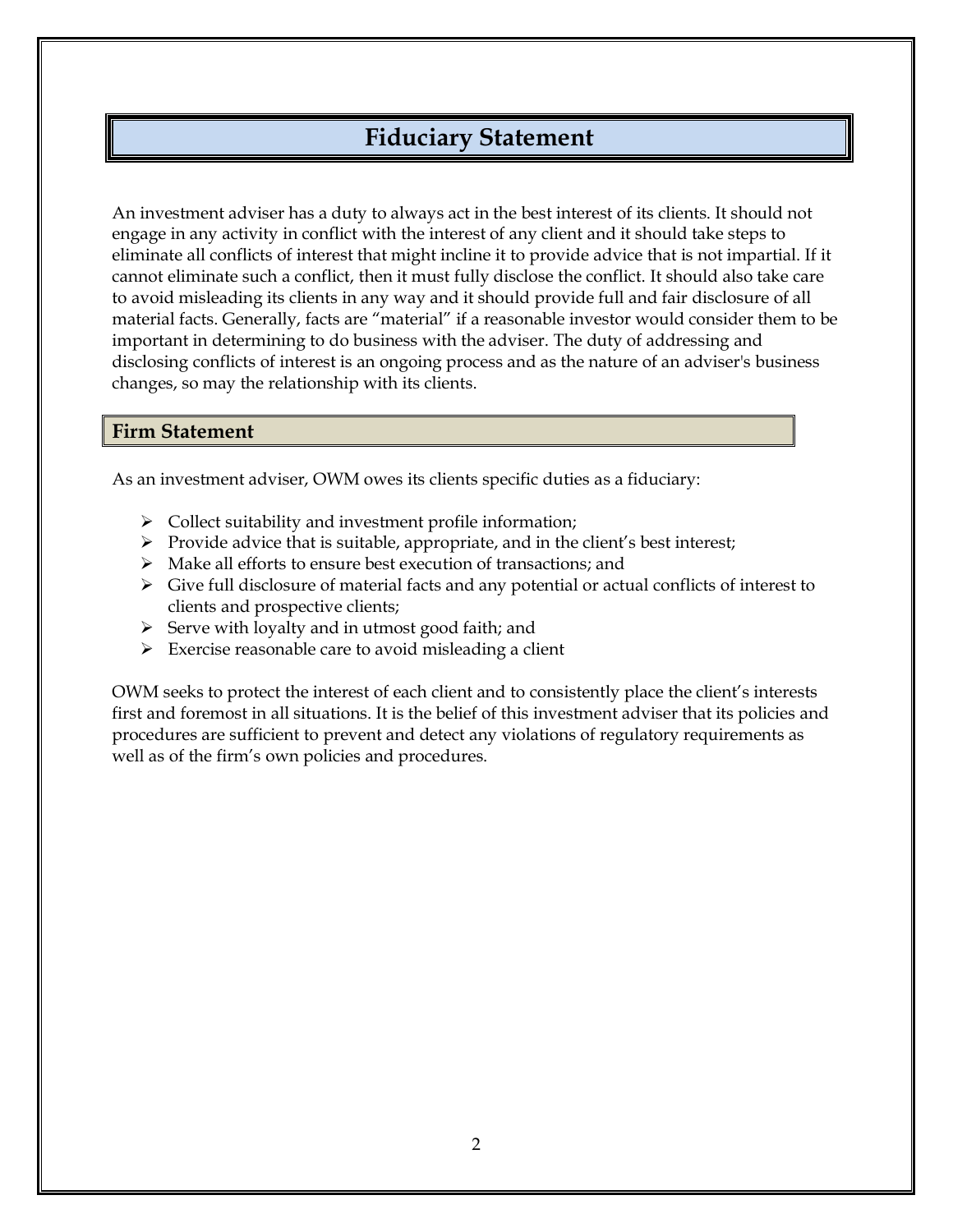# **Fiduciary Statement**

<span id="page-8-0"></span>An investment adviser has a duty to always act in the best interest of its clients. It should not engage in any activity in conflict with the interest of any client and it should take steps to eliminate all conflicts of interest that might incline it to provide advice that is not impartial. If it cannot eliminate such a conflict, then it must fully disclose the conflict. It should also take care to avoid misleading its clients in any way and it should provide full and fair disclosure of all material facts. Generally, facts are "material" if a reasonable investor would consider them to be important in determining to do business with the adviser. The duty of addressing and disclosing conflicts of interest is an ongoing process and as the nature of an adviser's business changes, so may the relationship with its clients.

#### <span id="page-8-1"></span>**Firm Statement**

As an investment adviser, OWM owes its clients specific duties as a fiduciary:

- ➢ Collect suitability and investment profile information;
- $\triangleright$  Provide advice that is suitable, appropriate, and in the client's best interest;
- ➢ Make all efforts to ensure best execution of transactions; and
- $\triangleright$  Give full disclosure of material facts and any potential or actual conflicts of interest to clients and prospective clients;
- ➢ Serve with loyalty and in utmost good faith; and
- ➢ Exercise reasonable care to avoid misleading a client

OWM seeks to protect the interest of each client and to consistently place the client's interests first and foremost in all situations. It is the belief of this investment adviser that its policies and procedures are sufficient to prevent and detect any violations of regulatory requirements as well as of the firm's own policies and procedures.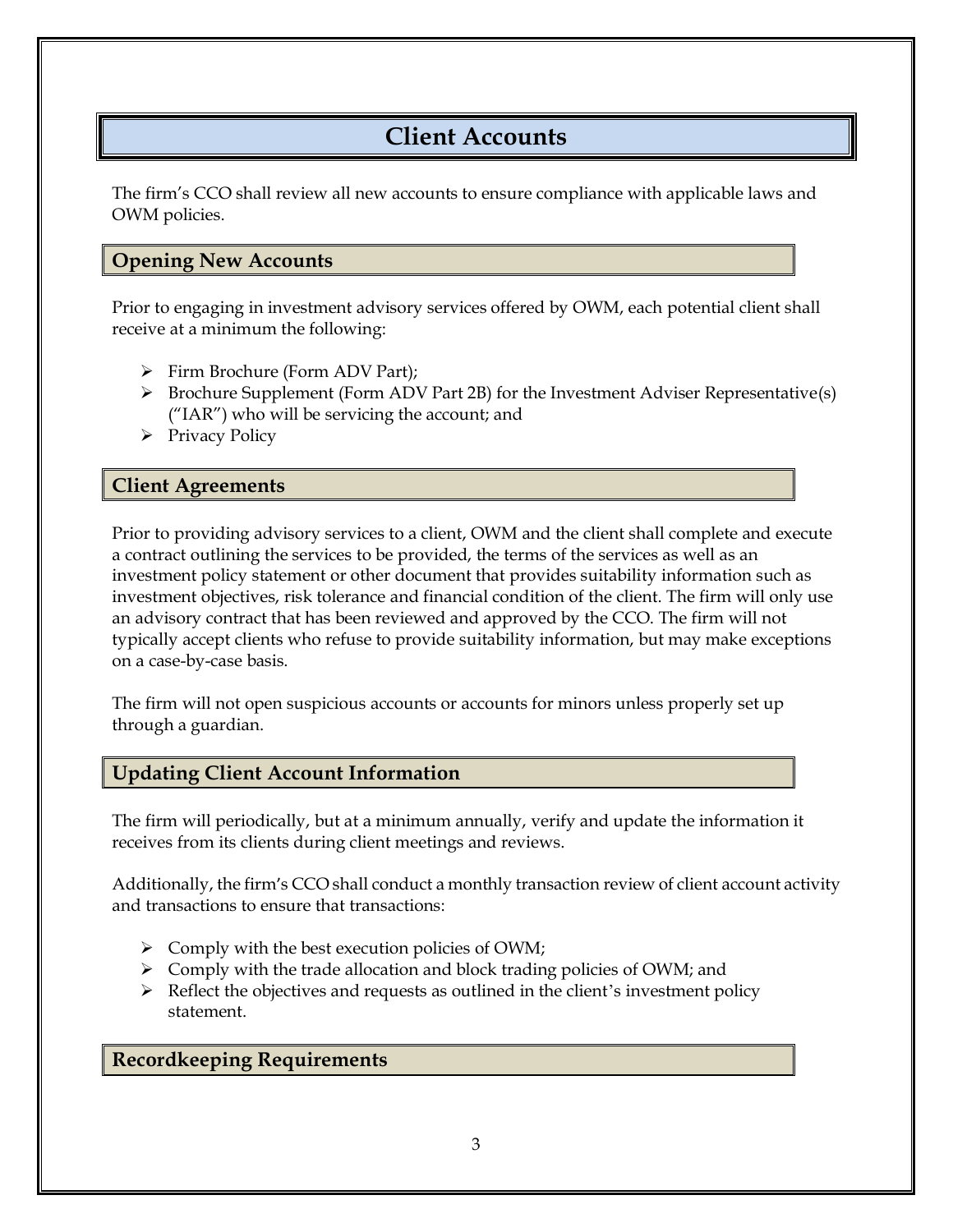# **Client Accounts**

<span id="page-9-0"></span>The firm's CCO shall review all new accounts to ensure compliance with applicable laws and OWM policies.

### <span id="page-9-1"></span>**Opening New Accounts**

Prior to engaging in investment advisory services offered by OWM, each potential client shall receive at a minimum the following:

- ➢ Firm Brochure (Form ADV Part);
- $\triangleright$  Brochure Supplement (Form ADV Part 2B) for the Investment Adviser Representative(s) ("IAR") who will be servicing the account; and
- ➢ Privacy Policy

### <span id="page-9-2"></span>**Client Agreements**

Prior to providing advisory services to a client, OWM and the client shall complete and execute a contract outlining the services to be provided, the terms of the services as well as an investment policy statement or other document that provides suitability information such as investment objectives, risk tolerance and financial condition of the client. The firm will only use an advisory contract that has been reviewed and approved by the CCO. The firm will not typically accept clients who refuse to provide suitability information, but may make exceptions on a case-by-case basis.

The firm will not open suspicious accounts or accounts for minors unless properly set up through a guardian.

### <span id="page-9-3"></span>**Updating Client Account Information**

The firm will periodically, but at a minimum annually, verify and update the information it receives from its clients during client meetings and reviews.

Additionally, the firm's CCO shall conduct a monthly transaction review of client account activity and transactions to ensure that transactions:

- ➢ Comply with the best execution policies of OWM;
- ➢ Comply with the trade allocation and block trading policies of OWM; and
- $\triangleright$  Reflect the objectives and requests as outlined in the client's investment policy statement.

### <span id="page-9-4"></span>**Recordkeeping Requirements**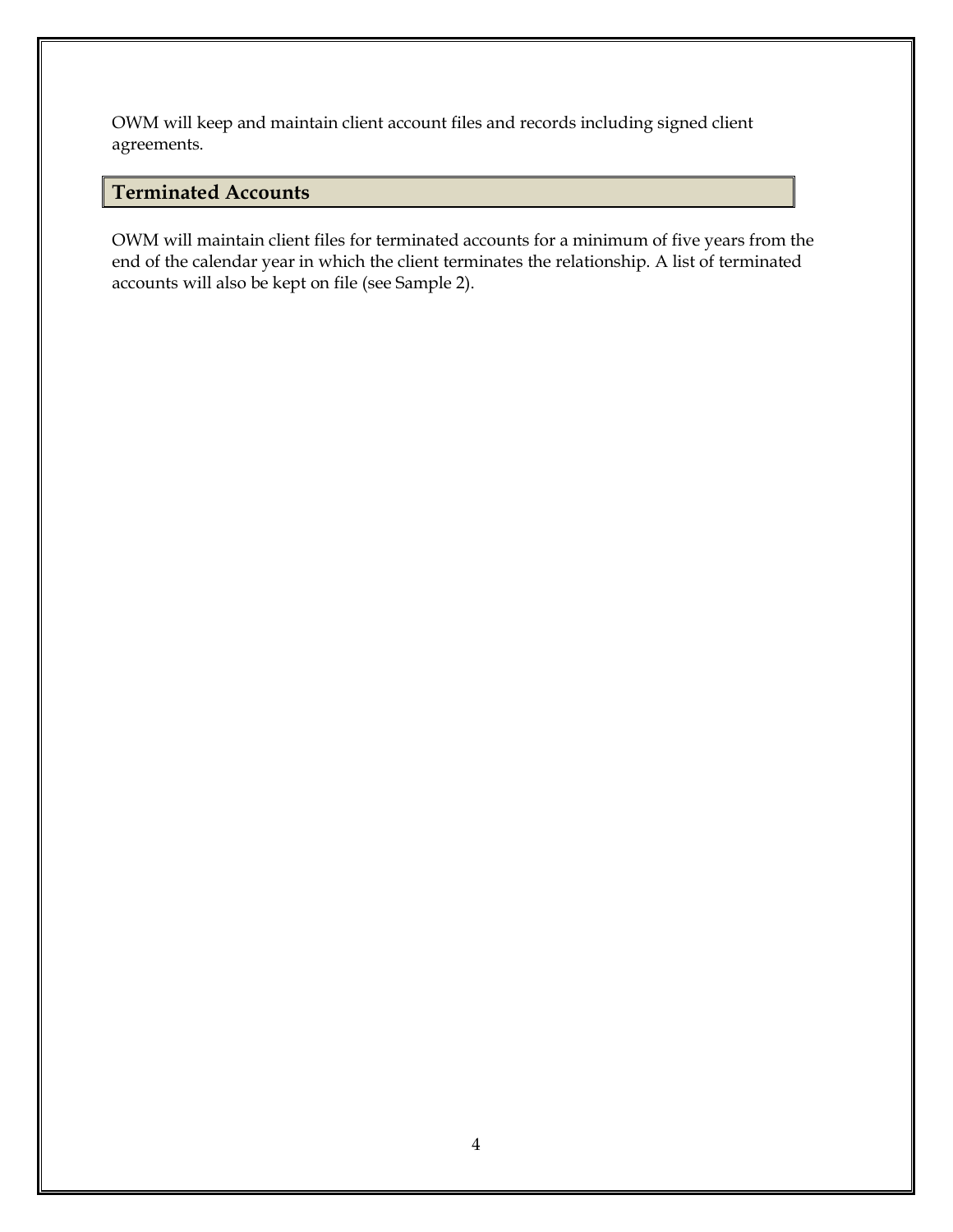OWM will keep and maintain client account files and records including signed client agreements.

## <span id="page-10-0"></span>**Terminated Accounts**

OWM will maintain client files for terminated accounts for a minimum of five years from the end of the calendar year in which the client terminates the relationship. A list of terminated accounts will also be kept on file (see Sample 2).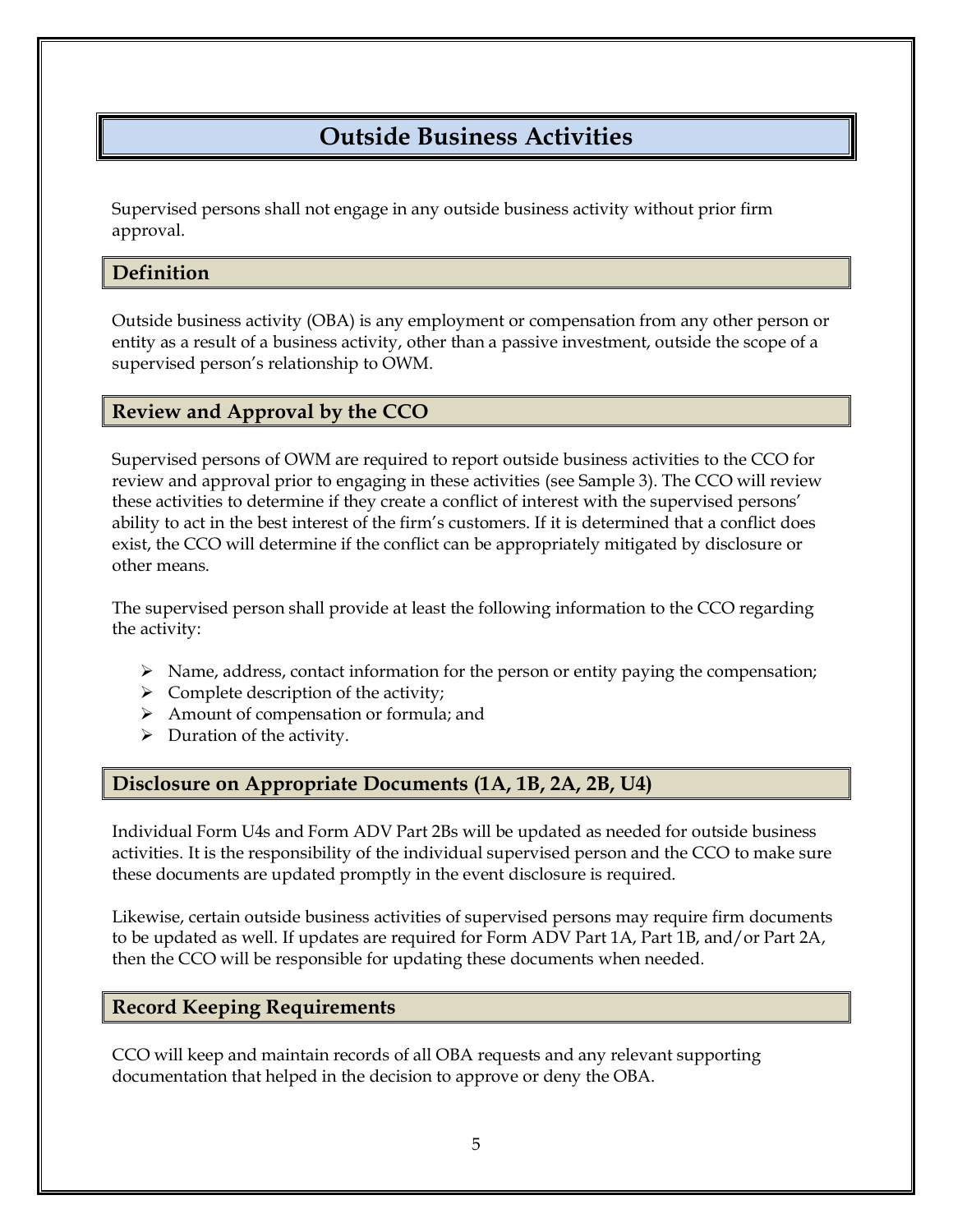# **Outside Business Activities**

<span id="page-11-0"></span>Supervised persons shall not engage in any outside business activity without prior firm approval.

### <span id="page-11-1"></span>**Definition**

Outside business activity (OBA) is any employment or compensation from any other person or entity as a result of a business activity, other than a passive investment, outside the scope of a supervised person's relationship to OWM.

### <span id="page-11-2"></span>**Review and Approval by the CCO**

Supervised persons of OWM are required to report outside business activities to the CCO for review and approval prior to engaging in these activities (see Sample 3). The CCO will review these activities to determine if they create a conflict of interest with the supervised persons' ability to act in the best interest of the firm's customers. If it is determined that a conflict does exist, the CCO will determine if the conflict can be appropriately mitigated by disclosure or other means.

The supervised person shall provide at least the following information to the CCO regarding the activity:

- $\triangleright$  Name, address, contact information for the person or entity paying the compensation;
- $\triangleright$  Complete description of the activity;
- ➢ Amount of compensation or formula; and
- $\triangleright$  Duration of the activity.

### <span id="page-11-3"></span>**Disclosure on Appropriate Documents (1A, 1B, 2A, 2B, U4)**

Individual Form U4s and Form ADV Part 2Bs will be updated as needed for outside business activities. It is the responsibility of the individual supervised person and the CCO to make sure these documents are updated promptly in the event disclosure is required.

Likewise, certain outside business activities of supervised persons may require firm documents to be updated as well. If updates are required for Form ADV Part 1A, Part 1B, and/or Part 2A, then the CCO will be responsible for updating these documents when needed.

### <span id="page-11-4"></span>**Record Keeping Requirements**

CCO will keep and maintain records of all OBA requests and any relevant supporting documentation that helped in the decision to approve or deny the OBA.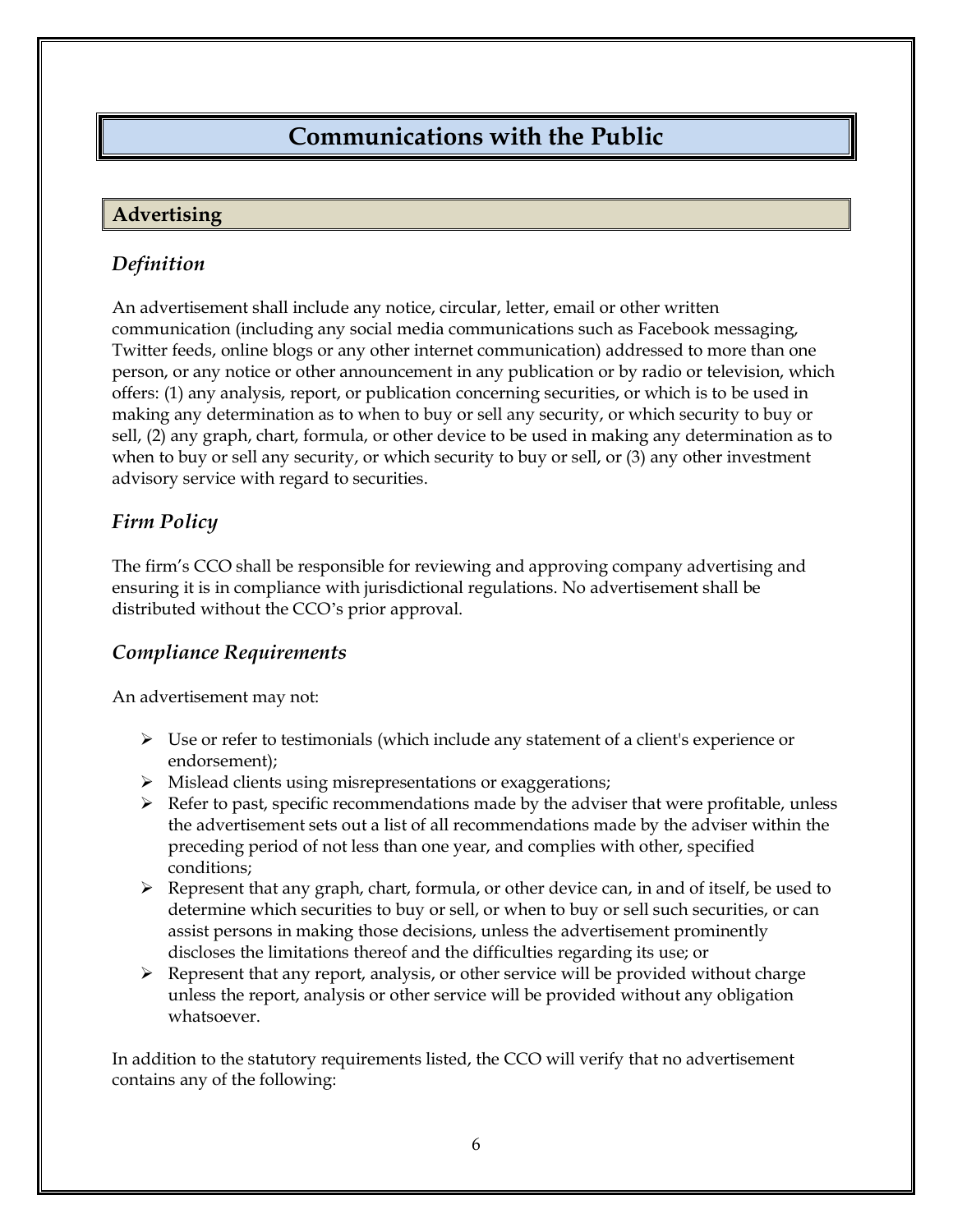# **Communications with the Public**

### <span id="page-12-1"></span><span id="page-12-0"></span>**Advertising**

## <span id="page-12-2"></span>*Definition*

An advertisement shall include any notice, circular, letter, email or other written communication (including any social media communications such as Facebook messaging, Twitter feeds, online blogs or any other internet communication) addressed to more than one person, or any notice or other announcement in any publication or by radio or television, which offers: (1) any analysis, report, or publication concerning securities, or which is to be used in making any determination as to when to buy or sell any security, or which security to buy or sell, (2) any graph, chart, formula, or other device to be used in making any determination as to when to buy or sell any security, or which security to buy or sell, or (3) any other investment advisory service with regard to securities.

## <span id="page-12-3"></span>*Firm Policy*

The firm's CCO shall be responsible for reviewing and approving company advertising and ensuring it is in compliance with jurisdictional regulations. No advertisement shall be distributed without the CCO's prior approval.

## <span id="page-12-4"></span>*Compliance Requirements*

An advertisement may not:

- $\triangleright$  Use or refer to testimonials (which include any statement of a client's experience or endorsement);
- ➢ Mislead clients using misrepresentations or exaggerations;
- $\triangleright$  Refer to past, specific recommendations made by the adviser that were profitable, unless the advertisement sets out a list of all recommendations made by the adviser within the preceding period of not less than one year, and complies with other, specified conditions;
- ➢ Represent that any graph, chart, formula, or other device can, in and of itself, be used to determine which securities to buy or sell, or when to buy or sell such securities, or can assist persons in making those decisions, unless the advertisement prominently discloses the limitations thereof and the difficulties regarding its use; or
- ➢ Represent that any report, analysis, or other service will be provided without charge unless the report, analysis or other service will be provided without any obligation whatsoever.

In addition to the statutory requirements listed, the CCO will verify that no advertisement contains any of the following: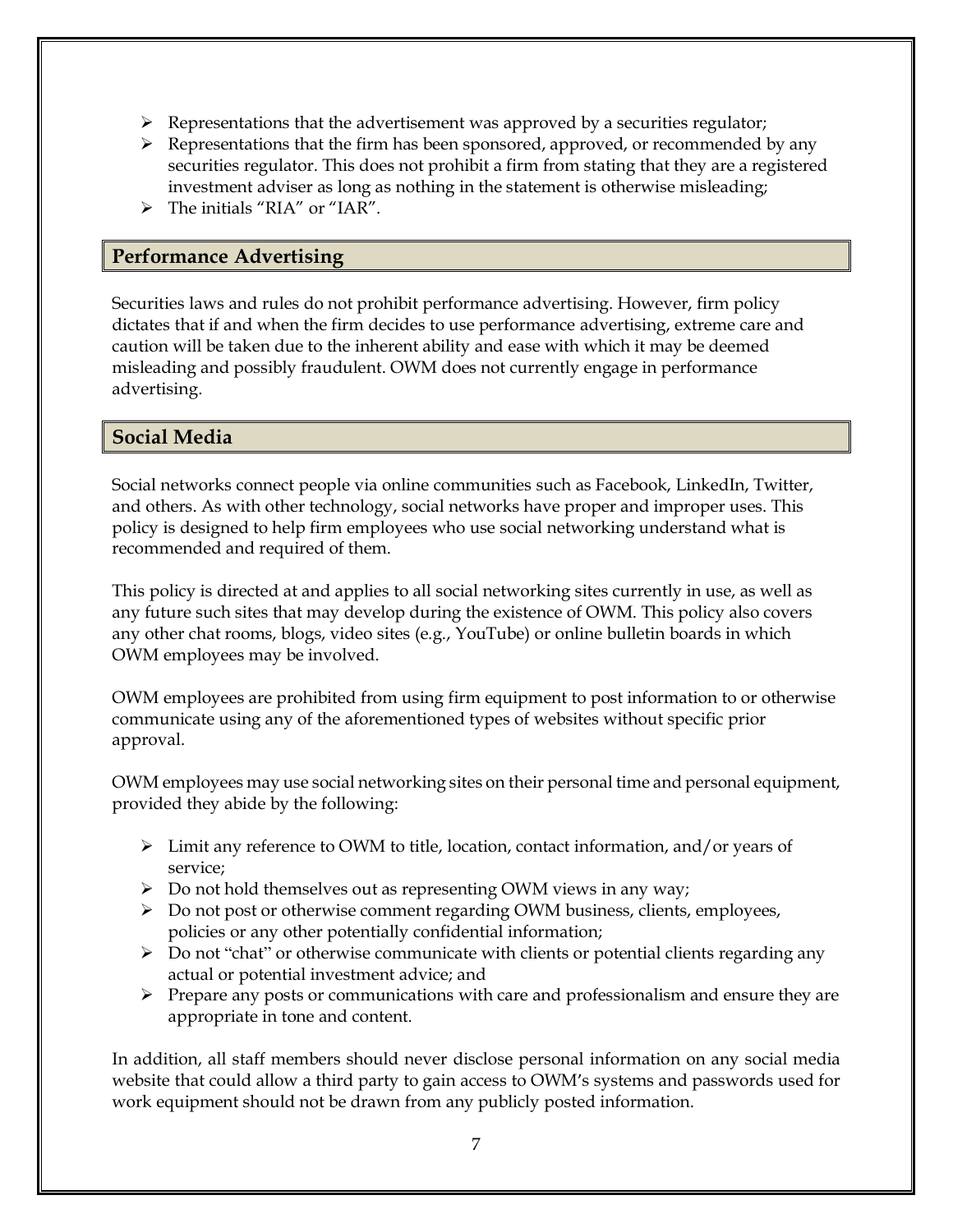- $\triangleright$  Representations that the advertisement was approved by a securities regulator;
- ➢ Representations that the firm has been sponsored, approved, or recommended by any securities regulator. This does not prohibit a firm from stating that they are a registered investment adviser as long as nothing in the statement is otherwise misleading;
- $\triangleright$  The initials "RIA" or "IAR".

### <span id="page-13-0"></span>**Performance Advertising**

Securities laws and rules do not prohibit performance advertising. However, firm policy dictates that if and when the firm decides to use performance advertising, extreme care and caution will be taken due to the inherent ability and ease with which it may be deemed misleading and possibly fraudulent. OWM does not currently engage in performance advertising.

### <span id="page-13-1"></span>**Social Media**

Social networks connect people via online communities such as Facebook, LinkedIn, Twitter, and others. As with other technology, social networks have proper and improper uses. This policy is designed to help firm employees who use social networking understand what is recommended and required of them.

This policy is directed at and applies to all social networking sites currently in use, as well as any future such sites that may develop during the existence of OWM. This policy also covers any other chat rooms, blogs, video sites (e.g., YouTube) or online bulletin boards in which OWM employees may be involved.

OWM employees are prohibited from using firm equipment to post information to or otherwise communicate using any of the aforementioned types of websites without specific prior approval.

OWM employees may use social networking sites on their personal time and personal equipment, provided they abide by the following:

- ➢ Limit any reference to OWM to title, location, contact information, and/or years of service;
- ➢ Do not hold themselves out as representing OWM views in any way;
- ➢ Do not post or otherwise comment regarding OWM business, clients, employees, policies or any other potentially confidential information;
- ➢ Do not "chat" or otherwise communicate with clients or potential clients regarding any actual or potential investment advice; and
- ➢ Prepare any posts or communications with care and professionalism and ensure they are appropriate in tone and content.

In addition, all staff members should never disclose personal information on any social media website that could allow a third party to gain access to OWM's systems and passwords used for work equipment should not be drawn from any publicly posted information.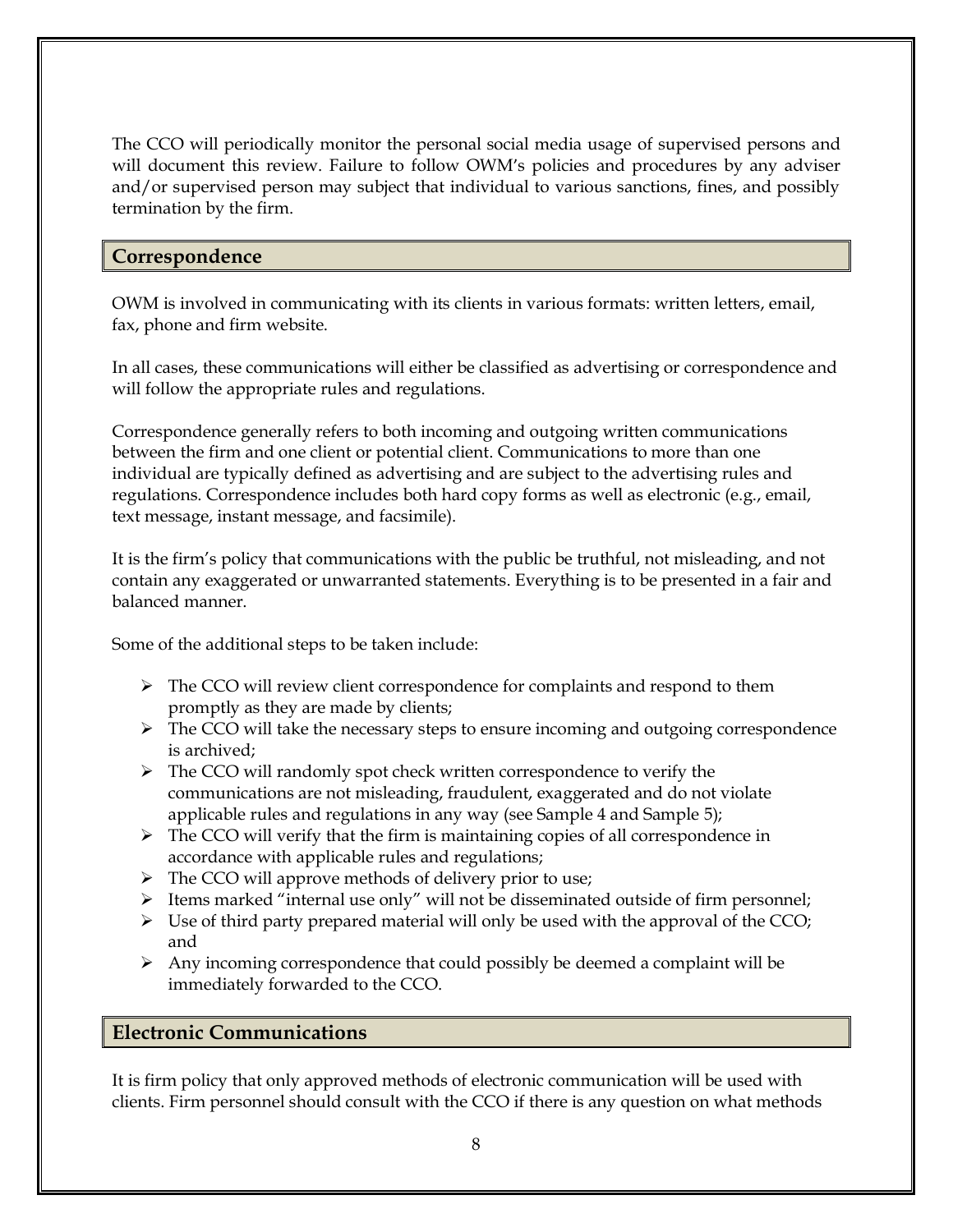The CCO will periodically monitor the personal social media usage of supervised persons and will document this review. Failure to follow OWM's policies and procedures by any adviser and/or supervised person may subject that individual to various sanctions, fines, and possibly termination by the firm.

### <span id="page-14-0"></span>**Correspondence**

OWM is involved in communicating with its clients in various formats: written letters, email, fax, phone and firm website.

In all cases, these communications will either be classified as advertising or correspondence and will follow the appropriate rules and regulations.

Correspondence generally refers to both incoming and outgoing written communications between the firm and one client or potential client. Communications to more than one individual are typically defined as advertising and are subject to the advertising rules and regulations. Correspondence includes both hard copy forms as well as electronic (e.g., email, text message, instant message, and facsimile).

It is the firm's policy that communications with the public be truthful, not misleading, and not contain any exaggerated or unwarranted statements. Everything is to be presented in a fair and balanced manner.

Some of the additional steps to be taken include:

- $\triangleright$  The CCO will review client correspondence for complaints and respond to them promptly as they are made by clients;
- ➢ The CCO will take the necessary steps to ensure incoming and outgoing correspondence is archived;
- ➢ The CCO will randomly spot check written correspondence to verify the communications are not misleading, fraudulent, exaggerated and do not violate applicable rules and regulations in any way (see Sample 4 and Sample 5);
- $\triangleright$  The CCO will verify that the firm is maintaining copies of all correspondence in accordance with applicable rules and regulations;
- ➢ The CCO will approve methods of delivery prior to use;
- $\triangleright$  Items marked "internal use only" will not be disseminated outside of firm personnel;
- $\triangleright$  Use of third party prepared material will only be used with the approval of the CCO; and
- $\triangleright$  Any incoming correspondence that could possibly be deemed a complaint will be immediately forwarded to the CCO.

### <span id="page-14-1"></span>**Electronic Communications**

It is firm policy that only approved methods of electronic communication will be used with clients. Firm personnel should consult with the CCO if there is any question on what methods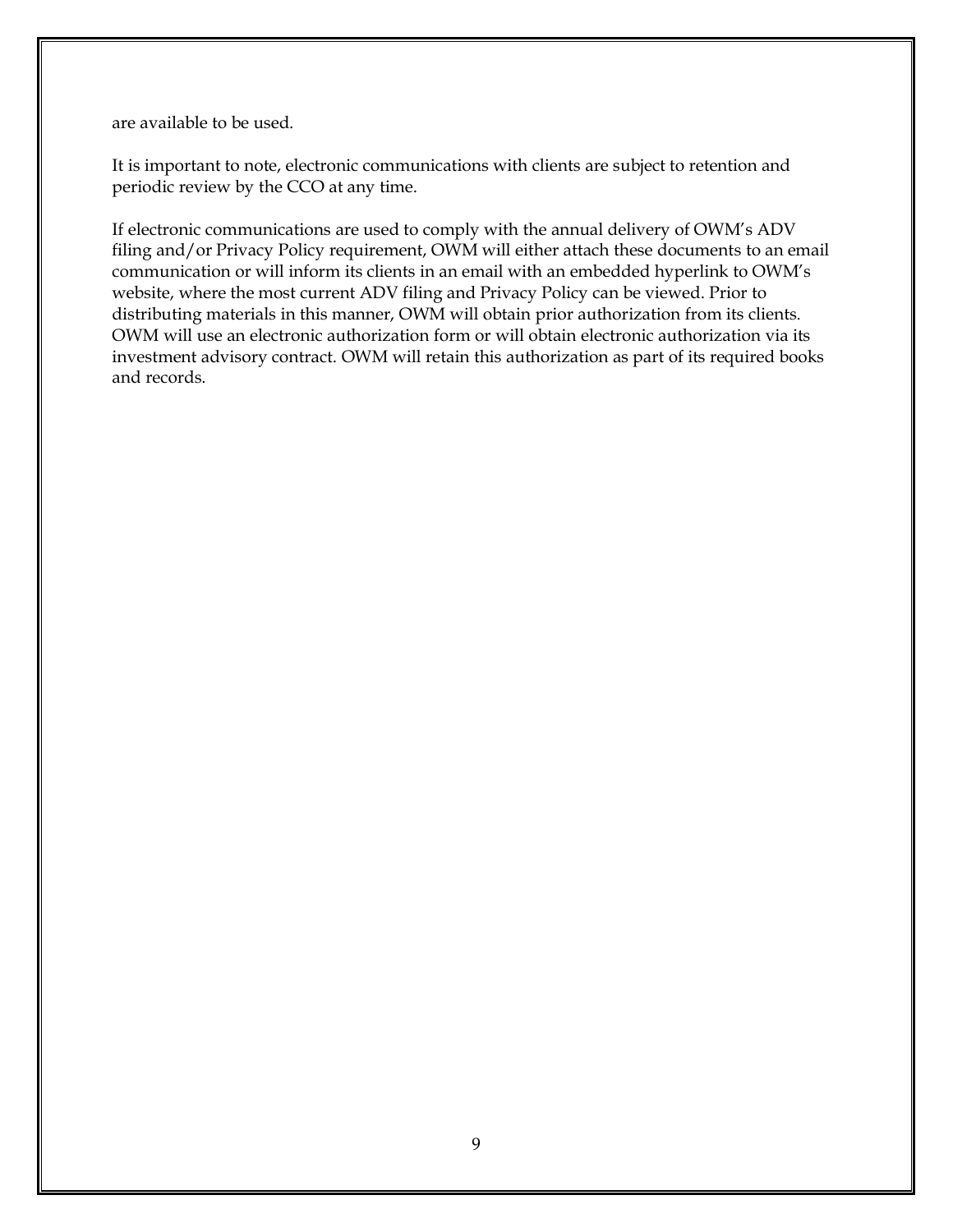are available to be used.

It is important to note, electronic communications with clients are subject to retention and periodic review by the CCO at any time.

If electronic communications are used to comply with the annual delivery of OWM's ADV filing and/or Privacy Policy requirement, OWM will either attach these documents to an email communication or will inform its clients in an email with an embedded hyperlink to OWM's website, where the most current ADV filing and Privacy Policy can be viewed. Prior to distributing materials in this manner, OWM will obtain prior authorization from its clients. OWM will use an electronic authorization form or will obtain electronic authorization via its investment advisory contract. OWM will retain this authorization as part of its required books and records.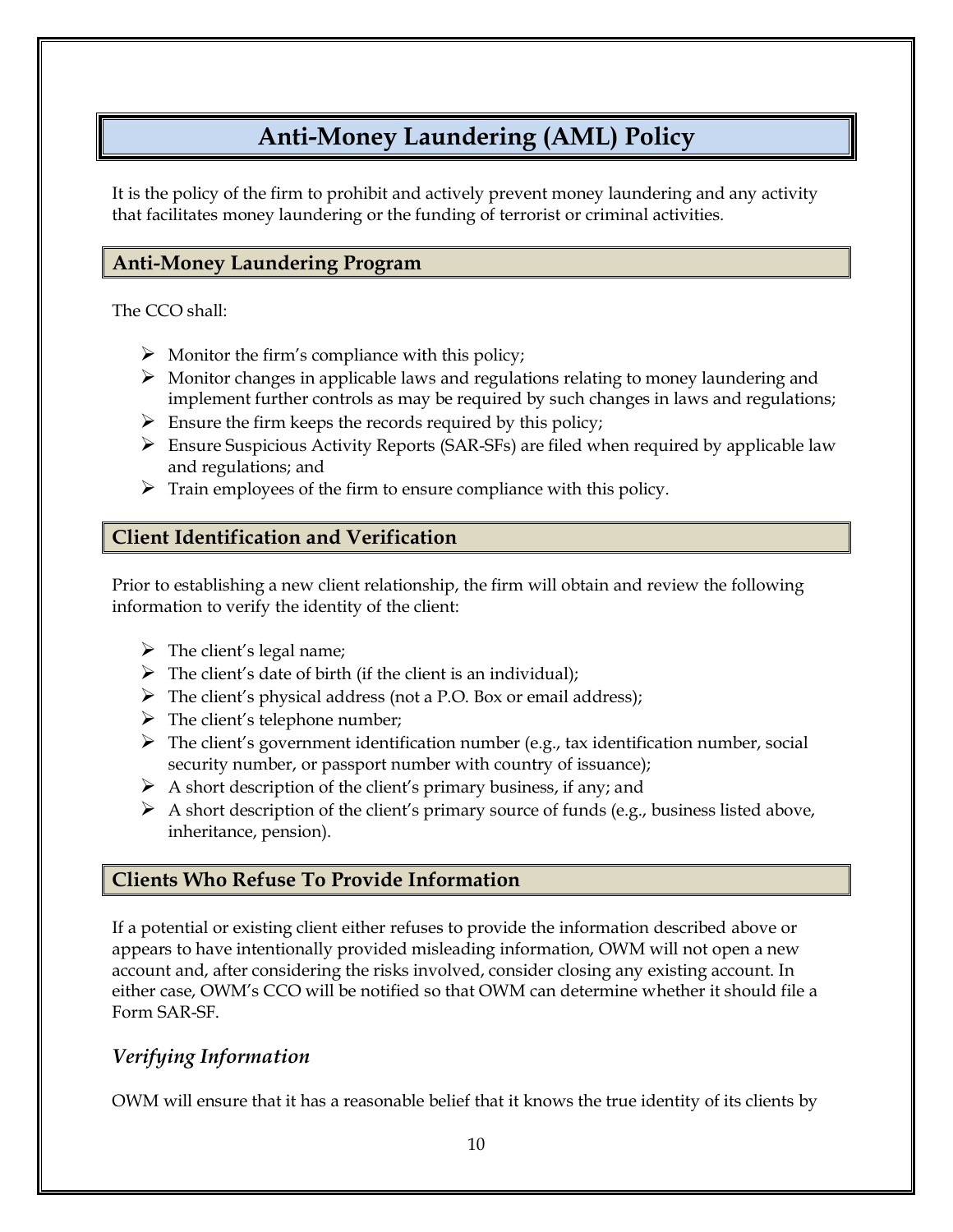# **Anti-Money Laundering (AML) Policy**

<span id="page-16-0"></span>It is the policy of the firm to prohibit and actively prevent money laundering and any activity that facilitates money laundering or the funding of terrorist or criminal activities.

## <span id="page-16-1"></span>**Anti-Money Laundering Program**

The CCO shall:

- $\triangleright$  Monitor the firm's compliance with this policy;
- $\triangleright$  Monitor changes in applicable laws and regulations relating to money laundering and implement further controls as may be required by such changes in laws and regulations;
- $\triangleright$  Ensure the firm keeps the records required by this policy;
- ➢ Ensure Suspicious Activity Reports (SAR-SFs) are filed when required by applicable law and regulations; and
- $\triangleright$  Train employees of the firm to ensure compliance with this policy.

# <span id="page-16-2"></span>**Client Identification and Verification**

Prior to establishing a new client relationship, the firm will obtain and review the following information to verify the identity of the client:

- $\triangleright$  The client's legal name;
- $\triangleright$  The client's date of birth (if the client is an individual);
- ➢ The client's physical address (not a P.O. Box or email address);
- $\triangleright$  The client's telephone number;
- $\triangleright$  The client's government identification number (e.g., tax identification number, social security number, or passport number with country of issuance);
- $\triangleright$  A short description of the client's primary business, if any; and
- $\triangleright$  A short description of the client's primary source of funds (e.g., business listed above, inheritance, pension).

# <span id="page-16-3"></span>**Clients Who Refuse To Provide Information**

If a potential or existing client either refuses to provide the information described above or appears to have intentionally provided misleading information, OWM will not open a new account and, after considering the risks involved, consider closing any existing account. In either case, OWM's CCO will be notified so that OWM can determine whether it should file a Form SAR-SF.

# <span id="page-16-4"></span>*Verifying Information*

OWM will ensure that it has a reasonable belief that it knows the true identity of its clients by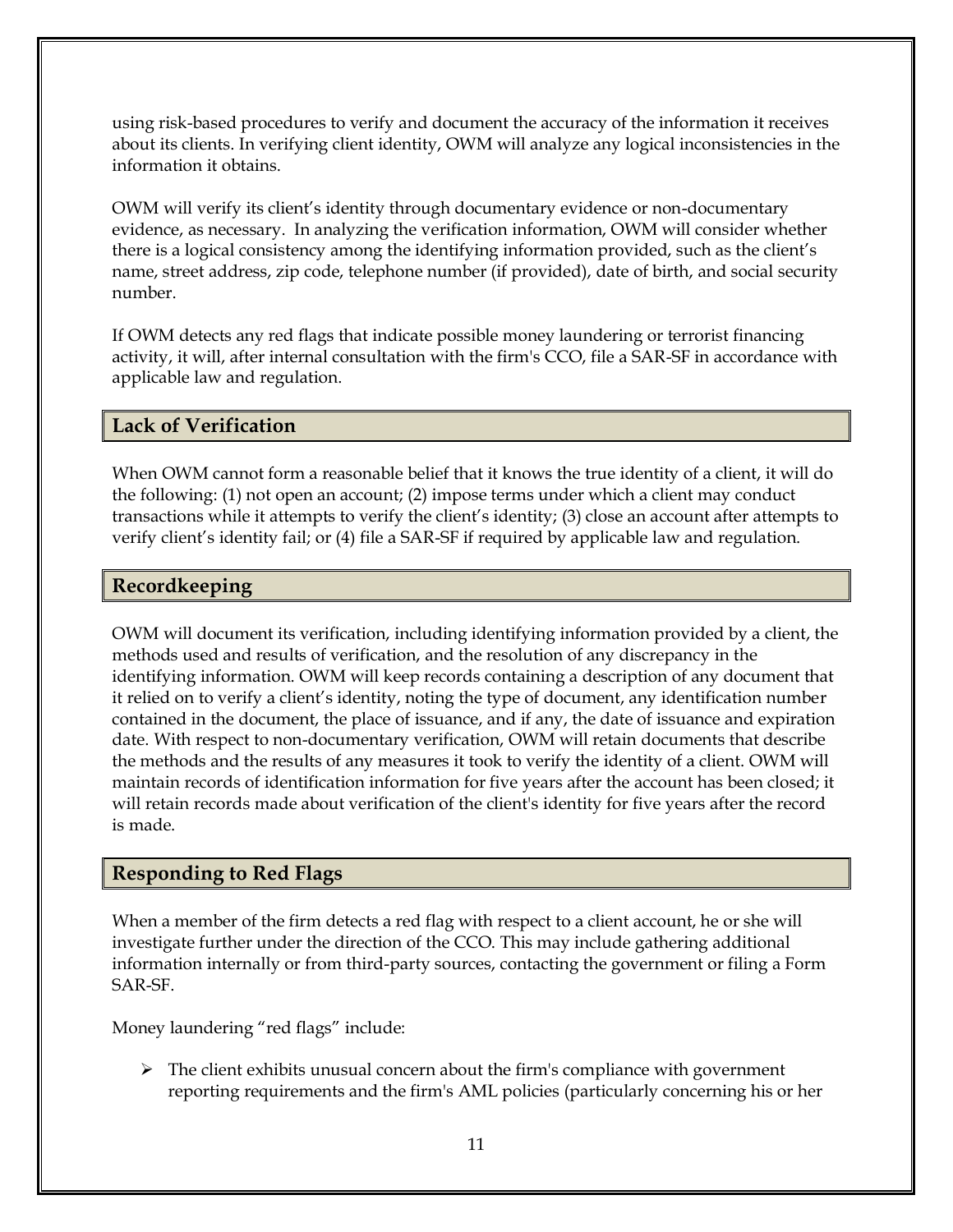using risk-based procedures to verify and document the accuracy of the information it receives about its clients. In verifying client identity, OWM will analyze any logical inconsistencies in the information it obtains.

OWM will verify its client's identity through documentary evidence or non-documentary evidence, as necessary. In analyzing the verification information, OWM will consider whether there is a logical consistency among the identifying information provided, such as the client's name, street address, zip code, telephone number (if provided), date of birth, and social security number.

If OWM detects any red flags that indicate possible money laundering or terrorist financing activity, it will, after internal consultation with the firm's CCO, file a SAR-SF in accordance with applicable law and regulation.

## <span id="page-17-0"></span>**Lack of Verification**

When OWM cannot form a reasonable belief that it knows the true identity of a client, it will do the following: (1) not open an account; (2) impose terms under which a client may conduct transactions while it attempts to verify the client's identity; (3) close an account after attempts to verify client's identity fail; or (4) file a SAR-SF if required by applicable law and regulation.

### <span id="page-17-1"></span>**Recordkeeping**

OWM will document its verification, including identifying information provided by a client, the methods used and results of verification, and the resolution of any discrepancy in the identifying information. OWM will keep records containing a description of any document that it relied on to verify a client's identity, noting the type of document, any identification number contained in the document, the place of issuance, and if any, the date of issuance and expiration date. With respect to non-documentary verification, OWM will retain documents that describe the methods and the results of any measures it took to verify the identity of a client. OWM will maintain records of identification information for five years after the account has been closed; it will retain records made about verification of the client's identity for five years after the record is made.

### <span id="page-17-2"></span>**Responding to Red Flags**

When a member of the firm detects a red flag with respect to a client account, he or she will investigate further under the direction of the CCO. This may include gathering additional information internally or from third-party sources, contacting the government or filing a Form SAR-SF.

Money laundering "red flags" include:

 $\triangleright$  The client exhibits unusual concern about the firm's compliance with government reporting requirements and the firm's AML policies (particularly concerning his or her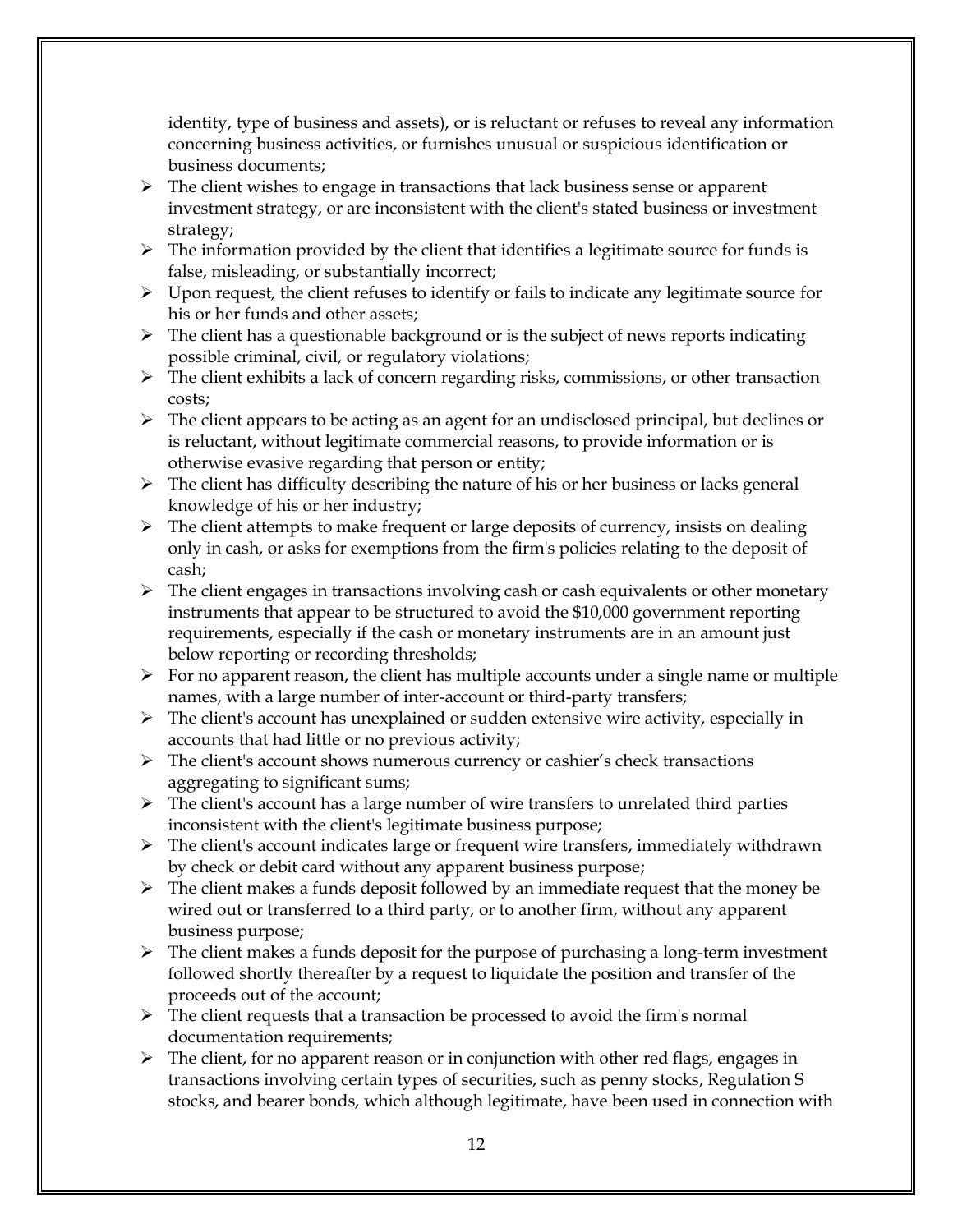identity, type of business and assets), or is reluctant or refuses to reveal any information concerning business activities, or furnishes unusual or suspicious identification or business documents;

- $\triangleright$  The client wishes to engage in transactions that lack business sense or apparent investment strategy, or are inconsistent with the client's stated business or investment strategy;
- $\triangleright$  The information provided by the client that identifies a legitimate source for funds is false, misleading, or substantially incorrect;
- ➢ Upon request, the client refuses to identify or fails to indicate any legitimate source for his or her funds and other assets;
- $\triangleright$  The client has a questionable background or is the subject of news reports indicating possible criminal, civil, or regulatory violations;
- $\triangleright$  The client exhibits a lack of concern regarding risks, commissions, or other transaction costs;
- ➢ The client appears to be acting as an agent for an undisclosed principal, but declines or is reluctant, without legitimate commercial reasons, to provide information or is otherwise evasive regarding that person or entity;
- ➢ The client has difficulty describing the nature of his or her business or lacks general knowledge of his or her industry;
- $\triangleright$  The client attempts to make frequent or large deposits of currency, insists on dealing only in cash, or asks for exemptions from the firm's policies relating to the deposit of cash;
- ➢ The client engages in transactions involving cash or cash equivalents or other monetary instruments that appear to be structured to avoid the \$10,000 government reporting requirements, especially if the cash or monetary instruments are in an amount just below reporting or recording thresholds;
- $\triangleright$  For no apparent reason, the client has multiple accounts under a single name or multiple names, with a large number of inter-account or third-party transfers;
- ➢ The client's account has unexplained or sudden extensive wire activity, especially in accounts that had little or no previous activity;
- ➢ The client's account shows numerous currency or cashier's check transactions aggregating to significant sums;
- ➢ The client's account has a large number of wire transfers to unrelated third parties inconsistent with the client's legitimate business purpose;
- ➢ The client's account indicates large or frequent wire transfers, immediately withdrawn by check or debit card without any apparent business purpose;
- $\triangleright$  The client makes a funds deposit followed by an immediate request that the money be wired out or transferred to a third party, or to another firm, without any apparent business purpose;
- $\triangleright$  The client makes a funds deposit for the purpose of purchasing a long-term investment followed shortly thereafter by a request to liquidate the position and transfer of the proceeds out of the account;
- $\triangleright$  The client requests that a transaction be processed to avoid the firm's normal documentation requirements;
- $\triangleright$  The client, for no apparent reason or in conjunction with other red flags, engages in transactions involving certain types of securities, such as penny stocks, Regulation S stocks, and bearer bonds, which although legitimate, have been used in connection with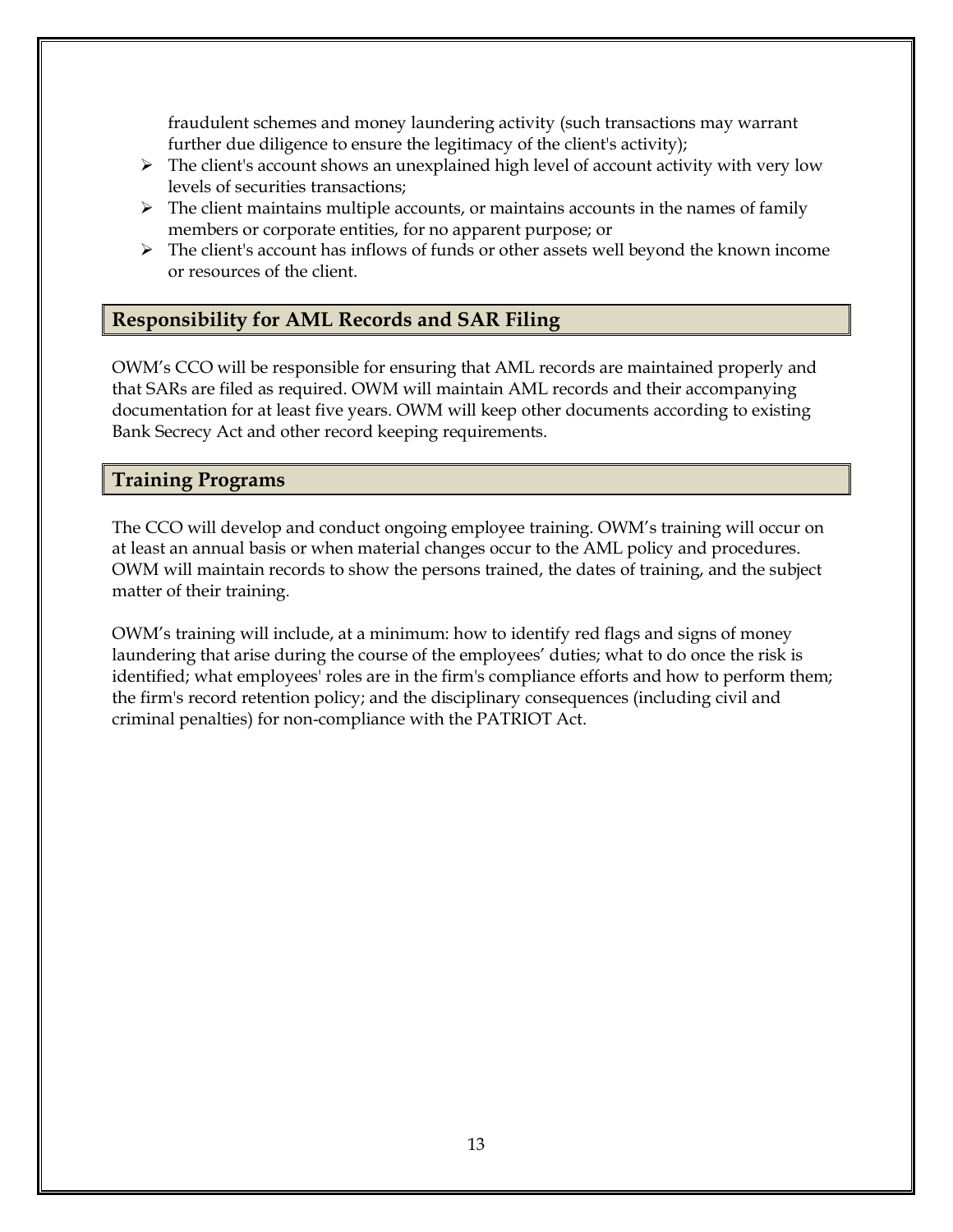fraudulent schemes and money laundering activity (such transactions may warrant further due diligence to ensure the legitimacy of the client's activity);

- $\triangleright$  The client's account shows an unexplained high level of account activity with very low levels of securities transactions;
- $\triangleright$  The client maintains multiple accounts, or maintains accounts in the names of family members or corporate entities, for no apparent purpose; or
- $\triangleright$  The client's account has inflows of funds or other assets well beyond the known income or resources of the client.

## <span id="page-19-0"></span>**Responsibility for AML Records and SAR Filing**

OWM's CCO will be responsible for ensuring that AML records are maintained properly and that SARs are filed as required. OWM will maintain AML records and their accompanying documentation for at least five years. OWM will keep other documents according to existing Bank Secrecy Act and other record keeping requirements.

## <span id="page-19-1"></span>**Training Programs**

The CCO will develop and conduct ongoing employee training. OWM's training will occur on at least an annual basis or when material changes occur to the AML policy and procedures. OWM will maintain records to show the persons trained, the dates of training, and the subject matter of their training.

OWM's training will include, at a minimum: how to identify red flags and signs of money laundering that arise during the course of the employees' duties; what to do once the risk is identified; what employees' roles are in the firm's compliance efforts and how to perform them; the firm's record retention policy; and the disciplinary consequences (including civil and criminal penalties) for non-compliance with the PATRIOT Act.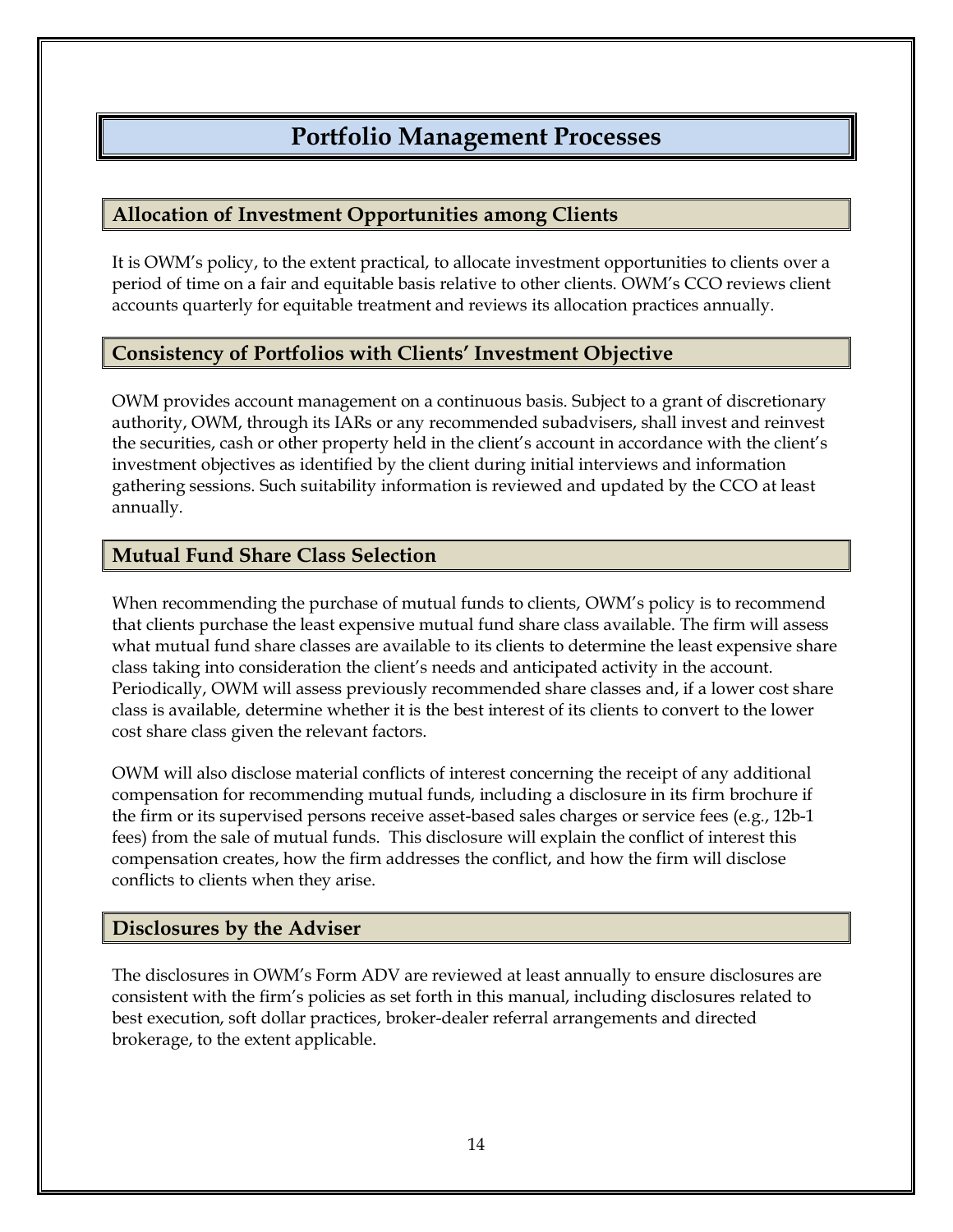# **Portfolio Management Processes**

### <span id="page-20-1"></span><span id="page-20-0"></span>**Allocation of Investment Opportunities among Clients**

It is OWM's policy, to the extent practical, to allocate investment opportunities to clients over a period of time on a fair and equitable basis relative to other clients. OWM's CCO reviews client accounts quarterly for equitable treatment and reviews its allocation practices annually.

### <span id="page-20-2"></span>**Consistency of Portfolios with Clients' Investment Objective**

OWM provides account management on a continuous basis. Subject to a grant of discretionary authority, OWM, through its IARs or any recommended subadvisers, shall invest and reinvest the securities, cash or other property held in the client's account in accordance with the client's investment objectives as identified by the client during initial interviews and information gathering sessions. Such suitability information is reviewed and updated by the CCO at least annually.

### <span id="page-20-3"></span>**Mutual Fund Share Class Selection**

When recommending the purchase of mutual funds to clients, OWM's policy is to recommend that clients purchase the least expensive mutual fund share class available. The firm will assess what mutual fund share classes are available to its clients to determine the least expensive share class taking into consideration the client's needs and anticipated activity in the account. Periodically, OWM will assess previously recommended share classes and, if a lower cost share class is available, determine whether it is the best interest of its clients to convert to the lower cost share class given the relevant factors.

OWM will also disclose material conflicts of interest concerning the receipt of any additional compensation for recommending mutual funds, including a disclosure in its firm brochure if the firm or its supervised persons receive asset-based sales charges or service fees (e.g., 12b-1 fees) from the sale of mutual funds. This disclosure will explain the conflict of interest this compensation creates, how the firm addresses the conflict, and how the firm will disclose conflicts to clients when they arise.

### <span id="page-20-4"></span>**Disclosures by the Adviser**

The disclosures in OWM's Form ADV are reviewed at least annually to ensure disclosures are consistent with the firm's policies as set forth in this manual, including disclosures related to best execution, soft dollar practices, broker-dealer referral arrangements and directed brokerage, to the extent applicable.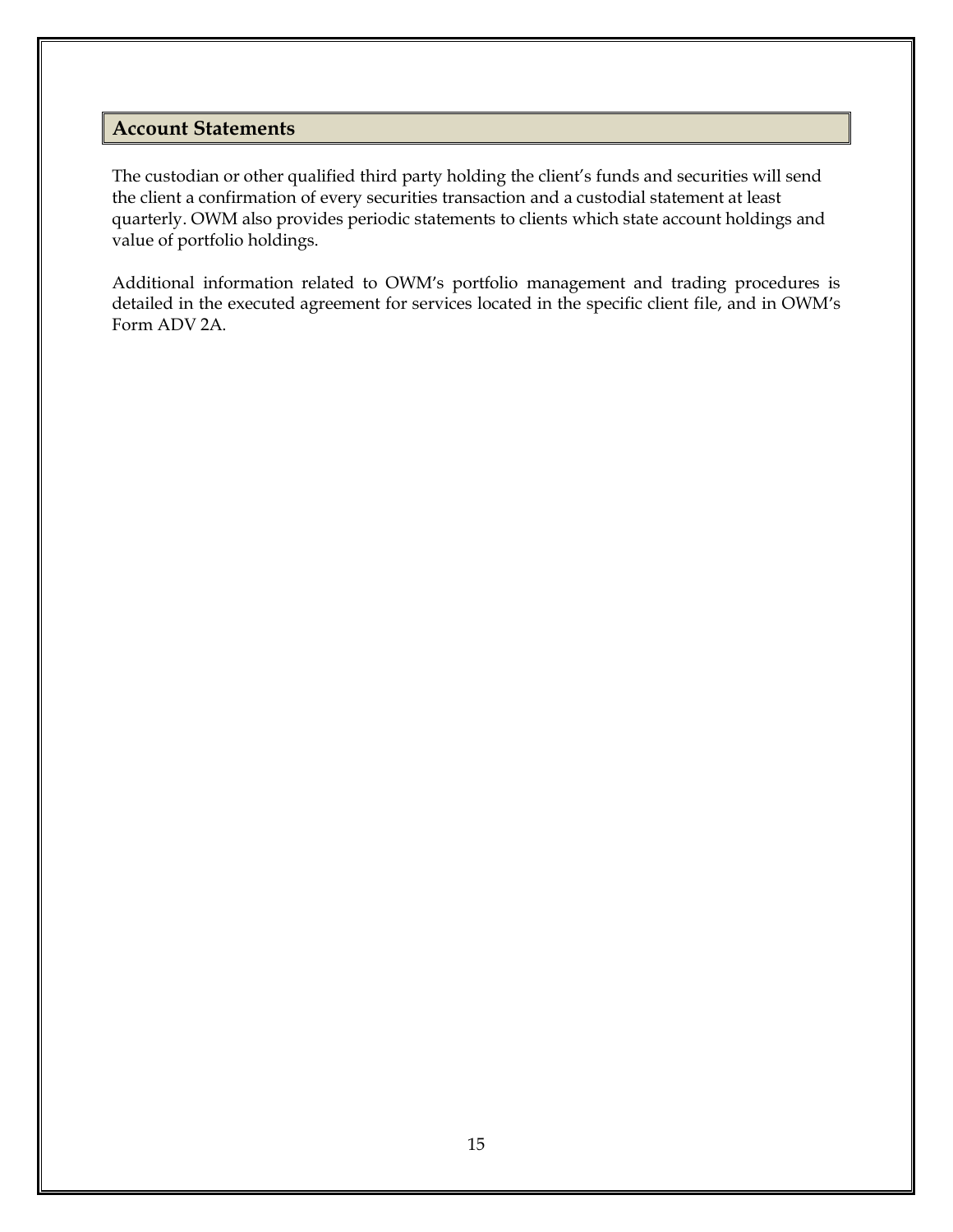### <span id="page-21-0"></span>**Account Statements**

The custodian or other qualified third party holding the client's funds and securities will send the client a confirmation of every securities transaction and a custodial statement at least quarterly. OWM also provides periodic statements to clients which state account holdings and value of portfolio holdings.

Additional information related to OWM's portfolio management and trading procedures is detailed in the executed agreement for services located in the specific client file, and in OWM's Form ADV 2A.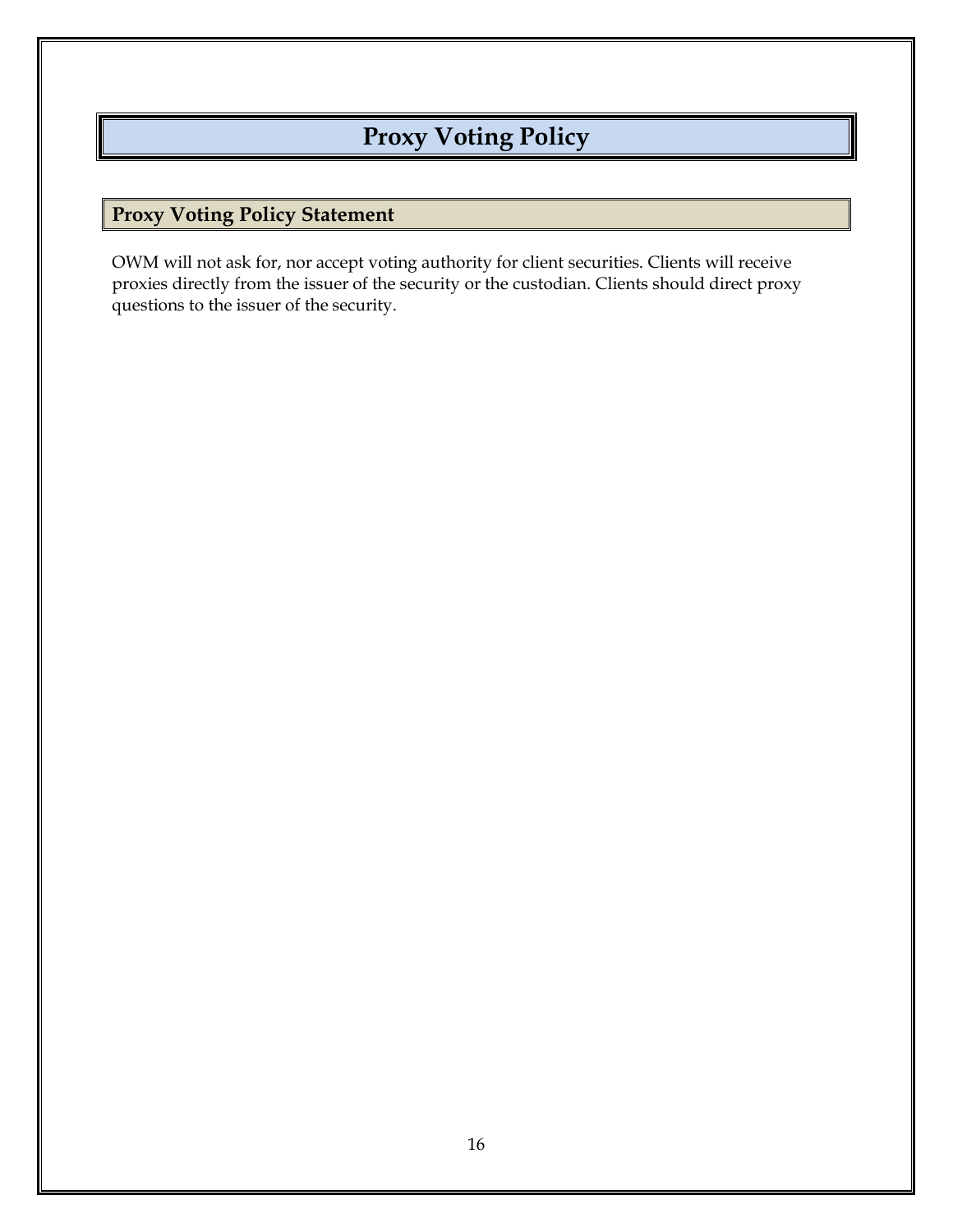# **Proxy Voting Policy**

# <span id="page-22-1"></span><span id="page-22-0"></span>**Proxy Voting Policy Statement**

OWM will not ask for, nor accept voting authority for client securities. Clients will receive proxies directly from the issuer of the security or the custodian. Clients should direct proxy questions to the issuer of the security.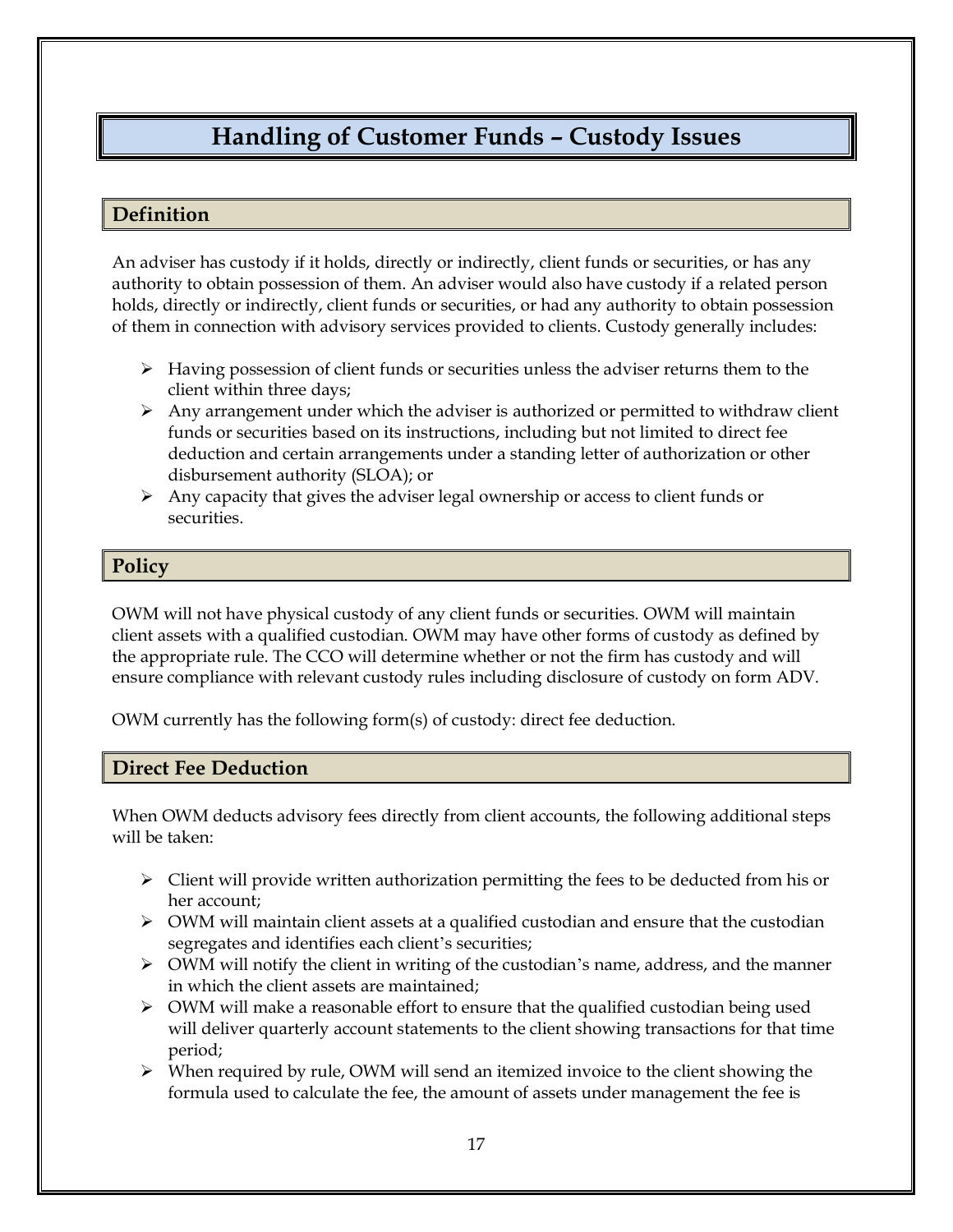# **Handling of Customer Funds – Custody Issues**

### <span id="page-23-1"></span><span id="page-23-0"></span>**Definition**

An adviser has custody if it holds, directly or indirectly, client funds or securities, or has any authority to obtain possession of them. An adviser would also have custody if a related person holds, directly or indirectly, client funds or securities, or had any authority to obtain possession of them in connection with advisory services provided to clients. Custody generally includes:

- $\triangleright$  Having possession of client funds or securities unless the adviser returns them to the client within three days;
- $\triangleright$  Any arrangement under which the adviser is authorized or permitted to withdraw client funds or securities based on its instructions, including but not limited to direct fee deduction and certain arrangements under a standing letter of authorization or other disbursement authority (SLOA); or
- $\triangleright$  Any capacity that gives the adviser legal ownership or access to client funds or securities.

### <span id="page-23-2"></span>**Policy**

OWM will not have physical custody of any client funds or securities. OWM will maintain client assets with a qualified custodian. OWM may have other forms of custody as defined by the appropriate rule. The CCO will determine whether or not the firm has custody and will ensure compliance with relevant custody rules including disclosure of custody on form ADV.

OWM currently has the following form(s) of custody: direct fee deduction.

## <span id="page-23-3"></span>**Direct Fee Deduction**

When OWM deducts advisory fees directly from client accounts, the following additional steps will be taken:

- $\triangleright$  Client will provide written authorization permitting the fees to be deducted from his or her account;
- $\triangleright$  OWM will maintain client assets at a qualified custodian and ensure that the custodian segregates and identifies each client's securities;
- $\triangleright$  OWM will notify the client in writing of the custodian's name, address, and the manner in which the client assets are maintained;
- $\triangleright$  OWM will make a reasonable effort to ensure that the qualified custodian being used will deliver quarterly account statements to the client showing transactions for that time period;
- $\triangleright$  When required by rule, OWM will send an itemized invoice to the client showing the formula used to calculate the fee, the amount of assets under management the fee is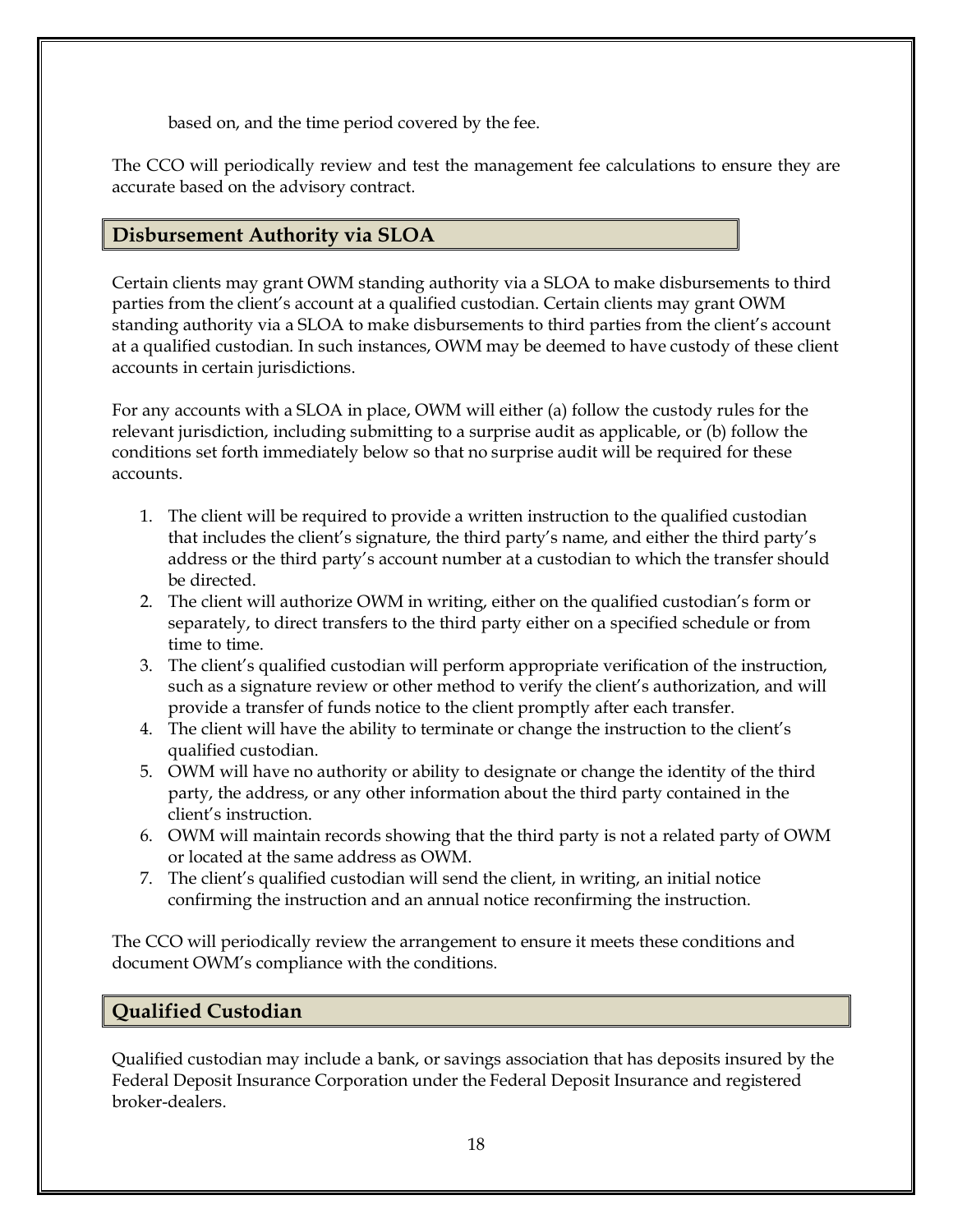based on, and the time period covered by the fee.

The CCO will periodically review and test the management fee calculations to ensure they are accurate based on the advisory contract.

# <span id="page-24-0"></span>**Disbursement Authority via SLOA**

Certain clients may grant OWM standing authority via a SLOA to make disbursements to third parties from the client's account at a qualified custodian. Certain clients may grant OWM standing authority via a SLOA to make disbursements to third parties from the client's account at a qualified custodian. In such instances, OWM may be deemed to have custody of these client accounts in certain jurisdictions.

For any accounts with a SLOA in place, OWM will either (a) follow the custody rules for the relevant jurisdiction, including submitting to a surprise audit as applicable, or (b) follow the conditions set forth immediately below so that no surprise audit will be required for these accounts.

- 1. The client will be required to provide a written instruction to the qualified custodian that includes the client's signature, the third party's name, and either the third party's address or the third party's account number at a custodian to which the transfer should be directed.
- 2. The client will authorize OWM in writing, either on the qualified custodian's form or separately, to direct transfers to the third party either on a specified schedule or from time to time.
- 3. The client's qualified custodian will perform appropriate verification of the instruction, such as a signature review or other method to verify the client's authorization, and will provide a transfer of funds notice to the client promptly after each transfer.
- 4. The client will have the ability to terminate or change the instruction to the client's qualified custodian.
- 5. OWM will have no authority or ability to designate or change the identity of the third party, the address, or any other information about the third party contained in the client's instruction.
- 6. OWM will maintain records showing that the third party is not a related party of OWM or located at the same address as OWM.
- 7. The client's qualified custodian will send the client, in writing, an initial notice confirming the instruction and an annual notice reconfirming the instruction.

The CCO will periodically review the arrangement to ensure it meets these conditions and document OWM's compliance with the conditions.

## <span id="page-24-1"></span>**Qualified Custodian**

Qualified custodian may include a bank, or savings association that has deposits insured by the Federal Deposit Insurance Corporation under the Federal Deposit Insurance and registered broker-dealers.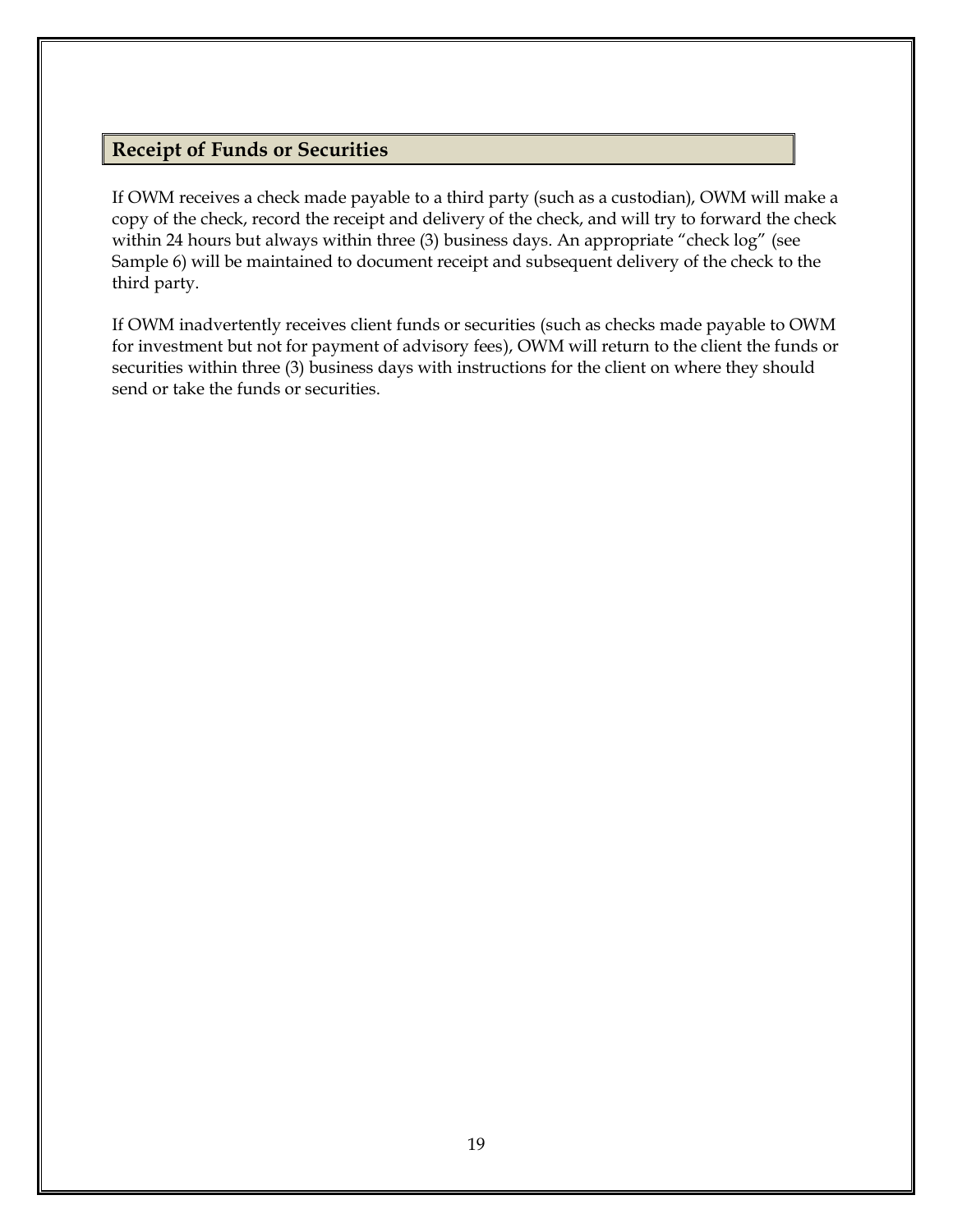## <span id="page-25-0"></span>**Receipt of Funds or Securities**

If OWM receives a check made payable to a third party (such as a custodian), OWM will make a copy of the check, record the receipt and delivery of the check, and will try to forward the check within 24 hours but always within three (3) business days. An appropriate "check log" (see Sample 6) will be maintained to document receipt and subsequent delivery of the check to the third party.

If OWM inadvertently receives client funds or securities (such as checks made payable to OWM for investment but not for payment of advisory fees), OWM will return to the client the funds or securities within three (3) business days with instructions for the client on where they should send or take the funds or securities.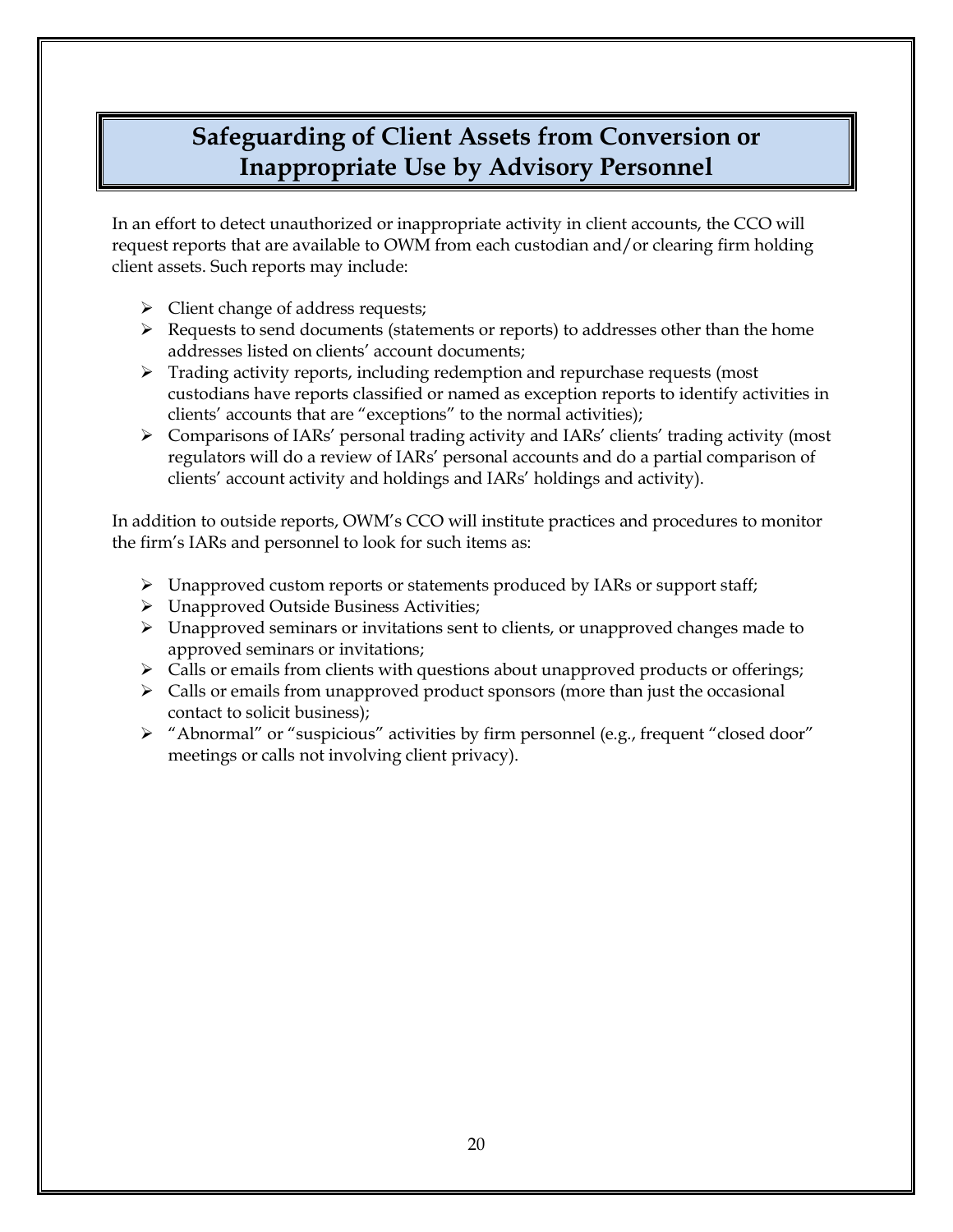# <span id="page-26-0"></span>**Safeguarding of Client Assets from Conversion or Inappropriate Use by Advisory Personnel**

In an effort to detect unauthorized or inappropriate activity in client accounts, the CCO will request reports that are available to OWM from each custodian and/or clearing firm holding client assets. Such reports may include:

- $\triangleright$  Client change of address requests;
- ➢ Requests to send documents (statements or reports) to addresses other than the home addresses listed on clients' account documents;
- $\triangleright$  Trading activity reports, including redemption and repurchase requests (most custodians have reports classified or named as exception reports to identify activities in clients' accounts that are "exceptions" to the normal activities);
- ➢ Comparisons of IARs' personal trading activity and IARs' clients' trading activity (most regulators will do a review of IARs' personal accounts and do a partial comparison of clients' account activity and holdings and IARs' holdings and activity).

In addition to outside reports, OWM's CCO will institute practices and procedures to monitor the firm's IARs and personnel to look for such items as:

- ➢ Unapproved custom reports or statements produced by IARs or support staff;
- ➢ Unapproved Outside Business Activities;
- $\triangleright$  Unapproved seminars or invitations sent to clients, or unapproved changes made to approved seminars or invitations;
- ➢ Calls or emails from clients with questions about unapproved products or offerings;
- ➢ Calls or emails from unapproved product sponsors (more than just the occasional contact to solicit business);
- ➢ "Abnormal" or "suspicious" activities by firm personnel (e.g., frequent "closed door" meetings or calls not involving client privacy).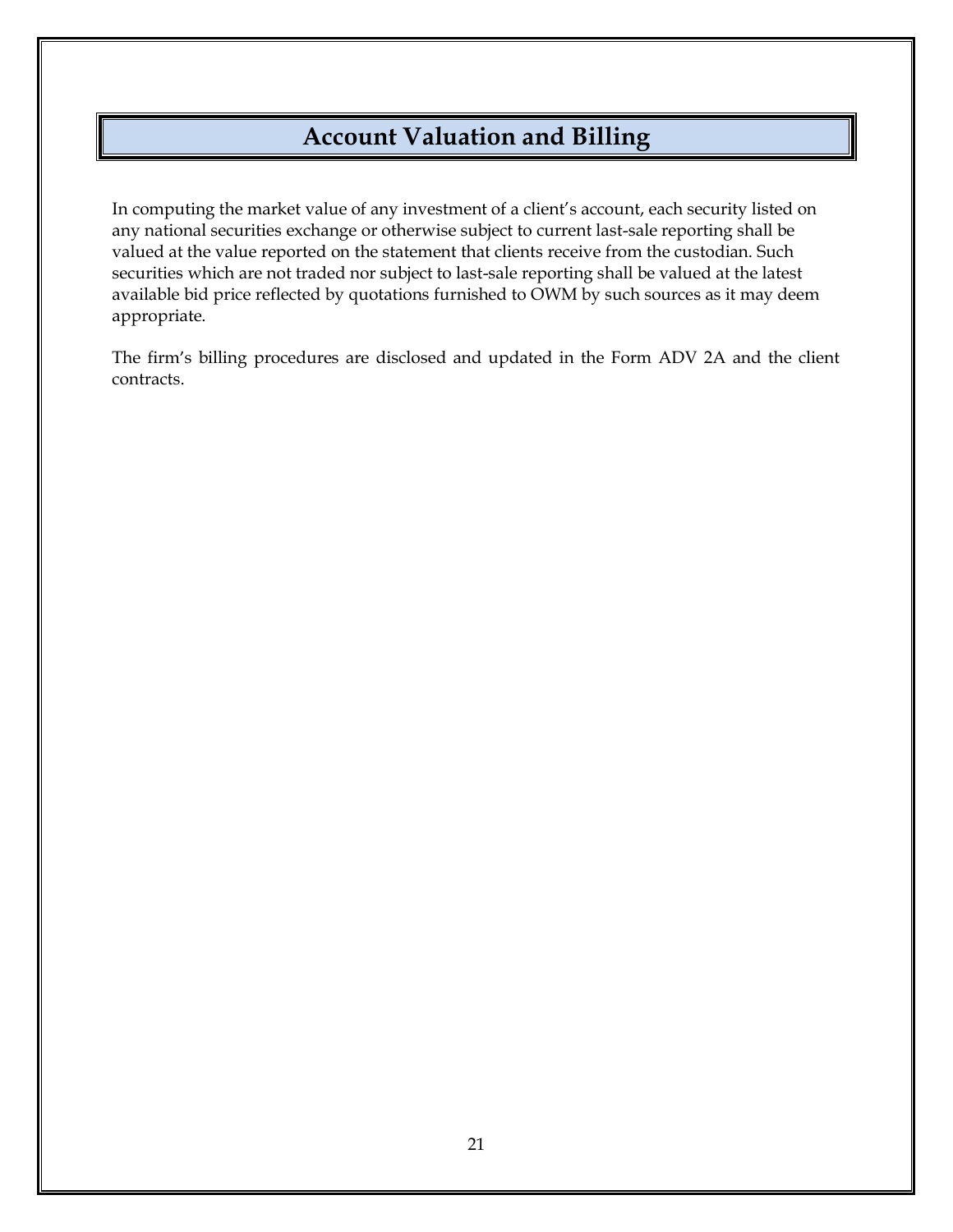# **Account Valuation and Billing**

<span id="page-27-0"></span>In computing the market value of any investment of a client's account, each security listed on any national securities exchange or otherwise subject to current last-sale reporting shall be valued at the value reported on the statement that clients receive from the custodian. Such securities which are not traded nor subject to last-sale reporting shall be valued at the latest available bid price reflected by quotations furnished to OWM by such sources as it may deem appropriate.

The firm's billing procedures are disclosed and updated in the Form ADV 2A and the client contracts.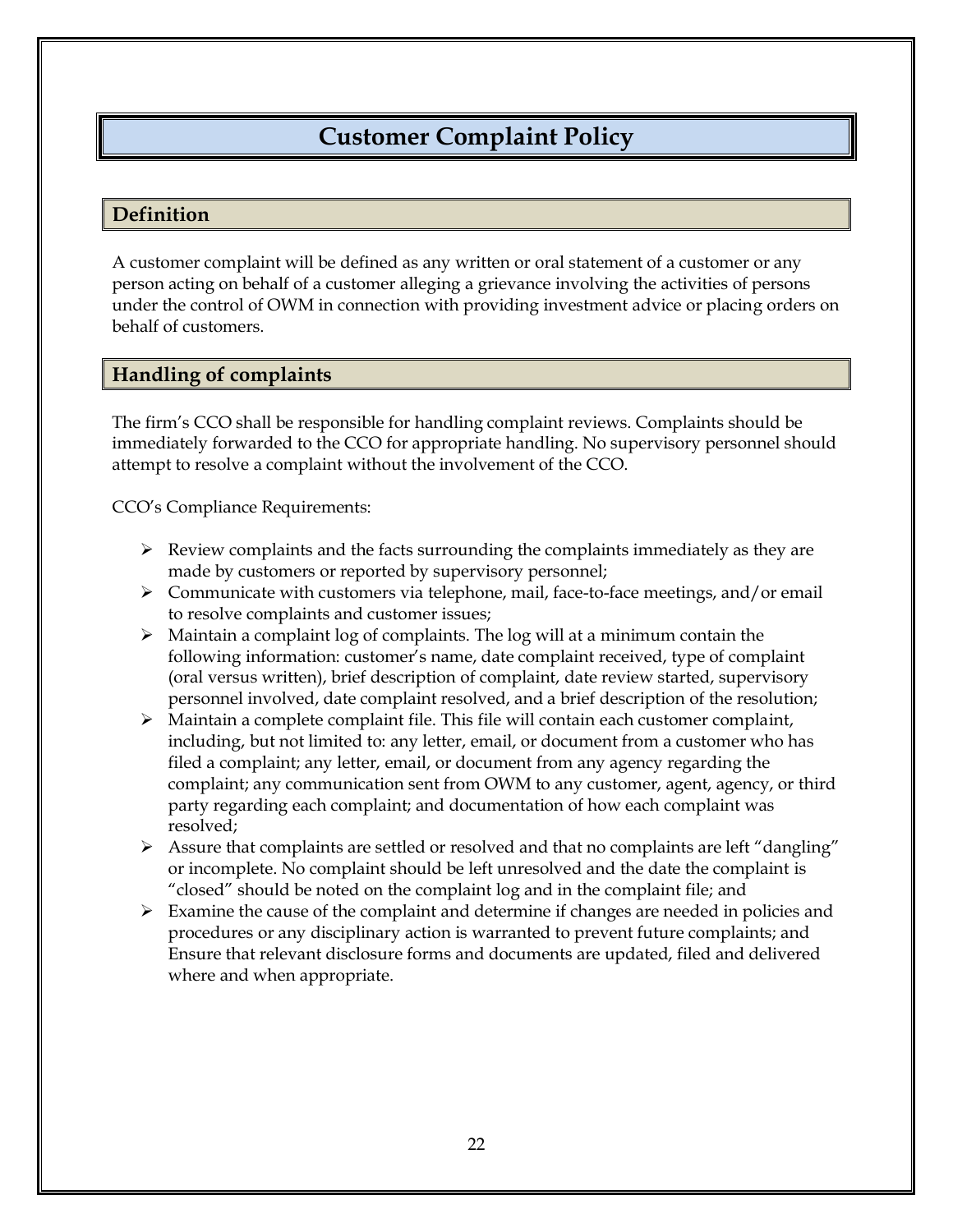# **Customer Complaint Policy**

### <span id="page-28-1"></span><span id="page-28-0"></span>**Definition**

A customer complaint will be defined as any written or oral statement of a customer or any person acting on behalf of a customer alleging a grievance involving the activities of persons under the control of OWM in connection with providing investment advice or placing orders on behalf of customers.

## <span id="page-28-2"></span>**Handling of complaints**

The firm's CCO shall be responsible for handling complaint reviews. Complaints should be immediately forwarded to the CCO for appropriate handling. No supervisory personnel should attempt to resolve a complaint without the involvement of the CCO.

CCO's Compliance Requirements:

- $\triangleright$  Review complaints and the facts surrounding the complaints immediately as they are made by customers or reported by supervisory personnel;
- ➢ Communicate with customers via telephone, mail, face-to-face meetings, and/or email to resolve complaints and customer issues;
- ➢ Maintain a complaint log of complaints. The log will at a minimum contain the following information: customer's name, date complaint received, type of complaint (oral versus written), brief description of complaint, date review started, supervisory personnel involved, date complaint resolved, and a brief description of the resolution;
- $\triangleright$  Maintain a complete complaint file. This file will contain each customer complaint, including, but not limited to: any letter, email, or document from a customer who has filed a complaint; any letter, email, or document from any agency regarding the complaint; any communication sent from OWM to any customer, agent, agency, or third party regarding each complaint; and documentation of how each complaint was resolved;
- $\triangleright$  Assure that complaints are settled or resolved and that no complaints are left "dangling" or incomplete. No complaint should be left unresolved and the date the complaint is "closed" should be noted on the complaint log and in the complaint file; and
- $\triangleright$  Examine the cause of the complaint and determine if changes are needed in policies and procedures or any disciplinary action is warranted to prevent future complaints; and Ensure that relevant disclosure forms and documents are updated, filed and delivered where and when appropriate.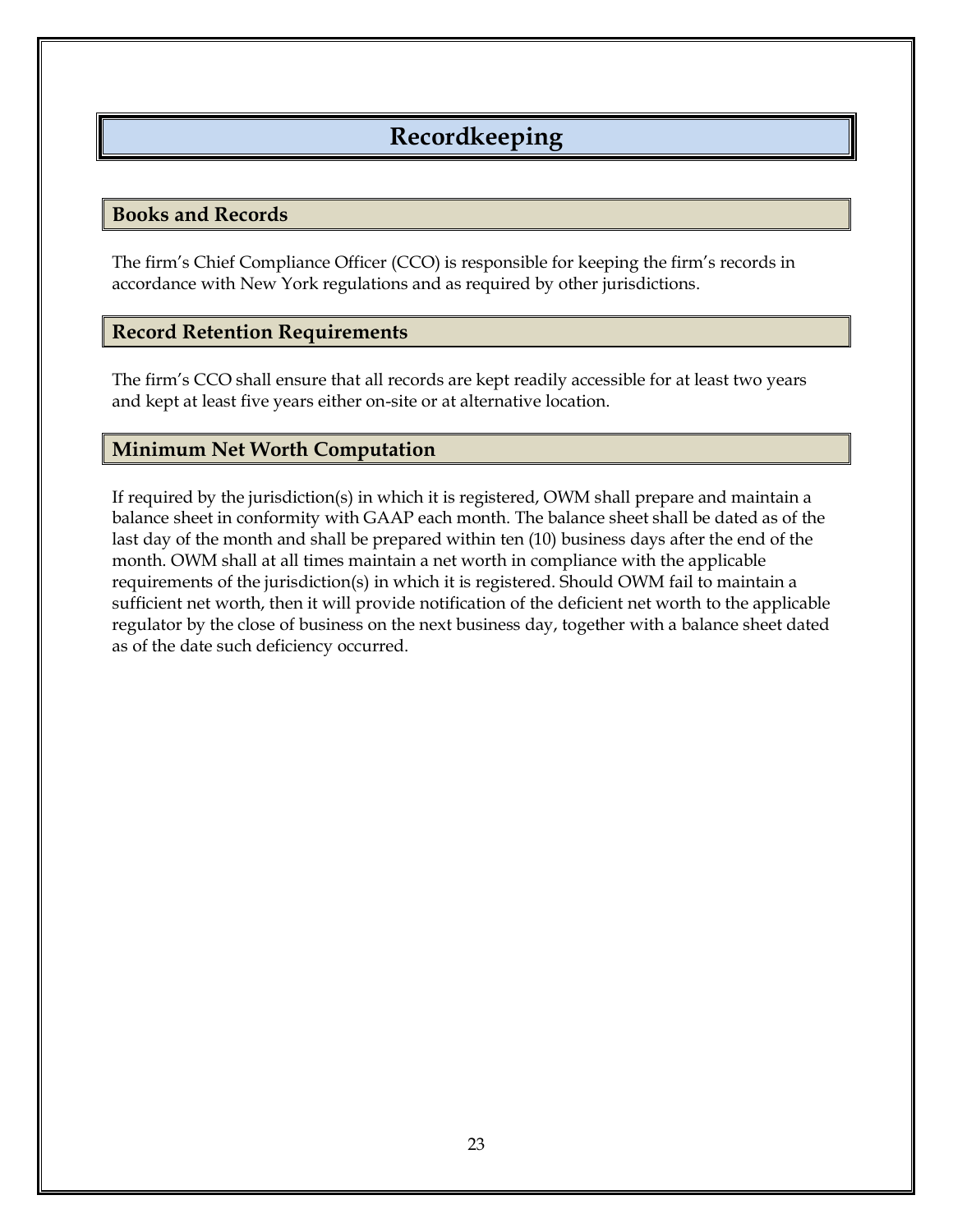# **Recordkeeping**

#### <span id="page-29-1"></span><span id="page-29-0"></span>**Books and Records**

The firm's Chief Compliance Officer (CCO) is responsible for keeping the firm's records in accordance with New York regulations and as required by other jurisdictions.

### <span id="page-29-2"></span>**Record Retention Requirements**

The firm's CCO shall ensure that all records are kept readily accessible for at least two years and kept at least five years either on-site or at alternative location.

### <span id="page-29-3"></span>**Minimum Net Worth Computation**

If required by the jurisdiction(s) in which it is registered, OWM shall prepare and maintain a balance sheet in conformity with GAAP each month. The balance sheet shall be dated as of the last day of the month and shall be prepared within ten (10) business days after the end of the month. OWM shall at all times maintain a net worth in compliance with the applicable requirements of the jurisdiction(s) in which it is registered. Should OWM fail to maintain a sufficient net worth, then it will provide notification of the deficient net worth to the applicable regulator by the close of business on the next business day, together with a balance sheet dated as of the date such deficiency occurred.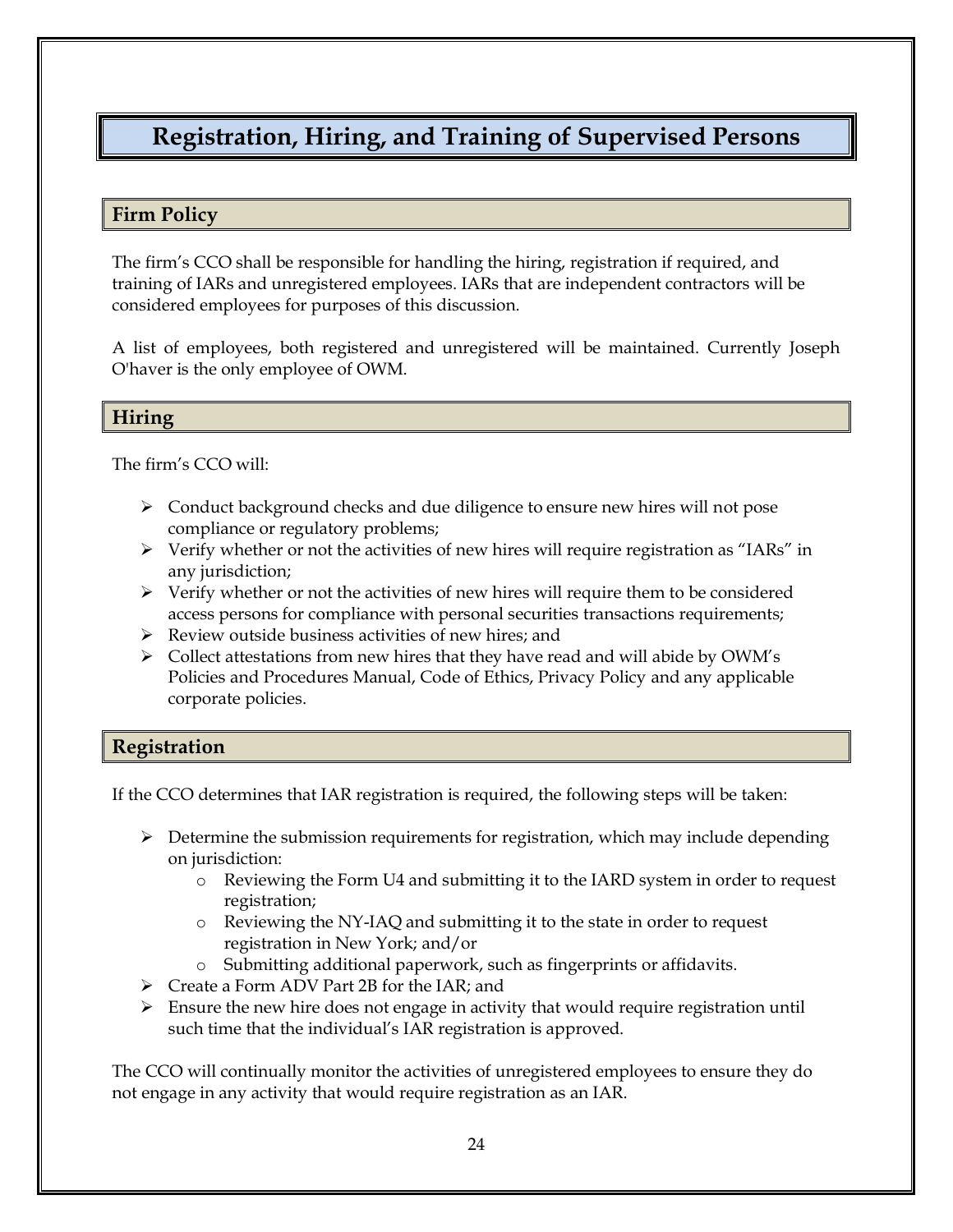# <span id="page-30-0"></span>**Registration, Hiring, and Training of Supervised Persons**

### <span id="page-30-1"></span>**Firm Policy**

The firm's CCO shall be responsible for handling the hiring, registration if required, and training of IARs and unregistered employees. IARs that are independent contractors will be considered employees for purposes of this discussion.

A list of employees, both registered and unregistered will be maintained. Currently Joseph O'haver is the only employee of OWM.

#### <span id="page-30-2"></span>**Hiring**

The firm's CCO will:

- ➢ Conduct background checks and due diligence to ensure new hires will not pose compliance or regulatory problems;
- $\triangleright$  Verify whether or not the activities of new hires will require registration as "IARs" in any jurisdiction;
- ➢ Verify whether or not the activities of new hires will require them to be considered access persons for compliance with personal securities transactions requirements;
- ➢ Review outside business activities of new hires; and
- $\triangleright$  Collect attestations from new hires that they have read and will abide by OWM's Policies and Procedures Manual, Code of Ethics, Privacy Policy and any applicable corporate policies.

## <span id="page-30-3"></span>**Registration**

If the CCO determines that IAR registration is required, the following steps will be taken:

- $\triangleright$  Determine the submission requirements for registration, which may include depending on jurisdiction:
	- o Reviewing the Form U4 and submitting it to the IARD system in order to request registration;
	- o Reviewing the NY-IAQ and submitting it to the state in order to request registration in New York; and/or
	- o Submitting additional paperwork, such as fingerprints or affidavits.
- ➢ Create a Form ADV Part 2B for the IAR; and
- $\triangleright$  Ensure the new hire does not engage in activity that would require registration until such time that the individual's IAR registration is approved.

The CCO will continually monitor the activities of unregistered employees to ensure they do not engage in any activity that would require registration as an IAR.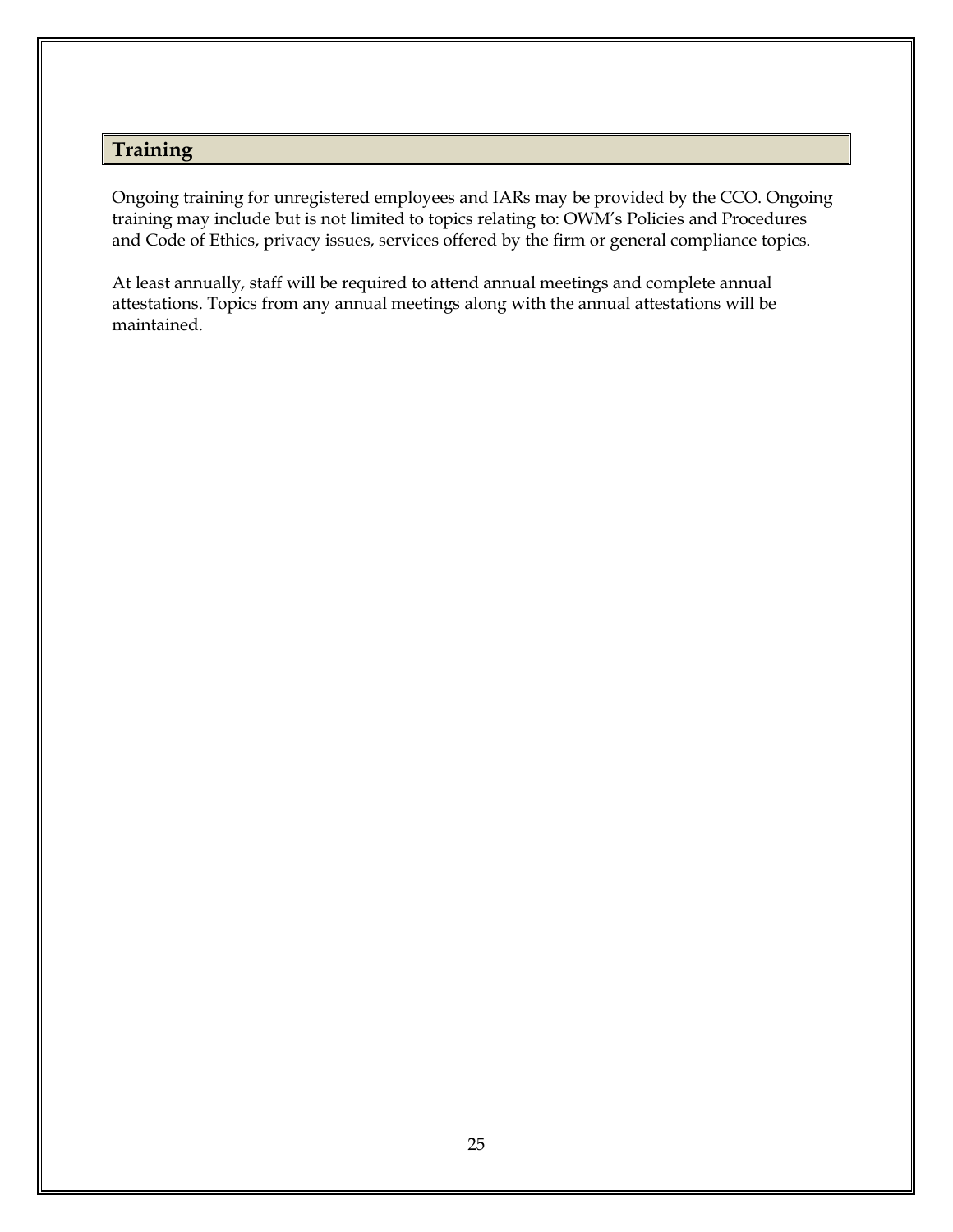# <span id="page-31-0"></span>**Training**

Ongoing training for unregistered employees and IARs may be provided by the CCO. Ongoing training may include but is not limited to topics relating to: OWM's Policies and Procedures and Code of Ethics, privacy issues, services offered by the firm or general compliance topics.

At least annually, staff will be required to attend annual meetings and complete annual attestations. Topics from any annual meetings along with the annual attestations will be maintained.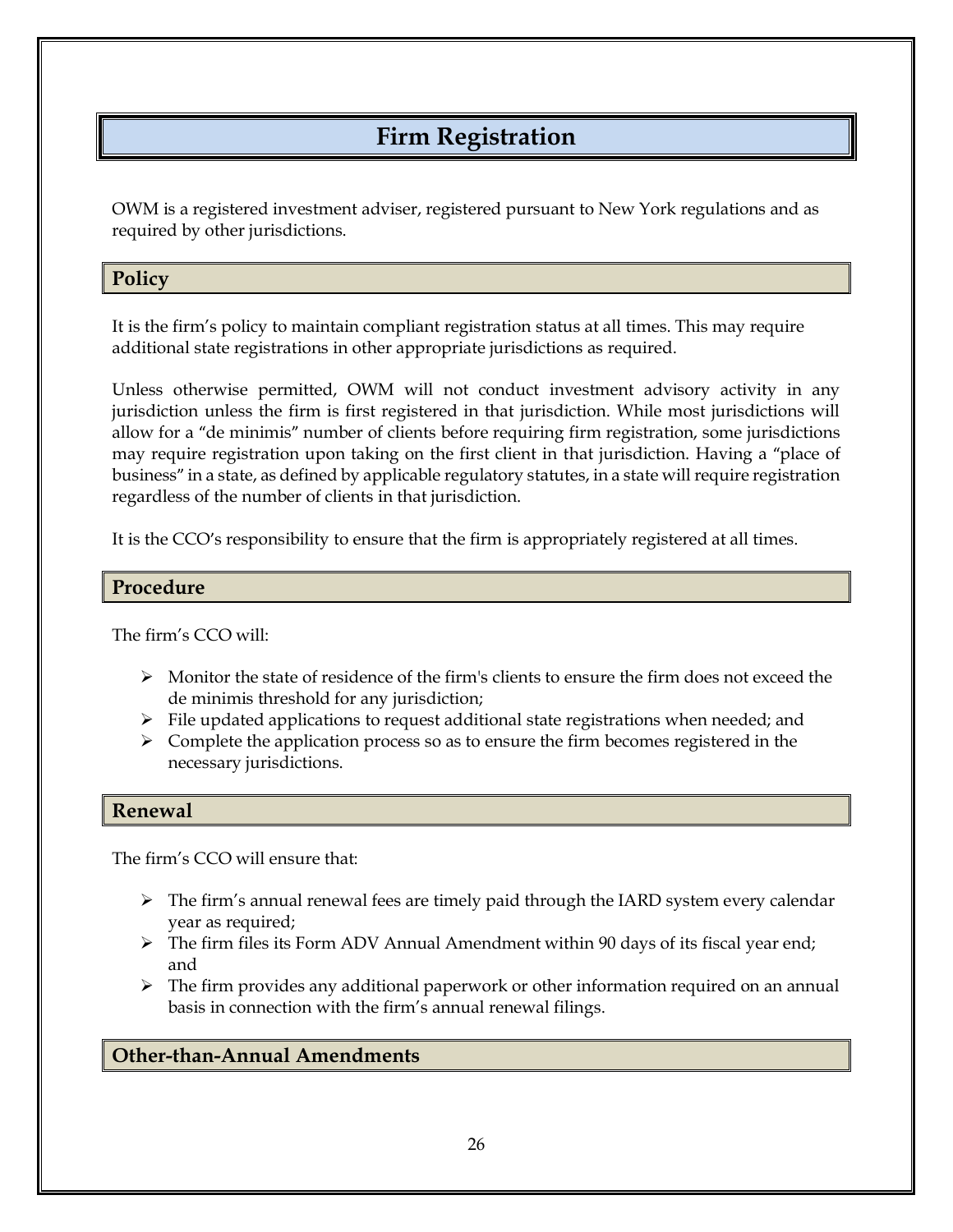# **Firm Registration**

<span id="page-32-0"></span>OWM is a registered investment adviser, registered pursuant to New York regulations and as required by other jurisdictions.

## <span id="page-32-1"></span>**Policy**

It is the firm's policy to maintain compliant registration status at all times. This may require additional state registrations in other appropriate jurisdictions as required.

Unless otherwise permitted, OWM will not conduct investment advisory activity in any jurisdiction unless the firm is first registered in that jurisdiction. While most jurisdictions will allow for a "de minimis" number of clients before requiring firm registration, some jurisdictions may require registration upon taking on the first client in that jurisdiction. Having a "place of business" in a state, as defined by applicable regulatory statutes, in a state will require registration regardless of the number of clients in that jurisdiction.

It is the CCO's responsibility to ensure that the firm is appropriately registered at all times.

#### <span id="page-32-2"></span>**Procedure**

The firm's CCO will:

- $\triangleright$  Monitor the state of residence of the firm's clients to ensure the firm does not exceed the de minimis threshold for any jurisdiction;
- $\triangleright$  File updated applications to request additional state registrations when needed; and
- $\triangleright$  Complete the application process so as to ensure the firm becomes registered in the necessary jurisdictions.

### <span id="page-32-3"></span>**Renewal**

The firm's CCO will ensure that:

- ➢ The firm's annual renewal fees are timely paid through the IARD system every calendar year as required;
- ➢ The firm files its Form ADV Annual Amendment within 90 days of its fiscal year end; and
- $\triangleright$  The firm provides any additional paperwork or other information required on an annual basis in connection with the firm's annual renewal filings.

## <span id="page-32-4"></span>**Other-than-Annual Amendments**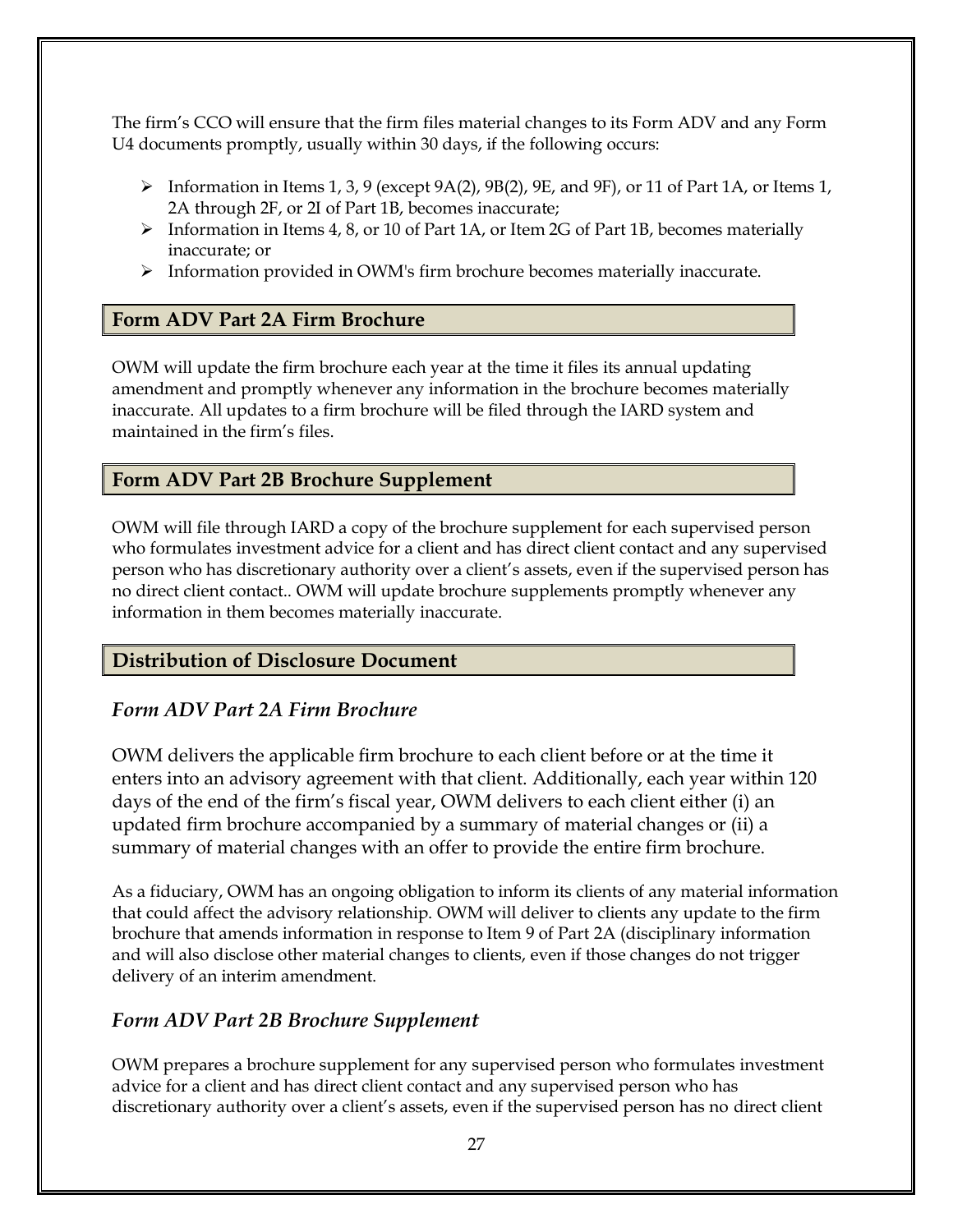The firm's CCO will ensure that the firm files material changes to its Form ADV and any Form U4 documents promptly, usually within 30 days, if the following occurs:

- $\triangleright$  Information in Items 1, 3, 9 (except 9A(2), 9B(2), 9E, and 9F), or 11 of Part 1A, or Items 1, 2A through 2F, or 2I of Part 1B, becomes inaccurate;
- $\triangleright$  Information in Items 4, 8, or 10 of Part 1A, or Item 2G of Part 1B, becomes materially inaccurate; or
- ➢ Information provided in OWM's firm brochure becomes materially inaccurate.

### <span id="page-33-0"></span>**Form ADV Part 2A Firm Brochure**

OWM will update the firm brochure each year at the time it files its annual updating amendment and promptly whenever any information in the brochure becomes materially inaccurate. All updates to a firm brochure will be filed through the IARD system and maintained in the firm's files.

## <span id="page-33-1"></span>**Form ADV Part 2B Brochure Supplement**

OWM will file through IARD a copy of the brochure supplement for each supervised person who formulates investment advice for a client and has direct client contact and any supervised person who has discretionary authority over a client's assets, even if the supervised person has no direct client contact.. OWM will update brochure supplements promptly whenever any information in them becomes materially inaccurate.

## <span id="page-33-2"></span>**Distribution of Disclosure Document**

## <span id="page-33-3"></span>*Form ADV Part 2A Firm Brochure*

OWM delivers the applicable firm brochure to each client before or at the time it enters into an advisory agreement with that client. Additionally, each year within 120 days of the end of the firm's fiscal year, OWM delivers to each client either (i) an updated firm brochure accompanied by a summary of material changes or (ii) a summary of material changes with an offer to provide the entire firm brochure.

As a fiduciary, OWM has an ongoing obligation to inform its clients of any material information that could affect the advisory relationship. OWM will deliver to clients any update to the firm brochure that amends information in response to Item 9 of Part 2A (disciplinary information and will also disclose other material changes to clients, even if those changes do not trigger delivery of an interim amendment.

## <span id="page-33-4"></span>*Form ADV Part 2B Brochure Supplement*

OWM prepares a brochure supplement for any supervised person who formulates investment advice for a client and has direct client contact and any supervised person who has discretionary authority over a client's assets, even if the supervised person has no direct client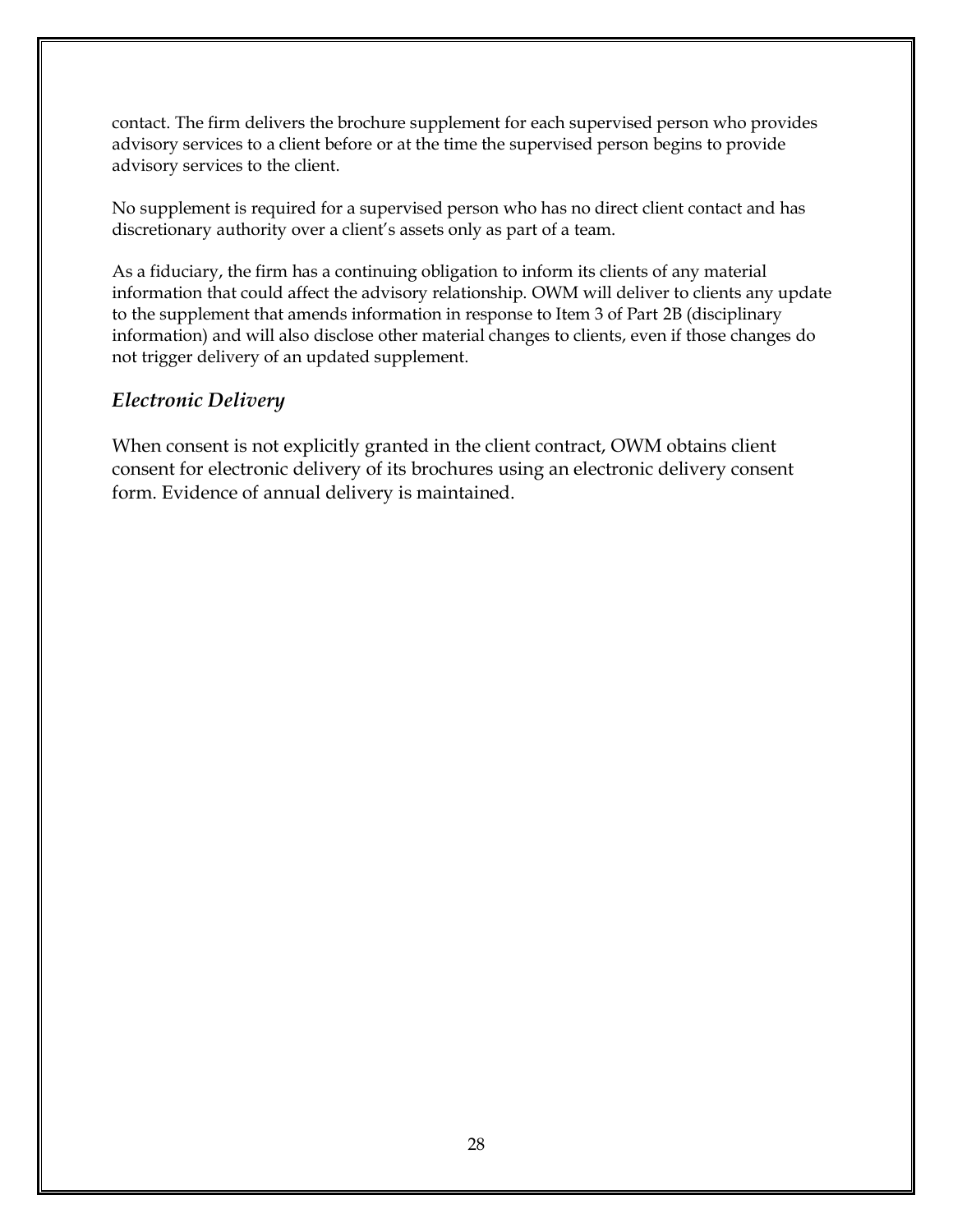contact. The firm delivers the brochure supplement for each supervised person who provides advisory services to a client before or at the time the supervised person begins to provide advisory services to the client.

No supplement is required for a supervised person who has no direct client contact and has discretionary authority over a client's assets only as part of a team.

As a fiduciary, the firm has a continuing obligation to inform its clients of any material information that could affect the advisory relationship. OWM will deliver to clients any update to the supplement that amends information in response to Item 3 of Part 2B (disciplinary information) and will also disclose other material changes to clients, even if those changes do not trigger delivery of an updated supplement.

# <span id="page-34-0"></span>*Electronic Delivery*

When consent is not explicitly granted in the client contract, OWM obtains client consent for electronic delivery of its brochures using an electronic delivery consent form. Evidence of annual delivery is maintained.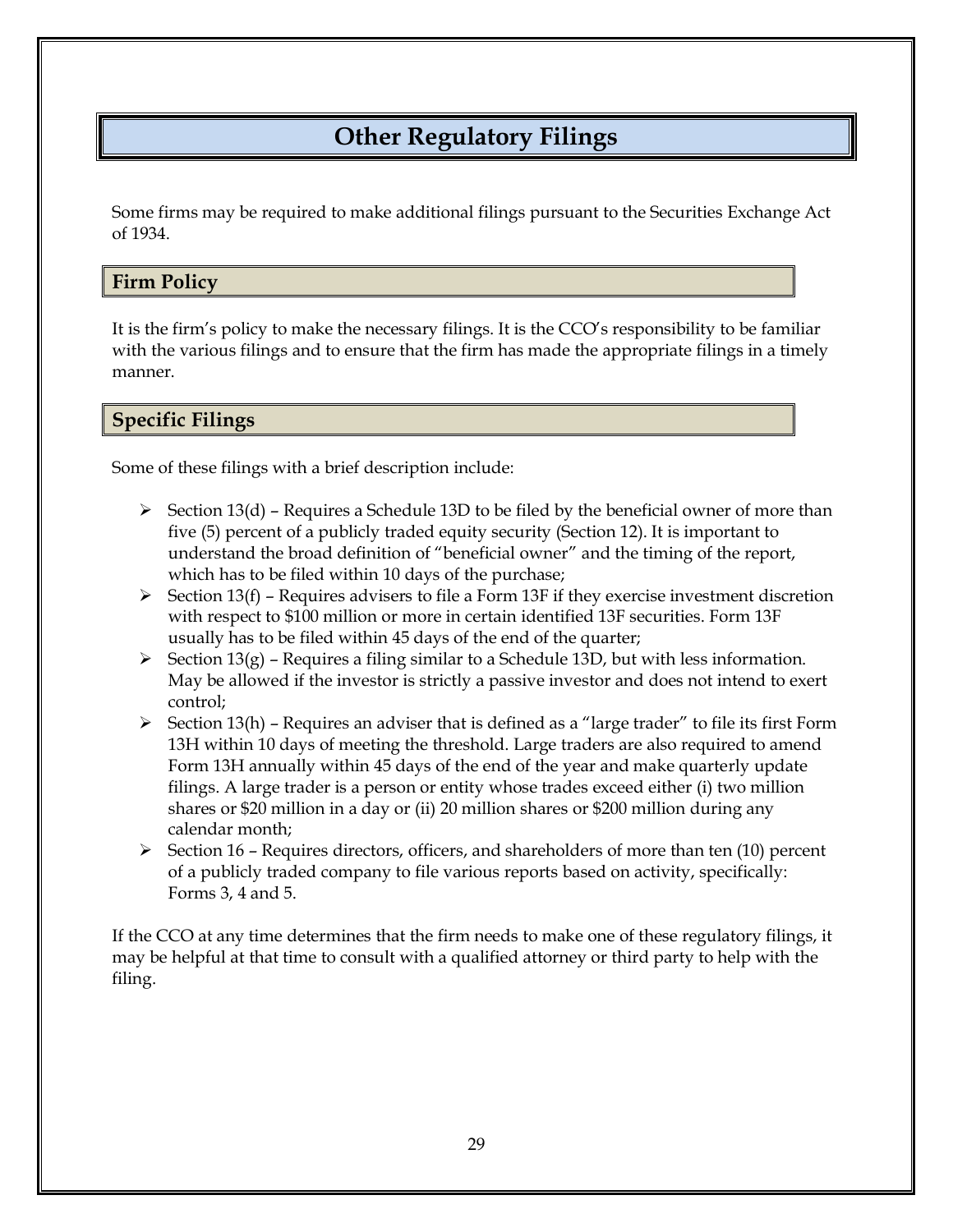# **Other Regulatory Filings**

<span id="page-35-0"></span>Some firms may be required to make additional filings pursuant to the Securities Exchange Act of 1934.

#### <span id="page-35-1"></span>**Firm Policy**

It is the firm's policy to make the necessary filings. It is the CCO's responsibility to be familiar with the various filings and to ensure that the firm has made the appropriate filings in a timely manner.

<span id="page-35-2"></span>**Specific Filings**

Some of these filings with a brief description include:

- $\triangleright$  Section 13(d) Requires a Schedule 13D to be filed by the beneficial owner of more than five (5) percent of a publicly traded equity security (Section 12). It is important to understand the broad definition of "beneficial owner" and the timing of the report, which has to be filed within 10 days of the purchase;
- $\triangleright$  Section 13(f) Requires advisers to file a Form 13F if they exercise investment discretion with respect to \$100 million or more in certain identified 13F securities. Form 13F usually has to be filed within 45 days of the end of the quarter;
- $\triangleright$  Section 13(g) Requires a filing similar to a Schedule 13D, but with less information. May be allowed if the investor is strictly a passive investor and does not intend to exert control;
- $\triangleright$  Section 13(h) Requires an adviser that is defined as a "large trader" to file its first Form 13H within 10 days of meeting the threshold. Large traders are also required to amend Form 13H annually within 45 days of the end of the year and make quarterly update filings. A large trader is a person or entity whose trades exceed either (i) two million shares or \$20 million in a day or (ii) 20 million shares or \$200 million during any calendar month;
- $\triangleright$  Section 16 Requires directors, officers, and shareholders of more than ten (10) percent of a publicly traded company to file various reports based on activity, specifically: Forms 3, 4 and 5.

If the CCO at any time determines that the firm needs to make one of these regulatory filings, it may be helpful at that time to consult with a qualified attorney or third party to help with the filing.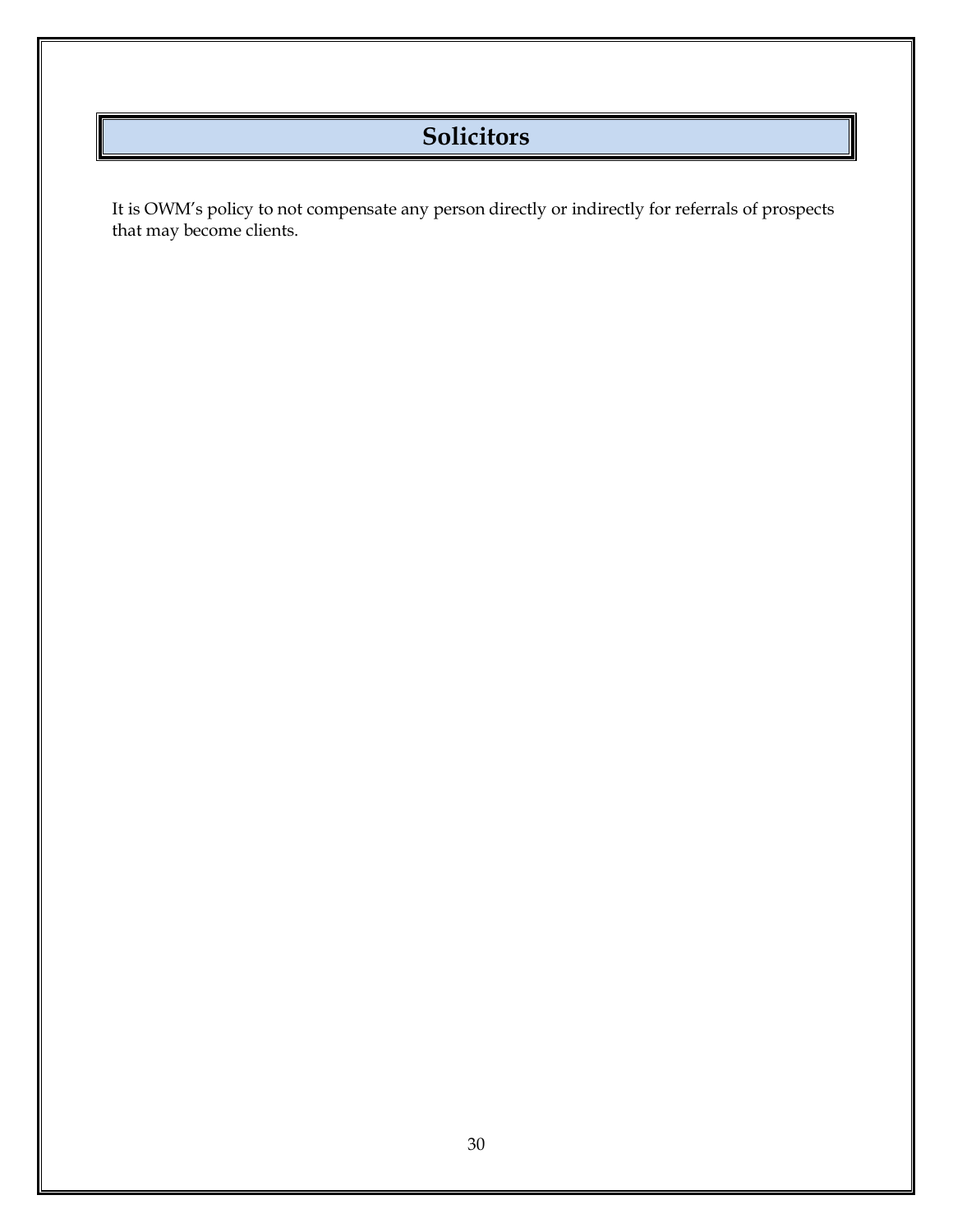# **Solicitors**

It is OWM's policy to not compensate any person directly or indirectly for referrals of prospects that may become clients.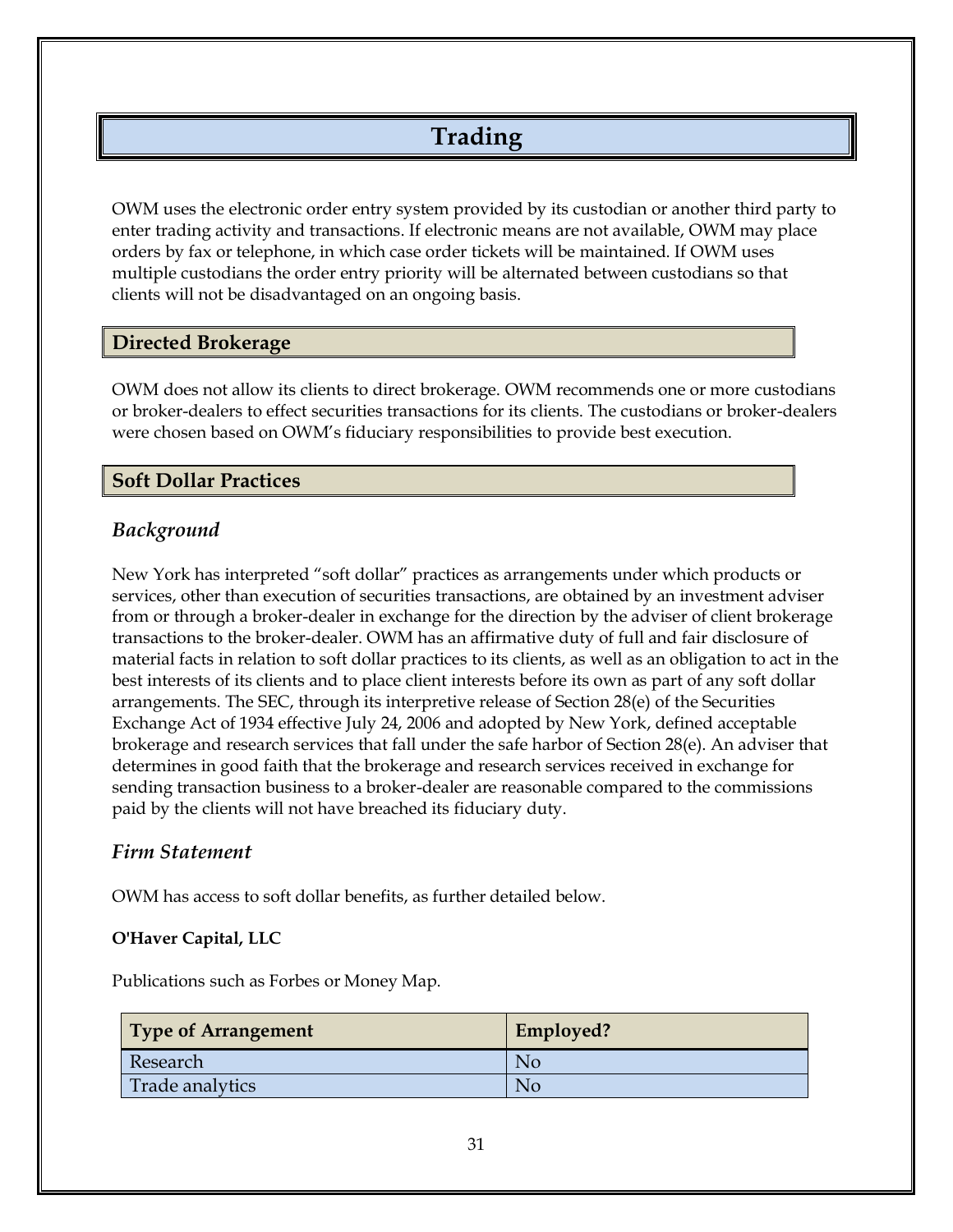# **Trading**

OWM uses the electronic order entry system provided by its custodian or another third party to enter trading activity and transactions. If electronic means are not available, OWM may place orders by fax or telephone, in which case order tickets will be maintained. If OWM uses multiple custodians the order entry priority will be alternated between custodians so that clients will not be disadvantaged on an ongoing basis.

#### **Directed Brokerage**

OWM does not allow its clients to direct brokerage. OWM recommends one or more custodians or broker-dealers to effect securities transactions for its clients. The custodians or broker-dealers were chosen based on OWM's fiduciary responsibilities to provide best execution.

#### **Soft Dollar Practices**

## *Background*

New York has interpreted "soft dollar" practices as arrangements under which products or services, other than execution of securities transactions, are obtained by an investment adviser from or through a broker-dealer in exchange for the direction by the adviser of client brokerage transactions to the broker-dealer. OWM has an affirmative duty of full and fair disclosure of material facts in relation to soft dollar practices to its clients, as well as an obligation to act in the best interests of its clients and to place client interests before its own as part of any soft dollar arrangements. The SEC, through its interpretive release of Section 28(e) of the Securities Exchange Act of 1934 effective July 24, 2006 and adopted by New York, defined acceptable brokerage and research services that fall under the safe harbor of Section 28(e). An adviser that determines in good faith that the brokerage and research services received in exchange for sending transaction business to a broker-dealer are reasonable compared to the commissions paid by the clients will not have breached its fiduciary duty.

#### *Firm Statement*

OWM has access to soft dollar benefits, as further detailed below.

#### **O'Haver Capital, LLC**

Publications such as Forbes or Money Map.

| <b>Type of Arrangement</b> | Employed? |
|----------------------------|-----------|
| Research                   | Nc        |
| Trade analytics            | Nc        |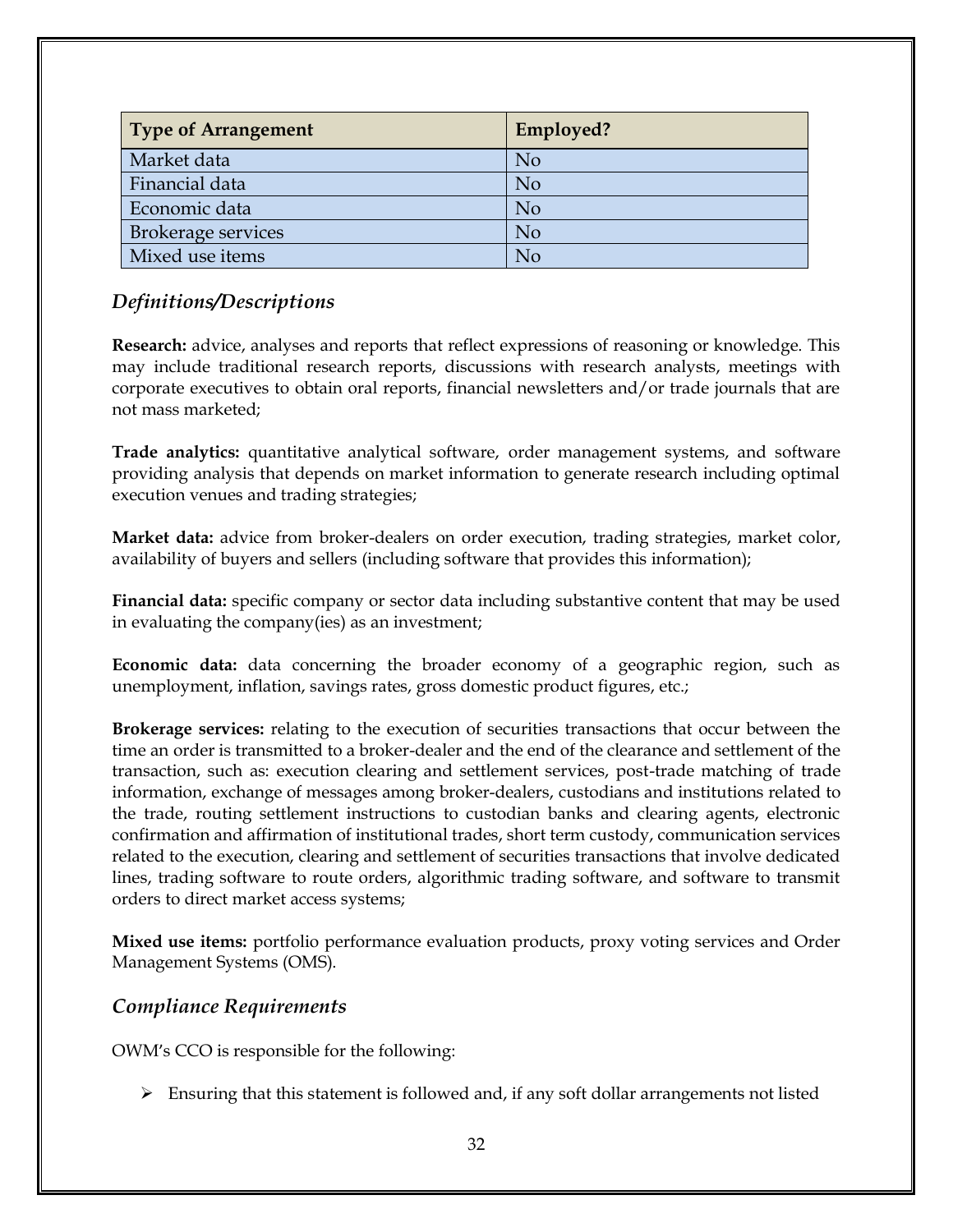| <b>Type of Arrangement</b> | Employed?      |
|----------------------------|----------------|
| Market data                | N <sub>o</sub> |
| Financial data             | N <sub>o</sub> |
| Economic data              | N <sub>o</sub> |
| <b>Brokerage services</b>  | N <sub>o</sub> |
| Mixed use items            | No             |

# *Definitions/Descriptions*

**Research:** advice, analyses and reports that reflect expressions of reasoning or knowledge. This may include traditional research reports, discussions with research analysts, meetings with corporate executives to obtain oral reports, financial newsletters and/or trade journals that are not mass marketed;

**Trade analytics:** quantitative analytical software, order management systems, and software providing analysis that depends on market information to generate research including optimal execution venues and trading strategies;

**Market data:** advice from broker-dealers on order execution, trading strategies, market color, availability of buyers and sellers (including software that provides this information);

**Financial data:** specific company or sector data including substantive content that may be used in evaluating the company(ies) as an investment;

**Economic data:** data concerning the broader economy of a geographic region, such as unemployment, inflation, savings rates, gross domestic product figures, etc.;

**Brokerage services:** relating to the execution of securities transactions that occur between the time an order is transmitted to a broker-dealer and the end of the clearance and settlement of the transaction, such as: execution clearing and settlement services, post-trade matching of trade information, exchange of messages among broker-dealers, custodians and institutions related to the trade, routing settlement instructions to custodian banks and clearing agents, electronic confirmation and affirmation of institutional trades, short term custody, communication services related to the execution, clearing and settlement of securities transactions that involve dedicated lines, trading software to route orders, algorithmic trading software, and software to transmit orders to direct market access systems;

**Mixed use items:** portfolio performance evaluation products, proxy voting services and Order Management Systems (OMS).

#### *Compliance Requirements*

OWM's CCO is responsible for the following:

 $\triangleright$  Ensuring that this statement is followed and, if any soft dollar arrangements not listed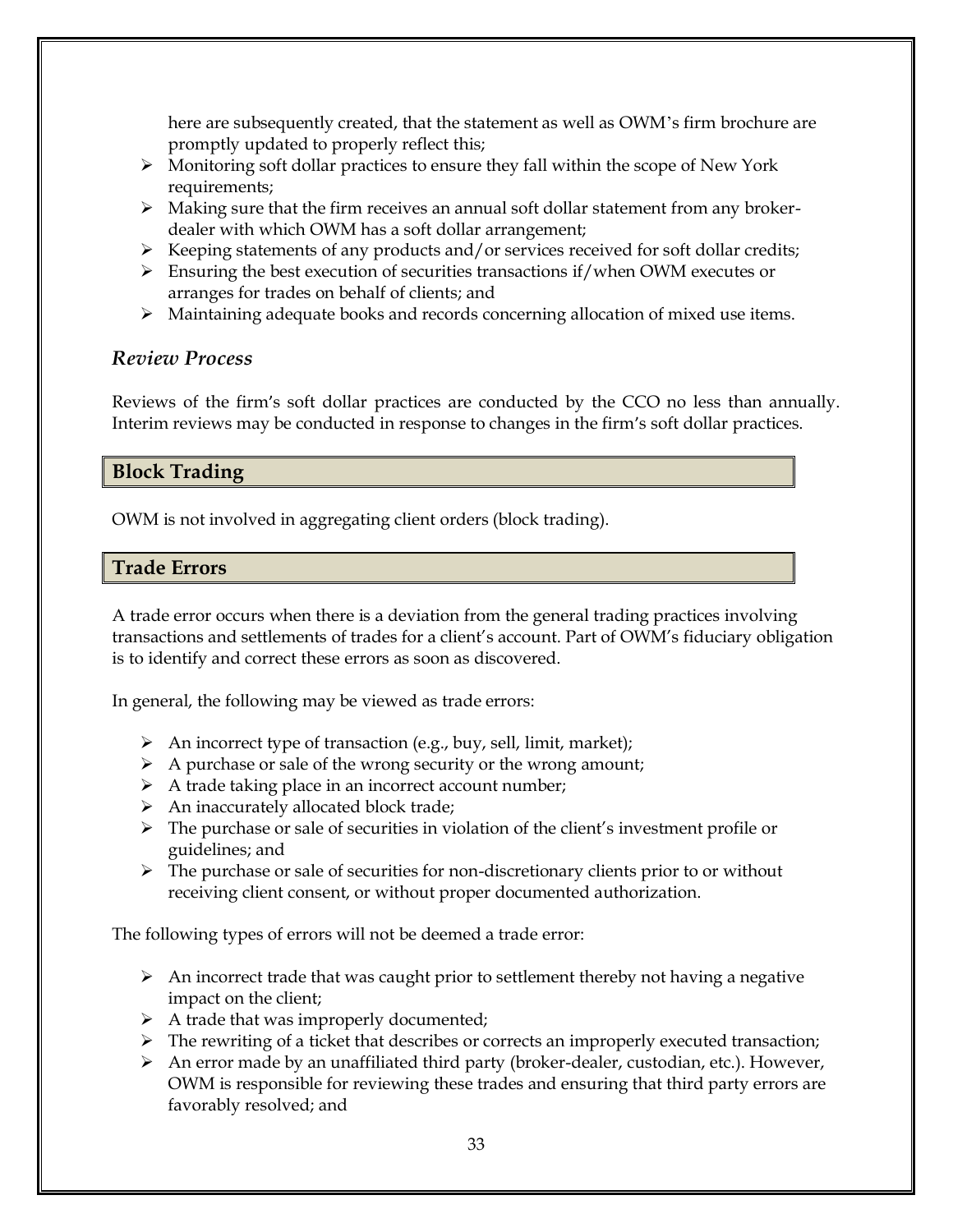here are subsequently created, that the statement as well as OWM's firm brochure are promptly updated to properly reflect this;

- ➢ Monitoring soft dollar practices to ensure they fall within the scope of New York requirements;
- $\triangleright$  Making sure that the firm receives an annual soft dollar statement from any brokerdealer with which OWM has a soft dollar arrangement;
- $\triangleright$  Keeping statements of any products and/or services received for soft dollar credits;
- $\triangleright$  Ensuring the best execution of securities transactions if/when OWM executes or arranges for trades on behalf of clients; and
- ➢ Maintaining adequate books and records concerning allocation of mixed use items.

## *Review Process*

Reviews of the firm's soft dollar practices are conducted by the CCO no less than annually. Interim reviews may be conducted in response to changes in the firm's soft dollar practices.

## **Block Trading**

OWM is not involved in aggregating client orders (block trading).

## **Trade Errors**

A trade error occurs when there is a deviation from the general trading practices involving transactions and settlements of trades for a client's account. Part of OWM's fiduciary obligation is to identify and correct these errors as soon as discovered.

In general, the following may be viewed as trade errors:

- $\triangleright$  An incorrect type of transaction (e.g., buy, sell, limit, market);
- ➢ A purchase or sale of the wrong security or the wrong amount;
- ➢ A trade taking place in an incorrect account number;
- ➢ An inaccurately allocated block trade;
- ➢ The purchase or sale of securities in violation of the client's investment profile or guidelines; and
- $\triangleright$  The purchase or sale of securities for non-discretionary clients prior to or without receiving client consent, or without proper documented authorization.

The following types of errors will not be deemed a trade error:

- $\triangleright$  An incorrect trade that was caught prior to settlement thereby not having a negative impact on the client;
- $\triangleright$  A trade that was improperly documented;
- ➢ The rewriting of a ticket that describes or corrects an improperly executed transaction;
- ➢ An error made by an unaffiliated third party (broker-dealer, custodian, etc.). However, OWM is responsible for reviewing these trades and ensuring that third party errors are favorably resolved; and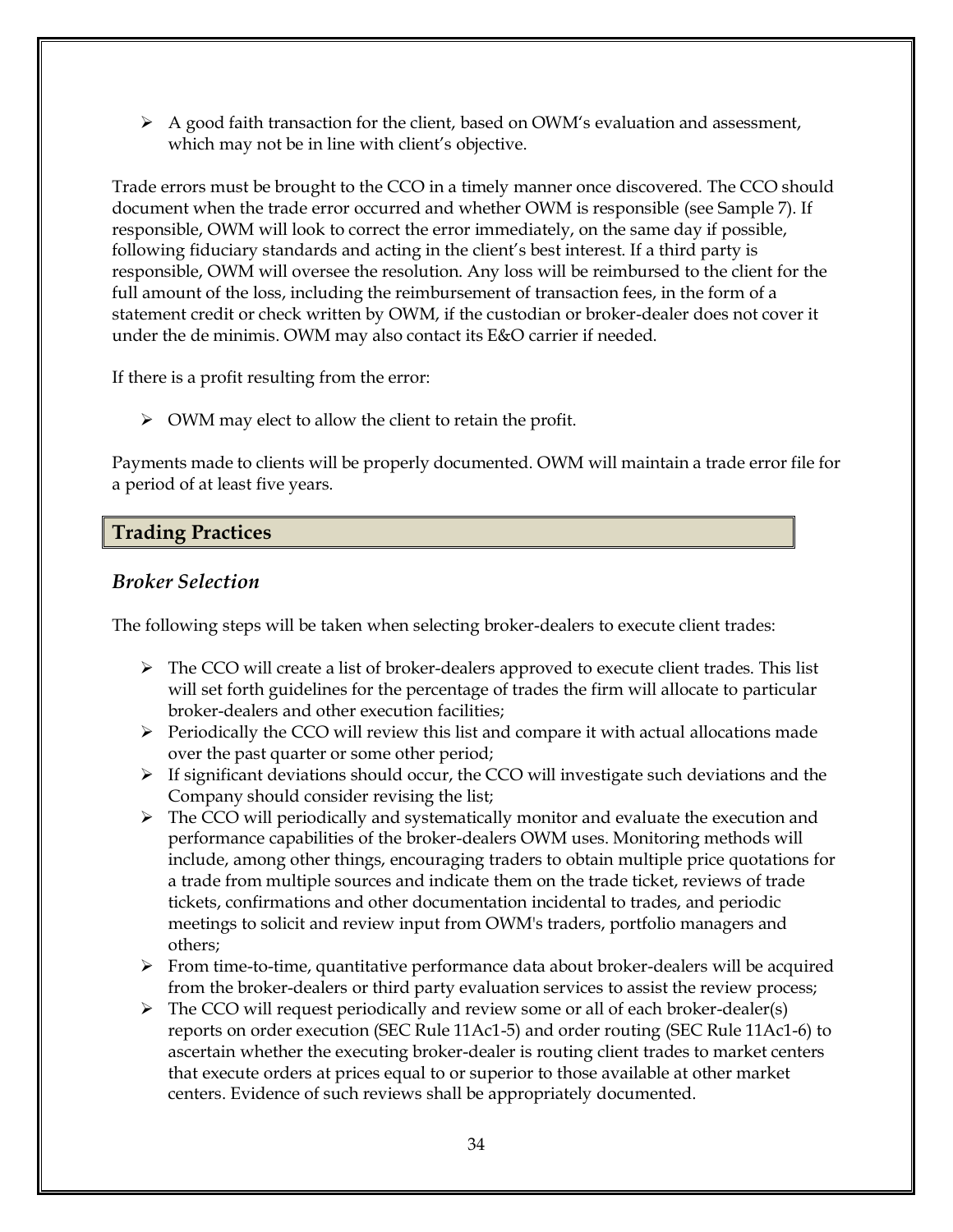$\triangleright$  A good faith transaction for the client, based on OWM's evaluation and assessment, which may not be in line with client's objective.

Trade errors must be brought to the CCO in a timely manner once discovered. The CCO should document when the trade error occurred and whether OWM is responsible (see Sample 7). If responsible, OWM will look to correct the error immediately, on the same day if possible, following fiduciary standards and acting in the client's best interest. If a third party is responsible, OWM will oversee the resolution. Any loss will be reimbursed to the client for the full amount of the loss, including the reimbursement of transaction fees, in the form of a statement credit or check written by OWM, if the custodian or broker-dealer does not cover it under the de minimis. OWM may also contact its E&O carrier if needed.

If there is a profit resulting from the error:

➢ OWM may elect to allow the client to retain the profit.

Payments made to clients will be properly documented. OWM will maintain a trade error file for a period of at least five years.

# **Trading Practices**

## *Broker Selection*

The following steps will be taken when selecting broker-dealers to execute client trades:

- $\triangleright$  The CCO will create a list of broker-dealers approved to execute client trades. This list will set forth guidelines for the percentage of trades the firm will allocate to particular broker-dealers and other execution facilities;
- $\triangleright$  Periodically the CCO will review this list and compare it with actual allocations made over the past quarter or some other period;
- ➢ If significant deviations should occur, the CCO will investigate such deviations and the Company should consider revising the list;
- $\triangleright$  The CCO will periodically and systematically monitor and evaluate the execution and performance capabilities of the broker-dealers OWM uses. Monitoring methods will include, among other things, encouraging traders to obtain multiple price quotations for a trade from multiple sources and indicate them on the trade ticket, reviews of trade tickets, confirmations and other documentation incidental to trades, and periodic meetings to solicit and review input from OWM's traders, portfolio managers and others;
- ➢ From time-to-time, quantitative performance data about broker-dealers will be acquired from the broker-dealers or third party evaluation services to assist the review process;
- ➢ The CCO will request periodically and review some or all of each broker-dealer(s) reports on order execution (SEC Rule 11Ac1-5) and order routing (SEC Rule 11Ac1-6) to ascertain whether the executing broker-dealer is routing client trades to market centers that execute orders at prices equal to or superior to those available at other market centers. Evidence of such reviews shall be appropriately documented.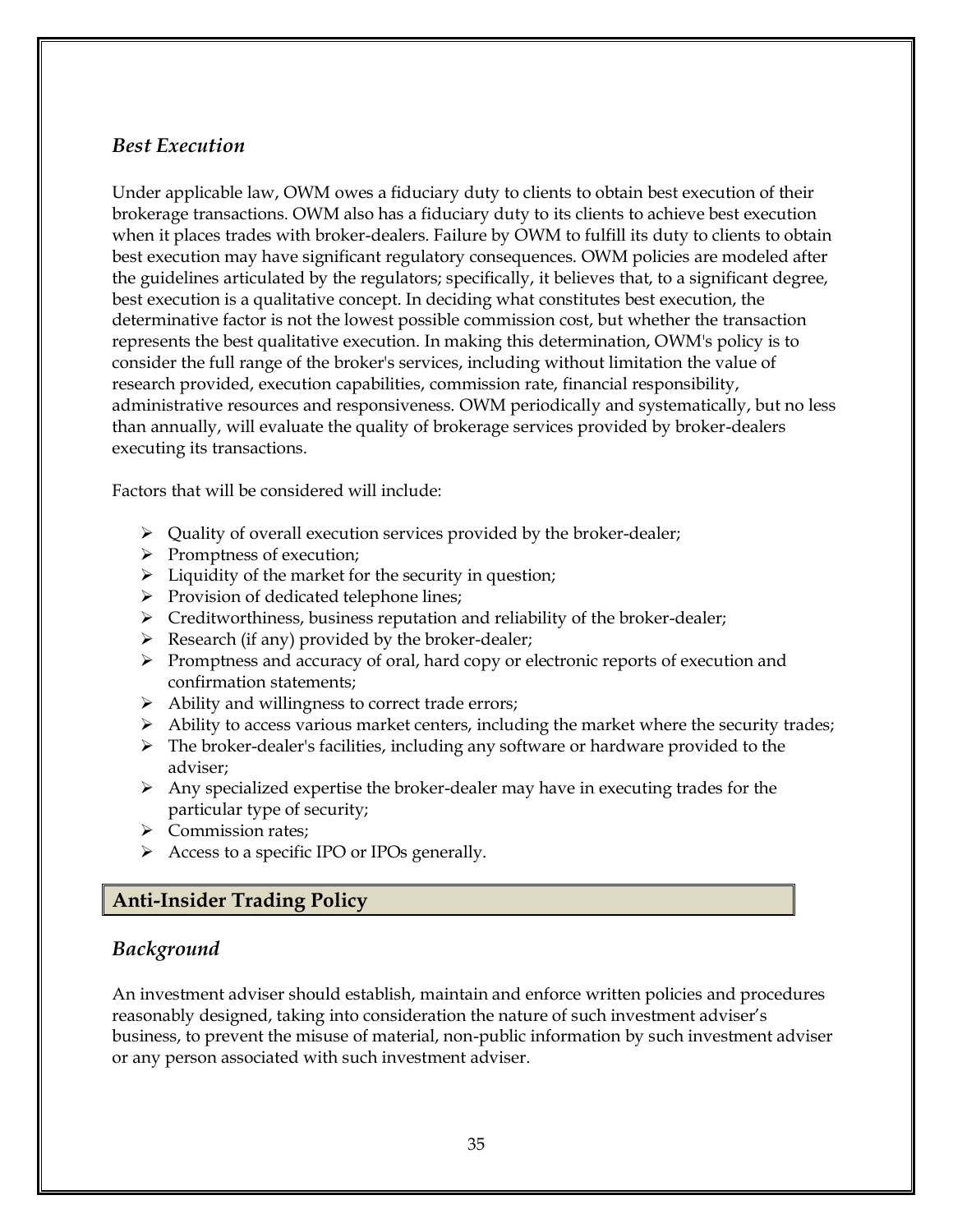#### *Best Execution*

Under applicable law, OWM owes a fiduciary duty to clients to obtain best execution of their brokerage transactions. OWM also has a fiduciary duty to its clients to achieve best execution when it places trades with broker-dealers. Failure by OWM to fulfill its duty to clients to obtain best execution may have significant regulatory consequences. OWM policies are modeled after the guidelines articulated by the regulators; specifically, it believes that, to a significant degree, best execution is a qualitative concept. In deciding what constitutes best execution, the determinative factor is not the lowest possible commission cost, but whether the transaction represents the best qualitative execution. In making this determination, OWM's policy is to consider the full range of the broker's services, including without limitation the value of research provided, execution capabilities, commission rate, financial responsibility, administrative resources and responsiveness. OWM periodically and systematically, but no less than annually, will evaluate the quality of brokerage services provided by broker-dealers executing its transactions.

Factors that will be considered will include:

- ➢ Quality of overall execution services provided by the broker-dealer;
- ➢ Promptness of execution;
- ➢ Liquidity of the market for the security in question;
- ➢ Provision of dedicated telephone lines;
- $\triangleright$  Creditworthiness, business reputation and reliability of the broker-dealer;
- $\triangleright$  Research (if any) provided by the broker-dealer;
- ➢ Promptness and accuracy of oral, hard copy or electronic reports of execution and confirmation statements;
- ➢ Ability and willingness to correct trade errors;
- ➢ Ability to access various market centers, including the market where the security trades;
- ➢ The broker-dealer's facilities, including any software or hardware provided to the adviser;
- $\triangleright$  Any specialized expertise the broker-dealer may have in executing trades for the particular type of security;
- ➢ Commission rates;
- $\triangleright$  Access to a specific IPO or IPOs generally.

#### **Anti-Insider Trading Policy**

#### *Background*

An investment adviser should establish, maintain and enforce written policies and procedures reasonably designed, taking into consideration the nature of such investment adviser's business, to prevent the misuse of material, non-public information by such investment adviser or any person associated with such investment adviser.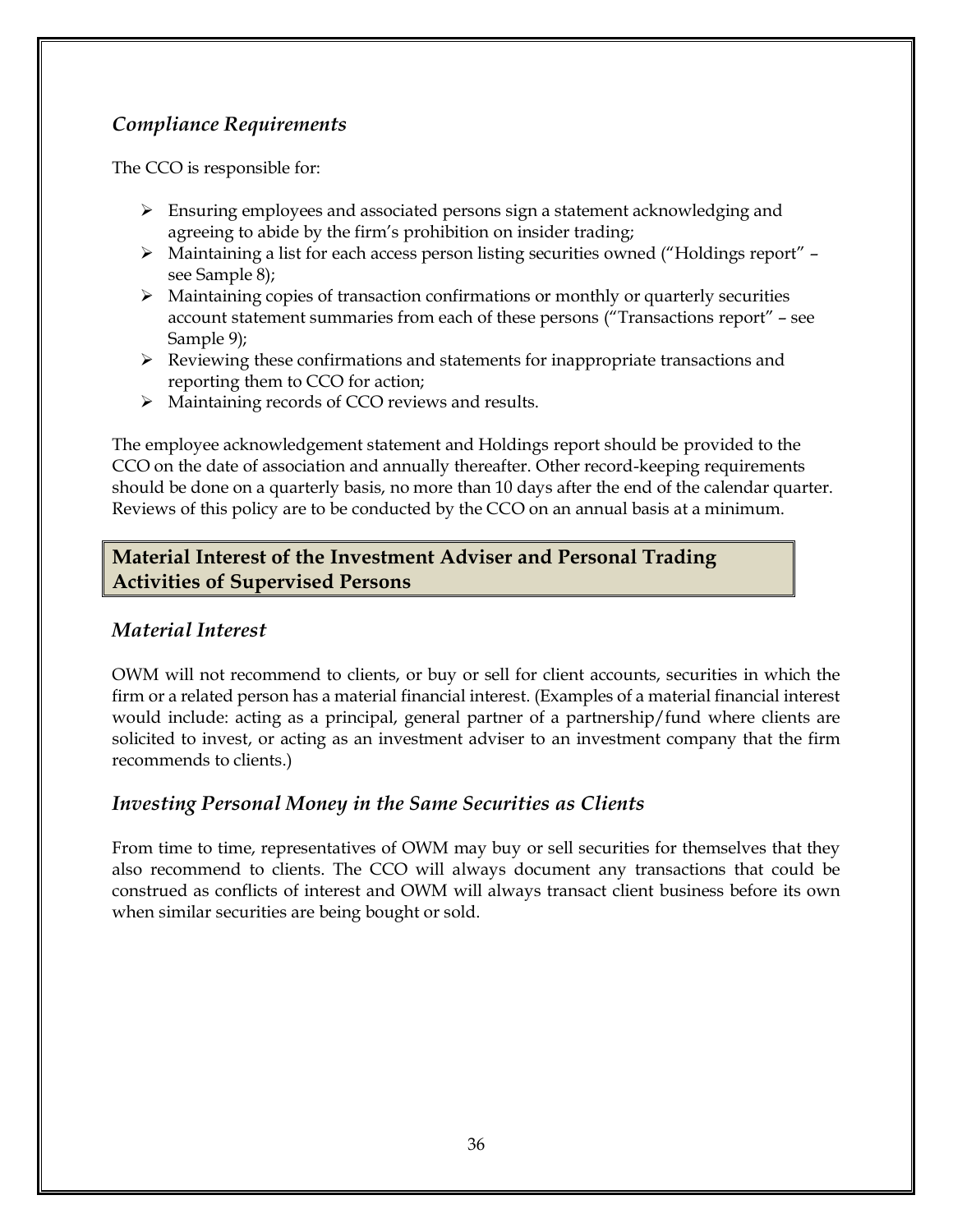# *Compliance Requirements*

The CCO is responsible for:

- ➢ Ensuring employees and associated persons sign a statement acknowledging and agreeing to abide by the firm's prohibition on insider trading;
- ➢ Maintaining a list for each access person listing securities owned ("Holdings report" see Sample 8);
- $\triangleright$  Maintaining copies of transaction confirmations or monthly or quarterly securities account statement summaries from each of these persons ("Transactions report" – see Sample 9);
- ➢ Reviewing these confirmations and statements for inappropriate transactions and reporting them to CCO for action;
- ➢ Maintaining records of CCO reviews and results.

The employee acknowledgement statement and Holdings report should be provided to the CCO on the date of association and annually thereafter. Other record-keeping requirements should be done on a quarterly basis, no more than 10 days after the end of the calendar quarter. Reviews of this policy are to be conducted by the CCO on an annual basis at a minimum.

# **Material Interest of the Investment Adviser and Personal Trading Activities of Supervised Persons**

# *Material Interest*

OWM will not recommend to clients, or buy or sell for client accounts, securities in which the firm or a related person has a material financial interest. (Examples of a material financial interest would include: acting as a principal, general partner of a partnership/fund where clients are solicited to invest, or acting as an investment adviser to an investment company that the firm recommends to clients.)

# *Investing Personal Money in the Same Securities as Clients*

From time to time, representatives of OWM may buy or sell securities for themselves that they also recommend to clients. The CCO will always document any transactions that could be construed as conflicts of interest and OWM will always transact client business before its own when similar securities are being bought or sold.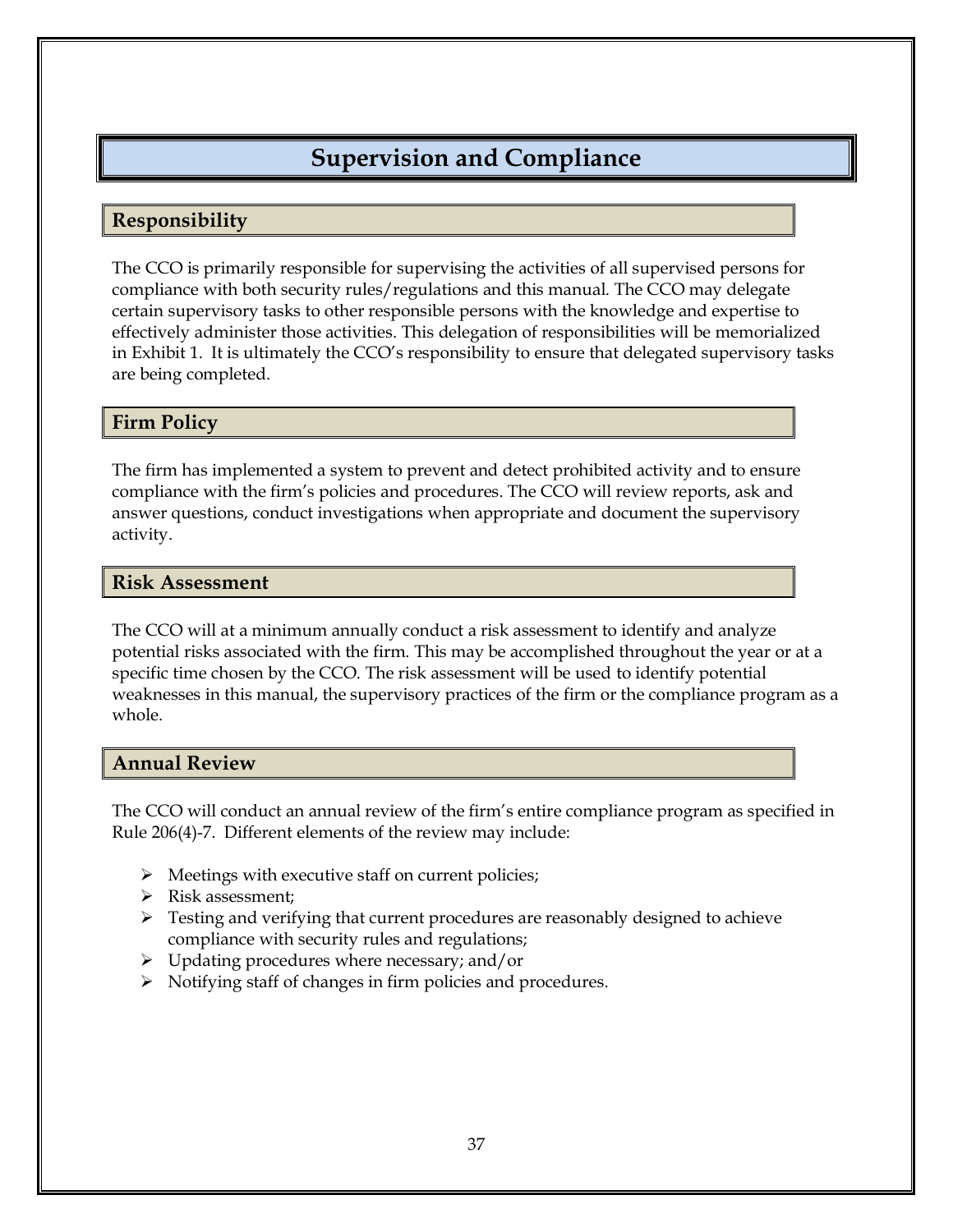# **Supervision and Compliance**

## **Responsibility**

The CCO is primarily responsible for supervising the activities of all supervised persons for compliance with both security rules/regulations and this manual. The CCO may delegate certain supervisory tasks to other responsible persons with the knowledge and expertise to effectively administer those activities. This delegation of responsibilities will be memorialized in Exhibit 1. It is ultimately the CCO's responsibility to ensure that delegated supervisory tasks are being completed.

#### **Firm Policy**

The firm has implemented a system to prevent and detect prohibited activity and to ensure compliance with the firm's policies and procedures. The CCO will review reports, ask and answer questions, conduct investigations when appropriate and document the supervisory activity.

#### **Risk Assessment**

The CCO will at a minimum annually conduct a risk assessment to identify and analyze potential risks associated with the firm. This may be accomplished throughout the year or at a specific time chosen by the CCO. The risk assessment will be used to identify potential weaknesses in this manual, the supervisory practices of the firm or the compliance program as a whole.

#### **Annual Review**

The CCO will conduct an annual review of the firm's entire compliance program as specified in Rule 206(4)-7. Different elements of the review may include:

- ➢ Meetings with executive staff on current policies;
- ➢ Risk assessment;
- $\triangleright$  Testing and verifying that current procedures are reasonably designed to achieve compliance with security rules and regulations;
- ➢ Updating procedures where necessary; and/or
- ➢ Notifying staff of changes in firm policies and procedures.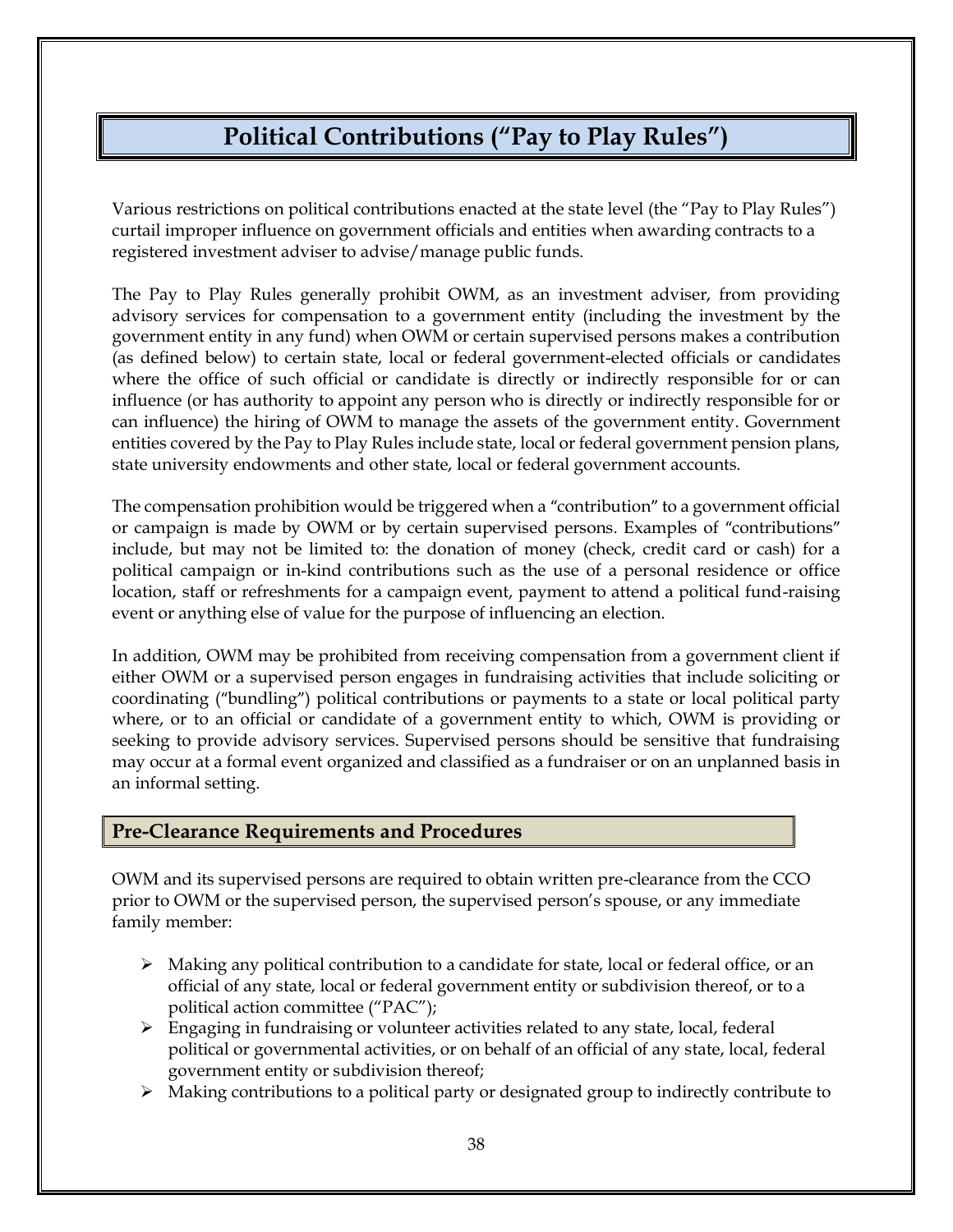# **Political Contributions ("Pay to Play Rules")**

Various restrictions on political contributions enacted at the state level (the "Pay to Play Rules") curtail improper influence on government officials and entities when awarding contracts to a registered investment adviser to advise/manage public funds.

The Pay to Play Rules generally prohibit OWM, as an investment adviser, from providing advisory services for compensation to a government entity (including the investment by the government entity in any fund) when OWM or certain supervised persons makes a contribution (as defined below) to certain state, local or federal government-elected officials or candidates where the office of such official or candidate is directly or indirectly responsible for or can influence (or has authority to appoint any person who is directly or indirectly responsible for or can influence) the hiring of OWM to manage the assets of the government entity. Government entities covered by the Pay to Play Rules include state, local or federal government pension plans, state university endowments and other state, local or federal government accounts.

The compensation prohibition would be triggered when a "contribution" to a government official or campaign is made by OWM or by certain supervised persons. Examples of "contributions" include, but may not be limited to: the donation of money (check, credit card or cash) for a political campaign or in-kind contributions such as the use of a personal residence or office location, staff or refreshments for a campaign event, payment to attend a political fund-raising event or anything else of value for the purpose of influencing an election.

In addition, OWM may be prohibited from receiving compensation from a government client if either OWM or a supervised person engages in fundraising activities that include soliciting or coordinating ("bundling") political contributions or payments to a state or local political party where, or to an official or candidate of a government entity to which, OWM is providing or seeking to provide advisory services. Supervised persons should be sensitive that fundraising may occur at a formal event organized and classified as a fundraiser or on an unplanned basis in an informal setting.

#### **Pre-Clearance Requirements and Procedures**

OWM and its supervised persons are required to obtain written pre-clearance from the CCO prior to OWM or the supervised person, the supervised person's spouse, or any immediate family member:

- $\triangleright$  Making any political contribution to a candidate for state, local or federal office, or an official of any state, local or federal government entity or subdivision thereof, or to a political action committee ("PAC");
- $\triangleright$  Engaging in fundraising or volunteer activities related to any state, local, federal political or governmental activities, or on behalf of an official of any state, local, federal government entity or subdivision thereof;
- $\triangleright$  Making contributions to a political party or designated group to indirectly contribute to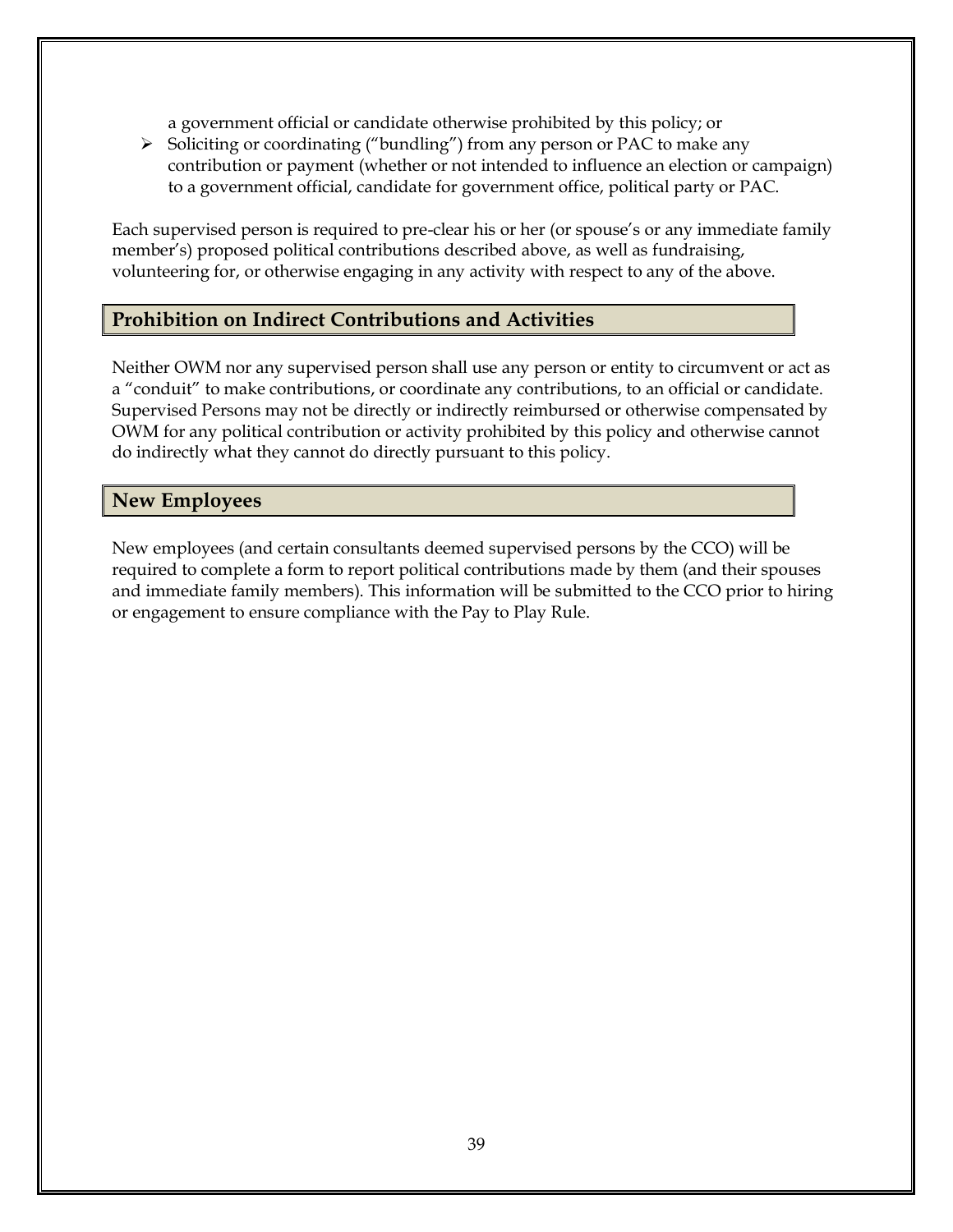a government official or candidate otherwise prohibited by this policy; or

➢ Soliciting or coordinating ("bundling") from any person or PAC to make any contribution or payment (whether or not intended to influence an election or campaign) to a government official, candidate for government office, political party or PAC.

Each supervised person is required to pre-clear his or her (or spouse's or any immediate family member's) proposed political contributions described above, as well as fundraising, volunteering for, or otherwise engaging in any activity with respect to any of the above.

# **Prohibition on Indirect Contributions and Activities**

Neither OWM nor any supervised person shall use any person or entity to circumvent or act as a "conduit" to make contributions, or coordinate any contributions, to an official or candidate. Supervised Persons may not be directly or indirectly reimbursed or otherwise compensated by OWM for any political contribution or activity prohibited by this policy and otherwise cannot do indirectly what they cannot do directly pursuant to this policy.

## **New Employees**

New employees (and certain consultants deemed supervised persons by the CCO) will be required to complete a form to report political contributions made by them (and their spouses and immediate family members). This information will be submitted to the CCO prior to hiring or engagement to ensure compliance with the Pay to Play Rule.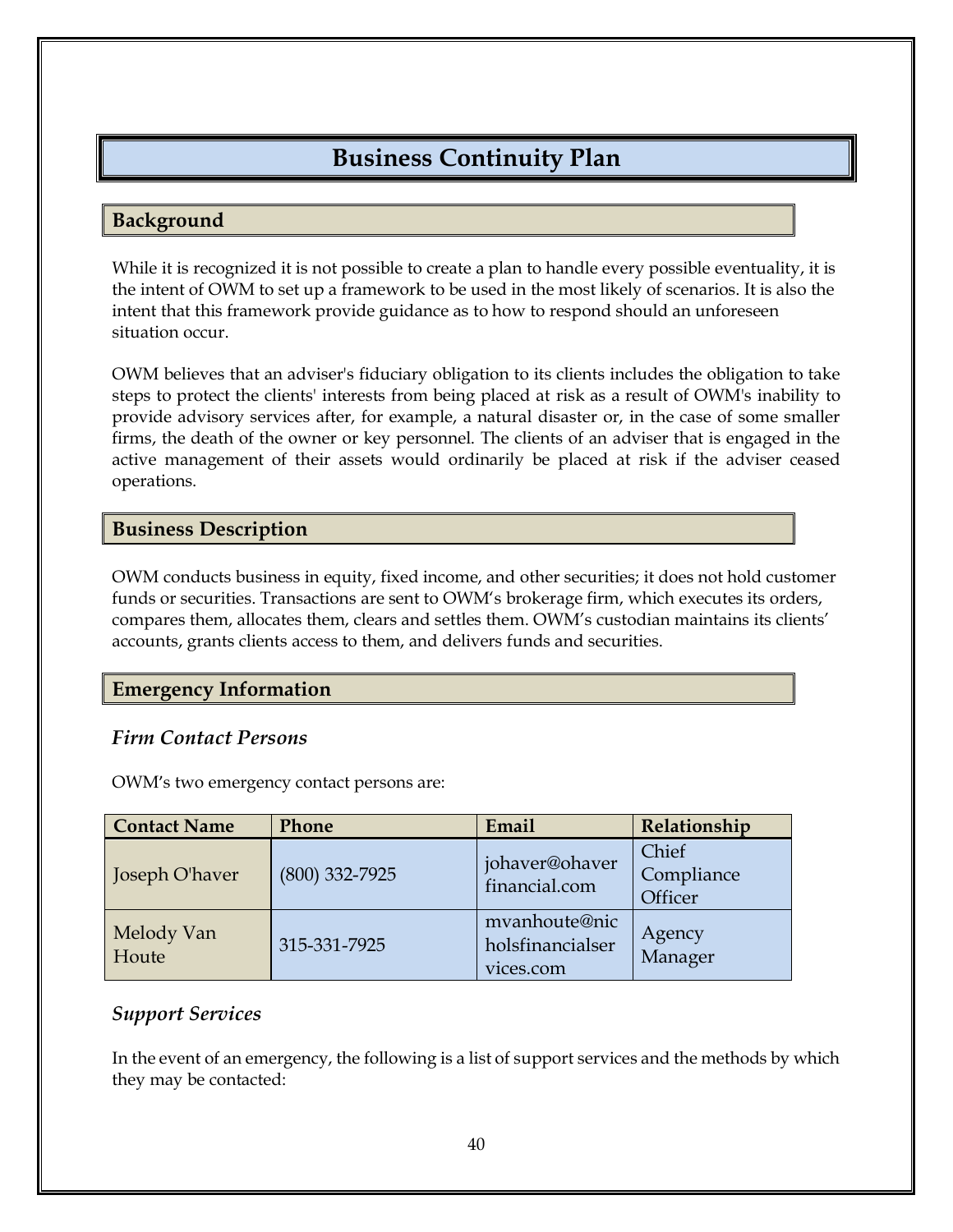# **Business Continuity Plan**

## **Background**

While it is recognized it is not possible to create a plan to handle every possible eventuality, it is the intent of OWM to set up a framework to be used in the most likely of scenarios. It is also the intent that this framework provide guidance as to how to respond should an unforeseen situation occur.

OWM believes that an adviser's fiduciary obligation to its clients includes the obligation to take steps to protect the clients' interests from being placed at risk as a result of OWM's inability to provide advisory services after, for example, a natural disaster or, in the case of some smaller firms, the death of the owner or key personnel. The clients of an adviser that is engaged in the active management of their assets would ordinarily be placed at risk if the adviser ceased operations.

## **Business Description**

OWM conducts business in equity, fixed income, and other securities; it does not hold customer funds or securities. Transactions are sent to OWM's brokerage firm, which executes its orders, compares them, allocates them, clears and settles them. OWM's custodian maintains its clients' accounts, grants clients access to them, and delivers funds and securities.

# **Emergency Information**

# *Firm Contact Persons*

OWM's two emergency contact persons are:

| <b>Contact Name</b> | <b>Phone</b>     | Email                                          | Relationship                   |
|---------------------|------------------|------------------------------------------------|--------------------------------|
| Joseph O'haver      | $(800)$ 332-7925 | johaver@ohaver<br>financial.com                | Chief<br>Compliance<br>Officer |
| Melody Van<br>Houte | 315-331-7925     | mvanhoute@nic<br>holsfinancialser<br>vices.com | Agency<br>Manager              |

# *Support Services*

In the event of an emergency, the following is a list of support services and the methods by which they may be contacted: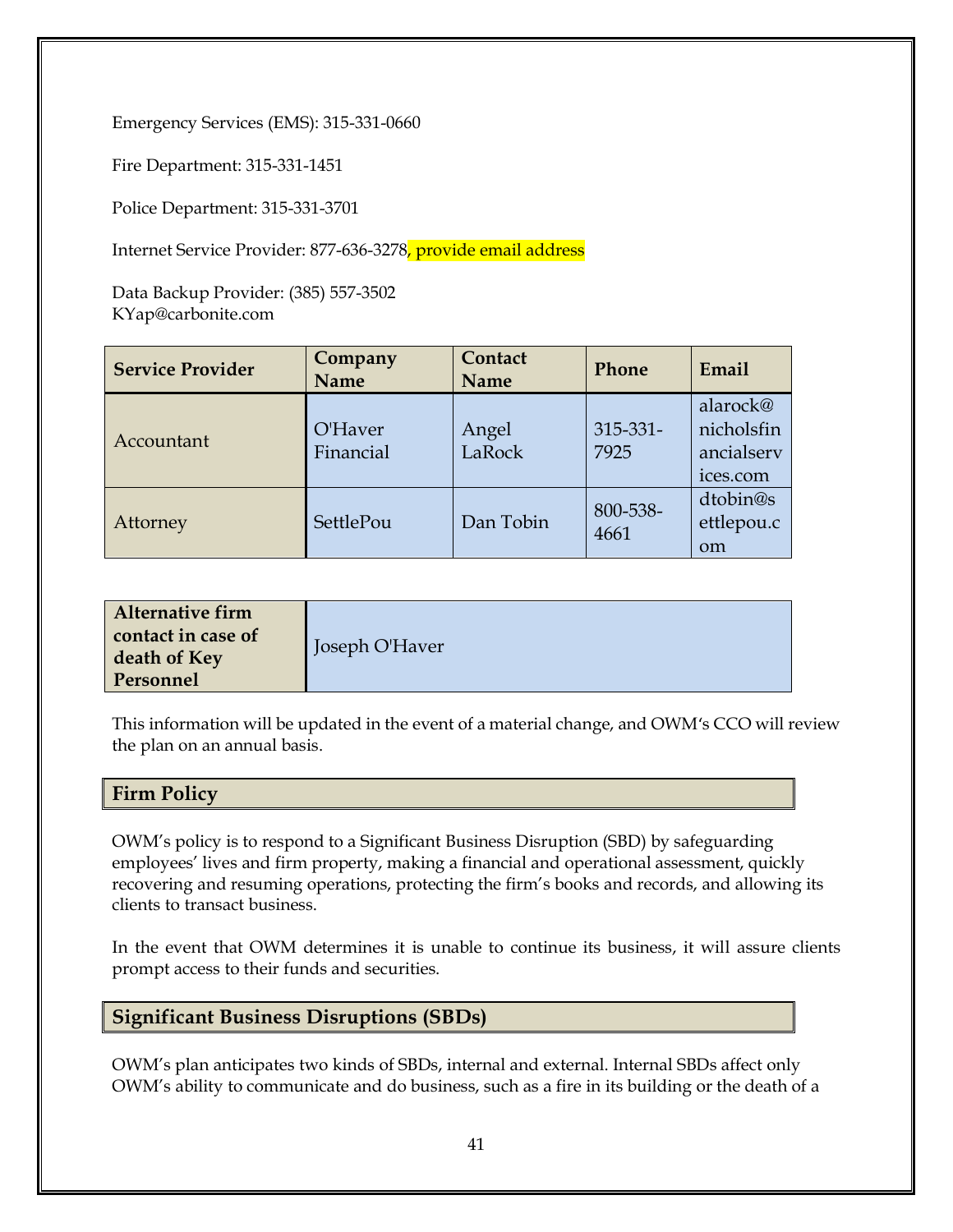Emergency Services (EMS): 315-331-0660

Fire Department: 315-331-1451

Police Department: 315-331-3701

Internet Service Provider: 877-636-3278, provide email address

Data Backup Provider: (385) 557-3502 KYap@carbonite.com

| <b>Service Provider</b> | Company<br><b>Name</b> | Contact<br><b>Name</b> | Phone                 | Email                                            |
|-------------------------|------------------------|------------------------|-----------------------|--------------------------------------------------|
| Accountant              | O'Haver<br>Financial   | Angel<br>LaRock        | $315 - 331 -$<br>7925 | alarock@<br>nicholsfin<br>ancialserv<br>ices.com |
| Attorney                | SettlePou              | Dan Tobin              | 800-538-<br>4661      | dtobin@s<br>ettlepou.c<br><sub>om</sub>          |

This information will be updated in the event of a material change, and OWM's CCO will review the plan on an annual basis.

**Firm Policy**

OWM's policy is to respond to a Significant Business Disruption (SBD) by safeguarding employees' lives and firm property, making a financial and operational assessment, quickly recovering and resuming operations, protecting the firm's books and records, and allowing its clients to transact business.

In the event that OWM determines it is unable to continue its business, it will assure clients prompt access to their funds and securities.

#### **Significant Business Disruptions (SBDs)**

OWM's plan anticipates two kinds of SBDs, internal and external. Internal SBDs affect only OWM's ability to communicate and do business, such as a fire in its building or the death of a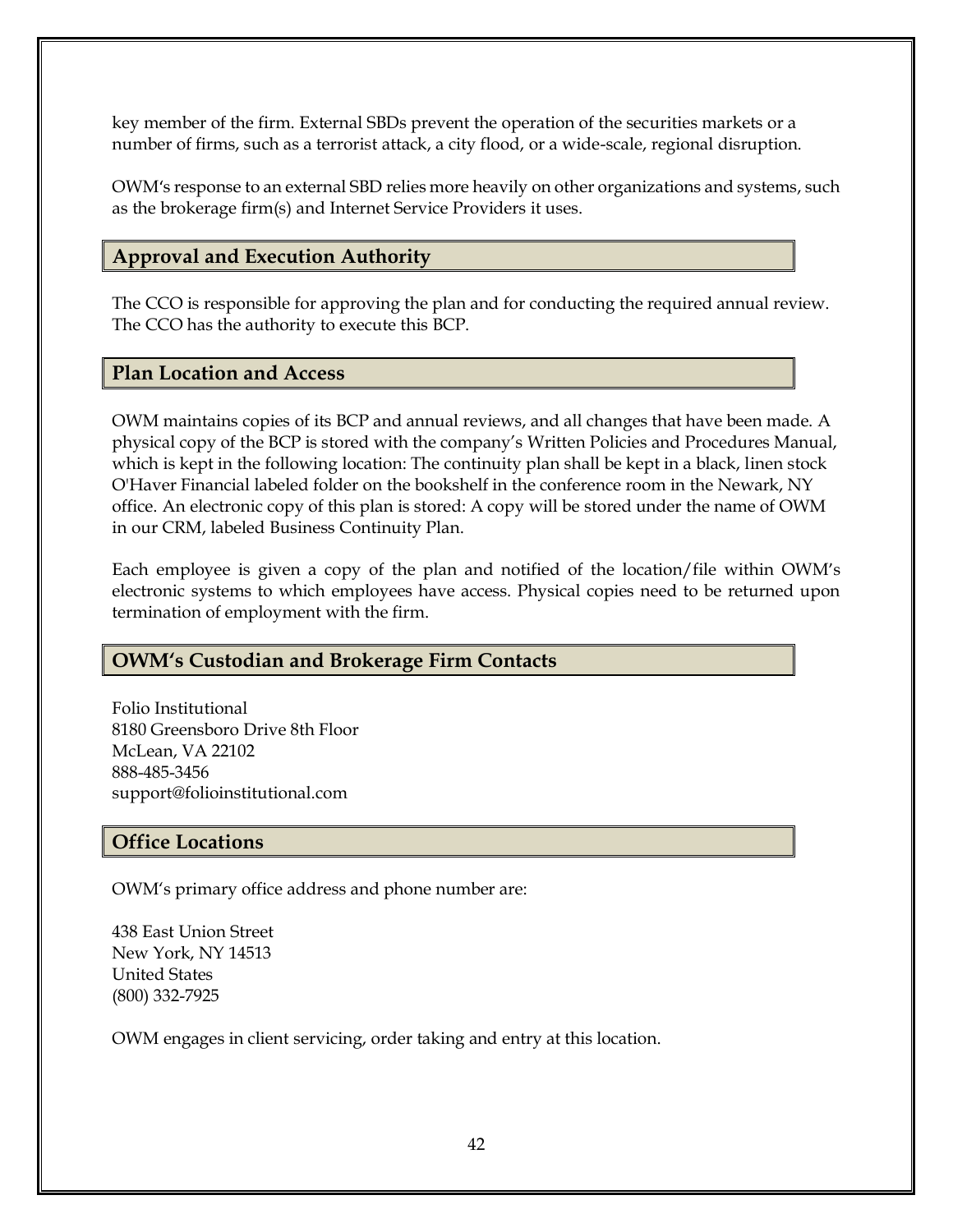key member of the firm. External SBDs prevent the operation of the securities markets or a number of firms, such as a terrorist attack, a city flood, or a wide-scale, regional disruption.

OWM's response to an external SBD relies more heavily on other organizations and systems, such as the brokerage firm(s) and Internet Service Providers it uses.

## **Approval and Execution Authority**

The CCO is responsible for approving the plan and for conducting the required annual review. The CCO has the authority to execute this BCP.

#### **Plan Location and Access**

OWM maintains copies of its BCP and annual reviews, and all changes that have been made. A physical copy of the BCP is stored with the company's Written Policies and Procedures Manual, which is kept in the following location: The continuity plan shall be kept in a black, linen stock O'Haver Financial labeled folder on the bookshelf in the conference room in the Newark, NY office. An electronic copy of this plan is stored: A copy will be stored under the name of OWM in our CRM, labeled Business Continuity Plan.

Each employee is given a copy of the plan and notified of the location/file within OWM's electronic systems to which employees have access. Physical copies need to be returned upon termination of employment with the firm.

# **OWM's Custodian and Brokerage Firm Contacts**

Folio Institutional 8180 Greensboro Drive 8th Floor McLean, VA 22102 888-485-3456 support@folioinstitutional.com

# **Office Locations**

OWM's primary office address and phone number are:

438 East Union Street New York, NY 14513 United States (800) 332-7925

OWM engages in client servicing, order taking and entry at this location.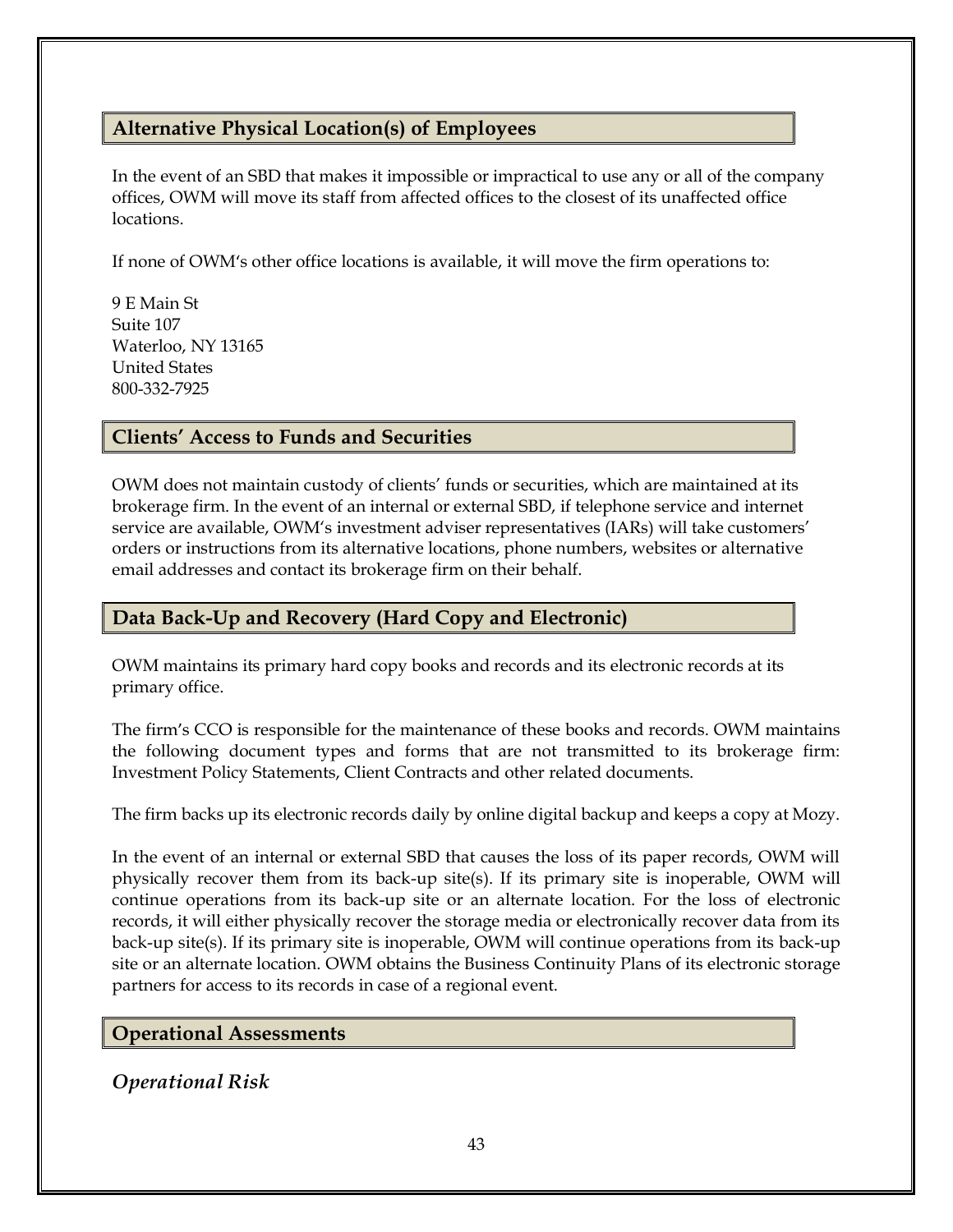# **Alternative Physical Location(s) of Employees**

In the event of an SBD that makes it impossible or impractical to use any or all of the company offices, OWM will move its staff from affected offices to the closest of its unaffected office locations.

If none of OWM's other office locations is available, it will move the firm operations to:

9 E Main St Suite 107 Waterloo, NY 13165 United States 800-332-7925

#### **Clients' Access to Funds and Securities**

OWM does not maintain custody of clients' funds or securities, which are maintained at its brokerage firm. In the event of an internal or external SBD, if telephone service and internet service are available, OWM's investment adviser representatives (IARs) will take customers' orders or instructions from its alternative locations, phone numbers, websites or alternative email addresses and contact its brokerage firm on their behalf.

#### **Data Back-Up and Recovery (Hard Copy and Electronic)**

OWM maintains its primary hard copy books and records and its electronic records at its primary office.

The firm's CCO is responsible for the maintenance of these books and records. OWM maintains the following document types and forms that are not transmitted to its brokerage firm: Investment Policy Statements, Client Contracts and other related documents.

The firm backs up its electronic records daily by online digital backup and keeps a copy at Mozy.

In the event of an internal or external SBD that causes the loss of its paper records, OWM will physically recover them from its back-up site(s). If its primary site is inoperable, OWM will continue operations from its back-up site or an alternate location. For the loss of electronic records, it will either physically recover the storage media or electronically recover data from its back-up site(s). If its primary site is inoperable, OWM will continue operations from its back-up site or an alternate location. OWM obtains the Business Continuity Plans of its electronic storage partners for access to its records in case of a regional event.

#### **Operational Assessments**

*Operational Risk*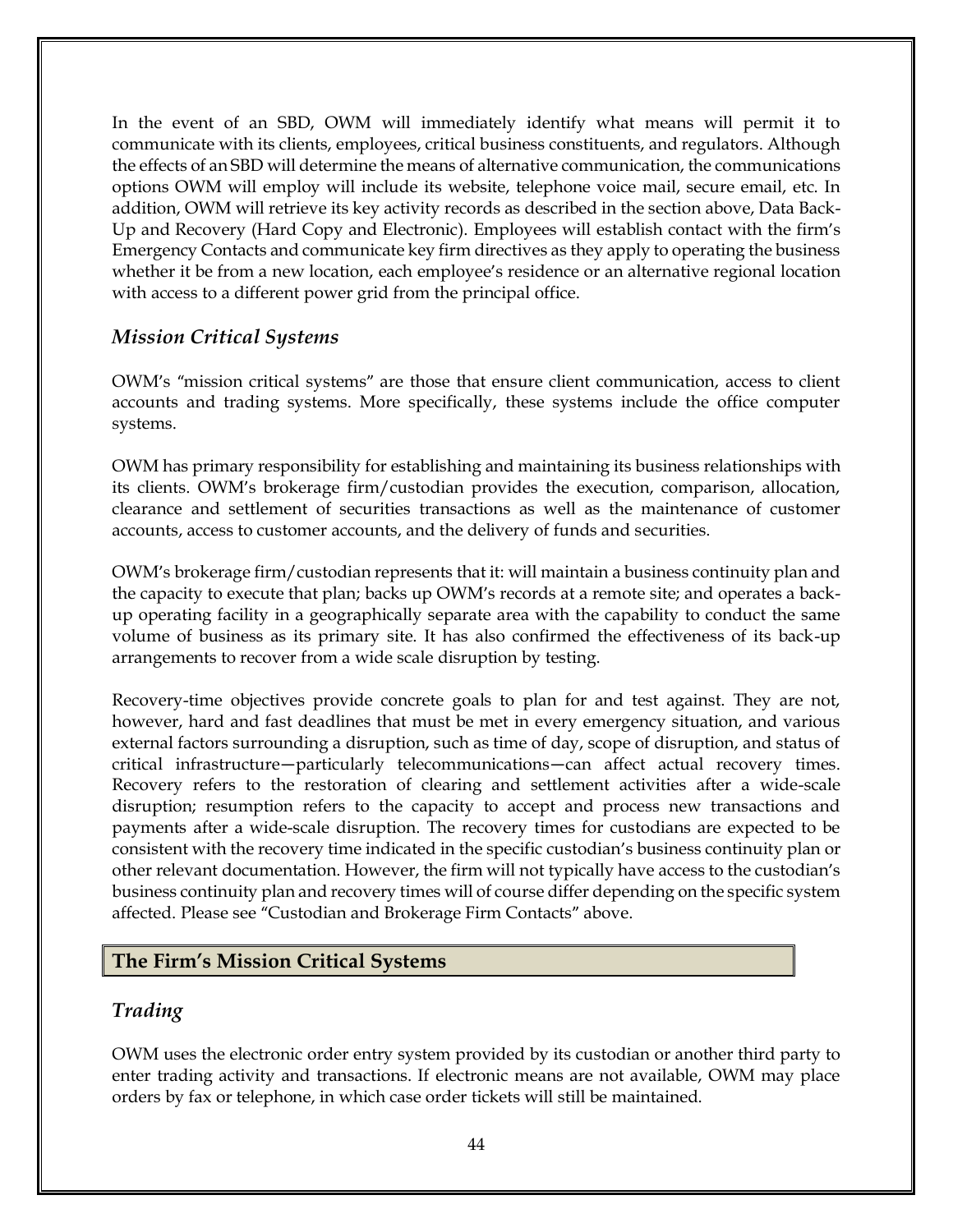In the event of an SBD, OWM will immediately identify what means will permit it to communicate with its clients, employees, critical business constituents, and regulators. Although the effects of an SBD will determine the means of alternative communication, the communications options OWM will employ will include its website, telephone voice mail, secure email, etc. In addition, OWM will retrieve its key activity records as described in the section above, Data Back-Up and Recovery (Hard Copy and Electronic). Employees will establish contact with the firm's Emergency Contacts and communicate key firm directives as they apply to operating the business whether it be from a new location, each employee's residence or an alternative regional location with access to a different power grid from the principal office.

#### *Mission Critical Systems*

OWM's "mission critical systems" are those that ensure client communication, access to client accounts and trading systems. More specifically, these systems include the office computer systems.

OWM has primary responsibility for establishing and maintaining its business relationships with its clients. OWM's brokerage firm/custodian provides the execution, comparison, allocation, clearance and settlement of securities transactions as well as the maintenance of customer accounts, access to customer accounts, and the delivery of funds and securities.

OWM's brokerage firm/custodian represents that it: will maintain a business continuity plan and the capacity to execute that plan; backs up OWM's records at a remote site; and operates a backup operating facility in a geographically separate area with the capability to conduct the same volume of business as its primary site. It has also confirmed the effectiveness of its back-up arrangements to recover from a wide scale disruption by testing.

Recovery-time objectives provide concrete goals to plan for and test against. They are not, however, hard and fast deadlines that must be met in every emergency situation, and various external factors surrounding a disruption, such as time of day, scope of disruption, and status of critical infrastructure—particularly telecommunications—can affect actual recovery times. Recovery refers to the restoration of clearing and settlement activities after a wide-scale disruption; resumption refers to the capacity to accept and process new transactions and payments after a wide-scale disruption. The recovery times for custodians are expected to be consistent with the recovery time indicated in the specific custodian's business continuity plan or other relevant documentation. However, the firm will not typically have access to the custodian's business continuity plan and recovery times will of course differ depending on the specific system affected. Please see "Custodian and Brokerage Firm Contacts" above.

#### **The Firm's Mission Critical Systems**

#### *Trading*

OWM uses the electronic order entry system provided by its custodian or another third party to enter trading activity and transactions. If electronic means are not available, OWM may place orders by fax or telephone, in which case order tickets will still be maintained.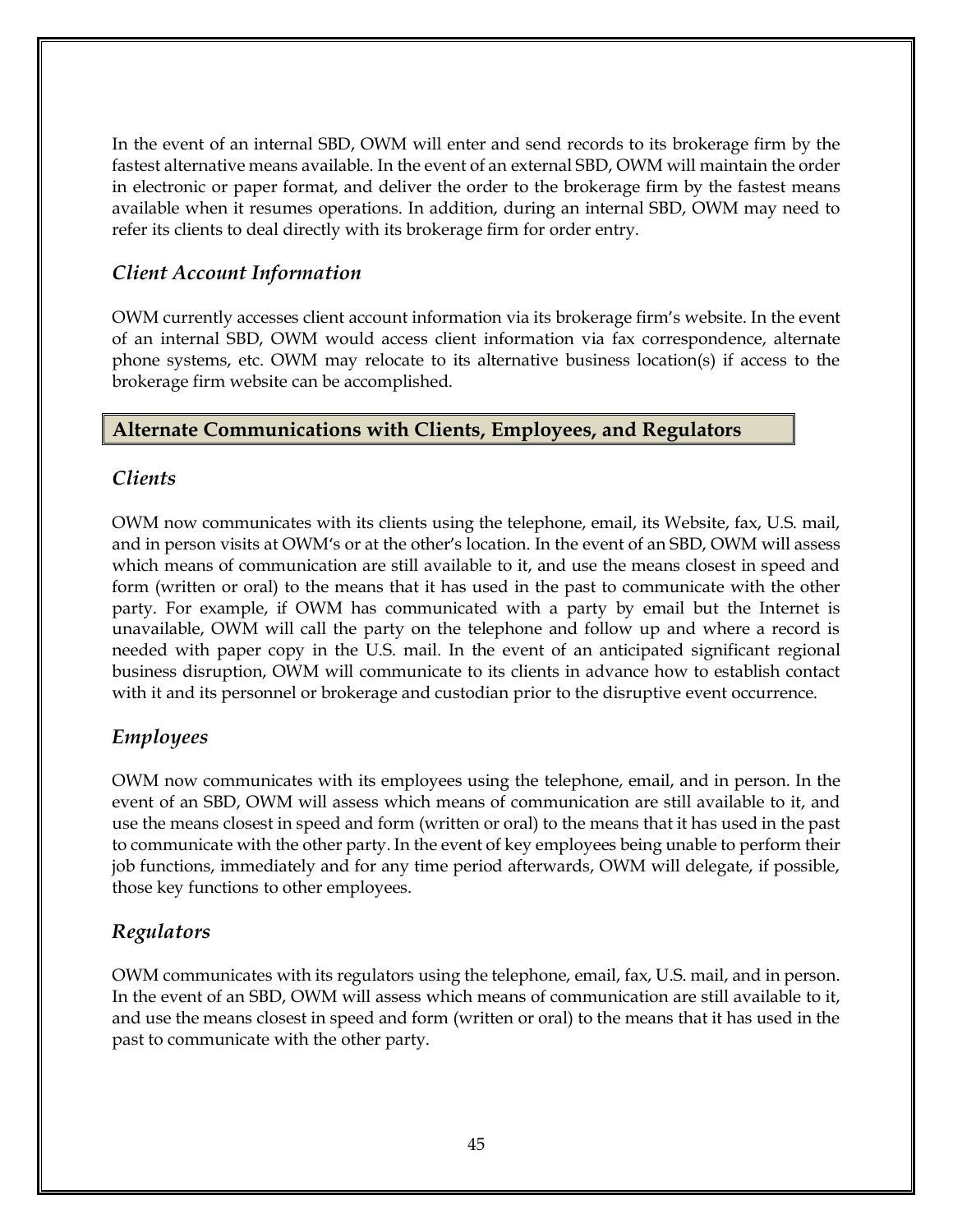In the event of an internal SBD, OWM will enter and send records to its brokerage firm by the fastest alternative means available. In the event of an external SBD, OWM will maintain the order in electronic or paper format, and deliver the order to the brokerage firm by the fastest means available when it resumes operations. In addition, during an internal SBD, OWM may need to refer its clients to deal directly with its brokerage firm for order entry.

# *Client Account Information*

OWM currently accesses client account information via its brokerage firm's website. In the event of an internal SBD, OWM would access client information via fax correspondence, alternate phone systems, etc. OWM may relocate to its alternative business location(s) if access to the brokerage firm website can be accomplished.

# **Alternate Communications with Clients, Employees, and Regulators**

# *Clients*

OWM now communicates with its clients using the telephone, email, its Website, fax, U.S. mail, and in person visits at OWM's or at the other's location. In the event of an SBD, OWM will assess which means of communication are still available to it, and use the means closest in speed and form (written or oral) to the means that it has used in the past to communicate with the other party. For example, if OWM has communicated with a party by email but the Internet is unavailable, OWM will call the party on the telephone and follow up and where a record is needed with paper copy in the U.S. mail. In the event of an anticipated significant regional business disruption, OWM will communicate to its clients in advance how to establish contact with it and its personnel or brokerage and custodian prior to the disruptive event occurrence.

# *Employees*

OWM now communicates with its employees using the telephone, email, and in person. In the event of an SBD, OWM will assess which means of communication are still available to it, and use the means closest in speed and form (written or oral) to the means that it has used in the past to communicate with the other party. In the event of key employees being unable to perform their job functions, immediately and for any time period afterwards, OWM will delegate, if possible, those key functions to other employees.

# *Regulators*

OWM communicates with its regulators using the telephone, email, fax, U.S. mail, and in person. In the event of an SBD, OWM will assess which means of communication are still available to it, and use the means closest in speed and form (written or oral) to the means that it has used in the past to communicate with the other party.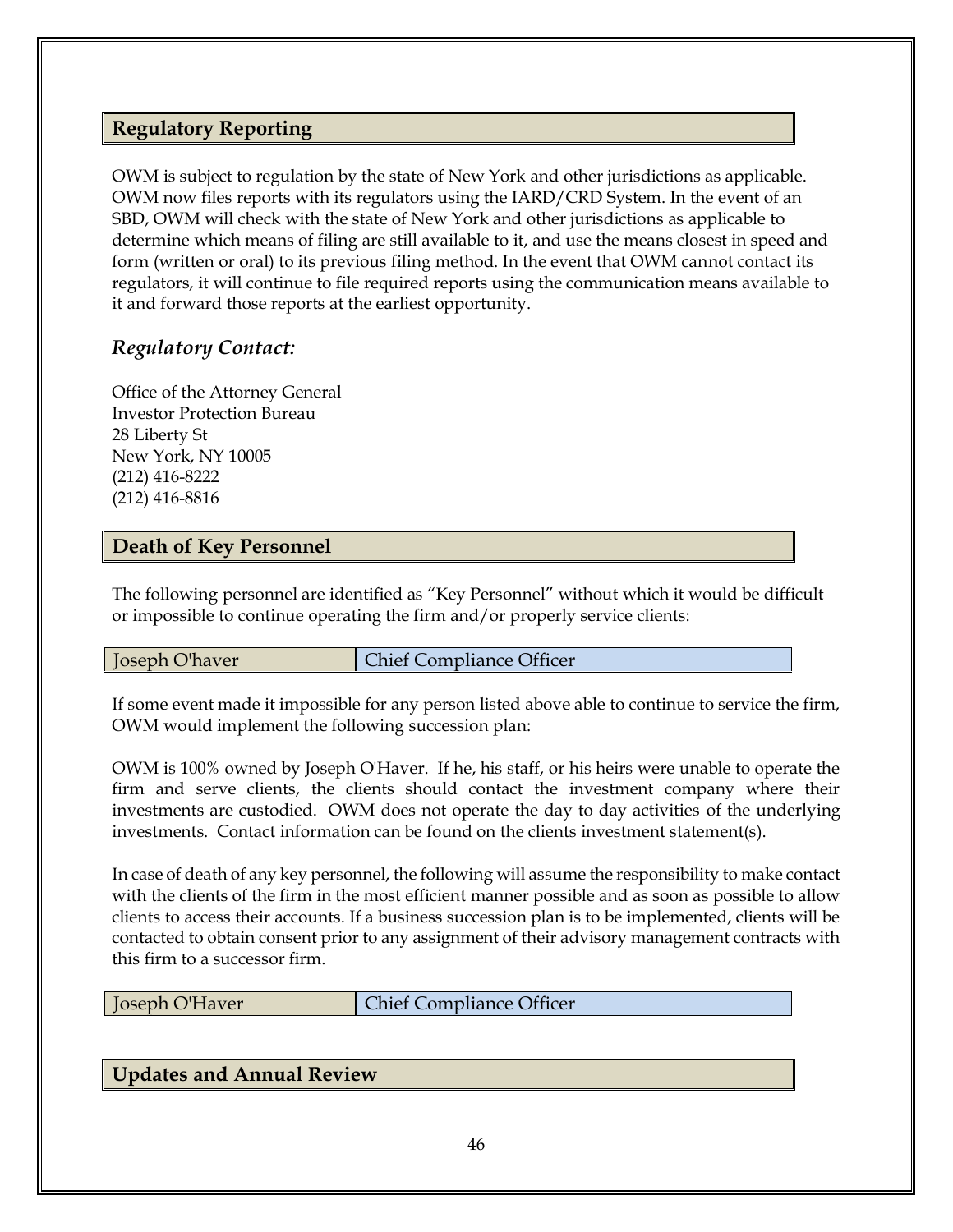## **Regulatory Reporting**

OWM is subject to regulation by the state of New York and other jurisdictions as applicable. OWM now files reports with its regulators using the IARD/CRD System. In the event of an SBD, OWM will check with the state of New York and other jurisdictions as applicable to determine which means of filing are still available to it, and use the means closest in speed and form (written or oral) to its previous filing method. In the event that OWM cannot contact its regulators, it will continue to file required reports using the communication means available to it and forward those reports at the earliest opportunity.

# *Regulatory Contact:*

Office of the Attorney General Investor Protection Bureau 28 Liberty St New York, NY 10005 (212) 416-8222 (212) 416-8816

#### **Death of Key Personnel**

The following personnel are identified as "Key Personnel" without which it would be difficult or impossible to continue operating the firm and/or properly service clients:

**Joseph O'haver** Chief Compliance Officer

If some event made it impossible for any person listed above able to continue to service the firm, OWM would implement the following succession plan:

OWM is 100% owned by Joseph O'Haver. If he, his staff, or his heirs were unable to operate the firm and serve clients, the clients should contact the investment company where their investments are custodied. OWM does not operate the day to day activities of the underlying investments. Contact information can be found on the clients investment statement(s).

In case of death of any key personnel, the following will assume the responsibility to make contact with the clients of the firm in the most efficient manner possible and as soon as possible to allow clients to access their accounts. If a business succession plan is to be implemented, clients will be contacted to obtain consent prior to any assignment of their advisory management contracts with this firm to a successor firm.

| <b>Chief Compliance Officer</b><br>Joseph O'Haver |
|---------------------------------------------------|
|---------------------------------------------------|

#### **Updates and Annual Review**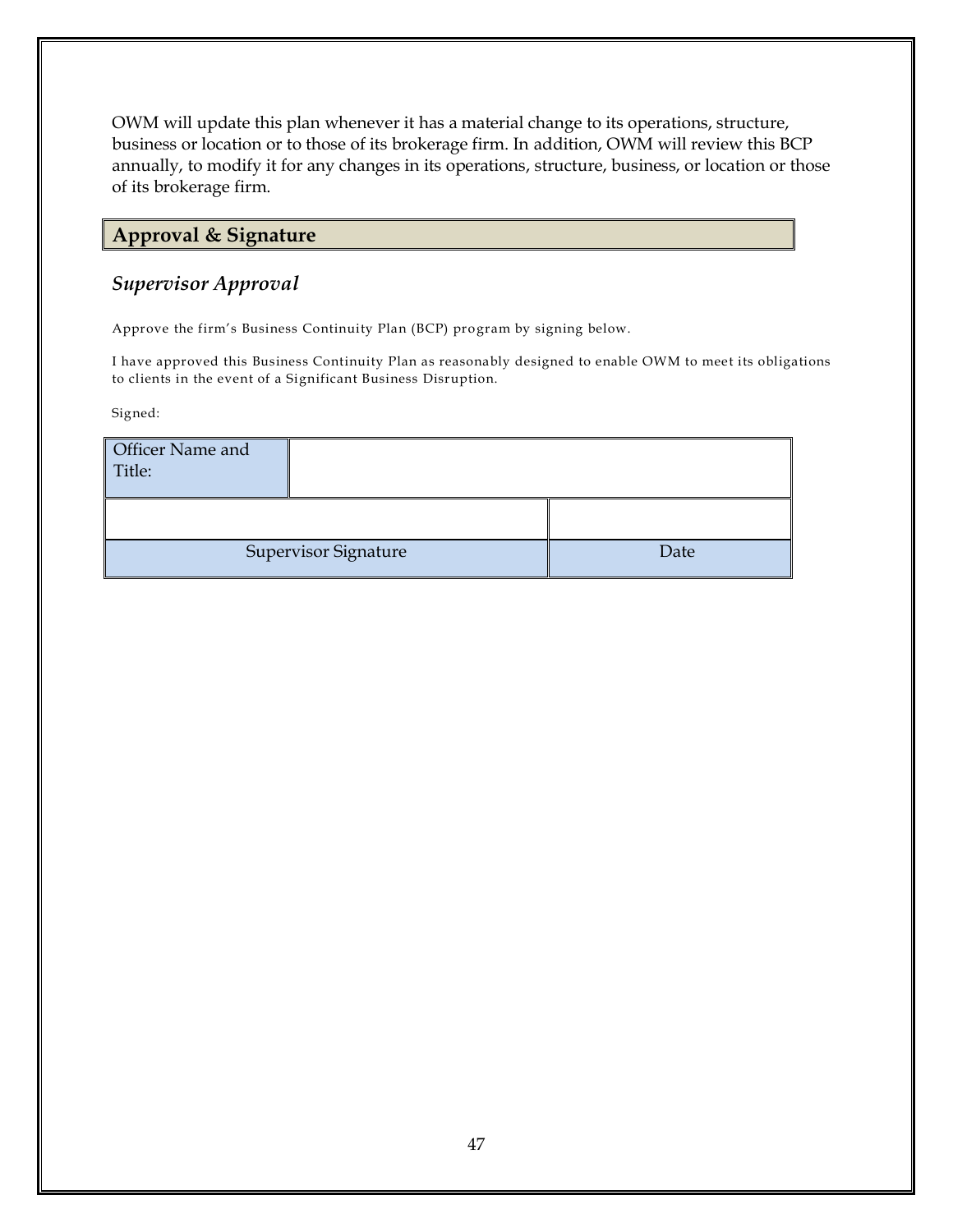OWM will update this plan whenever it has a material change to its operations, structure, business or location or to those of its brokerage firm. In addition, OWM will review this BCP annually, to modify it for any changes in its operations, structure, business, or location or those of its brokerage firm.

# **Approval & Signature**

## *Supervisor Approval*

Approve the firm's Business Continuity Plan (BCP) program by signing below.

I have approved this Business Continuity Plan as reasonably designed to enable OWM to meet its obligations to clients in the event of a Significant Business Disruption.

Signed:

| Officer Name and<br>Title: |                             |      |
|----------------------------|-----------------------------|------|
|                            |                             |      |
|                            | <b>Supervisor Signature</b> | Date |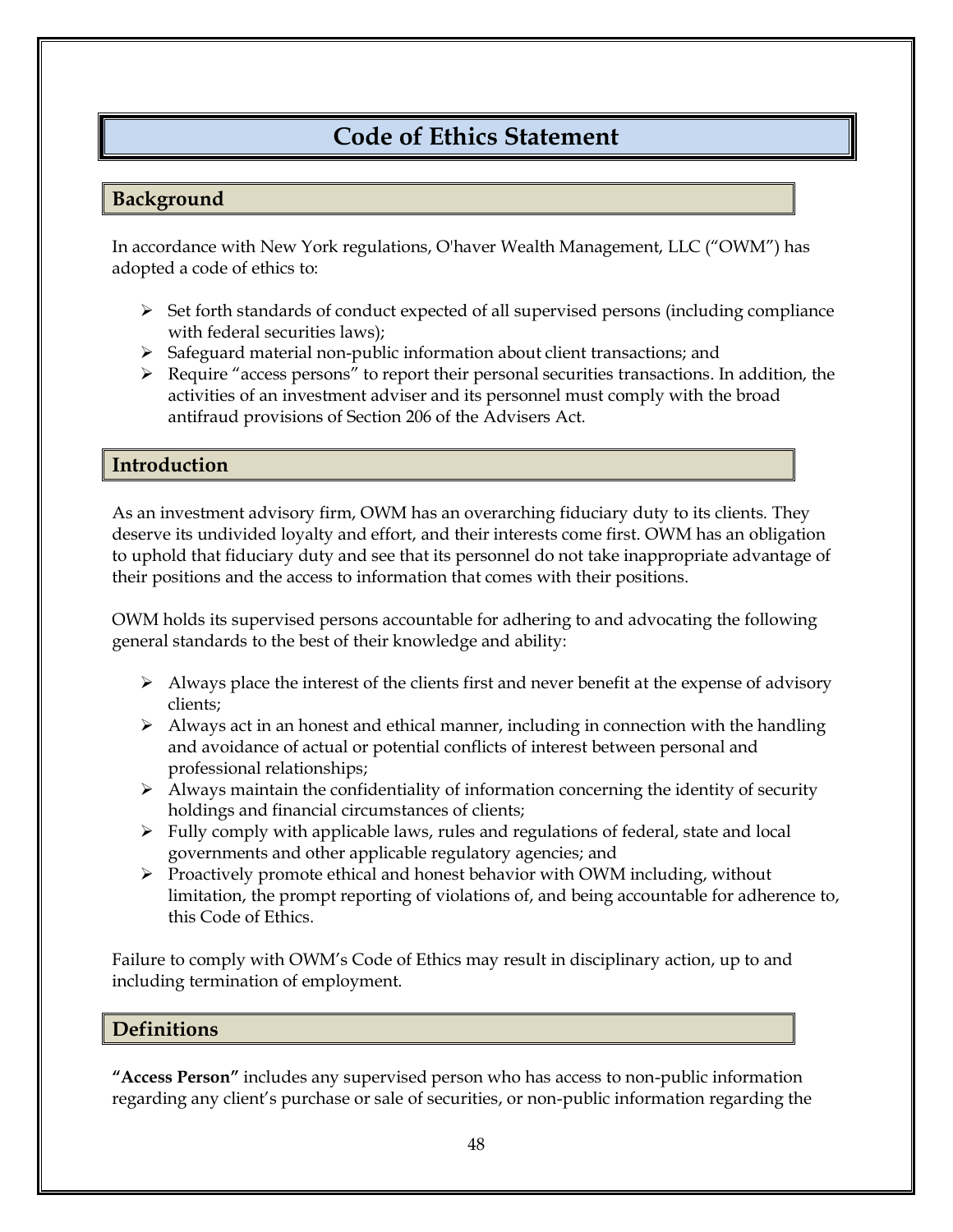# **Code of Ethics Statement**

## **Background**

In accordance with New York regulations, O'haver Wealth Management, LLC ("OWM") has adopted a code of ethics to:

- $\triangleright$  Set forth standards of conduct expected of all supervised persons (including compliance with federal securities laws);
- ➢ Safeguard material non-public information about client transactions; and
- $\triangleright$  Require "access persons" to report their personal securities transactions. In addition, the activities of an investment adviser and its personnel must comply with the broad antifraud provisions of Section 206 of the Advisers Act.

#### **Introduction**

As an investment advisory firm, OWM has an overarching fiduciary duty to its clients. They deserve its undivided loyalty and effort, and their interests come first. OWM has an obligation to uphold that fiduciary duty and see that its personnel do not take inappropriate advantage of their positions and the access to information that comes with their positions.

OWM holds its supervised persons accountable for adhering to and advocating the following general standards to the best of their knowledge and ability:

- ➢ Always place the interest of the clients first and never benefit at the expense of advisory clients;
- $\triangleright$  Always act in an honest and ethical manner, including in connection with the handling and avoidance of actual or potential conflicts of interest between personal and professional relationships;
- ➢ Always maintain the confidentiality of information concerning the identity of security holdings and financial circumstances of clients;
- $\triangleright$  Fully comply with applicable laws, rules and regulations of federal, state and local governments and other applicable regulatory agencies; and
- $\triangleright$  Proactively promote ethical and honest behavior with OWM including, without limitation, the prompt reporting of violations of, and being accountable for adherence to, this Code of Ethics.

Failure to comply with OWM's Code of Ethics may result in disciplinary action, up to and including termination of employment.

#### **Definitions**

**"Access Person"** includes any supervised person who has access to non-public information regarding any client's purchase or sale of securities, or non-public information regarding the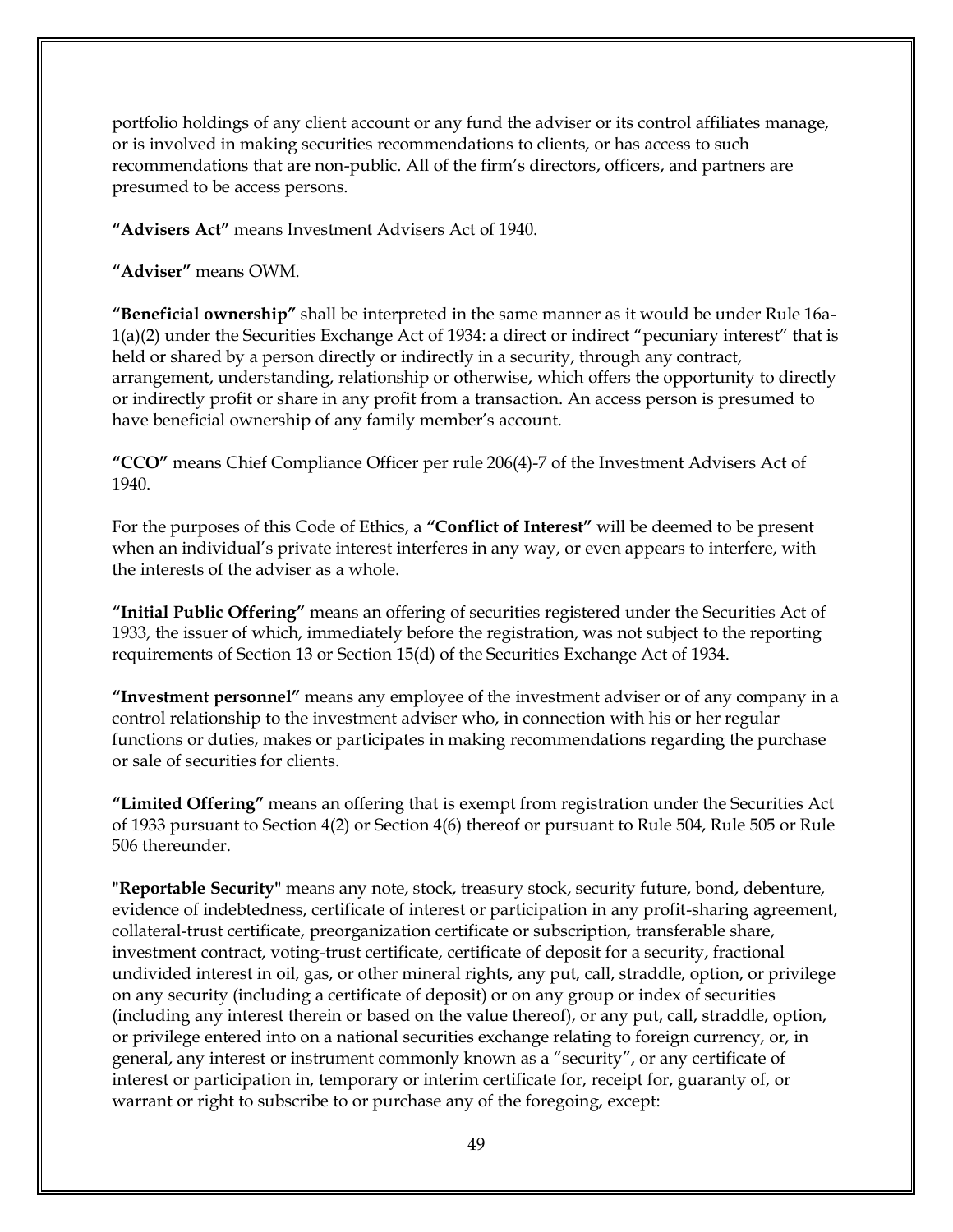portfolio holdings of any client account or any fund the adviser or its control affiliates manage, or is involved in making securities recommendations to clients, or has access to such recommendations that are non-public. All of the firm's directors, officers, and partners are presumed to be access persons.

**"Advisers Act"** means Investment Advisers Act of 1940.

**"Adviser"** means OWM.

**"Beneficial ownership"** shall be interpreted in the same manner as it would be under Rule 16a-1(a)(2) under the Securities Exchange Act of 1934: a direct or indirect "pecuniary interest" that is held or shared by a person directly or indirectly in a security, through any contract, arrangement, understanding, relationship or otherwise, which offers the opportunity to directly or indirectly profit or share in any profit from a transaction. An access person is presumed to have beneficial ownership of any family member's account.

**"CCO"** means Chief Compliance Officer per rule 206(4)-7 of the Investment Advisers Act of 1940.

For the purposes of this Code of Ethics, a **"Conflict of Interest"** will be deemed to be present when an individual's private interest interferes in any way, or even appears to interfere, with the interests of the adviser as a whole.

**"Initial Public Offering"** means an offering of securities registered under the Securities Act of 1933, the issuer of which, immediately before the registration, was not subject to the reporting requirements of Section 13 or Section 15(d) of the Securities Exchange Act of 1934.

**"Investment personnel"** means any employee of the investment adviser or of any company in a control relationship to the investment adviser who, in connection with his or her regular functions or duties, makes or participates in making recommendations regarding the purchase or sale of securities for clients.

**"Limited Offering"** means an offering that is exempt from registration under the Securities Act of 1933 pursuant to Section 4(2) or Section 4(6) thereof or pursuant to Rule 504, Rule 505 or Rule 506 thereunder.

**"Reportable Security"** means any note, stock, treasury stock, security future, bond, debenture, evidence of indebtedness, certificate of interest or participation in any profit-sharing agreement, collateral-trust certificate, preorganization certificate or subscription, transferable share, investment contract, voting-trust certificate, certificate of deposit for a security, fractional undivided interest in oil, gas, or other mineral rights, any put, call, straddle, option, or privilege on any security (including a certificate of deposit) or on any group or index of securities (including any interest therein or based on the value thereof), or any put, call, straddle, option, or privilege entered into on a national securities exchange relating to foreign currency, or, in general, any interest or instrument commonly known as a "security", or any certificate of interest or participation in, temporary or interim certificate for, receipt for, guaranty of, or warrant or right to subscribe to or purchase any of the foregoing, except: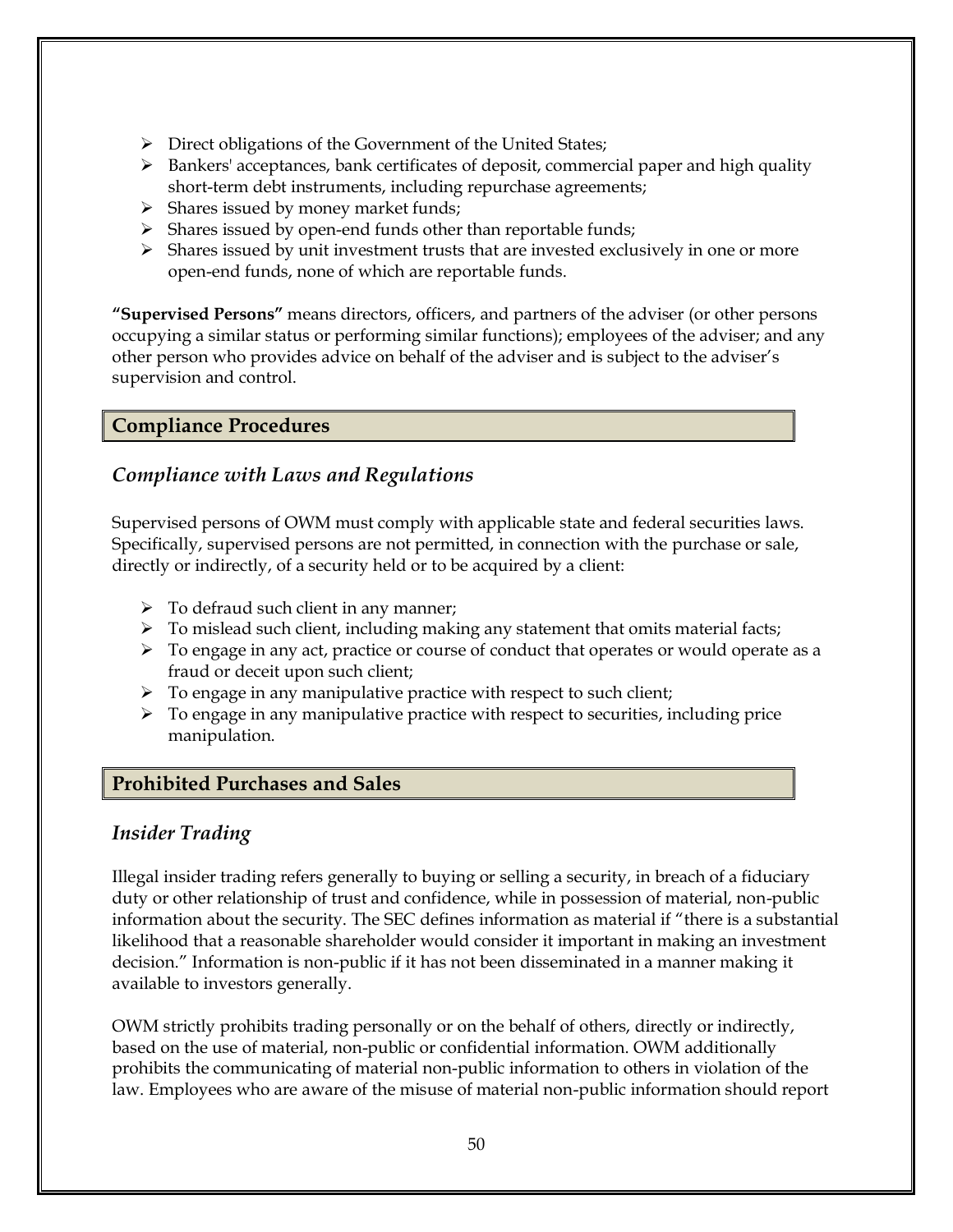- ➢ Direct obligations of the Government of the United States;
- $\triangleright$  Bankers' acceptances, bank certificates of deposit, commercial paper and high quality short-term debt instruments, including repurchase agreements;
- ➢ Shares issued by money market funds;
- ➢ Shares issued by open-end funds other than reportable funds;
- $\triangleright$  Shares issued by unit investment trusts that are invested exclusively in one or more open-end funds, none of which are reportable funds.

**"Supervised Persons"** means directors, officers, and partners of the adviser (or other persons occupying a similar status or performing similar functions); employees of the adviser; and any other person who provides advice on behalf of the adviser and is subject to the adviser's supervision and control.

## **Compliance Procedures**

# *Compliance with Laws and Regulations*

Supervised persons of OWM must comply with applicable state and federal securities laws. Specifically, supervised persons are not permitted, in connection with the purchase or sale, directly or indirectly, of a security held or to be acquired by a client:

- $\triangleright$  To defraud such client in any manner;
- $\triangleright$  To mislead such client, including making any statement that omits material facts;
- ➢ To engage in any act, practice or course of conduct that operates or would operate as a fraud or deceit upon such client;
- $\triangleright$  To engage in any manipulative practice with respect to such client;
- $\triangleright$  To engage in any manipulative practice with respect to securities, including price manipulation.

# **Prohibited Purchases and Sales**

# *Insider Trading*

Illegal insider trading refers generally to buying or selling a security, in breach of a fiduciary duty or other relationship of trust and confidence, while in possession of material, non-public information about the security. The SEC defines information as material if "there is a substantial likelihood that a reasonable shareholder would consider it important in making an investment decision." Information is non-public if it has not been disseminated in a manner making it available to investors generally.

OWM strictly prohibits trading personally or on the behalf of others, directly or indirectly, based on the use of material, non-public or confidential information. OWM additionally prohibits the communicating of material non-public information to others in violation of the law. Employees who are aware of the misuse of material non-public information should report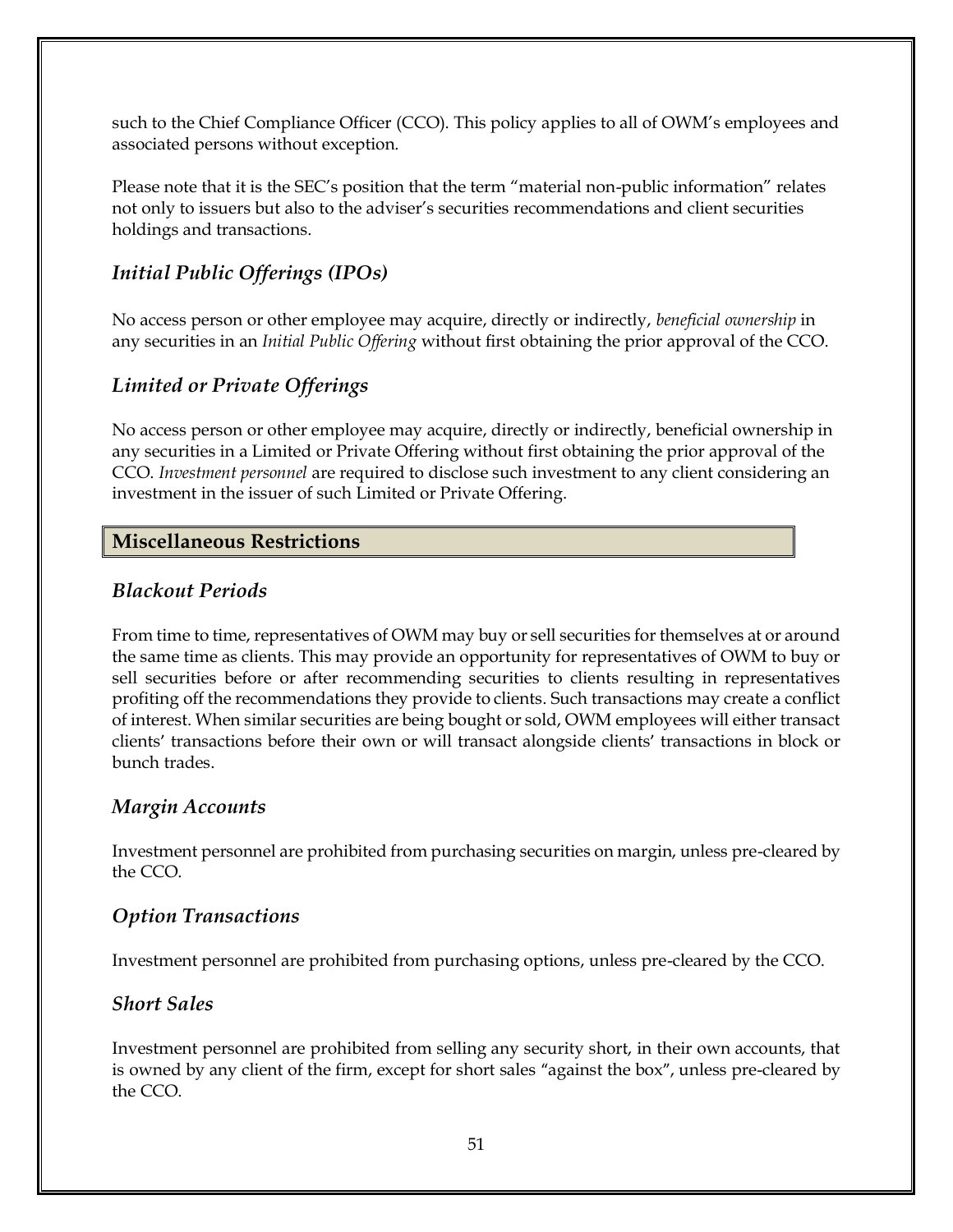such to the Chief Compliance Officer (CCO). This policy applies to all of OWM's employees and associated persons without exception.

Please note that it is the SEC's position that the term "material non-public information" relates not only to issuers but also to the adviser's securities recommendations and client securities holdings and transactions.

# *Initial Public Offerings (IPOs)*

No access person or other employee may acquire, directly or indirectly, *beneficial ownership* in any securities in an *Initial Public Offering* without first obtaining the prior approval of the CCO.

# *Limited or Private Offerings*

No access person or other employee may acquire, directly or indirectly, beneficial ownership in any securities in a Limited or Private Offering without first obtaining the prior approval of the CCO. *Investment personnel* are required to disclose such investment to any client considering an investment in the issuer of such Limited or Private Offering.

## **Miscellaneous Restrictions**

## *Blackout Periods*

From time to time, representatives of OWM may buy or sell securities for themselves at or around the same time as clients. This may provide an opportunity for representatives of OWM to buy or sell securities before or after recommending securities to clients resulting in representatives profiting off the recommendations they provide to clients. Such transactions may create a conflict of interest. When similar securities are being bought or sold, OWM employees will either transact clients' transactions before their own or will transact alongside clients' transactions in block or bunch trades.

#### *Margin Accounts*

Investment personnel are prohibited from purchasing securities on margin, unless pre-cleared by the CCO.

# *Option Transactions*

Investment personnel are prohibited from purchasing options, unless pre-cleared by the CCO.

# *Short Sales*

Investment personnel are prohibited from selling any security short, in their own accounts, that is owned by any client of the firm, except for short sales "against the box", unless pre-cleared by the CCO.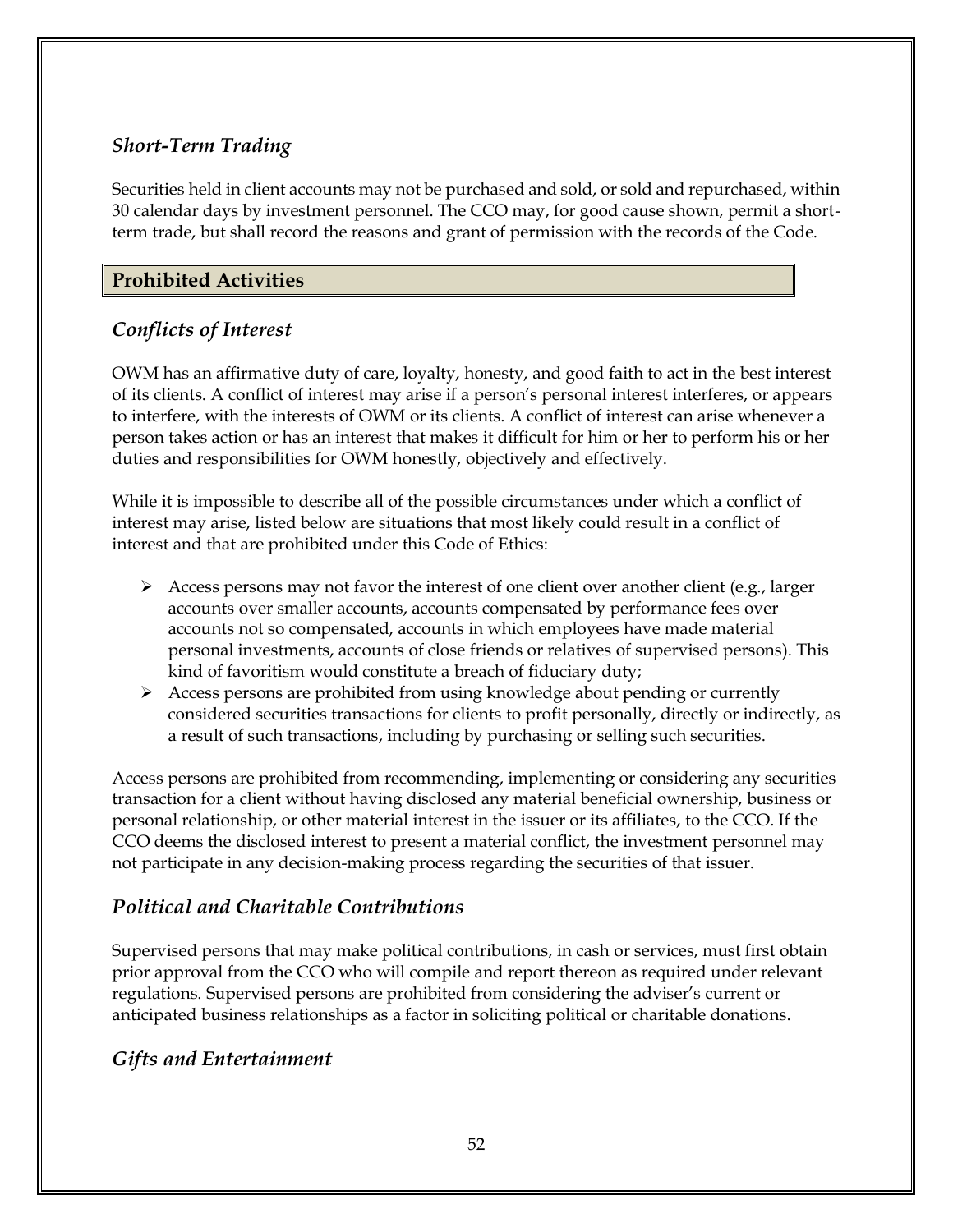# *Short-Term Trading*

Securities held in client accounts may not be purchased and sold, or sold and repurchased, within 30 calendar days by investment personnel. The CCO may, for good cause shown, permit a shortterm trade, but shall record the reasons and grant of permission with the records of the Code.

# **Prohibited Activities**

# *Conflicts of Interest*

OWM has an affirmative duty of care, loyalty, honesty, and good faith to act in the best interest of its clients. A conflict of interest may arise if a person's personal interest interferes, or appears to interfere, with the interests of OWM or its clients. A conflict of interest can arise whenever a person takes action or has an interest that makes it difficult for him or her to perform his or her duties and responsibilities for OWM honestly, objectively and effectively.

While it is impossible to describe all of the possible circumstances under which a conflict of interest may arise, listed below are situations that most likely could result in a conflict of interest and that are prohibited under this Code of Ethics:

- $\triangleright$  Access persons may not favor the interest of one client over another client (e.g., larger accounts over smaller accounts, accounts compensated by performance fees over accounts not so compensated, accounts in which employees have made material personal investments, accounts of close friends or relatives of supervised persons). This kind of favoritism would constitute a breach of fiduciary duty;
- ➢ Access persons are prohibited from using knowledge about pending or currently considered securities transactions for clients to profit personally, directly or indirectly, as a result of such transactions, including by purchasing or selling such securities.

Access persons are prohibited from recommending, implementing or considering any securities transaction for a client without having disclosed any material beneficial ownership, business or personal relationship, or other material interest in the issuer or its affiliates, to the CCO. If the CCO deems the disclosed interest to present a material conflict, the investment personnel may not participate in any decision-making process regarding the securities of that issuer.

# *Political and Charitable Contributions*

Supervised persons that may make political contributions, in cash or services, must first obtain prior approval from the CCO who will compile and report thereon as required under relevant regulations. Supervised persons are prohibited from considering the adviser's current or anticipated business relationships as a factor in soliciting political or charitable donations.

# *Gifts and Entertainment*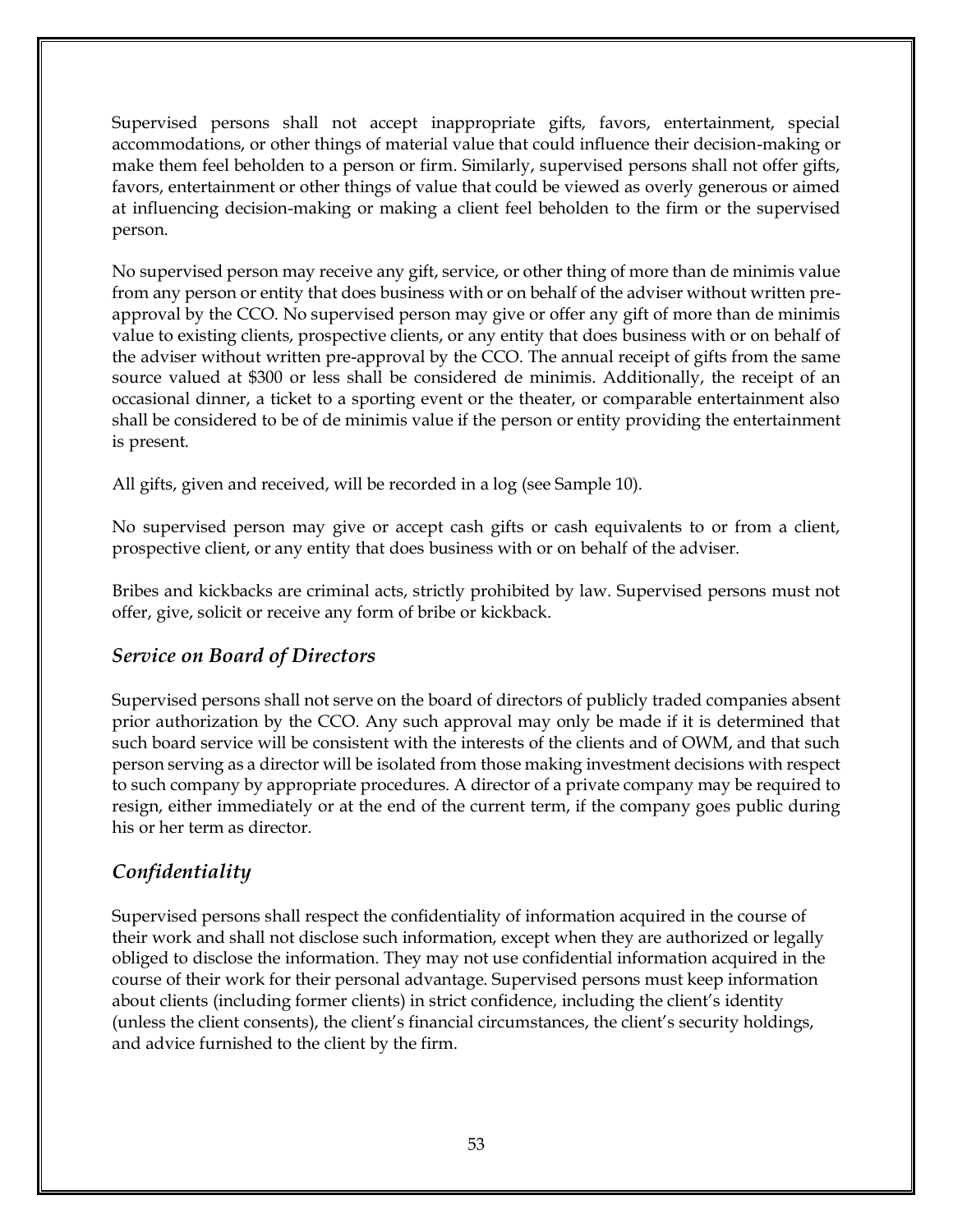Supervised persons shall not accept inappropriate gifts, favors, entertainment, special accommodations, or other things of material value that could influence their decision-making or make them feel beholden to a person or firm. Similarly, supervised persons shall not offer gifts, favors, entertainment or other things of value that could be viewed as overly generous or aimed at influencing decision-making or making a client feel beholden to the firm or the supervised person.

No supervised person may receive any gift, service, or other thing of more than de minimis value from any person or entity that does business with or on behalf of the adviser without written preapproval by the CCO. No supervised person may give or offer any gift of more than de minimis value to existing clients, prospective clients, or any entity that does business with or on behalf of the adviser without written pre-approval by the CCO. The annual receipt of gifts from the same source valued at \$300 or less shall be considered de minimis. Additionally, the receipt of an occasional dinner, a ticket to a sporting event or the theater, or comparable entertainment also shall be considered to be of de minimis value if the person or entity providing the entertainment is present.

All gifts, given and received, will be recorded in a log (see Sample 10).

No supervised person may give or accept cash gifts or cash equivalents to or from a client, prospective client, or any entity that does business with or on behalf of the adviser.

Bribes and kickbacks are criminal acts, strictly prohibited by law. Supervised persons must not offer, give, solicit or receive any form of bribe or kickback.

# *Service on Board of Directors*

Supervised persons shall not serve on the board of directors of publicly traded companies absent prior authorization by the CCO. Any such approval may only be made if it is determined that such board service will be consistent with the interests of the clients and of OWM, and that such person serving as a director will be isolated from those making investment decisions with respect to such company by appropriate procedures. A director of a private company may be required to resign, either immediately or at the end of the current term, if the company goes public during his or her term as director.

# *Confidentiality*

Supervised persons shall respect the confidentiality of information acquired in the course of their work and shall not disclose such information, except when they are authorized or legally obliged to disclose the information. They may not use confidential information acquired in the course of their work for their personal advantage. Supervised persons must keep information about clients (including former clients) in strict confidence, including the client's identity (unless the client consents), the client's financial circumstances, the client's security holdings, and advice furnished to the client by the firm.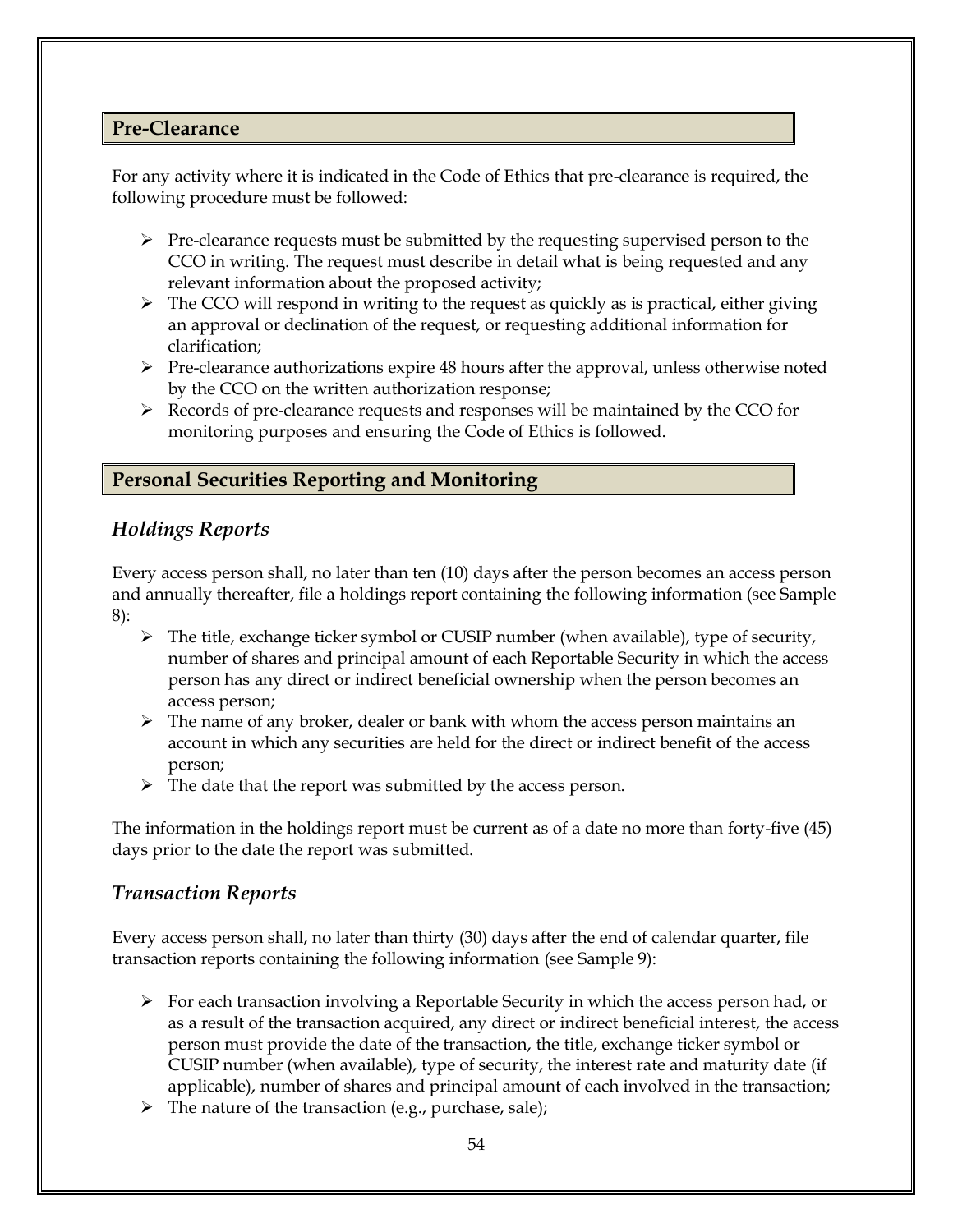## **Pre-Clearance**

For any activity where it is indicated in the Code of Ethics that pre-clearance is required, the following procedure must be followed:

- $\triangleright$  Pre-clearance requests must be submitted by the requesting supervised person to the CCO in writing. The request must describe in detail what is being requested and any relevant information about the proposed activity;
- ➢ The CCO will respond in writing to the request as quickly as is practical, either giving an approval or declination of the request, or requesting additional information for clarification;
- ➢ Pre-clearance authorizations expire 48 hours after the approval, unless otherwise noted by the CCO on the written authorization response;
- ➢ Records of pre-clearance requests and responses will be maintained by the CCO for monitoring purposes and ensuring the Code of Ethics is followed.

# **Personal Securities Reporting and Monitoring**

# *Holdings Reports*

Every access person shall, no later than ten (10) days after the person becomes an access person and annually thereafter, file a holdings report containing the following information (see Sample 8):

- $\triangleright$  The title, exchange ticker symbol or CUSIP number (when available), type of security, number of shares and principal amount of each Reportable Security in which the access person has any direct or indirect beneficial ownership when the person becomes an access person;
- $\triangleright$  The name of any broker, dealer or bank with whom the access person maintains an account in which any securities are held for the direct or indirect benefit of the access person;
- $\triangleright$  The date that the report was submitted by the access person.

The information in the holdings report must be current as of a date no more than forty-five (45) days prior to the date the report was submitted.

# *Transaction Reports*

Every access person shall, no later than thirty (30) days after the end of calendar quarter, file transaction reports containing the following information (see Sample 9):

- $\triangleright$  For each transaction involving a Reportable Security in which the access person had, or as a result of the transaction acquired, any direct or indirect beneficial interest, the access person must provide the date of the transaction, the title, exchange ticker symbol or CUSIP number (when available), type of security, the interest rate and maturity date (if applicable), number of shares and principal amount of each involved in the transaction;
- $\triangleright$  The nature of the transaction (e.g., purchase, sale);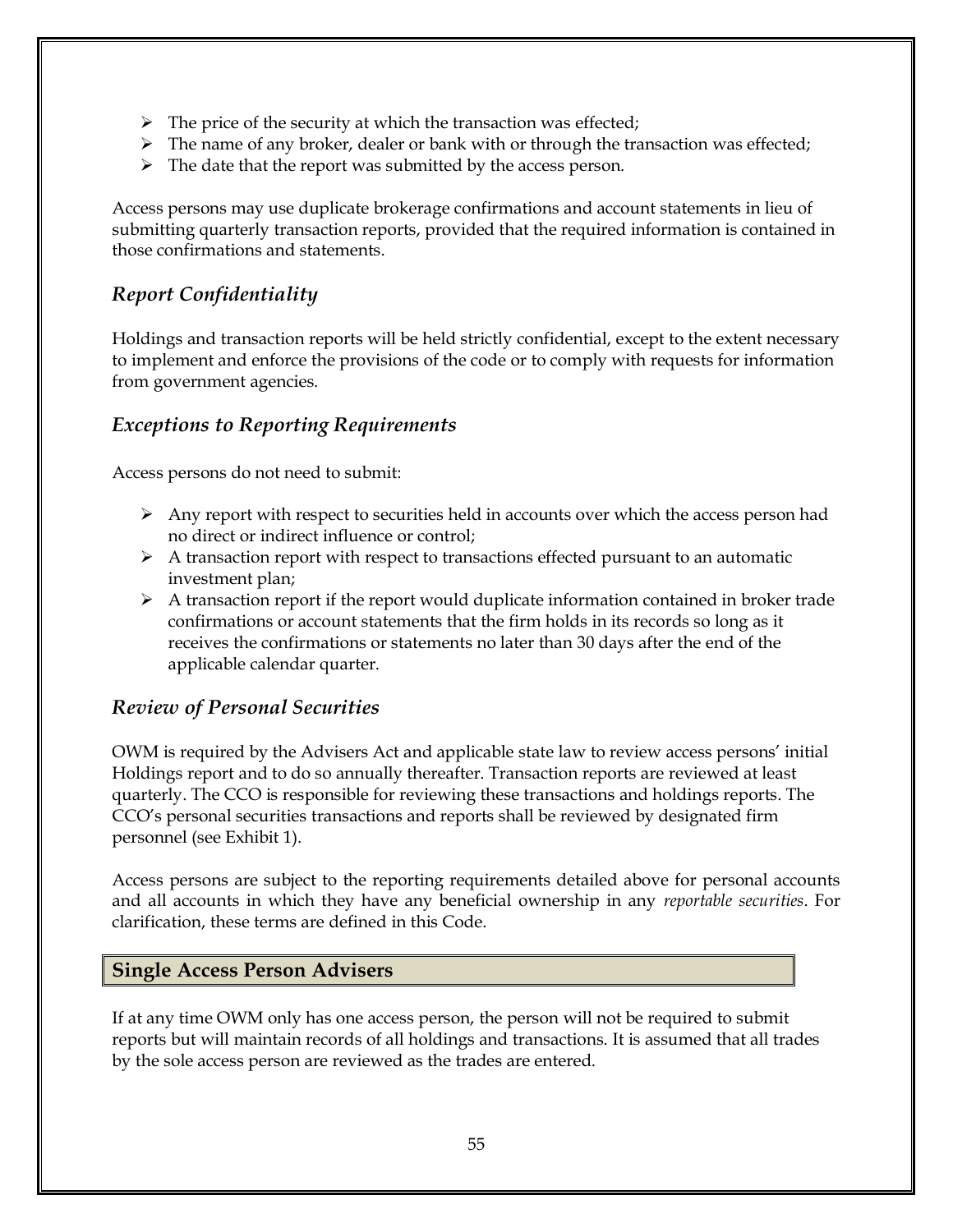- $\triangleright$  The price of the security at which the transaction was effected;
- $\triangleright$  The name of any broker, dealer or bank with or through the transaction was effected;
- $\triangleright$  The date that the report was submitted by the access person.

Access persons may use duplicate brokerage confirmations and account statements in lieu of submitting quarterly transaction reports, provided that the required information is contained in those confirmations and statements.

# *Report Confidentiality*

Holdings and transaction reports will be held strictly confidential, except to the extent necessary to implement and enforce the provisions of the code or to comply with requests for information from government agencies.

# *Exceptions to Reporting Requirements*

Access persons do not need to submit:

- ➢ Any report with respect to securities held in accounts over which the access person had no direct or indirect influence or control;
- $\triangleright$  A transaction report with respect to transactions effected pursuant to an automatic investment plan;
- ➢ A transaction report if the report would duplicate information contained in broker trade confirmations or account statements that the firm holds in its records so long as it receives the confirmations or statements no later than 30 days after the end of the applicable calendar quarter.

# *Review of Personal Securities*

OWM is required by the Advisers Act and applicable state law to review access persons' initial Holdings report and to do so annually thereafter. Transaction reports are reviewed at least quarterly. The CCO is responsible for reviewing these transactions and holdings reports. The CCO's personal securities transactions and reports shall be reviewed by designated firm personnel (see Exhibit 1).

Access persons are subject to the reporting requirements detailed above for personal accounts and all accounts in which they have any beneficial ownership in any *reportable securities*. For clarification, these terms are defined in this Code.

#### **Single Access Person Advisers**

If at any time OWM only has one access person, the person will not be required to submit reports but will maintain records of all holdings and transactions. It is assumed that all trades by the sole access person are reviewed as the trades are entered.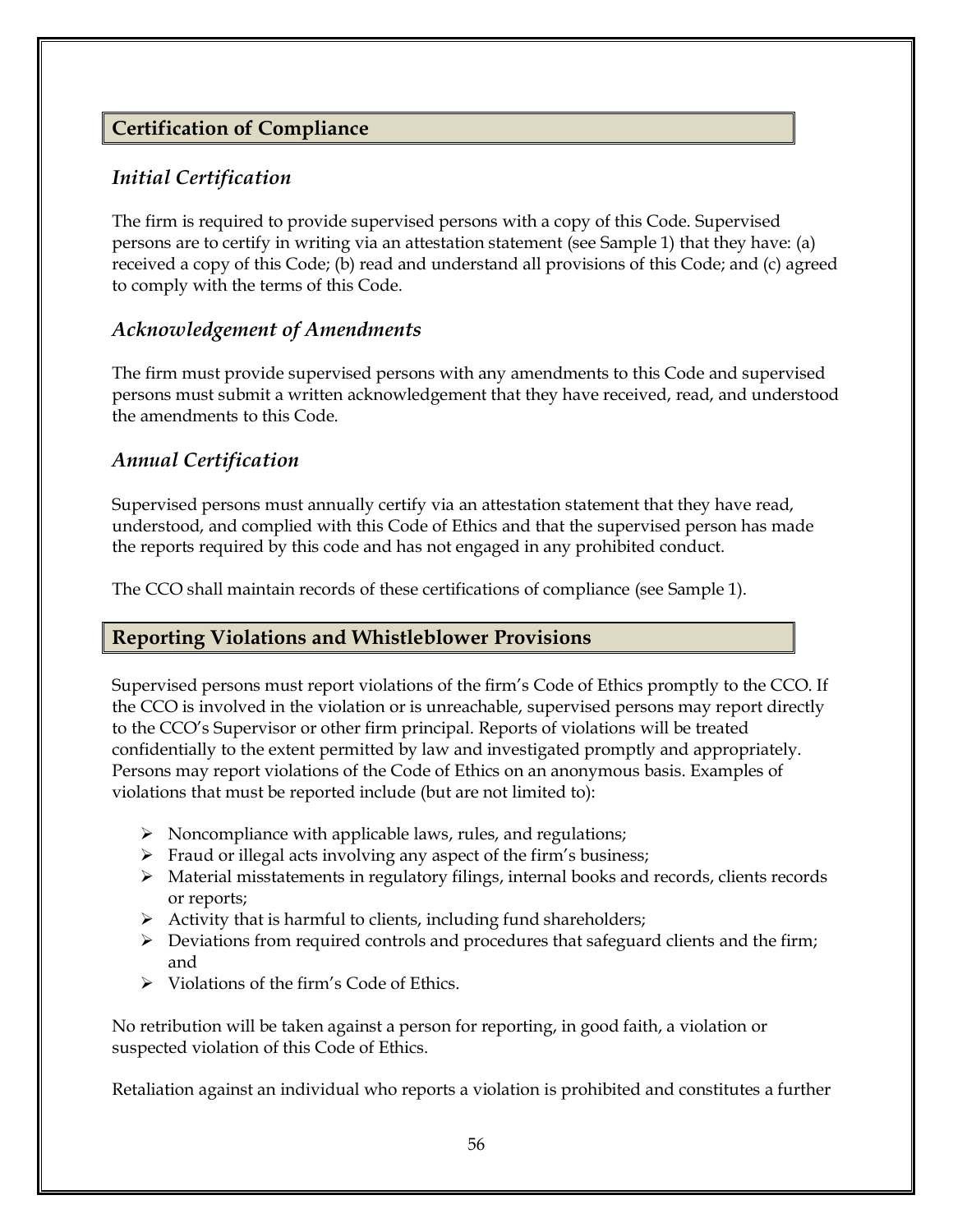# **Certification of Compliance**

# *Initial Certification*

The firm is required to provide supervised persons with a copy of this Code. Supervised persons are to certify in writing via an attestation statement (see Sample 1) that they have: (a) received a copy of this Code; (b) read and understand all provisions of this Code; and (c) agreed to comply with the terms of this Code.

# *Acknowledgement of Amendments*

The firm must provide supervised persons with any amendments to this Code and supervised persons must submit a written acknowledgement that they have received, read, and understood the amendments to this Code.

# *Annual Certification*

Supervised persons must annually certify via an attestation statement that they have read, understood, and complied with this Code of Ethics and that the supervised person has made the reports required by this code and has not engaged in any prohibited conduct.

The CCO shall maintain records of these certifications of compliance (see Sample 1).

# **Reporting Violations and Whistleblower Provisions**

Supervised persons must report violations of the firm's Code of Ethics promptly to the CCO. If the CCO is involved in the violation or is unreachable, supervised persons may report directly to the CCO's Supervisor or other firm principal. Reports of violations will be treated confidentially to the extent permitted by law and investigated promptly and appropriately. Persons may report violations of the Code of Ethics on an anonymous basis. Examples of violations that must be reported include (but are not limited to):

- $\triangleright$  Noncompliance with applicable laws, rules, and regulations;
- ➢ Fraud or illegal acts involving any aspect of the firm's business;
- ➢ Material misstatements in regulatory filings, internal books and records, clients records or reports;
- $\triangleright$  Activity that is harmful to clients, including fund shareholders;
- ➢ Deviations from required controls and procedures that safeguard clients and the firm; and
- ➢ Violations of the firm's Code of Ethics.

No retribution will be taken against a person for reporting, in good faith, a violation or suspected violation of this Code of Ethics.

Retaliation against an individual who reports a violation is prohibited and constitutes a further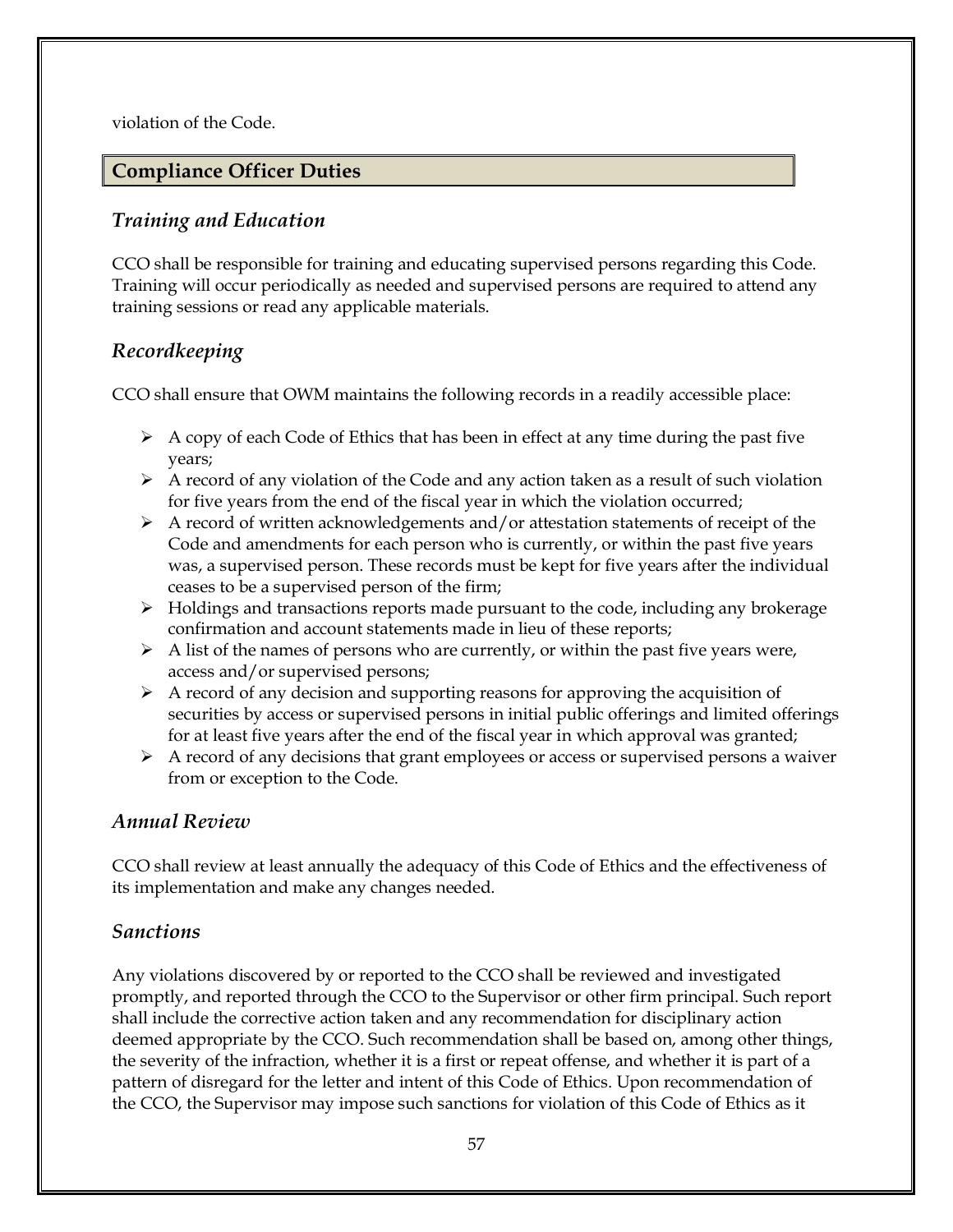violation of the Code.

# **Compliance Officer Duties**

# *Training and Education*

CCO shall be responsible for training and educating supervised persons regarding this Code. Training will occur periodically as needed and supervised persons are required to attend any training sessions or read any applicable materials.

# *Recordkeeping*

CCO shall ensure that OWM maintains the following records in a readily accessible place:

- $\triangleright$  A copy of each Code of Ethics that has been in effect at any time during the past five years;
- $\triangleright$  A record of any violation of the Code and any action taken as a result of such violation for five years from the end of the fiscal year in which the violation occurred;
- $\triangleright$  A record of written acknowledgements and/or attestation statements of receipt of the Code and amendments for each person who is currently, or within the past five years was, a supervised person. These records must be kept for five years after the individual ceases to be a supervised person of the firm;
- ➢ Holdings and transactions reports made pursuant to the code, including any brokerage confirmation and account statements made in lieu of these reports;
- $\triangleright$  A list of the names of persons who are currently, or within the past five years were, access and/or supervised persons;
- ➢ A record of any decision and supporting reasons for approving the acquisition of securities by access or supervised persons in initial public offerings and limited offerings for at least five years after the end of the fiscal year in which approval was granted;
- $\triangleright$  A record of any decisions that grant employees or access or supervised persons a waiver from or exception to the Code.

# *Annual Review*

CCO shall review at least annually the adequacy of this Code of Ethics and the effectiveness of its implementation and make any changes needed.

# *Sanctions*

Any violations discovered by or reported to the CCO shall be reviewed and investigated promptly, and reported through the CCO to the Supervisor or other firm principal. Such report shall include the corrective action taken and any recommendation for disciplinary action deemed appropriate by the CCO. Such recommendation shall be based on, among other things, the severity of the infraction, whether it is a first or repeat offense, and whether it is part of a pattern of disregard for the letter and intent of this Code of Ethics. Upon recommendation of the CCO, the Supervisor may impose such sanctions for violation of this Code of Ethics as it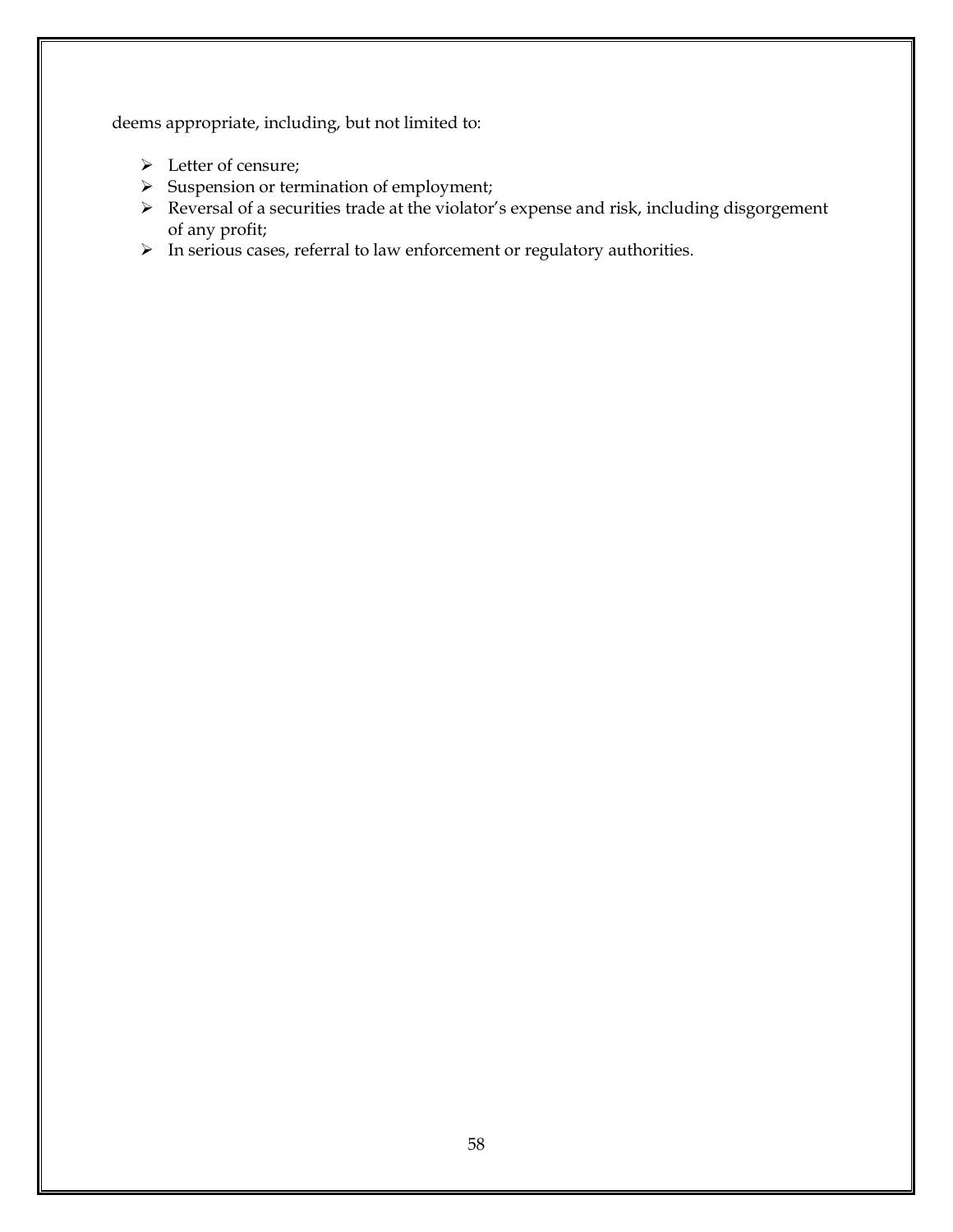deems appropriate, including, but not limited to:

- ➢ Letter of censure;
- ➢ Suspension or termination of employment;
- ➢ Reversal of a securities trade at the violator's expense and risk, including disgorgement of any profit;
- ➢ In serious cases, referral to law enforcement or regulatory authorities.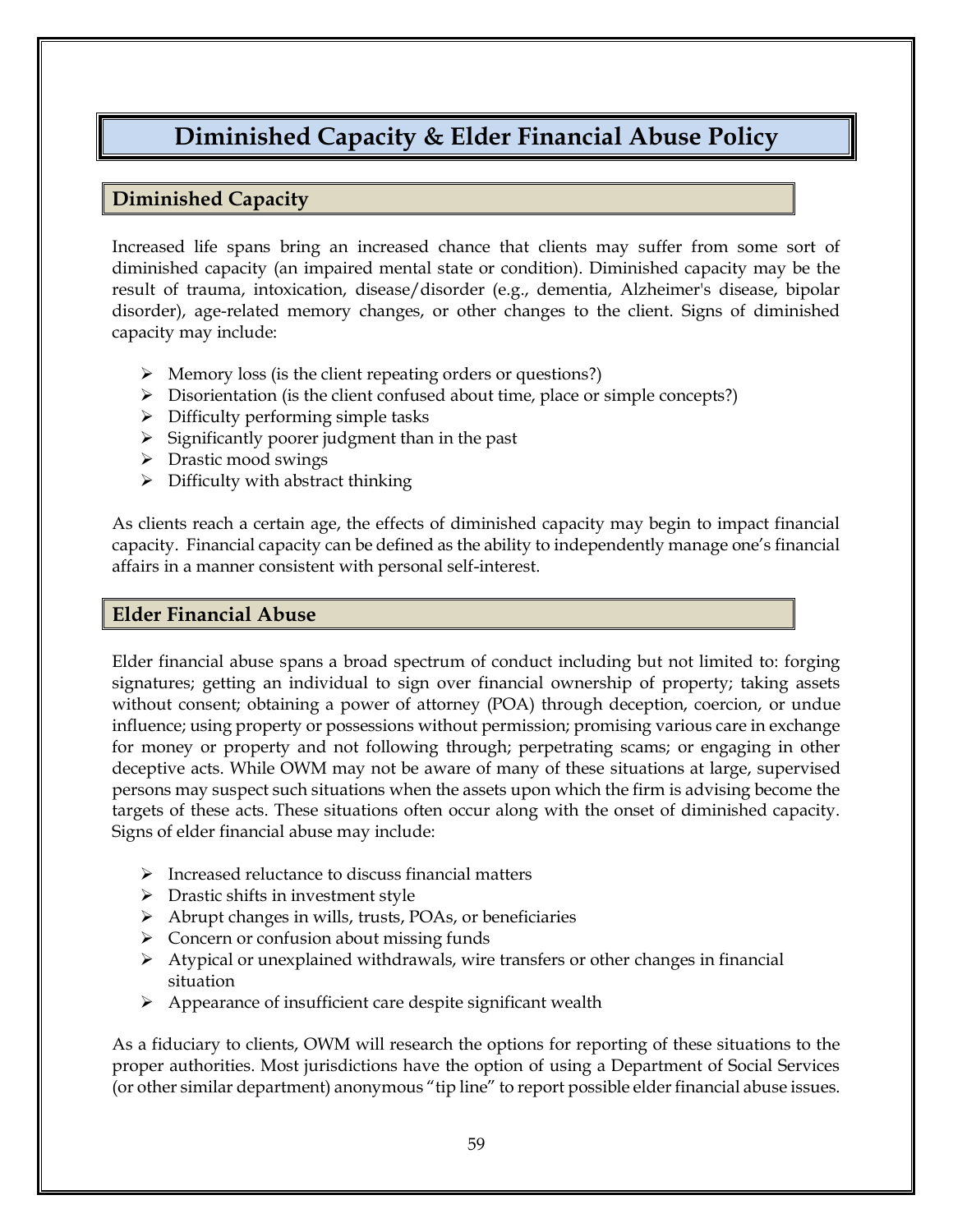# **Diminished Capacity & Elder Financial Abuse Policy**

# **Diminished Capacity**

Increased life spans bring an increased chance that clients may suffer from some sort of diminished capacity (an impaired mental state or condition). Diminished capacity may be the result of trauma, intoxication, disease/disorder (e.g., dementia, Alzheimer's disease, bipolar disorder), age-related memory changes, or other changes to the client. Signs of diminished capacity may include:

- ➢ Memory loss (is the client repeating orders or questions?)
- ➢ Disorientation (is the client confused about time, place or simple concepts?)
- ➢ Difficulty performing simple tasks
- $\triangleright$  Significantly poorer judgment than in the past
- ➢ Drastic mood swings
- $\triangleright$  Difficulty with abstract thinking

As clients reach a certain age, the effects of diminished capacity may begin to impact financial capacity. Financial capacity can be defined as the ability to independently manage one's financial affairs in a manner consistent with personal self-interest.

#### **Elder Financial Abuse**

Elder financial abuse spans a broad spectrum of conduct including but not limited to: forging signatures; getting an individual to sign over financial ownership of property; taking assets without consent; obtaining a power of attorney (POA) through deception, coercion, or undue influence; using property or possessions without permission; promising various care in exchange for money or property and not following through; perpetrating scams; or engaging in other deceptive acts. While OWM may not be aware of many of these situations at large, supervised persons may suspect such situations when the assets upon which the firm is advising become the targets of these acts. These situations often occur along with the onset of diminished capacity. Signs of elder financial abuse may include:

- ➢ Increased reluctance to discuss financial matters
- ➢ Drastic shifts in investment style
- ➢ Abrupt changes in wills, trusts, POAs, or beneficiaries
- ➢ Concern or confusion about missing funds
- $\triangleright$  Atypical or unexplained withdrawals, wire transfers or other changes in financial situation
- ➢ Appearance of insufficient care despite significant wealth

As a fiduciary to clients, OWM will research the options for reporting of these situations to the proper authorities. Most jurisdictions have the option of using a Department of Social Services (or other similar department) anonymous "tip line" to report possible elder financial abuse issues.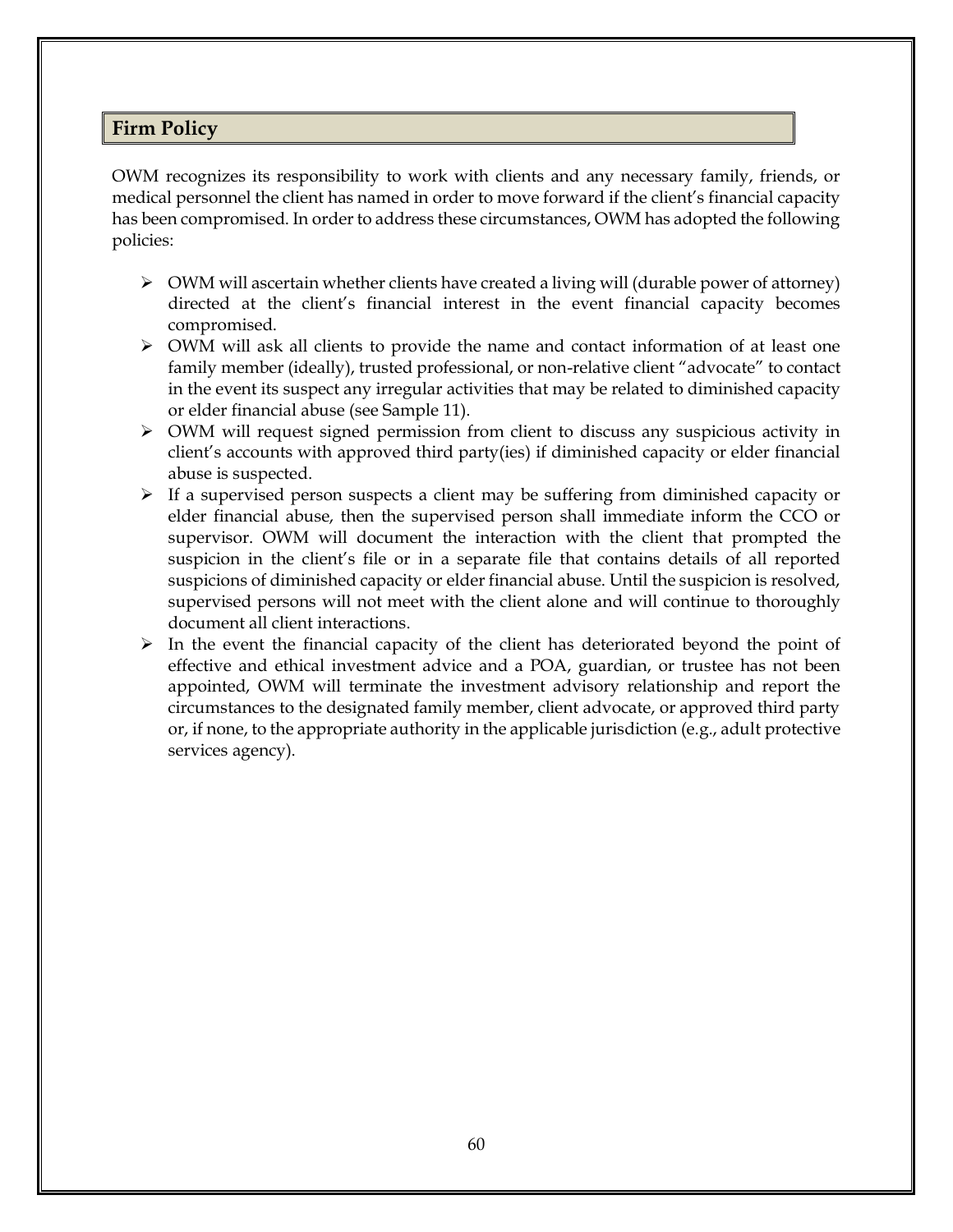#### **Firm Policy**

OWM recognizes its responsibility to work with clients and any necessary family, friends, or medical personnel the client has named in order to move forward if the client's financial capacity has been compromised. In order to address these circumstances, OWM has adopted the following policies:

- ➢ OWM will ascertain whether clients have created a living will (durable power of attorney) directed at the client's financial interest in the event financial capacity becomes compromised.
- ➢ OWM will ask all clients to provide the name and contact information of at least one family member (ideally), trusted professional, or non-relative client "advocate" to contact in the event its suspect any irregular activities that may be related to diminished capacity or elder financial abuse (see Sample 11).
- $\triangleright$  OWM will request signed permission from client to discuss any suspicious activity in client's accounts with approved third party(ies) if diminished capacity or elder financial abuse is suspected.
- $\triangleright$  If a supervised person suspects a client may be suffering from diminished capacity or elder financial abuse, then the supervised person shall immediate inform the CCO or supervisor. OWM will document the interaction with the client that prompted the suspicion in the client's file or in a separate file that contains details of all reported suspicions of diminished capacity or elder financial abuse. Until the suspicion is resolved, supervised persons will not meet with the client alone and will continue to thoroughly document all client interactions.
- $\triangleright$  In the event the financial capacity of the client has deteriorated beyond the point of effective and ethical investment advice and a POA, guardian, or trustee has not been appointed, OWM will terminate the investment advisory relationship and report the circumstances to the designated family member, client advocate, or approved third party or, if none, to the appropriate authority in the applicable jurisdiction (e.g., adult protective services agency).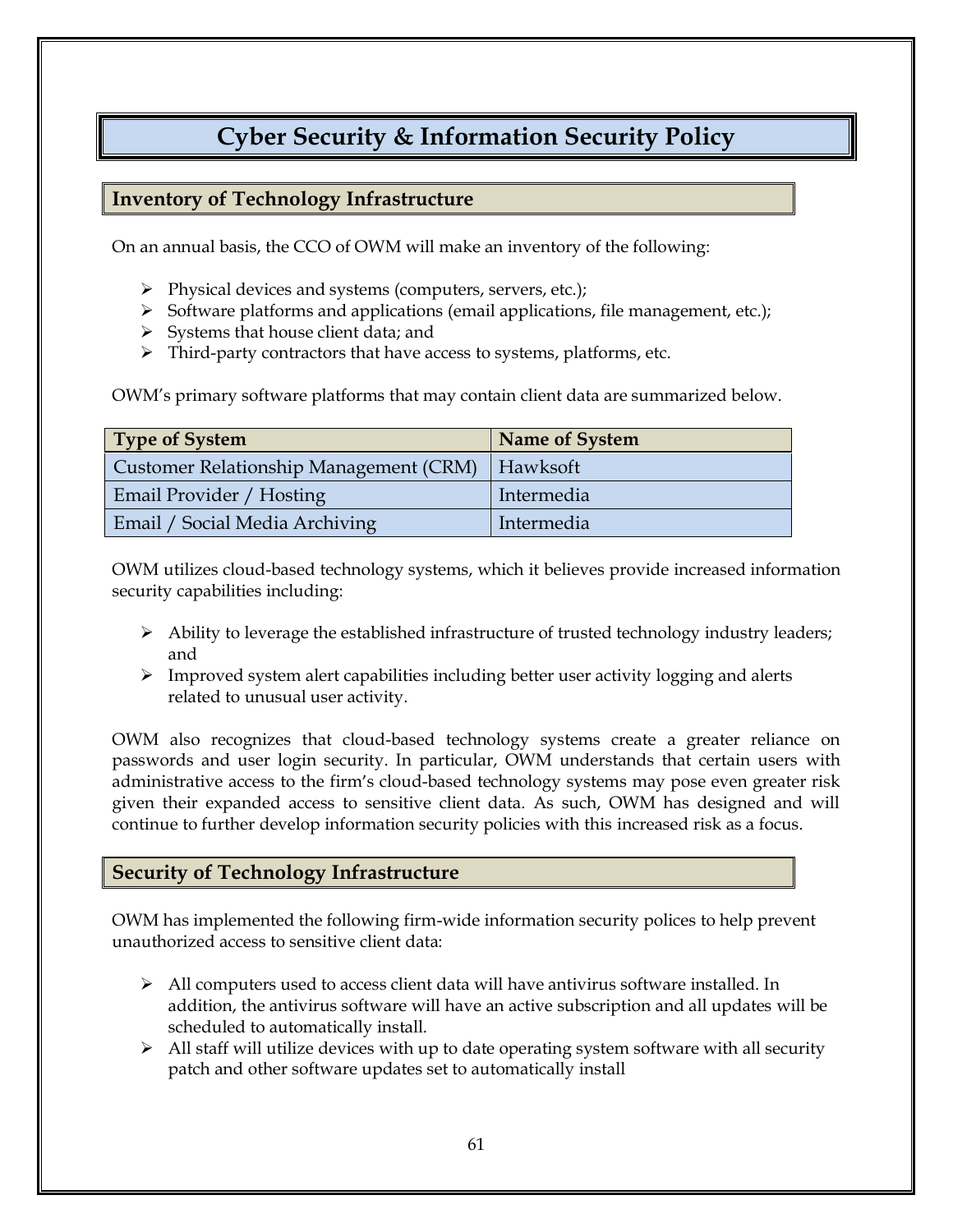# **Cyber Security & Information Security Policy**

## **Inventory of Technology Infrastructure**

On an annual basis, the CCO of OWM will make an inventory of the following:

- ➢ Physical devices and systems (computers, servers, etc.);
- ➢ Software platforms and applications (email applications, file management, etc.);
- $\triangleright$  Systems that house client data; and
- ➢ Third-party contractors that have access to systems, platforms, etc.

OWM's primary software platforms that may contain client data are summarized below.

| <b>Type of System</b>                             | Name of System |
|---------------------------------------------------|----------------|
| Customer Relationship Management (CRM)   Hawksoft |                |
| Email Provider / Hosting                          | Intermedia     |
| Email / Social Media Archiving                    | Intermedia     |

OWM utilizes cloud-based technology systems, which it believes provide increased information security capabilities including:

- ➢ Ability to leverage the established infrastructure of trusted technology industry leaders; and
- ➢ Improved system alert capabilities including better user activity logging and alerts related to unusual user activity.

OWM also recognizes that cloud-based technology systems create a greater reliance on passwords and user login security. In particular, OWM understands that certain users with administrative access to the firm's cloud-based technology systems may pose even greater risk given their expanded access to sensitive client data. As such, OWM has designed and will continue to further develop information security policies with this increased risk as a focus.

#### **Security of Technology Infrastructure**

OWM has implemented the following firm-wide information security polices to help prevent unauthorized access to sensitive client data:

- $\triangleright$  All computers used to access client data will have antivirus software installed. In addition, the antivirus software will have an active subscription and all updates will be scheduled to automatically install.
- $\triangleright$  All staff will utilize devices with up to date operating system software with all security patch and other software updates set to automatically install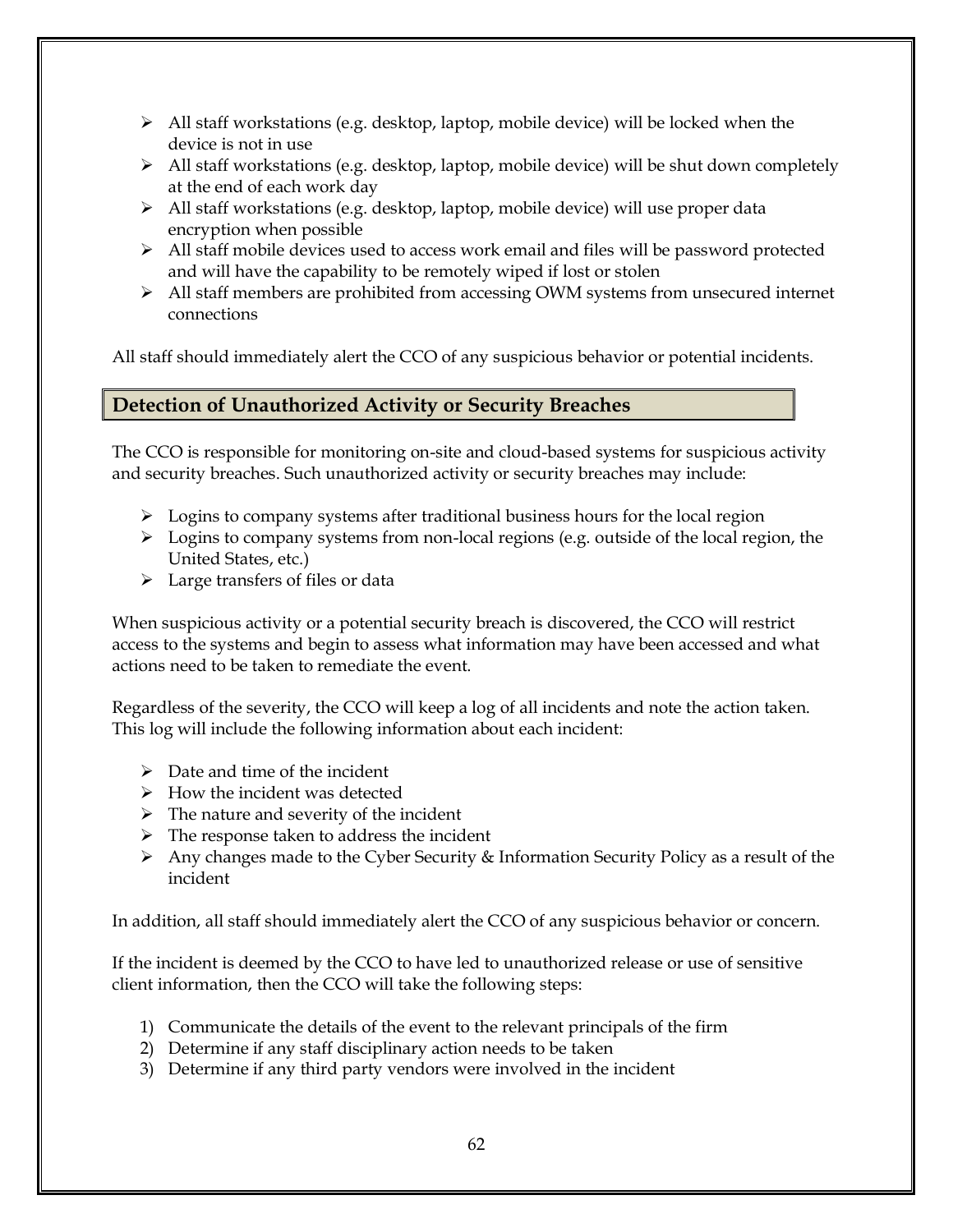- $\triangleright$  All staff workstations (e.g. desktop, laptop, mobile device) will be locked when the device is not in use
- ➢ All staff workstations (e.g. desktop, laptop, mobile device) will be shut down completely at the end of each work day
- ➢ All staff workstations (e.g. desktop, laptop, mobile device) will use proper data encryption when possible
- $\triangleright$  All staff mobile devices used to access work email and files will be password protected and will have the capability to be remotely wiped if lost or stolen
- ➢ All staff members are prohibited from accessing OWM systems from unsecured internet connections

All staff should immediately alert the CCO of any suspicious behavior or potential incidents.

# **Detection of Unauthorized Activity or Security Breaches**

The CCO is responsible for monitoring on-site and cloud-based systems for suspicious activity and security breaches. Such unauthorized activity or security breaches may include:

- $\triangleright$  Logins to company systems after traditional business hours for the local region
- ➢ Logins to company systems from non-local regions (e.g. outside of the local region, the United States, etc.)
- $\triangleright$  Large transfers of files or data

When suspicious activity or a potential security breach is discovered, the CCO will restrict access to the systems and begin to assess what information may have been accessed and what actions need to be taken to remediate the event.

Regardless of the severity, the CCO will keep a log of all incidents and note the action taken. This log will include the following information about each incident:

- $\triangleright$  Date and time of the incident
- $\triangleright$  How the incident was detected
- $\triangleright$  The nature and severity of the incident
- ➢ The response taken to address the incident
- ➢ Any changes made to the Cyber Security & Information Security Policy as a result of the incident

In addition, all staff should immediately alert the CCO of any suspicious behavior or concern.

If the incident is deemed by the CCO to have led to unauthorized release or use of sensitive client information, then the CCO will take the following steps:

- 1) Communicate the details of the event to the relevant principals of the firm
- 2) Determine if any staff disciplinary action needs to be taken
- 3) Determine if any third party vendors were involved in the incident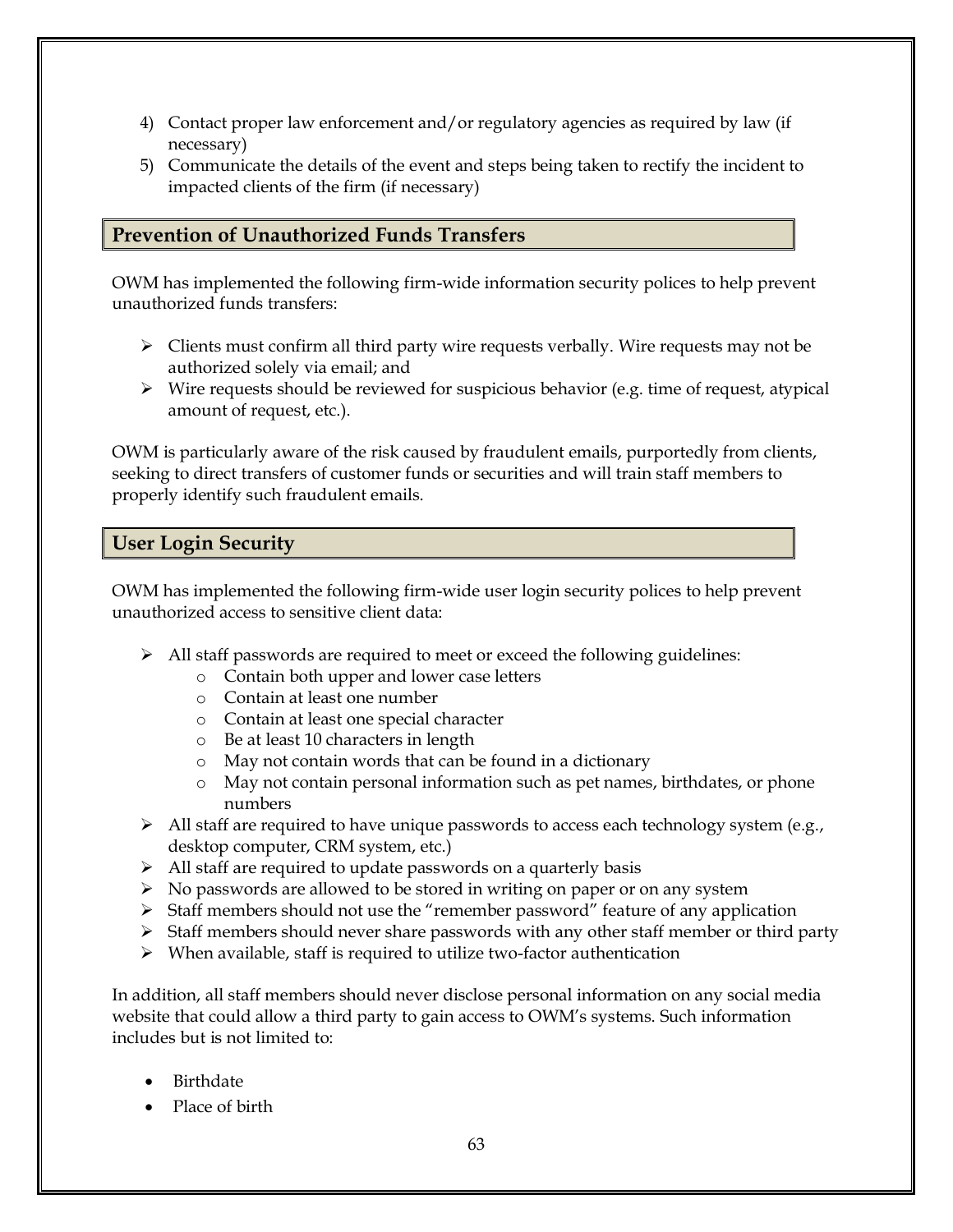- 4) Contact proper law enforcement and/or regulatory agencies as required by law (if necessary)
- 5) Communicate the details of the event and steps being taken to rectify the incident to impacted clients of the firm (if necessary)

# **Prevention of Unauthorized Funds Transfers**

OWM has implemented the following firm-wide information security polices to help prevent unauthorized funds transfers:

- $\triangleright$  Clients must confirm all third party wire requests verbally. Wire requests may not be authorized solely via email; and
- ➢ Wire requests should be reviewed for suspicious behavior (e.g. time of request, atypical amount of request, etc.).

OWM is particularly aware of the risk caused by fraudulent emails, purportedly from clients, seeking to direct transfers of customer funds or securities and will train staff members to properly identify such fraudulent emails.

## **User Login Security**

OWM has implemented the following firm-wide user login security polices to help prevent unauthorized access to sensitive client data:

- $\triangleright$  All staff passwords are required to meet or exceed the following guidelines:
	- o Contain both upper and lower case letters
	- o Contain at least one number
	- o Contain at least one special character
	- o Be at least 10 characters in length
	- o May not contain words that can be found in a dictionary
	- o May not contain personal information such as pet names, birthdates, or phone numbers
- $\triangleright$  All staff are required to have unique passwords to access each technology system (e.g., desktop computer, CRM system, etc.)
- ➢ All staff are required to update passwords on a quarterly basis
- ➢ No passwords are allowed to be stored in writing on paper or on any system
- ➢ Staff members should not use the "remember password" feature of any application
- ➢ Staff members should never share passwords with any other staff member or third party
- ➢ When available, staff is required to utilize two-factor authentication

In addition, all staff members should never disclose personal information on any social media website that could allow a third party to gain access to OWM's systems. Such information includes but is not limited to:

- **Birthdate**
- Place of birth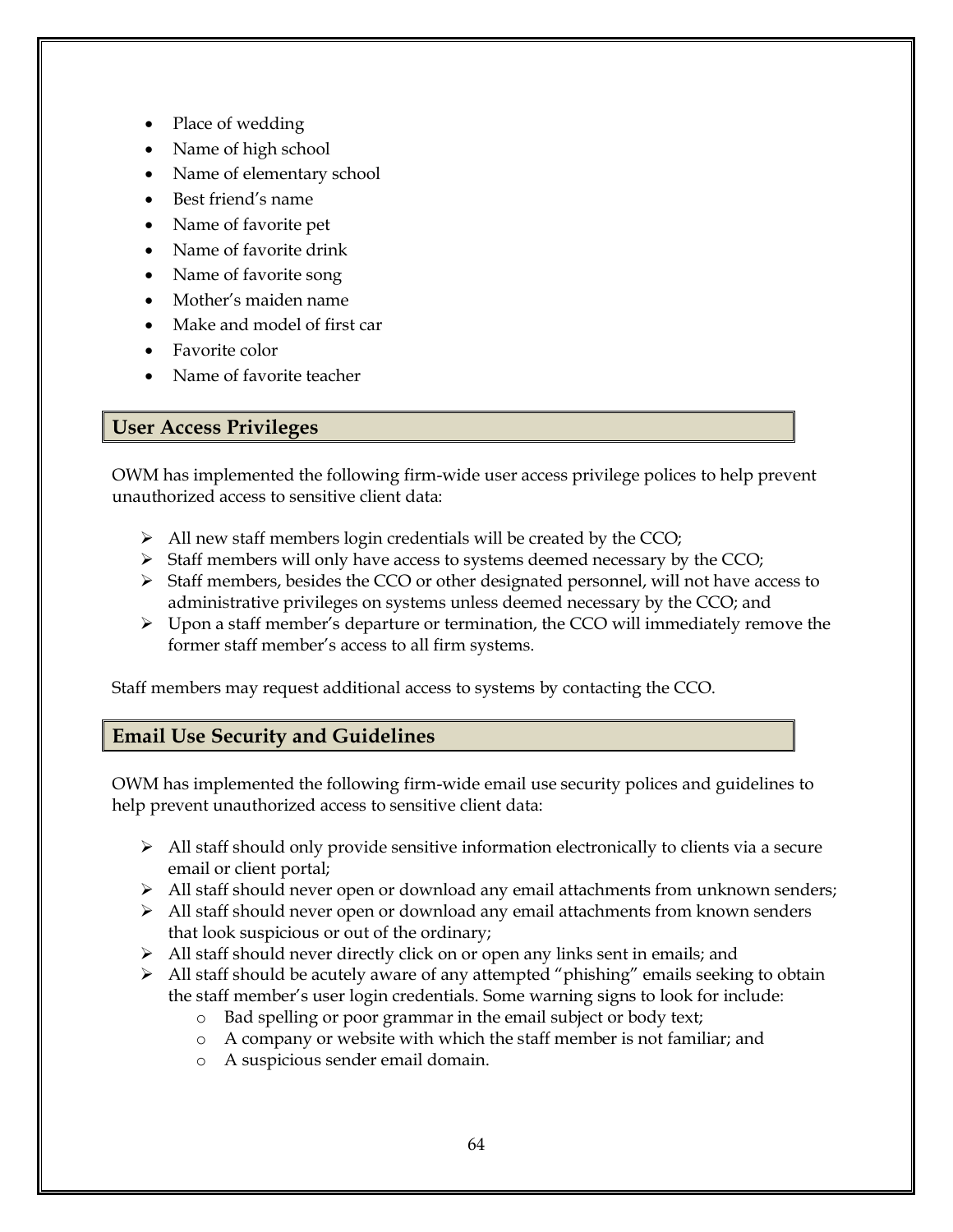- Place of wedding
- Name of high school
- Name of elementary school
- Best friend's name
- Name of favorite pet
- Name of favorite drink
- Name of favorite song
- Mother's maiden name
- Make and model of first car
- Favorite color
- Name of favorite teacher

# **User Access Privileges**

OWM has implemented the following firm-wide user access privilege polices to help prevent unauthorized access to sensitive client data:

- ➢ All new staff members login credentials will be created by the CCO;
- $\triangleright$  Staff members will only have access to systems deemed necessary by the CCO;
- ➢ Staff members, besides the CCO or other designated personnel, will not have access to administrative privileges on systems unless deemed necessary by the CCO; and
- ➢ Upon a staff member's departure or termination, the CCO will immediately remove the former staff member's access to all firm systems.

Staff members may request additional access to systems by contacting the CCO.

# **Email Use Security and Guidelines**

OWM has implemented the following firm-wide email use security polices and guidelines to help prevent unauthorized access to sensitive client data:

- ➢ All staff should only provide sensitive information electronically to clients via a secure email or client portal;
- ➢ All staff should never open or download any email attachments from unknown senders;
- $\triangleright$  All staff should never open or download any email attachments from known senders that look suspicious or out of the ordinary;
- ➢ All staff should never directly click on or open any links sent in emails; and
- ➢ All staff should be acutely aware of any attempted "phishing" emails seeking to obtain the staff member's user login credentials. Some warning signs to look for include:
	- o Bad spelling or poor grammar in the email subject or body text;
	- o A company or website with which the staff member is not familiar; and
	- o A suspicious sender email domain.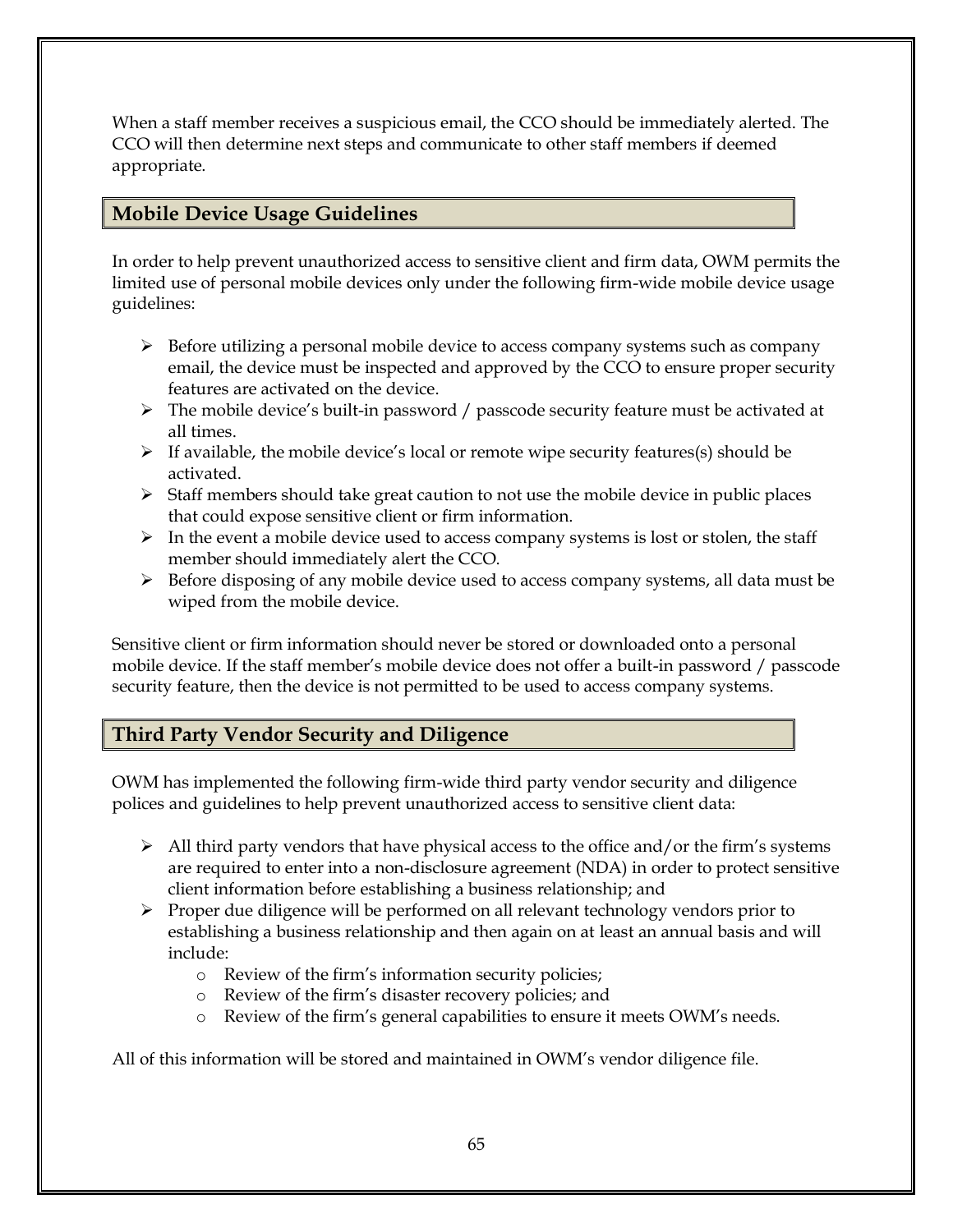When a staff member receives a suspicious email, the CCO should be immediately alerted. The CCO will then determine next steps and communicate to other staff members if deemed appropriate.

# **Mobile Device Usage Guidelines**

In order to help prevent unauthorized access to sensitive client and firm data, OWM permits the limited use of personal mobile devices only under the following firm-wide mobile device usage guidelines:

- $\triangleright$  Before utilizing a personal mobile device to access company systems such as company email, the device must be inspected and approved by the CCO to ensure proper security features are activated on the device.
- ➢ The mobile device's built-in password / passcode security feature must be activated at all times.
- ➢ If available, the mobile device's local or remote wipe security features(s) should be activated.
- $\triangleright$  Staff members should take great caution to not use the mobile device in public places that could expose sensitive client or firm information.
- $\triangleright$  In the event a mobile device used to access company systems is lost or stolen, the staff member should immediately alert the CCO.
- $\triangleright$  Before disposing of any mobile device used to access company systems, all data must be wiped from the mobile device.

Sensitive client or firm information should never be stored or downloaded onto a personal mobile device. If the staff member's mobile device does not offer a built-in password / passcode security feature, then the device is not permitted to be used to access company systems.

# **Third Party Vendor Security and Diligence**

OWM has implemented the following firm-wide third party vendor security and diligence polices and guidelines to help prevent unauthorized access to sensitive client data:

- $\triangleright$  All third party vendors that have physical access to the office and/or the firm's systems are required to enter into a non-disclosure agreement (NDA) in order to protect sensitive client information before establishing a business relationship; and
- $\triangleright$  Proper due diligence will be performed on all relevant technology vendors prior to establishing a business relationship and then again on at least an annual basis and will include:
	- o Review of the firm's information security policies;
	- o Review of the firm's disaster recovery policies; and
	- o Review of the firm's general capabilities to ensure it meets OWM's needs.

All of this information will be stored and maintained in OWM's vendor diligence file.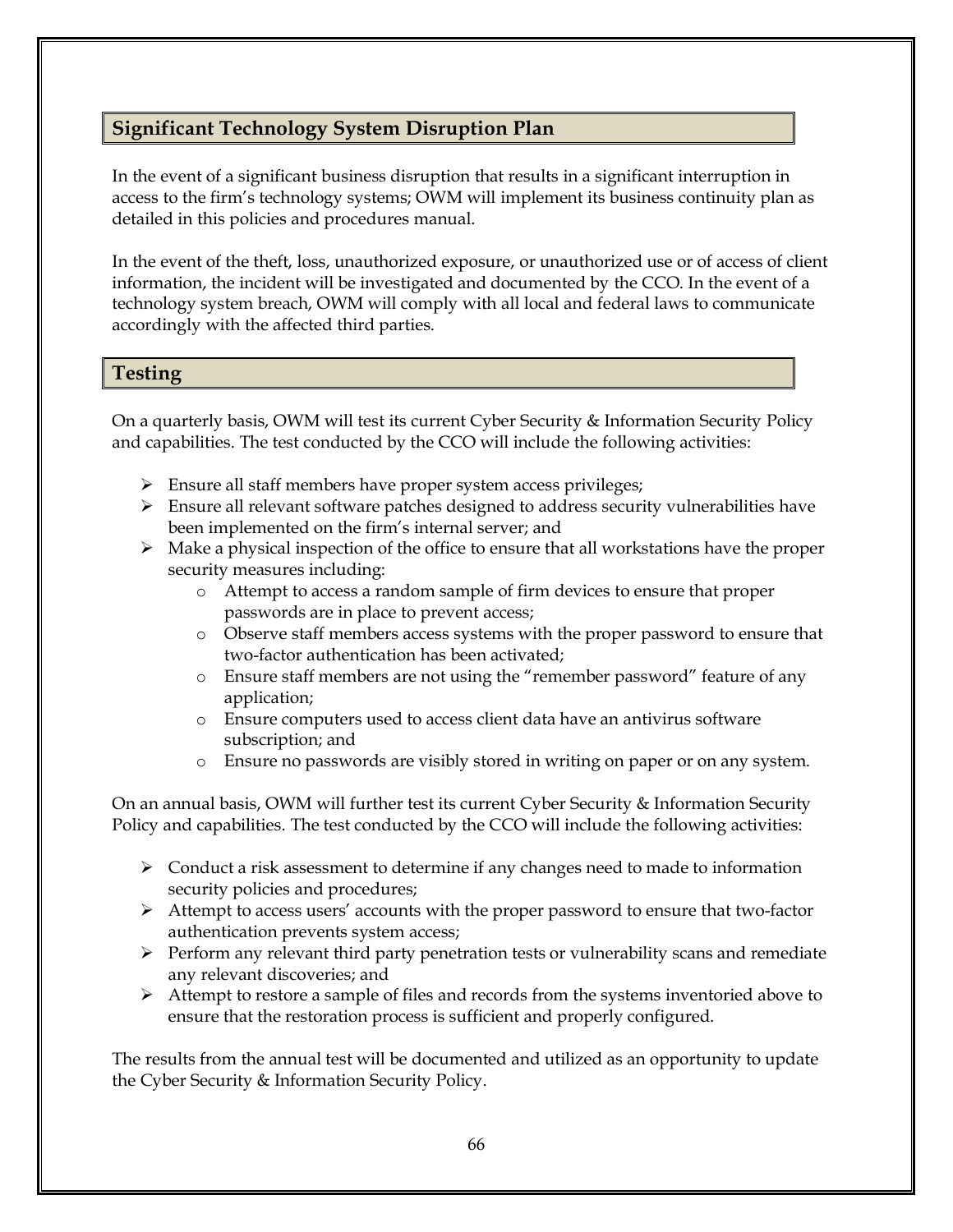### **Significant Technology System Disruption Plan**

In the event of a significant business disruption that results in a significant interruption in access to the firm's technology systems; OWM will implement its business continuity plan as detailed in this policies and procedures manual.

In the event of the theft, loss, unauthorized exposure, or unauthorized use or of access of client information, the incident will be investigated and documented by the CCO. In the event of a technology system breach, OWM will comply with all local and federal laws to communicate accordingly with the affected third parties.

### **Testing**

On a quarterly basis, OWM will test its current Cyber Security & Information Security Policy and capabilities. The test conducted by the CCO will include the following activities:

- ➢ Ensure all staff members have proper system access privileges;
- $\triangleright$  Ensure all relevant software patches designed to address security vulnerabilities have been implemented on the firm's internal server; and
- ➢ Make a physical inspection of the office to ensure that all workstations have the proper security measures including:
	- o Attempt to access a random sample of firm devices to ensure that proper passwords are in place to prevent access;
	- o Observe staff members access systems with the proper password to ensure that two-factor authentication has been activated;
	- o Ensure staff members are not using the "remember password" feature of any application;
	- o Ensure computers used to access client data have an antivirus software subscription; and
	- o Ensure no passwords are visibly stored in writing on paper or on any system.

On an annual basis, OWM will further test its current Cyber Security & Information Security Policy and capabilities. The test conducted by the CCO will include the following activities:

- $\triangleright$  Conduct a risk assessment to determine if any changes need to made to information security policies and procedures;
- ➢ Attempt to access users' accounts with the proper password to ensure that two-factor authentication prevents system access;
- ➢ Perform any relevant third party penetration tests or vulnerability scans and remediate any relevant discoveries; and
- ➢ Attempt to restore a sample of files and records from the systems inventoried above to ensure that the restoration process is sufficient and properly configured.

The results from the annual test will be documented and utilized as an opportunity to update the Cyber Security & Information Security Policy.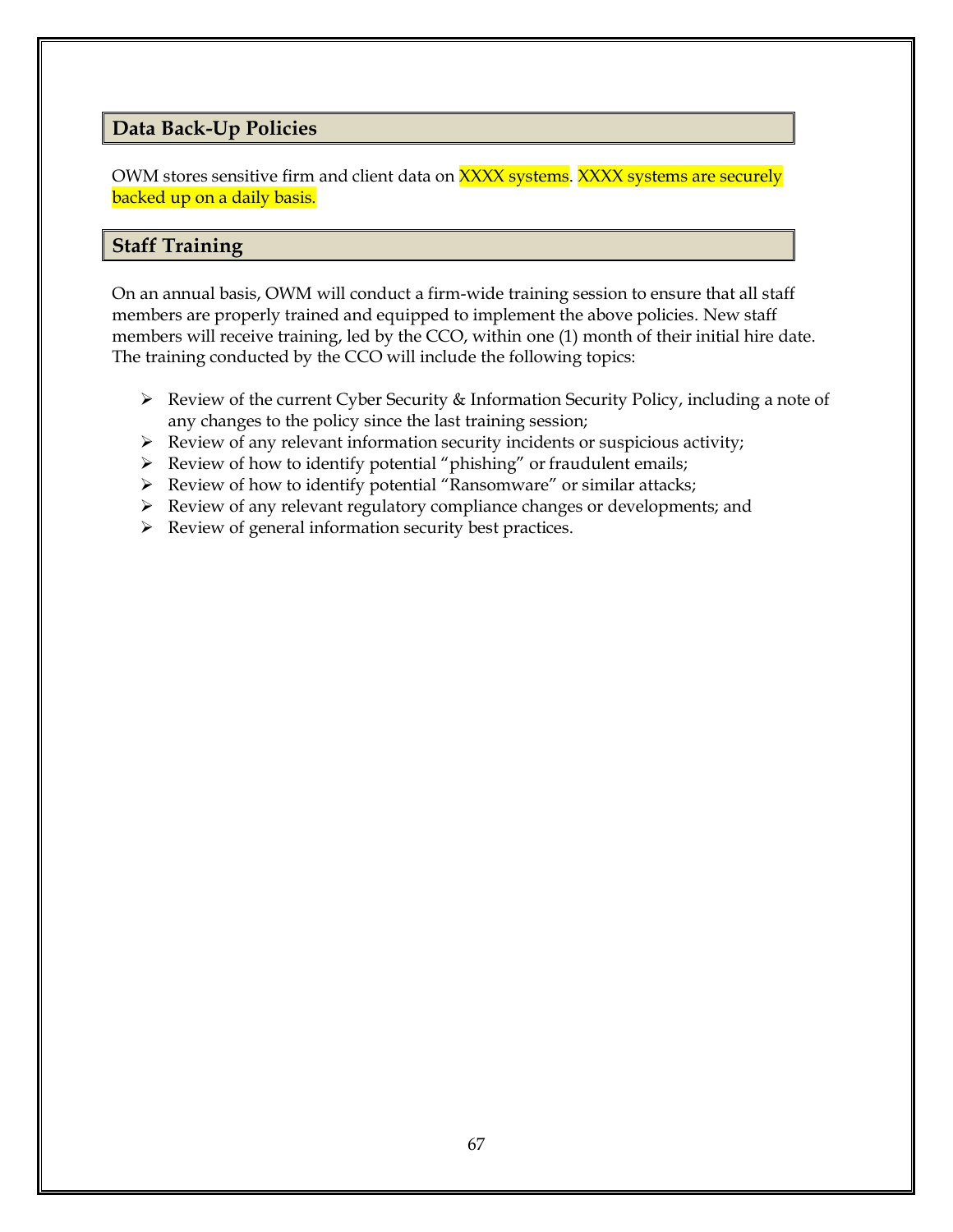### **Data Back-Up Policies**

OWM stores sensitive firm and client data on **XXXX systems**. XXXX systems are securely backed up on a daily basis.

### **Staff Training**

On an annual basis, OWM will conduct a firm-wide training session to ensure that all staff members are properly trained and equipped to implement the above policies. New staff members will receive training, led by the CCO, within one (1) month of their initial hire date. The training conducted by the CCO will include the following topics:

- ➢ Review of the current Cyber Security & Information Security Policy, including a note of any changes to the policy since the last training session;
- ➢ Review of any relevant information security incidents or suspicious activity;
- $\triangleright$  Review of how to identify potential "phishing" or fraudulent emails;
- ➢ Review of how to identify potential "Ransomware" or similar attacks;
- ➢ Review of any relevant regulatory compliance changes or developments; and
- ➢ Review of general information security best practices.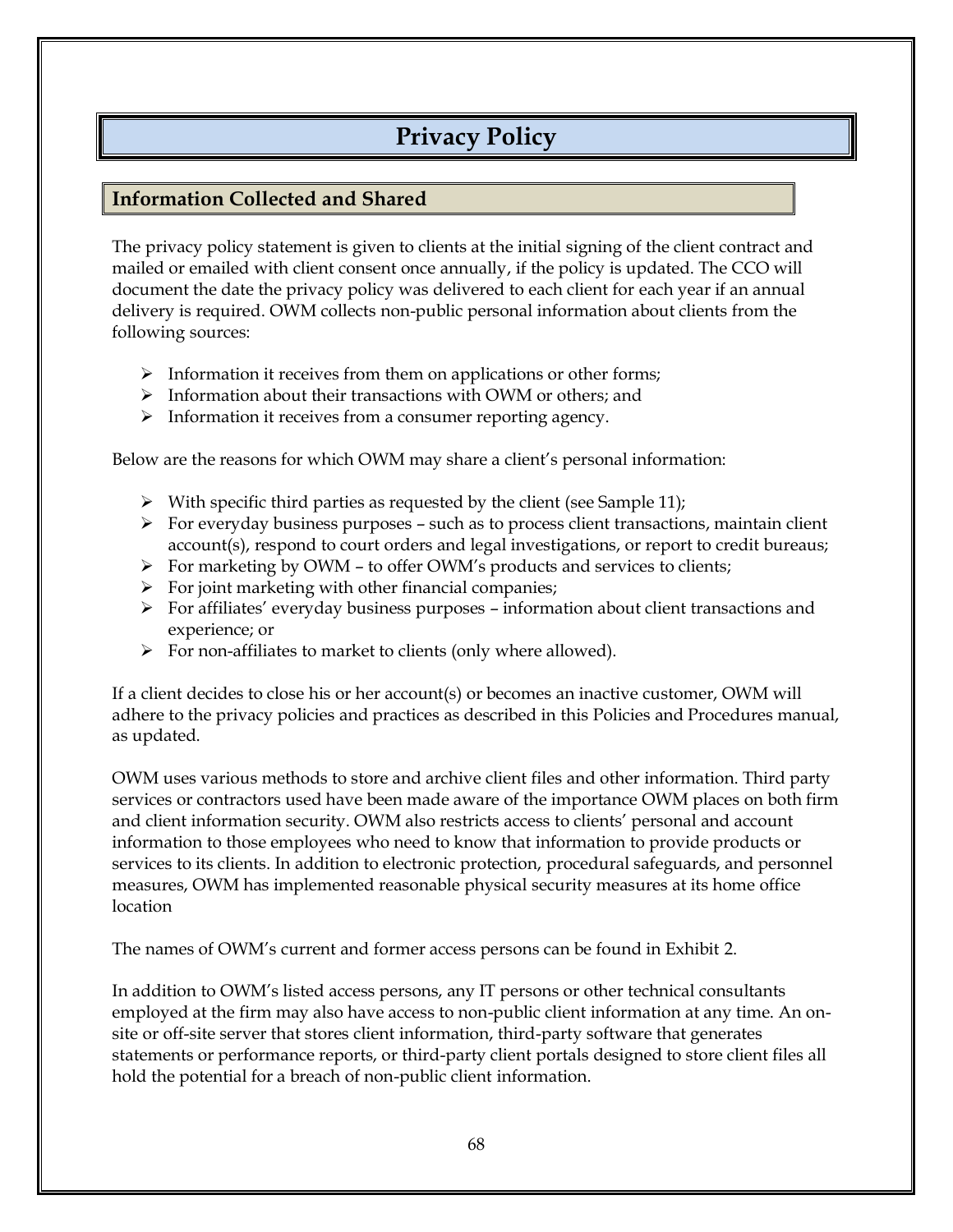## **Privacy Policy**

### **Information Collected and Shared**

The privacy policy statement is given to clients at the initial signing of the client contract and mailed or emailed with client consent once annually, if the policy is updated. The CCO will document the date the privacy policy was delivered to each client for each year if an annual delivery is required. OWM collects non-public personal information about clients from the following sources:

- ➢ Information it receives from them on applications or other forms;
- ➢ Information about their transactions with OWM or others; and
- ➢ Information it receives from a consumer reporting agency.

Below are the reasons for which OWM may share a client's personal information:

- ➢ With specific third parties as requested by the client (see Sample 11);
- $\triangleright$  For everyday business purposes such as to process client transactions, maintain client account(s), respond to court orders and legal investigations, or report to credit bureaus;
- ➢ For marketing by OWM to offer OWM's products and services to clients;
- $\triangleright$  For joint marketing with other financial companies;
- $\triangleright$  For affiliates' everyday business purposes information about client transactions and experience; or
- ➢ For non-affiliates to market to clients (only where allowed).

If a client decides to close his or her account(s) or becomes an inactive customer, OWM will adhere to the privacy policies and practices as described in this Policies and Procedures manual, as updated.

OWM uses various methods to store and archive client files and other information. Third party services or contractors used have been made aware of the importance OWM places on both firm and client information security. OWM also restricts access to clients' personal and account information to those employees who need to know that information to provide products or services to its clients. In addition to electronic protection, procedural safeguards, and personnel measures, OWM has implemented reasonable physical security measures at its home office location

The names of OWM's current and former access persons can be found in Exhibit 2.

In addition to OWM's listed access persons, any IT persons or other technical consultants employed at the firm may also have access to non-public client information at any time. An onsite or off-site server that stores client information, third-party software that generates statements or performance reports, or third-party client portals designed to store client files all hold the potential for a breach of non-public client information.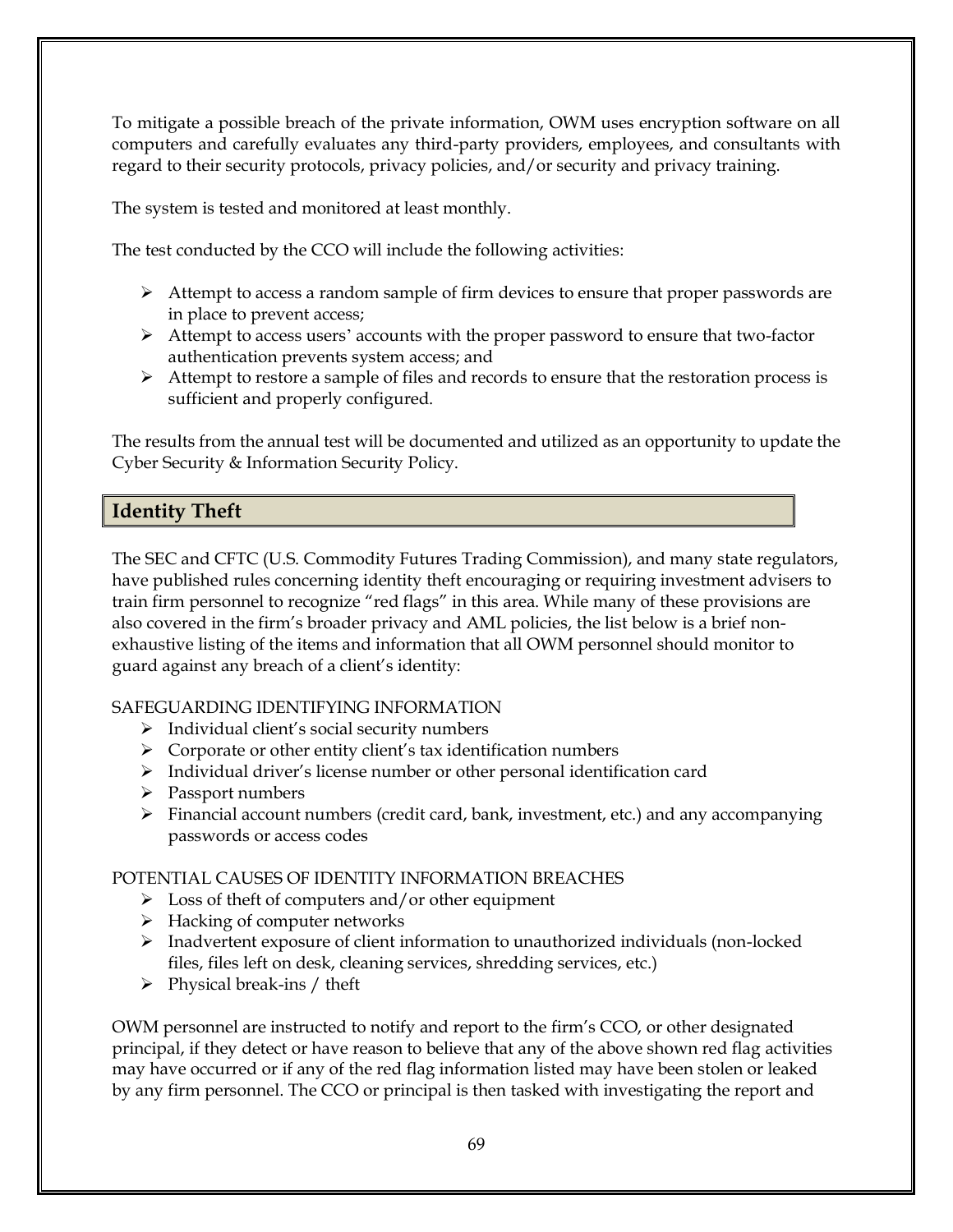To mitigate a possible breach of the private information, OWM uses encryption software on all computers and carefully evaluates any third-party providers, employees, and consultants with regard to their security protocols, privacy policies, and/or security and privacy training.

The system is tested and monitored at least monthly.

The test conducted by the CCO will include the following activities:

- ➢ Attempt to access a random sample of firm devices to ensure that proper passwords are in place to prevent access;
- $\triangleright$  Attempt to access users' accounts with the proper password to ensure that two-factor authentication prevents system access; and
- ➢ Attempt to restore a sample of files and records to ensure that the restoration process is sufficient and properly configured.

The results from the annual test will be documented and utilized as an opportunity to update the Cyber Security & Information Security Policy.

### **Identity Theft**

The SEC and CFTC (U.S. Commodity Futures Trading Commission), and many state regulators, have published rules concerning identity theft encouraging or requiring investment advisers to train firm personnel to recognize "red flags" in this area. While many of these provisions are also covered in the firm's broader privacy and AML policies, the list below is a brief nonexhaustive listing of the items and information that all OWM personnel should monitor to guard against any breach of a client's identity:

### SAFEGUARDING IDENTIFYING INFORMATION

- ➢ Individual client's social security numbers
- ➢ Corporate or other entity client's tax identification numbers
- ➢ Individual driver's license number or other personal identification card
- ➢ Passport numbers
- ➢ Financial account numbers (credit card, bank, investment, etc.) and any accompanying passwords or access codes

### POTENTIAL CAUSES OF IDENTITY INFORMATION BREACHES

- $\triangleright$  Loss of theft of computers and/or other equipment
- ➢ Hacking of computer networks
- ➢ Inadvertent exposure of client information to unauthorized individuals (non-locked files, files left on desk, cleaning services, shredding services, etc.)
- $\triangleright$  Physical break-ins / theft

OWM personnel are instructed to notify and report to the firm's CCO, or other designated principal, if they detect or have reason to believe that any of the above shown red flag activities may have occurred or if any of the red flag information listed may have been stolen or leaked by any firm personnel. The CCO or principal is then tasked with investigating the report and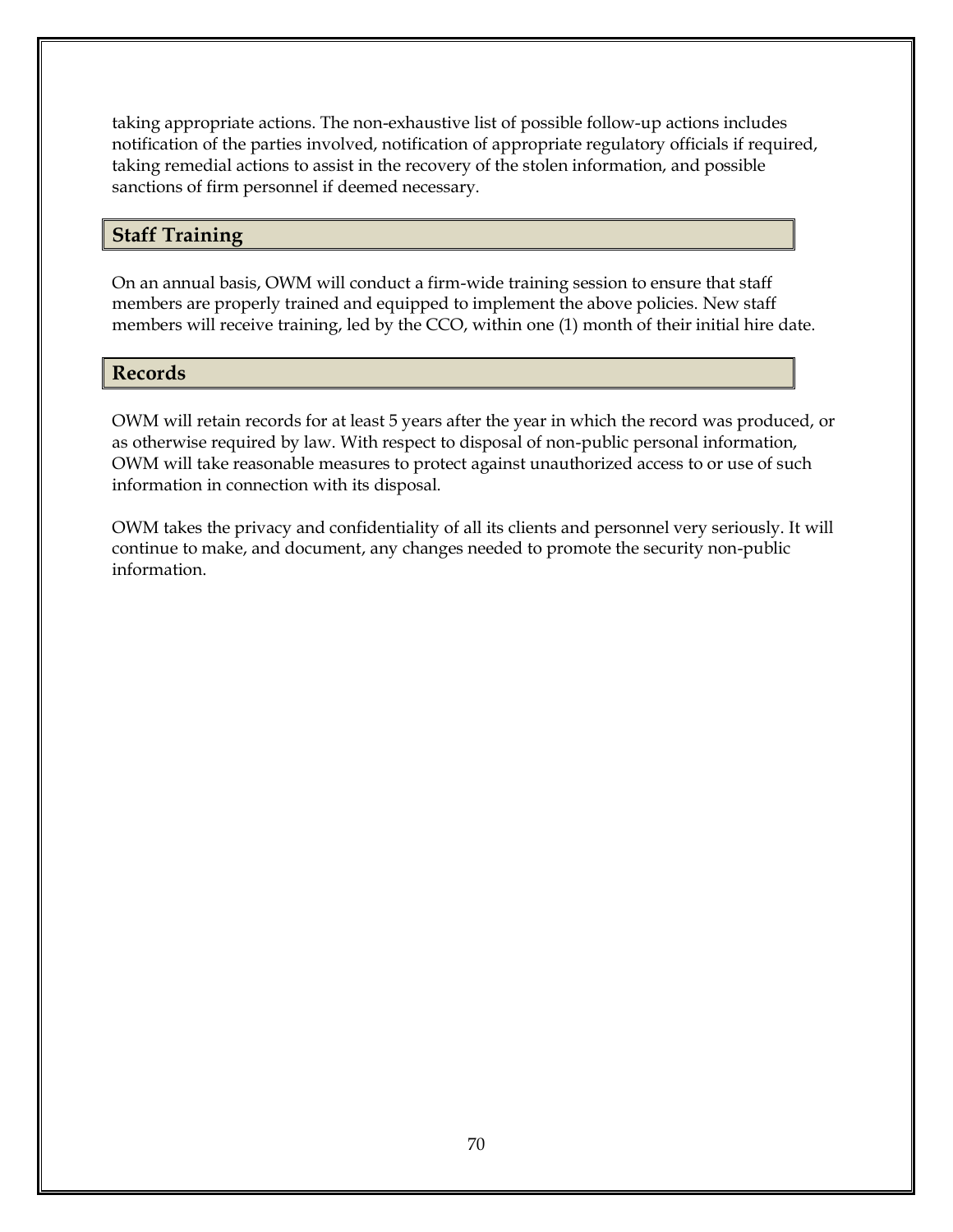taking appropriate actions. The non-exhaustive list of possible follow-up actions includes notification of the parties involved, notification of appropriate regulatory officials if required, taking remedial actions to assist in the recovery of the stolen information, and possible sanctions of firm personnel if deemed necessary.

### **Staff Training**

On an annual basis, OWM will conduct a firm-wide training session to ensure that staff members are properly trained and equipped to implement the above policies. New staff members will receive training, led by the CCO, within one (1) month of their initial hire date.

### **Records**

OWM will retain records for at least 5 years after the year in which the record was produced, or as otherwise required by law. With respect to disposal of non-public personal information, OWM will take reasonable measures to protect against unauthorized access to or use of such information in connection with its disposal.

OWM takes the privacy and confidentiality of all its clients and personnel very seriously. It will continue to make, and document, any changes needed to promote the security non-public information.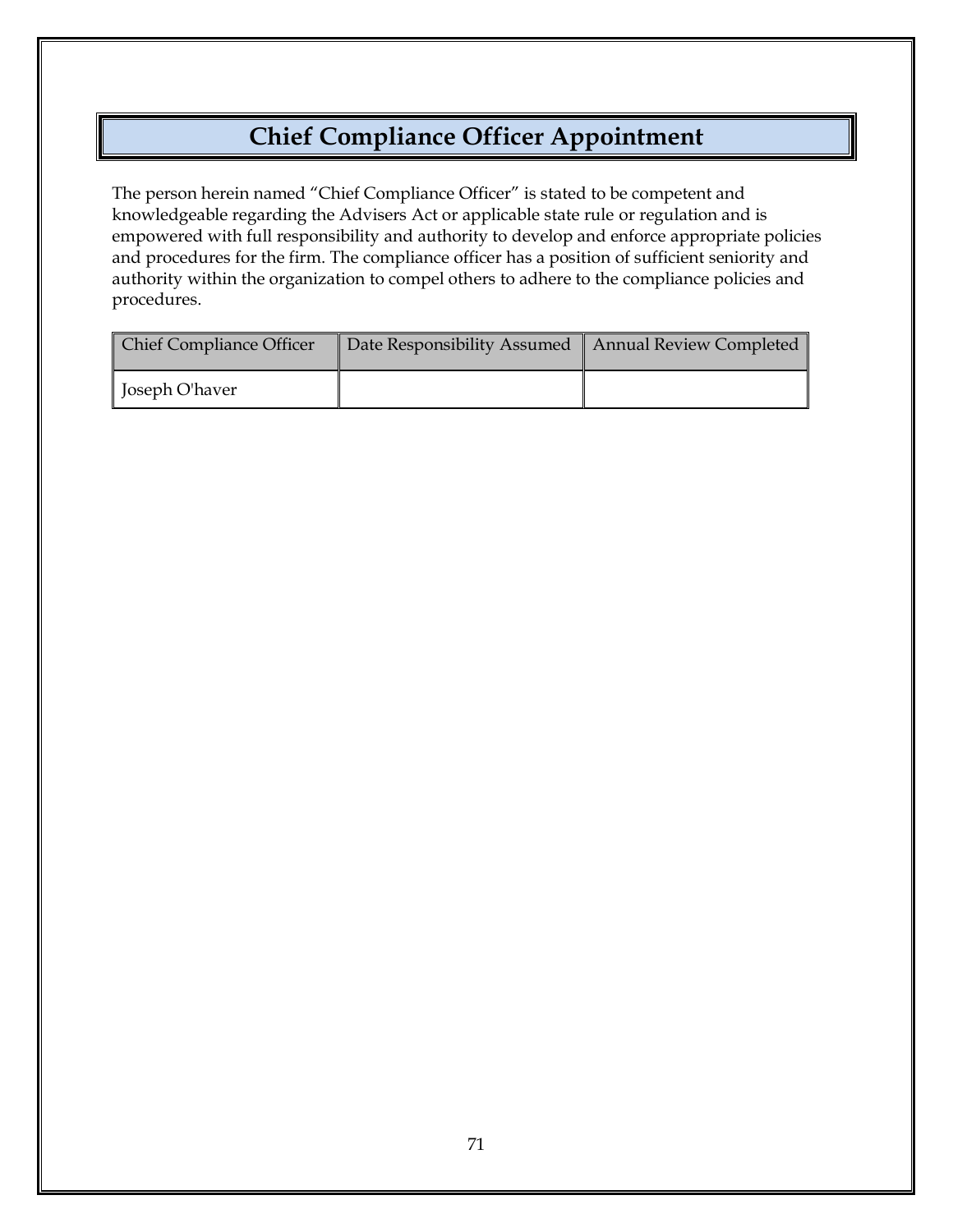## **Chief Compliance Officer Appointment**

The person herein named "Chief Compliance Officer" is stated to be competent and knowledgeable regarding the Advisers Act or applicable state rule or regulation and is empowered with full responsibility and authority to develop and enforce appropriate policies and procedures for the firm. The compliance officer has a position of sufficient seniority and authority within the organization to compel others to adhere to the compliance policies and procedures.

| <b>Chief Compliance Officer</b> | Date Responsibility Assumed   Annual Review Completed |  |
|---------------------------------|-------------------------------------------------------|--|
| Joseph O'haver                  |                                                       |  |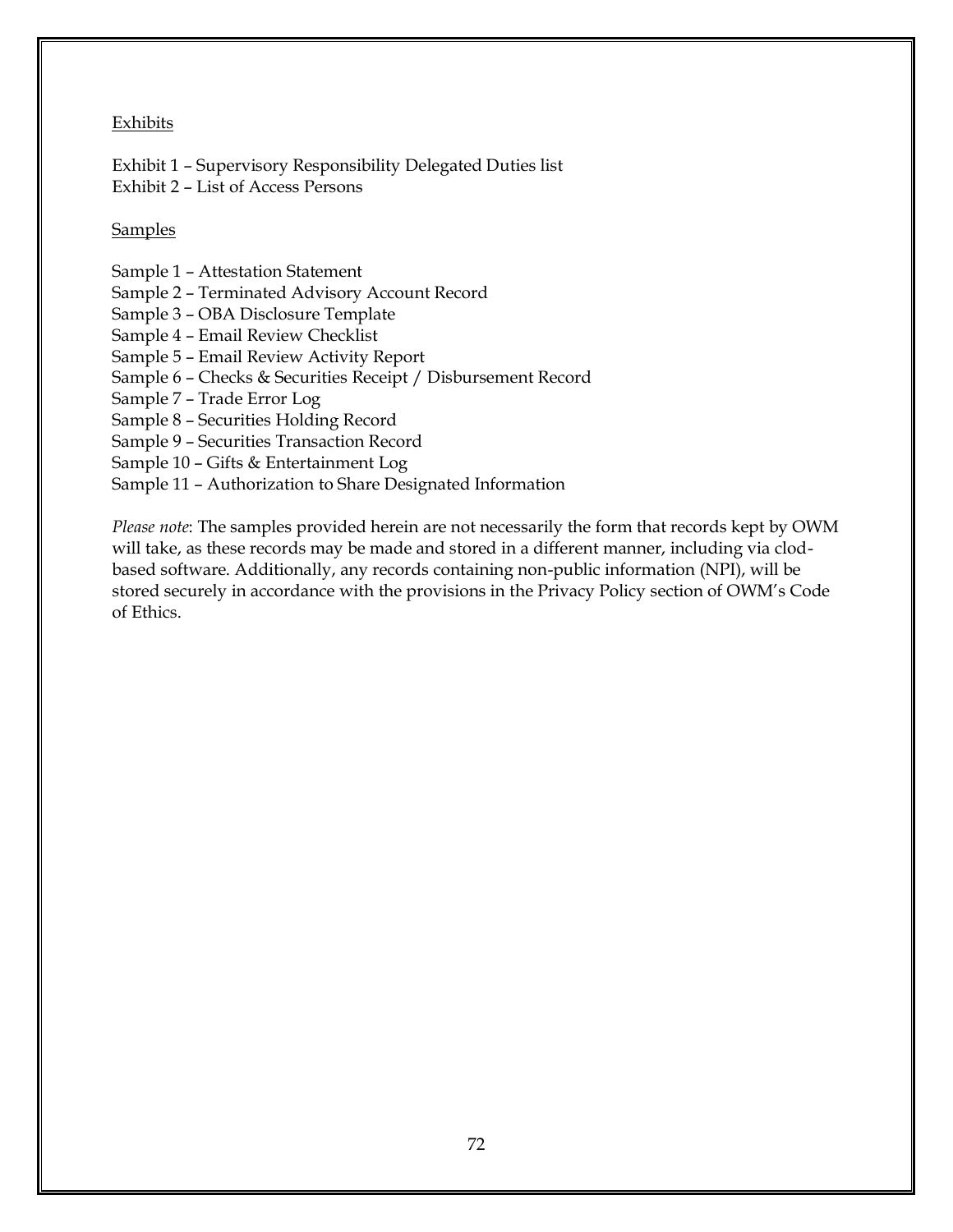#### Exhibits

Exhibit 1 – Supervisory Responsibility Delegated Duties list Exhibit 2 – List of Access Persons

#### Samples

- Sample 1 Attestation Statement
- Sample 2 Terminated Advisory Account Record
- Sample 3 OBA Disclosure Template
- Sample 4 Email Review Checklist
- Sample 5 Email Review Activity Report
- Sample 6 Checks & Securities Receipt / Disbursement Record
- Sample 7 Trade Error Log
- Sample 8 Securities Holding Record
- Sample 9 Securities Transaction Record
- Sample 10 Gifts & Entertainment Log
- Sample 11 Authorization to Share Designated Information

*Please note*: The samples provided herein are not necessarily the form that records kept by OWM will take, as these records may be made and stored in a different manner, including via clodbased software. Additionally, any records containing non-public information (NPI), will be stored securely in accordance with the provisions in the Privacy Policy section of OWM's Code of Ethics.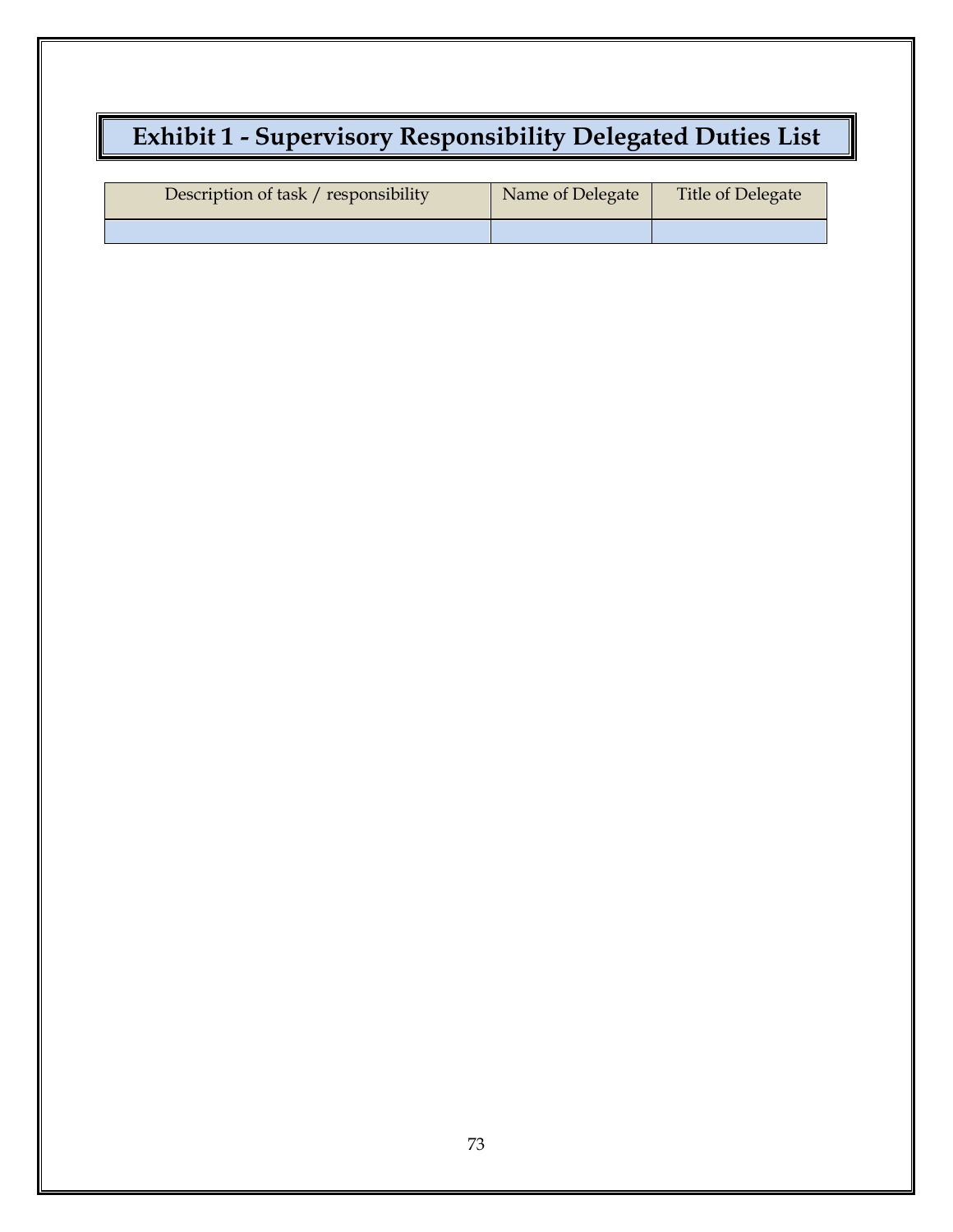# **Exhibit 1 - Supervisory Responsibility Delegated Duties List**

| Description of task / responsibility | Name of Delegate | Title of Delegate |
|--------------------------------------|------------------|-------------------|
|                                      |                  |                   |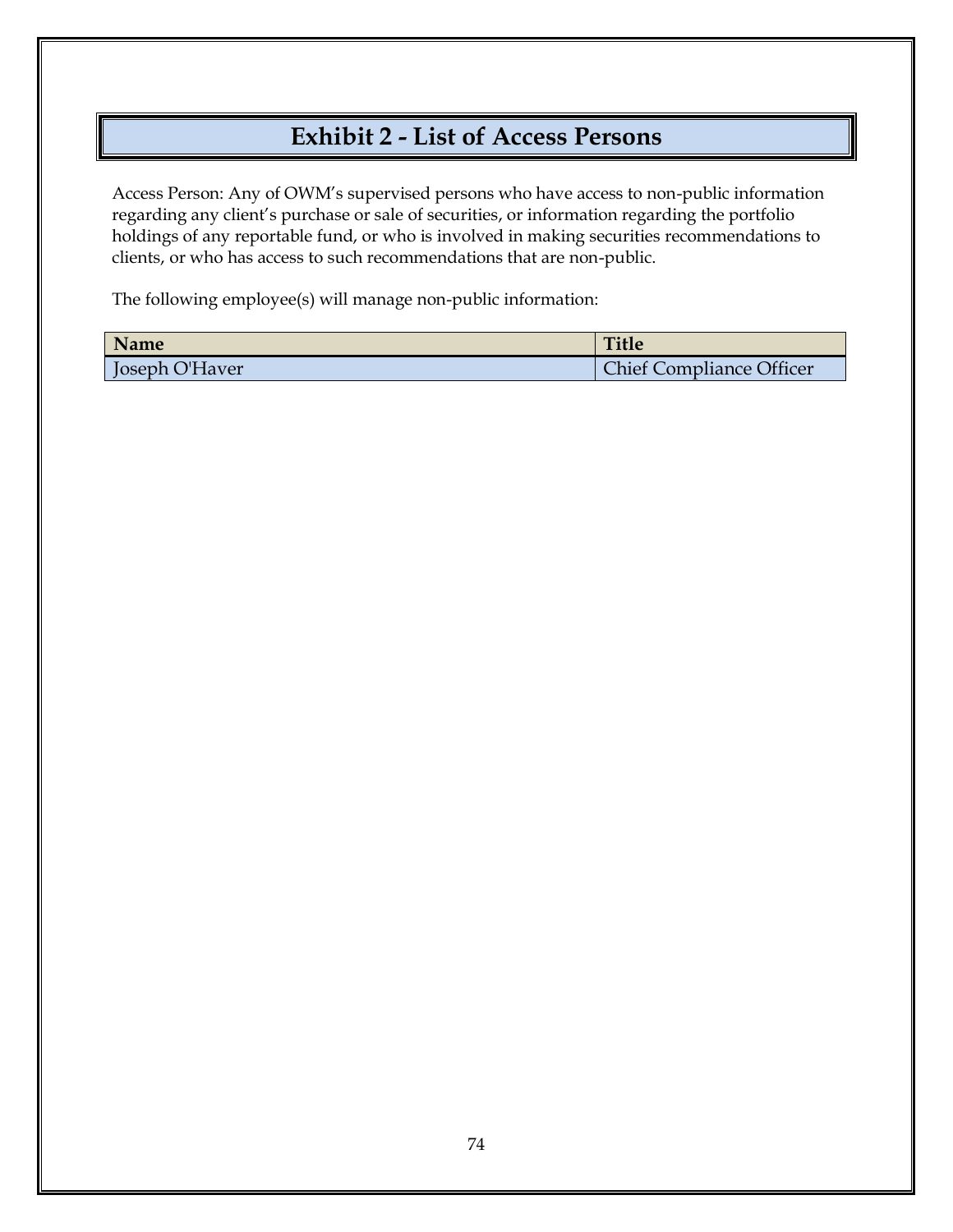## **Exhibit 2 - List of Access Persons**

Access Person: Any of OWM's supervised persons who have access to non-public information regarding any client's purchase or sale of securities, or information regarding the portfolio holdings of any reportable fund, or who is involved in making securities recommendations to clients, or who has access to such recommendations that are non-public.

The following employee(s) will manage non-public information:

| Name           | <b>Title</b>                    |
|----------------|---------------------------------|
| Joseph O'Haver | <b>Chief Compliance Officer</b> |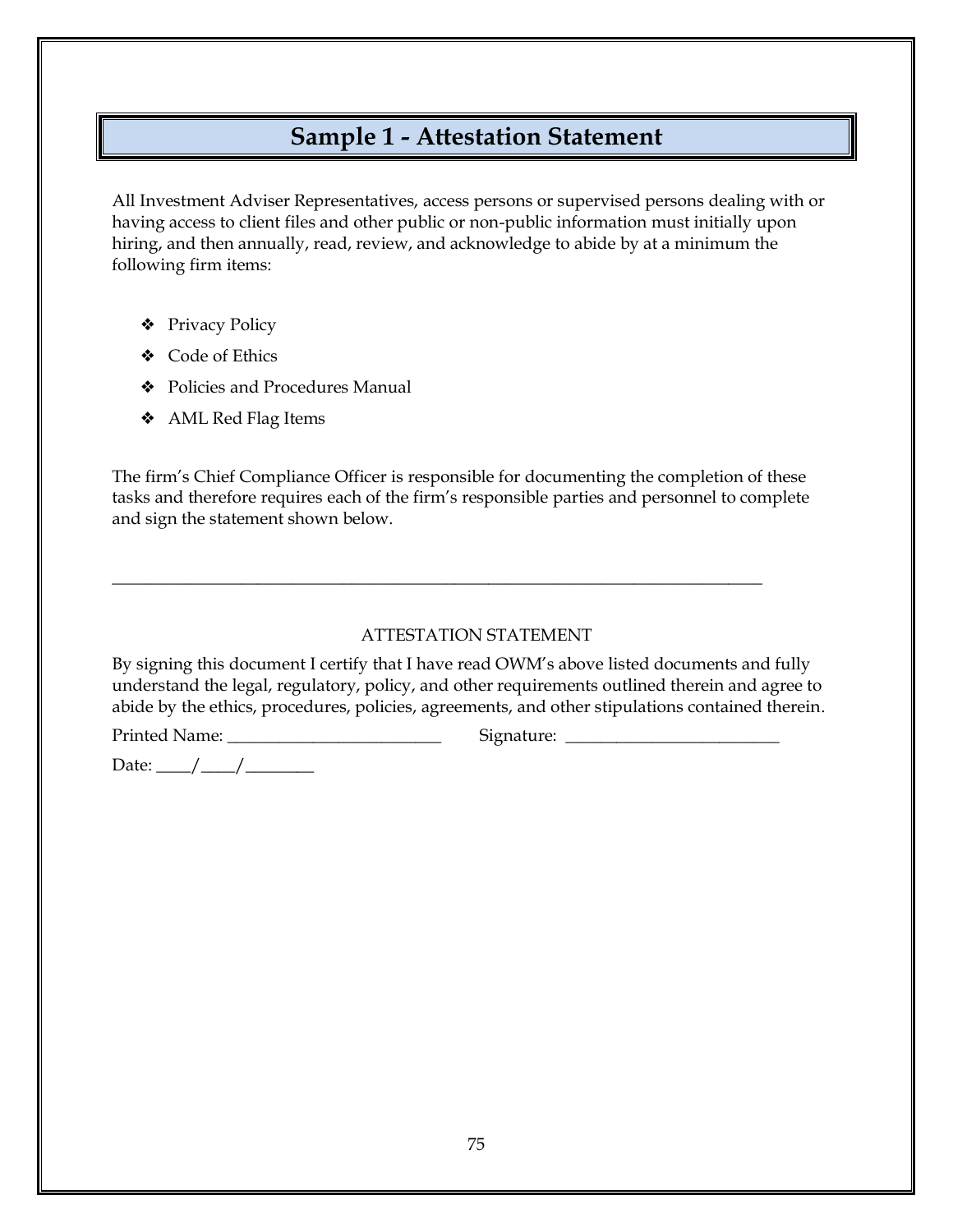### **Sample 1 - Attestation Statement**

All Investment Adviser Representatives, access persons or supervised persons dealing with or having access to client files and other public or non-public information must initially upon hiring, and then annually, read, review, and acknowledge to abide by at a minimum the following firm items:

- ❖ Privacy Policy
- ❖ Code of Ethics
- ❖ Policies and Procedures Manual
- ❖ AML Red Flag Items

The firm's Chief Compliance Officer is responsible for documenting the completion of these tasks and therefore requires each of the firm's responsible parties and personnel to complete and sign the statement shown below.

\_\_\_\_\_\_\_\_\_\_\_\_\_\_\_\_\_\_\_\_\_\_\_\_\_\_\_\_\_\_\_\_\_\_\_\_\_\_\_\_\_\_\_\_\_\_\_\_\_\_\_\_\_\_\_\_\_\_\_\_\_\_\_\_\_\_\_\_\_\_\_\_\_\_\_\_

#### ATTESTATION STATEMENT

By signing this document I certify that I have read OWM's above listed documents and fully understand the legal, regulatory, policy, and other requirements outlined therein and agree to abide by the ethics, procedures, policies, agreements, and other stipulations contained therein.

Printed Name: \_\_\_\_\_\_\_\_\_\_\_\_\_\_\_\_\_\_\_\_\_\_\_\_\_ Signature: \_\_\_\_\_\_\_\_\_\_\_\_\_\_\_\_\_\_\_\_\_\_\_\_\_

Date: \_\_\_\_/\_\_\_\_/\_\_\_\_\_\_\_\_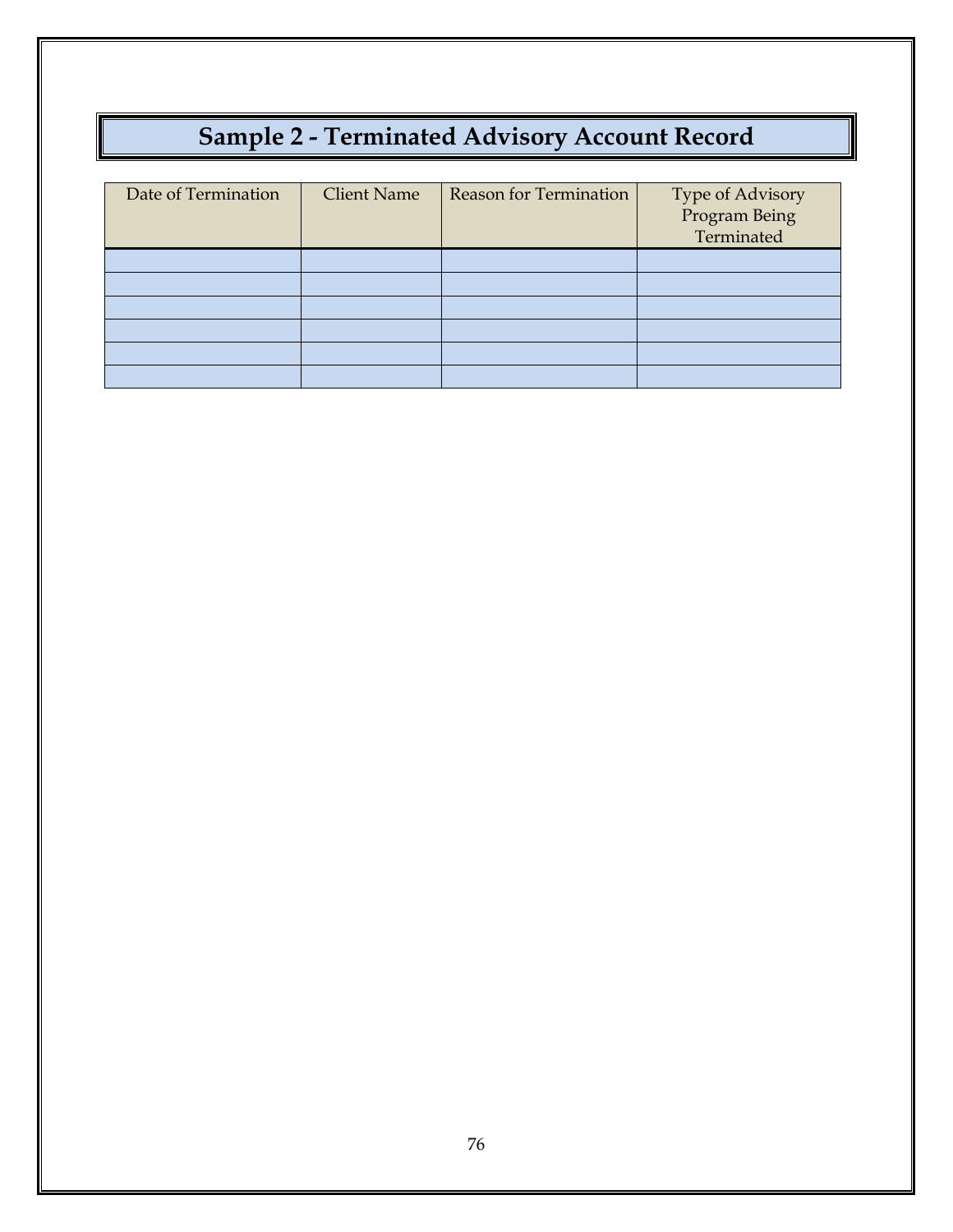## **Sample 2 - Terminated Advisory Account Record**

| Date of Termination | <b>Client Name</b> | <b>Reason for Termination</b> | Type of Advisory<br>Program Being<br>Terminated |
|---------------------|--------------------|-------------------------------|-------------------------------------------------|
|                     |                    |                               |                                                 |
|                     |                    |                               |                                                 |
|                     |                    |                               |                                                 |
|                     |                    |                               |                                                 |
|                     |                    |                               |                                                 |
|                     |                    |                               |                                                 |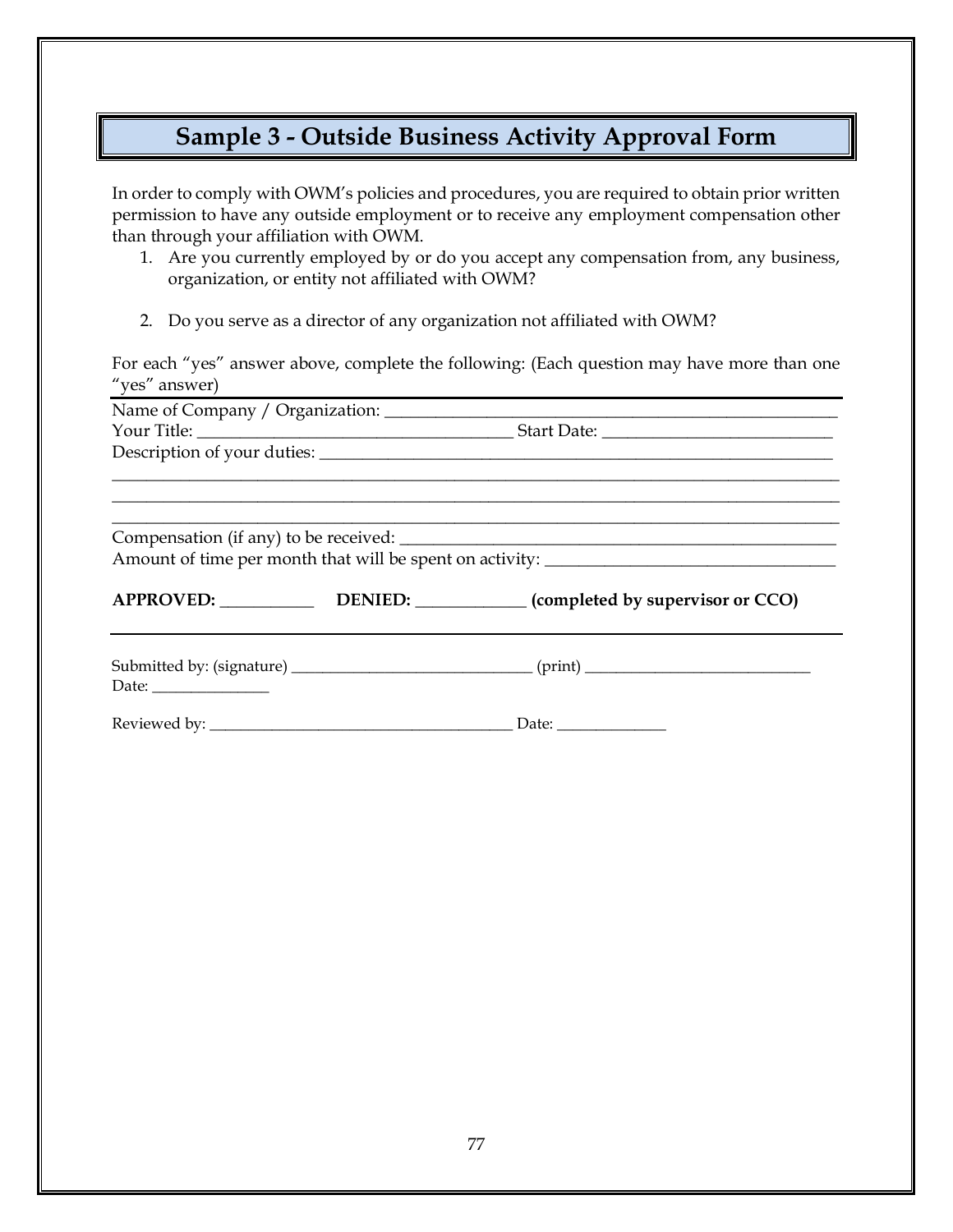## **Sample 3 - Outside Business Activity Approval Form**

In order to comply with OWM's policies and procedures, you are required to obtain prior written permission to have any outside employment or to receive any employment compensation other than through your affiliation with OWM.

- 1. Are you currently employed by or do you accept any compensation from, any business, organization, or entity not affiliated with OWM?
- 2. Do you serve as a director of any organization not affiliated with OWM?

For each "yes" answer above, complete the following: (Each question may have more than one "yes" answer)

|                                                                                                                                                                                                                                                                                                                                                                                                               | <u> 1989 - Andrea Stadt Britain, amerikansk politiker (</u>                                          |
|---------------------------------------------------------------------------------------------------------------------------------------------------------------------------------------------------------------------------------------------------------------------------------------------------------------------------------------------------------------------------------------------------------------|------------------------------------------------------------------------------------------------------|
|                                                                                                                                                                                                                                                                                                                                                                                                               |                                                                                                      |
|                                                                                                                                                                                                                                                                                                                                                                                                               |                                                                                                      |
|                                                                                                                                                                                                                                                                                                                                                                                                               |                                                                                                      |
|                                                                                                                                                                                                                                                                                                                                                                                                               |                                                                                                      |
|                                                                                                                                                                                                                                                                                                                                                                                                               | Amount of time per month that will be spent on activity: ________________________                    |
|                                                                                                                                                                                                                                                                                                                                                                                                               | APPROVED: ______________________DENIED: ______________(completed by supervisor or CCO)               |
| Date: $\frac{1}{\sqrt{1-\frac{1}{2}}\sqrt{1-\frac{1}{2}}\sqrt{1-\frac{1}{2}}\sqrt{1-\frac{1}{2}}\sqrt{1-\frac{1}{2}}\sqrt{1-\frac{1}{2}}\sqrt{1-\frac{1}{2}}\sqrt{1-\frac{1}{2}}\sqrt{1-\frac{1}{2}}\sqrt{1-\frac{1}{2}}\sqrt{1-\frac{1}{2}}\sqrt{1-\frac{1}{2}}\sqrt{1-\frac{1}{2}}\sqrt{1-\frac{1}{2}}\sqrt{1-\frac{1}{2}}\sqrt{1-\frac{1}{2}}\sqrt{1-\frac{1}{2}}\sqrt{1-\frac{1}{2}}\sqrt{1-\frac{1}{2}}$ | Submitted by: (signature) _________________________________(print) _________________________________ |
|                                                                                                                                                                                                                                                                                                                                                                                                               |                                                                                                      |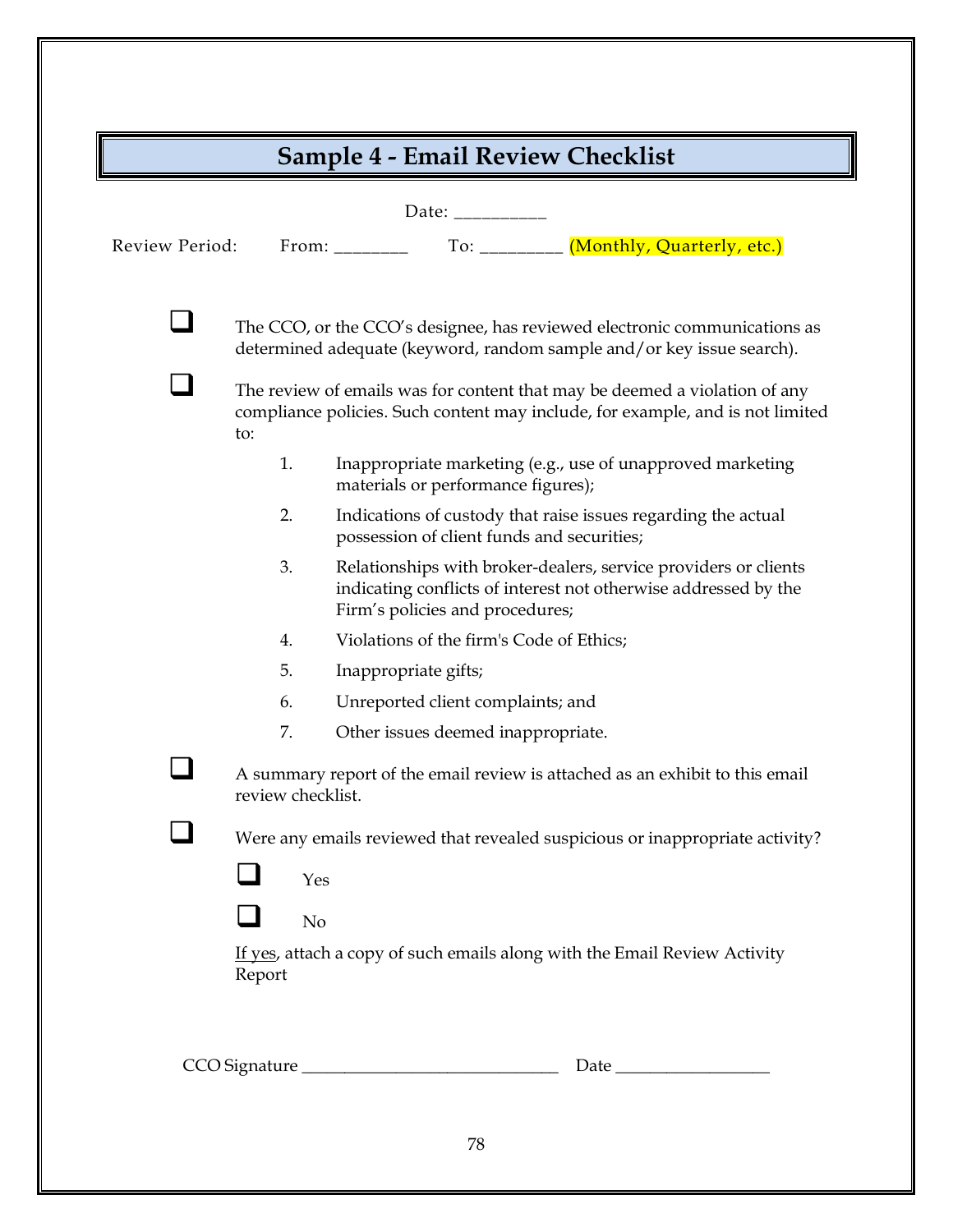| Review Period: |                   | To: $\frac{1}{2}$ (Monthly, Quarterly, etc.)<br>From: $\frac{1}{\sqrt{1-\frac{1}{2}}\sqrt{1-\frac{1}{2}}\sqrt{1-\frac{1}{2}}\sqrt{1-\frac{1}{2}}\sqrt{1-\frac{1}{2}}\sqrt{1-\frac{1}{2}}\sqrt{1-\frac{1}{2}}\sqrt{1-\frac{1}{2}}\sqrt{1-\frac{1}{2}}\sqrt{1-\frac{1}{2}}\sqrt{1-\frac{1}{2}}\sqrt{1-\frac{1}{2}}\sqrt{1-\frac{1}{2}}\sqrt{1-\frac{1}{2}}\sqrt{1-\frac{1}{2}}\sqrt{1-\frac{1}{2}}\sqrt{1-\frac{1}{2}}\sqrt{1-\frac{1}{2}}\sqrt{1-\frac{1}{2}}$ |
|----------------|-------------------|---------------------------------------------------------------------------------------------------------------------------------------------------------------------------------------------------------------------------------------------------------------------------------------------------------------------------------------------------------------------------------------------------------------------------------------------------------------|
|                |                   | The CCO, or the CCO's designee, has reviewed electronic communications as<br>determined adequate (keyword, random sample and/or key issue search).                                                                                                                                                                                                                                                                                                            |
|                | to:               | The review of emails was for content that may be deemed a violation of any<br>compliance policies. Such content may include, for example, and is not limited                                                                                                                                                                                                                                                                                                  |
|                | 1.                | Inappropriate marketing (e.g., use of unapproved marketing<br>materials or performance figures);                                                                                                                                                                                                                                                                                                                                                              |
|                | 2.                | Indications of custody that raise issues regarding the actual<br>possession of client funds and securities;                                                                                                                                                                                                                                                                                                                                                   |
|                | 3.                | Relationships with broker-dealers, service providers or clients<br>indicating conflicts of interest not otherwise addressed by the<br>Firm's policies and procedures;                                                                                                                                                                                                                                                                                         |
|                | 4.                | Violations of the firm's Code of Ethics;                                                                                                                                                                                                                                                                                                                                                                                                                      |
|                | 5.                | Inappropriate gifts;                                                                                                                                                                                                                                                                                                                                                                                                                                          |
|                | 6.                | Unreported client complaints; and                                                                                                                                                                                                                                                                                                                                                                                                                             |
|                | 7.                | Other issues deemed inappropriate.                                                                                                                                                                                                                                                                                                                                                                                                                            |
|                | review checklist. | A summary report of the email review is attached as an exhibit to this email                                                                                                                                                                                                                                                                                                                                                                                  |
|                |                   | Were any emails reviewed that revealed suspicious or inappropriate activity?<br>Yes                                                                                                                                                                                                                                                                                                                                                                           |
|                |                   | No                                                                                                                                                                                                                                                                                                                                                                                                                                                            |
|                | Report            | If yes, attach a copy of such emails along with the Email Review Activity                                                                                                                                                                                                                                                                                                                                                                                     |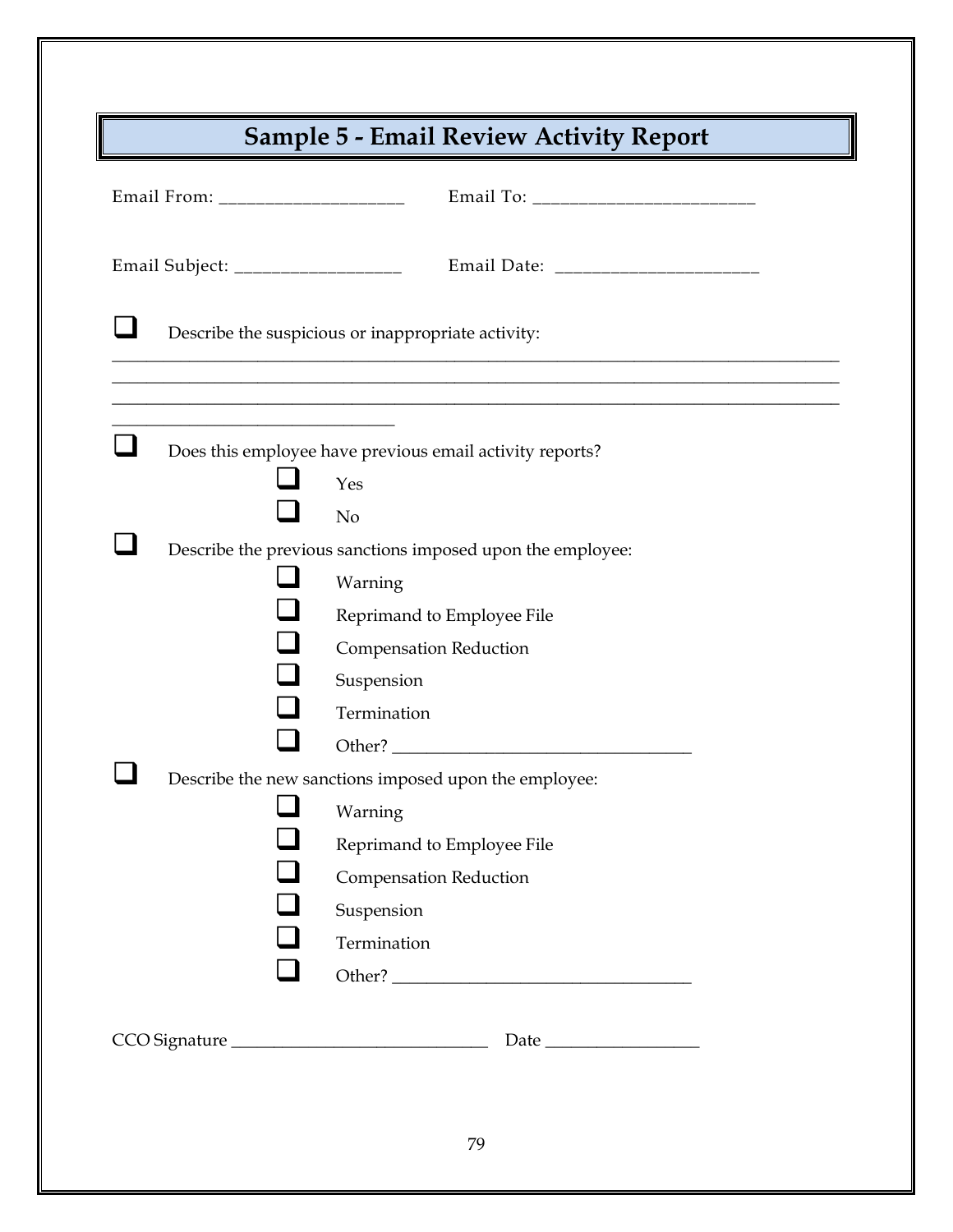|                                    | <b>Sample 5 - Email Review Activity Report</b>             |
|------------------------------------|------------------------------------------------------------|
| Email From: ______________________ |                                                            |
| Email Subject: ___________________ |                                                            |
|                                    | Describe the suspicious or inappropriate activity:         |
|                                    |                                                            |
|                                    | Does this employee have previous email activity reports?   |
|                                    | Yes                                                        |
|                                    | N <sub>o</sub>                                             |
|                                    | Describe the previous sanctions imposed upon the employee: |
|                                    | Warning                                                    |
|                                    | Reprimand to Employee File                                 |
|                                    | <b>Compensation Reduction</b>                              |
|                                    | Suspension<br>Termination                                  |
|                                    |                                                            |
|                                    | Describe the new sanctions imposed upon the employee:      |
|                                    | Warning                                                    |
|                                    | Reprimand to Employee File                                 |
|                                    | <b>Compensation Reduction</b>                              |
|                                    | Suspension                                                 |
|                                    | Termination                                                |
|                                    |                                                            |
|                                    | CCO Signature                                              |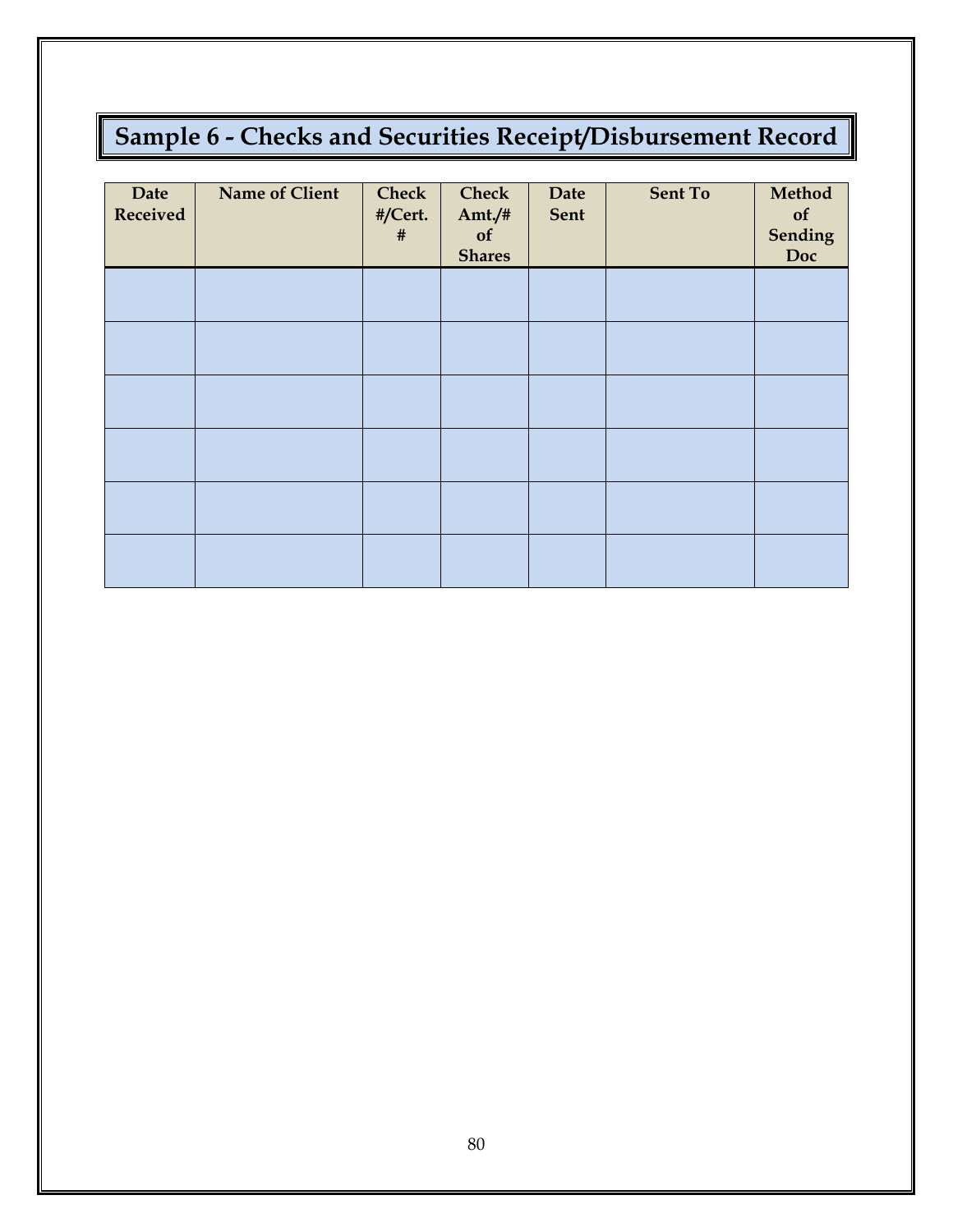# **Sample 6 - Checks and Securities Receipt/Disbursement Record**

| Date<br>Received | <b>Name of Client</b> | <b>Check</b><br>#/Cert.<br># | <b>Check</b><br>Amt $/$ #<br>of<br><b>Shares</b> | <b>Date</b><br>Sent | Sent To | Method<br>of<br><b>Sending</b><br>Doc |
|------------------|-----------------------|------------------------------|--------------------------------------------------|---------------------|---------|---------------------------------------|
|                  |                       |                              |                                                  |                     |         |                                       |
|                  |                       |                              |                                                  |                     |         |                                       |
|                  |                       |                              |                                                  |                     |         |                                       |
|                  |                       |                              |                                                  |                     |         |                                       |
|                  |                       |                              |                                                  |                     |         |                                       |
|                  |                       |                              |                                                  |                     |         |                                       |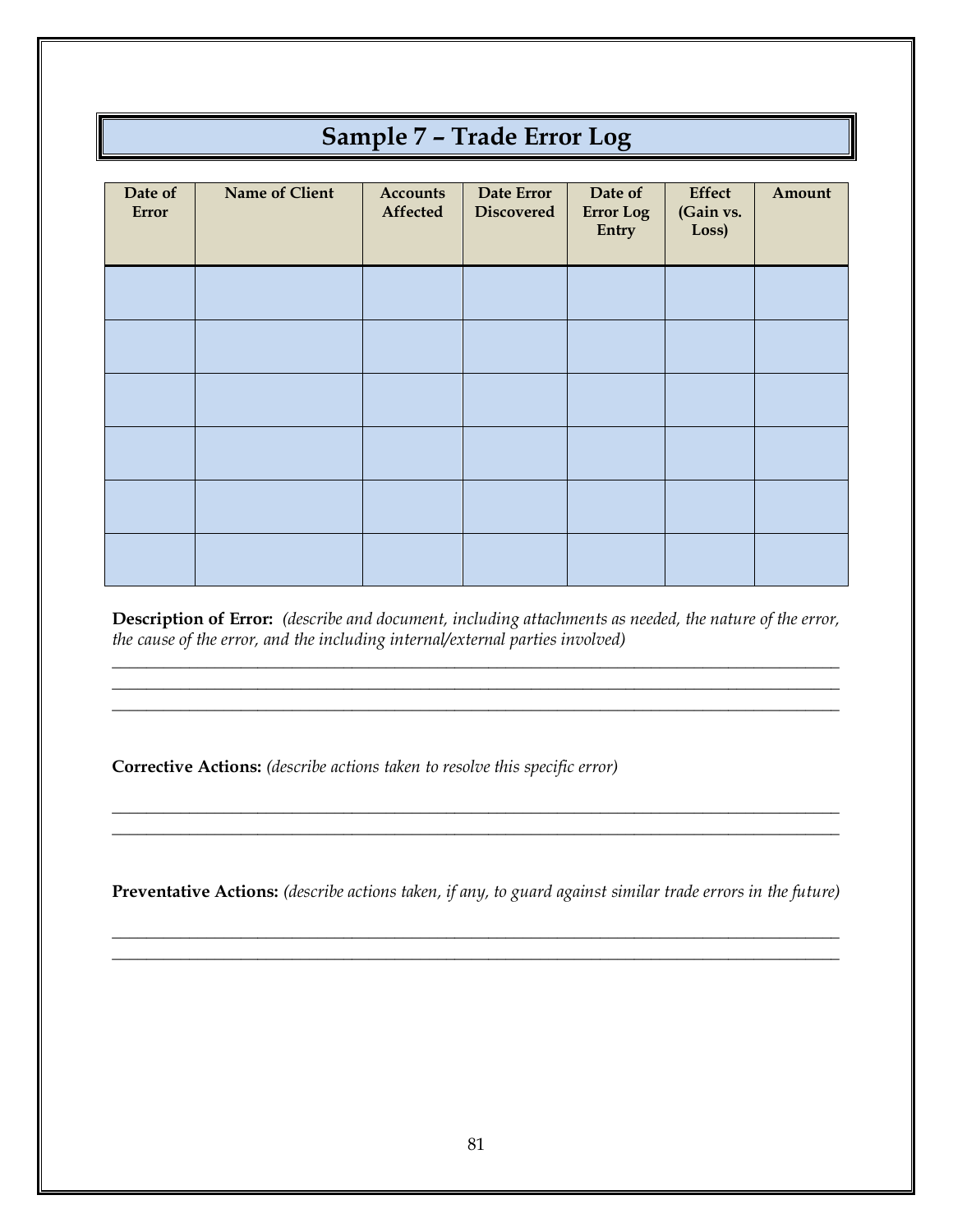## **Sample 7 – Trade Error Log**

| Date of<br>Error | Name of Client | <b>Accounts</b><br>Affected | Date Error<br><b>Discovered</b> | Date of<br><b>Error Log</b><br>Entry | Effect<br>(Gain vs.<br>Loss) | Amount |
|------------------|----------------|-----------------------------|---------------------------------|--------------------------------------|------------------------------|--------|
|                  |                |                             |                                 |                                      |                              |        |
|                  |                |                             |                                 |                                      |                              |        |
|                  |                |                             |                                 |                                      |                              |        |
|                  |                |                             |                                 |                                      |                              |        |
|                  |                |                             |                                 |                                      |                              |        |
|                  |                |                             |                                 |                                      |                              |        |

**Description of Error:** *(describe and document, including attachments as needed, the nature of the error, the cause of the error, and the including internal/external parties involved)*

\_\_\_\_\_\_\_\_\_\_\_\_\_\_\_\_\_\_\_\_\_\_\_\_\_\_\_\_\_\_\_\_\_\_\_\_\_\_\_\_\_\_\_\_\_\_\_\_\_\_\_\_\_\_\_\_\_\_\_\_\_\_\_\_\_\_\_\_\_\_\_\_\_\_\_\_\_\_\_\_\_\_\_\_\_ \_\_\_\_\_\_\_\_\_\_\_\_\_\_\_\_\_\_\_\_\_\_\_\_\_\_\_\_\_\_\_\_\_\_\_\_\_\_\_\_\_\_\_\_\_\_\_\_\_\_\_\_\_\_\_\_\_\_\_\_\_\_\_\_\_\_\_\_\_\_\_\_\_\_\_\_\_\_\_\_\_\_\_\_\_ \_\_\_\_\_\_\_\_\_\_\_\_\_\_\_\_\_\_\_\_\_\_\_\_\_\_\_\_\_\_\_\_\_\_\_\_\_\_\_\_\_\_\_\_\_\_\_\_\_\_\_\_\_\_\_\_\_\_\_\_\_\_\_\_\_\_\_\_\_\_\_\_\_\_\_\_\_\_\_\_\_\_\_\_\_

**Corrective Actions:** *(describe actions taken to resolve this specific error)*

**Preventative Actions:** *(describe actions taken, if any, to guard against similar trade errors in the future)*

\_\_\_\_\_\_\_\_\_\_\_\_\_\_\_\_\_\_\_\_\_\_\_\_\_\_\_\_\_\_\_\_\_\_\_\_\_\_\_\_\_\_\_\_\_\_\_\_\_\_\_\_\_\_\_\_\_\_\_\_\_\_\_\_\_\_\_\_\_\_\_\_\_\_\_\_\_\_\_\_\_\_\_\_\_ \_\_\_\_\_\_\_\_\_\_\_\_\_\_\_\_\_\_\_\_\_\_\_\_\_\_\_\_\_\_\_\_\_\_\_\_\_\_\_\_\_\_\_\_\_\_\_\_\_\_\_\_\_\_\_\_\_\_\_\_\_\_\_\_\_\_\_\_\_\_\_\_\_\_\_\_\_\_\_\_\_\_\_\_\_

\_\_\_\_\_\_\_\_\_\_\_\_\_\_\_\_\_\_\_\_\_\_\_\_\_\_\_\_\_\_\_\_\_\_\_\_\_\_\_\_\_\_\_\_\_\_\_\_\_\_\_\_\_\_\_\_\_\_\_\_\_\_\_\_\_\_\_\_\_\_\_\_\_\_\_\_\_\_\_\_\_\_\_\_\_ \_\_\_\_\_\_\_\_\_\_\_\_\_\_\_\_\_\_\_\_\_\_\_\_\_\_\_\_\_\_\_\_\_\_\_\_\_\_\_\_\_\_\_\_\_\_\_\_\_\_\_\_\_\_\_\_\_\_\_\_\_\_\_\_\_\_\_\_\_\_\_\_\_\_\_\_\_\_\_\_\_\_\_\_\_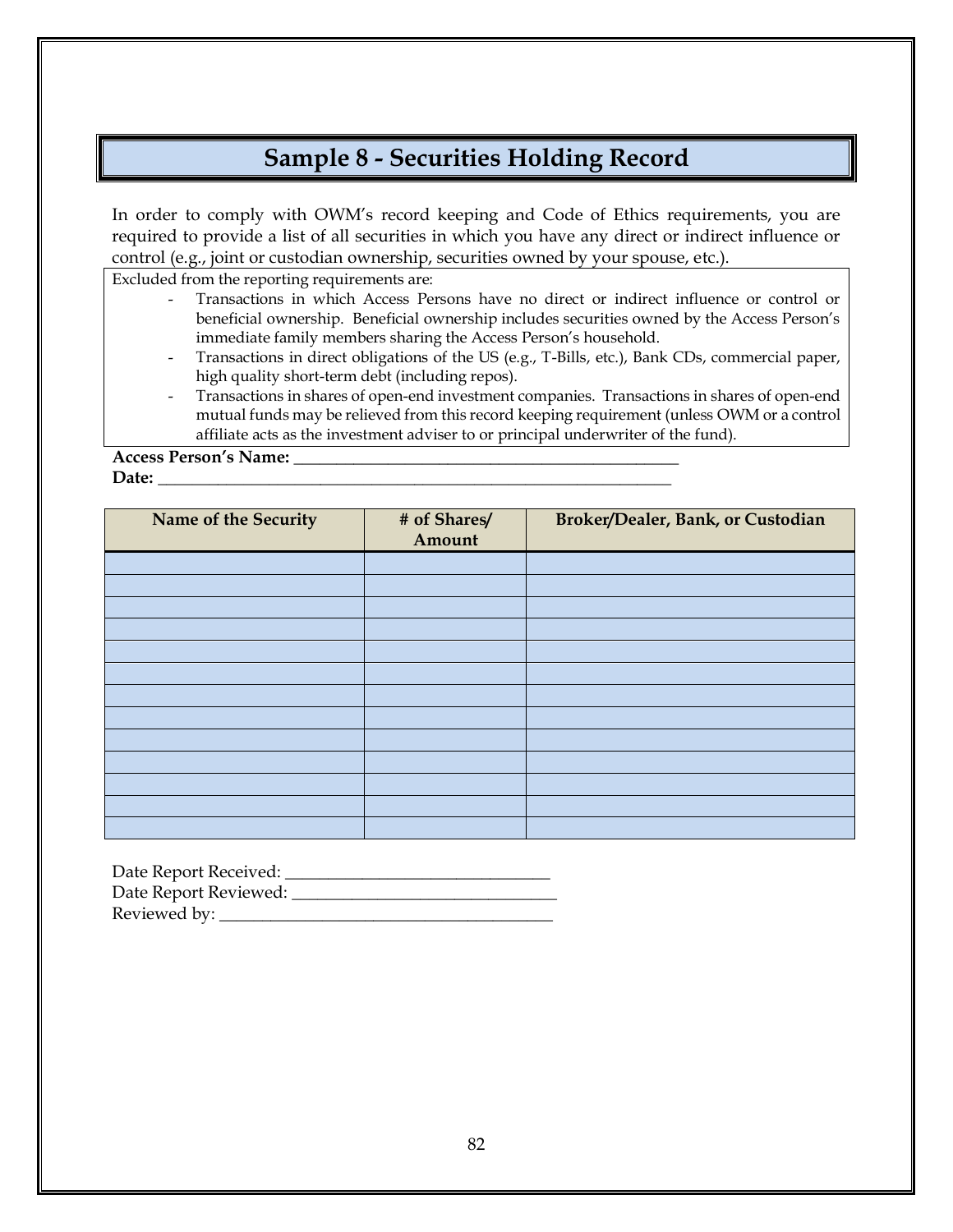## **Sample 8 - Securities Holding Record**

In order to comply with OWM's record keeping and Code of Ethics requirements, you are required to provide a list of all securities in which you have any direct or indirect influence or control (e.g., joint or custodian ownership, securities owned by your spouse, etc.).

Excluded from the reporting requirements are:

- Transactions in which Access Persons have no direct or indirect influence or control or beneficial ownership. Beneficial ownership includes securities owned by the Access Person's immediate family members sharing the Access Person's household.
- Transactions in direct obligations of the US (e.g., T-Bills, etc.), Bank CDs, commercial paper, high quality short-term debt (including repos).
- Transactions in shares of open-end investment companies. Transactions in shares of open-end mutual funds may be relieved from this record keeping requirement (unless OWM or a control affiliate acts as the investment adviser to or principal underwriter of the fund).

**Access Person's Name: \_\_\_\_\_\_\_\_\_\_\_\_\_\_\_\_\_\_\_\_\_\_\_\_\_\_\_\_\_\_\_\_\_\_\_\_\_\_\_\_\_\_\_\_\_ Date: \_\_\_\_\_\_\_\_\_\_\_\_\_\_\_\_\_\_\_\_\_\_\_\_\_\_\_\_\_\_\_\_\_\_\_\_\_\_\_\_\_\_\_\_\_\_\_\_\_\_\_\_\_\_\_\_\_\_\_\_**

| Name of the Security | # of Shares/<br>Amount | Broker/Dealer, Bank, or Custodian |
|----------------------|------------------------|-----------------------------------|
|                      |                        |                                   |
|                      |                        |                                   |
|                      |                        |                                   |
|                      |                        |                                   |
|                      |                        |                                   |
|                      |                        |                                   |
|                      |                        |                                   |
|                      |                        |                                   |
|                      |                        |                                   |
|                      |                        |                                   |
|                      |                        |                                   |
|                      |                        |                                   |
|                      |                        |                                   |

| Date Report Received: |  |
|-----------------------|--|
| Date Report Reviewed: |  |
| Reviewed by:          |  |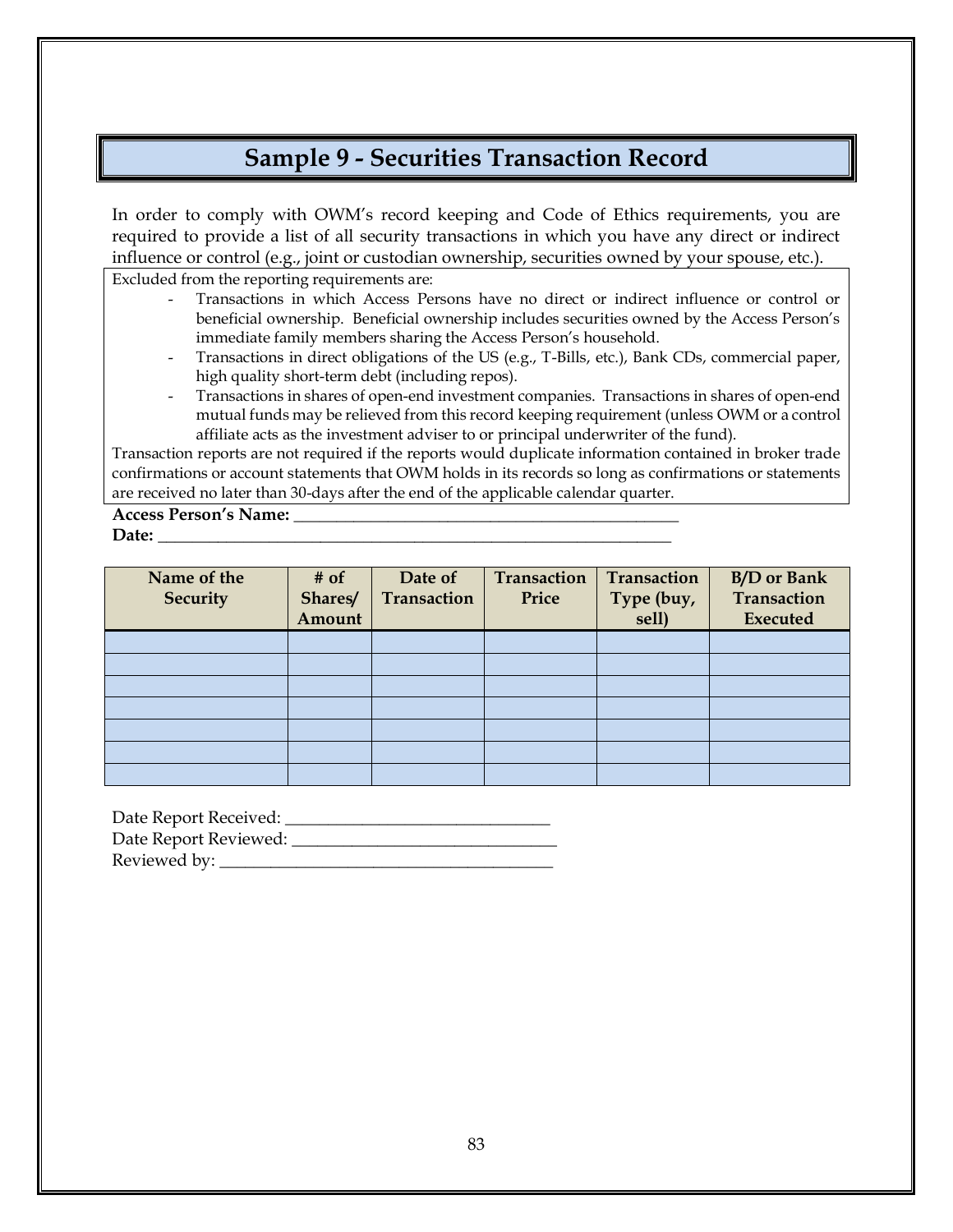## **Sample 9 - Securities Transaction Record**

In order to comply with OWM's record keeping and Code of Ethics requirements, you are required to provide a list of all security transactions in which you have any direct or indirect influence or control (e.g., joint or custodian ownership, securities owned by your spouse, etc.).

Excluded from the reporting requirements are:

- Transactions in which Access Persons have no direct or indirect influence or control or beneficial ownership. Beneficial ownership includes securities owned by the Access Person's immediate family members sharing the Access Person's household.
- Transactions in direct obligations of the US (e.g., T-Bills, etc.), Bank CDs, commercial paper, high quality short-term debt (including repos).
- Transactions in shares of open-end investment companies. Transactions in shares of open-end mutual funds may be relieved from this record keeping requirement (unless OWM or a control affiliate acts as the investment adviser to or principal underwriter of the fund).

Transaction reports are not required if the reports would duplicate information contained in broker trade confirmations or account statements that OWM holds in its records so long as confirmations or statements are received no later than 30-days after the end of the applicable calendar quarter.

**Access Person's Name: \_\_\_\_\_\_\_\_\_\_\_\_\_\_\_\_\_\_\_\_\_\_\_\_\_\_\_\_\_\_\_\_\_\_\_\_\_\_\_\_\_\_\_\_\_** Date:

| Name of the<br><b>Security</b> | $#$ of<br>Shares/<br>Amount | Date of<br>Transaction | Transaction<br>Price | <b>Transaction</b><br>Type (buy,<br>sell) | <b>B/D</b> or Bank<br>Transaction<br><b>Executed</b> |
|--------------------------------|-----------------------------|------------------------|----------------------|-------------------------------------------|------------------------------------------------------|
|                                |                             |                        |                      |                                           |                                                      |
|                                |                             |                        |                      |                                           |                                                      |
|                                |                             |                        |                      |                                           |                                                      |
|                                |                             |                        |                      |                                           |                                                      |
|                                |                             |                        |                      |                                           |                                                      |
|                                |                             |                        |                      |                                           |                                                      |
|                                |                             |                        |                      |                                           |                                                      |

Date Report Received: \_\_\_\_\_\_\_\_\_\_\_\_\_\_\_\_\_\_\_\_\_\_\_\_\_\_\_\_\_\_\_ Date Report Reviewed: \_\_\_\_\_\_\_\_\_\_\_\_\_\_\_\_\_\_\_\_\_\_\_\_\_\_\_\_\_\_\_ Reviewed by: \_\_\_\_\_\_\_\_\_\_\_\_\_\_\_\_\_\_\_\_\_\_\_\_\_\_\_\_\_\_\_\_\_\_\_\_\_\_\_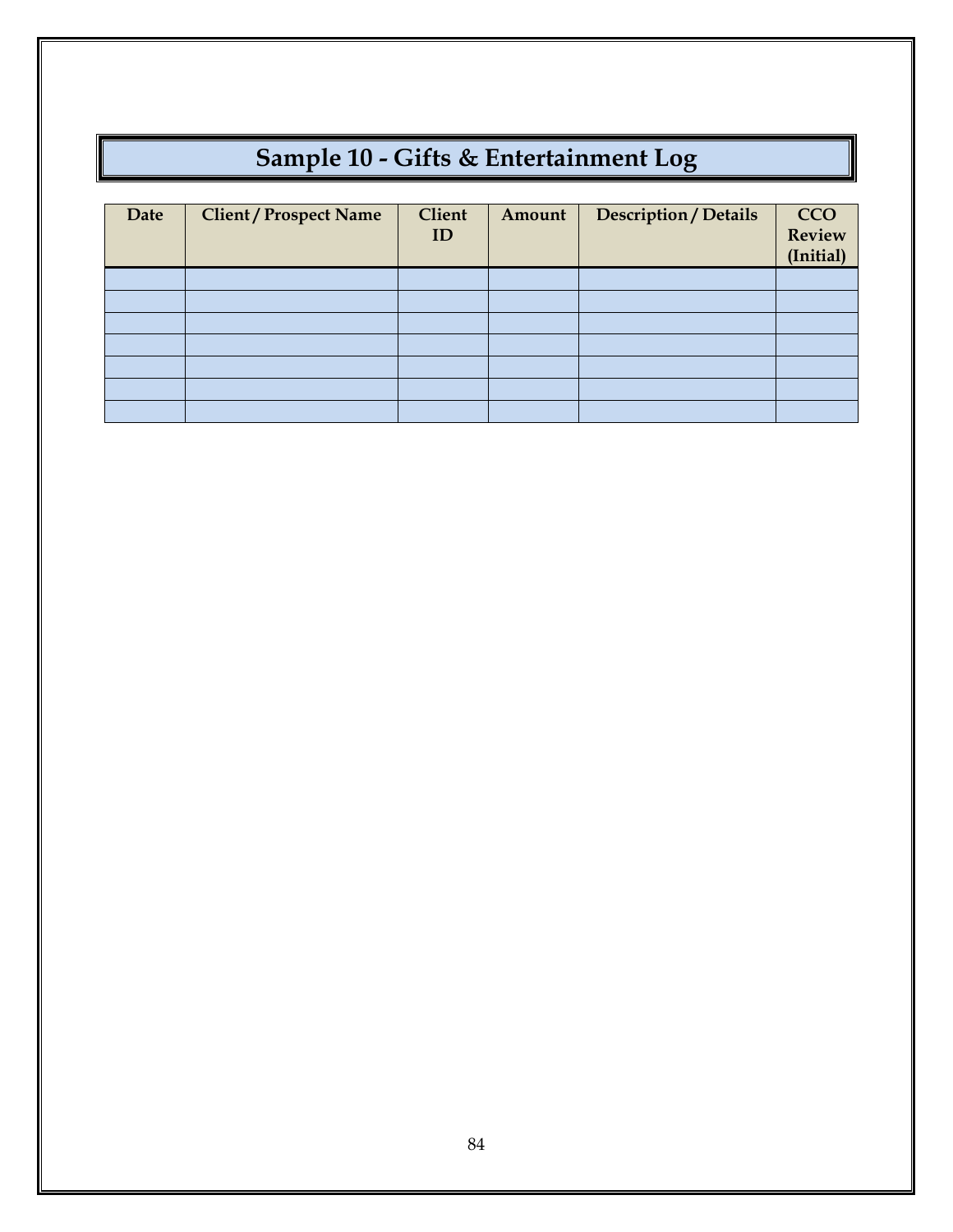# **Sample 10 - Gifts & Entertainment Log**

| Date | <b>Client / Prospect Name</b> | <b>Client</b><br>ID | Amount | <b>Description / Details</b> | <b>CCO</b><br><b>Review</b><br>(Initial) |
|------|-------------------------------|---------------------|--------|------------------------------|------------------------------------------|
|      |                               |                     |        |                              |                                          |
|      |                               |                     |        |                              |                                          |
|      |                               |                     |        |                              |                                          |
|      |                               |                     |        |                              |                                          |
|      |                               |                     |        |                              |                                          |
|      |                               |                     |        |                              |                                          |
|      |                               |                     |        |                              |                                          |